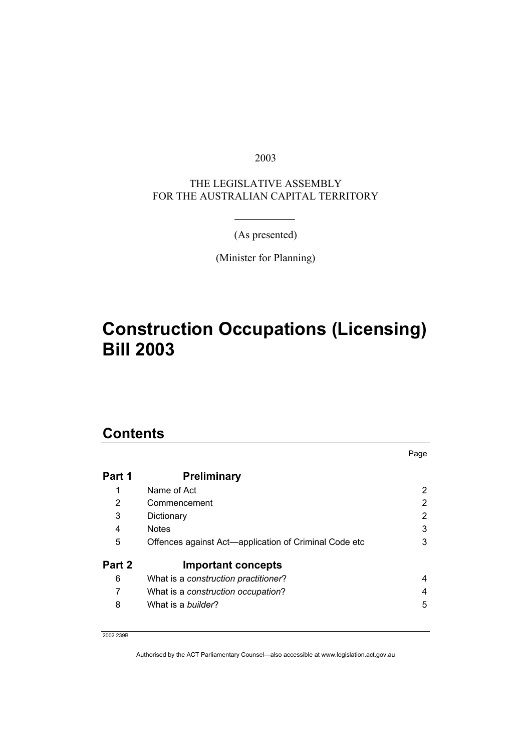2003

THE LEGISLATIVE ASSEMBLY FOR THE AUSTRALIAN CAPITAL TERRITORY

(As presented)

(Minister for Planning)

# **Construction Occupations (Licensing) Bill 2003**

### **Contents**

|        |                                                       | Page |  |  |
|--------|-------------------------------------------------------|------|--|--|
| Part 1 | <b>Preliminary</b>                                    |      |  |  |
|        | Name of Act                                           | 2    |  |  |
| 2      | Commencement                                          | 2    |  |  |
| 3      | 2<br>Dictionary                                       |      |  |  |
| 4      | <b>Notes</b>                                          | 3    |  |  |
| 5      | Offences against Act—application of Criminal Code etc | 3    |  |  |
| Part 2 | <b>Important concepts</b>                             |      |  |  |
| 6      | What is a construction practitioner?                  | 4    |  |  |
| 7      | What is a construction occupation?                    | 4    |  |  |
| 8      | What is a <i>builder</i> ?                            | 5    |  |  |

2002 239B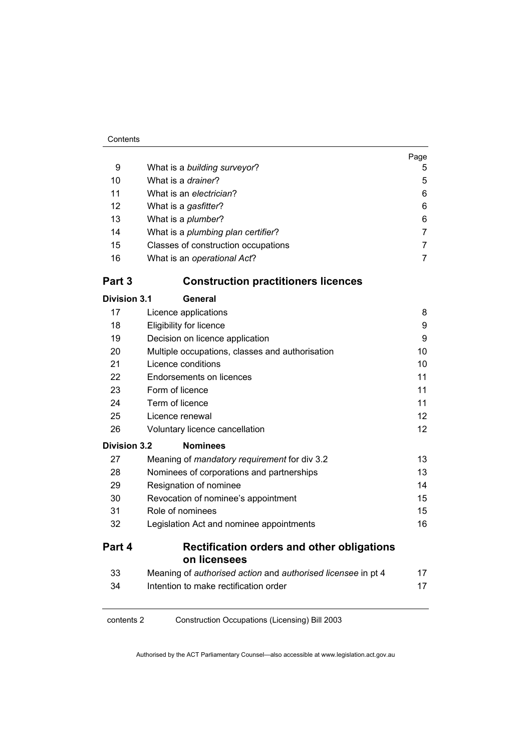|                     |                                                                   | Page            |  |  |
|---------------------|-------------------------------------------------------------------|-----------------|--|--|
| 9                   | What is a building surveyor?                                      | 5               |  |  |
| 10                  | What is a drainer?                                                | 5               |  |  |
| 11                  | What is an electrician?                                           | 6               |  |  |
| 12                  | What is a gasfitter?                                              | 6               |  |  |
| 13                  | What is a plumber?                                                | 6               |  |  |
| 14                  | What is a plumbing plan certifier?                                | $\overline{7}$  |  |  |
| 15                  | Classes of construction occupations                               | $\overline{7}$  |  |  |
| 16                  | What is an operational Act?                                       | $\overline{7}$  |  |  |
| Part 3              | <b>Construction practitioners licences</b>                        |                 |  |  |
| <b>Division 3.1</b> | General                                                           |                 |  |  |
| 17                  | Licence applications                                              | 8               |  |  |
| 18                  | Eligibility for licence                                           | 9               |  |  |
| 19                  | Decision on licence application                                   | 9               |  |  |
| 20                  | Multiple occupations, classes and authorisation                   | 10              |  |  |
| 21                  | Licence conditions                                                | 10              |  |  |
| 22                  | Endorsements on licences                                          | 11              |  |  |
| 23                  | Form of licence                                                   | 11              |  |  |
| 24                  | Term of licence                                                   | 11              |  |  |
| 25                  | Licence renewal                                                   | 12              |  |  |
| 26                  | Voluntary licence cancellation                                    | 12 <sup>2</sup> |  |  |
| <b>Division 3.2</b> | <b>Nominees</b>                                                   |                 |  |  |
| 27                  | Meaning of mandatory requirement for div 3.2                      | 13              |  |  |
| 28                  | Nominees of corporations and partnerships                         | 13              |  |  |
| 29                  | Resignation of nominee                                            | 14              |  |  |
| 30                  | Revocation of nominee's appointment                               | 15              |  |  |
| 31                  | Role of nominees                                                  | 15              |  |  |
| 32                  | 16<br>Legislation Act and nominee appointments                    |                 |  |  |
| Part 4              | <b>Rectification orders and other obligations</b><br>on licensees |                 |  |  |
| 33                  | Meaning of authorised action and authorised licensee in pt 4      | 17              |  |  |
| 34                  | Intention to make rectification order                             | 17              |  |  |
|                     |                                                                   |                 |  |  |

contents 2 Construction Occupations (Licensing) Bill 2003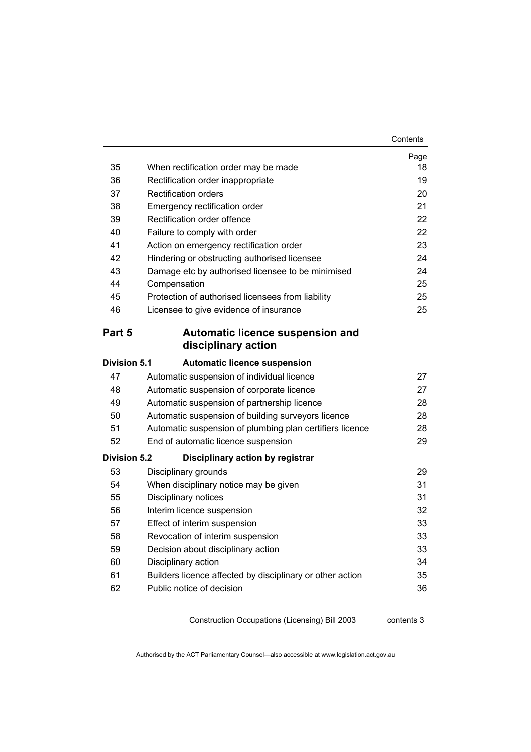|                     |                                                                                             | Page     |  |  |  |
|---------------------|---------------------------------------------------------------------------------------------|----------|--|--|--|
| 35                  | When rectification order may be made                                                        | 18<br>19 |  |  |  |
| 36                  | Rectification order inappropriate                                                           |          |  |  |  |
| 37                  | <b>Rectification orders</b>                                                                 |          |  |  |  |
| 38                  | 21<br>Emergency rectification order                                                         |          |  |  |  |
| 39                  | Rectification order offence<br>22                                                           |          |  |  |  |
| 40                  | 22<br>Failure to comply with order                                                          |          |  |  |  |
| 41                  | 23<br>Action on emergency rectification order                                               |          |  |  |  |
| 42                  | Hindering or obstructing authorised licensee<br>24                                          |          |  |  |  |
| 43<br>44            | Damage etc by authorised licensee to be minimised                                           | 24       |  |  |  |
| 45                  | Compensation                                                                                | 25<br>25 |  |  |  |
| 46                  | Protection of authorised licensees from liability<br>Licensee to give evidence of insurance | 25       |  |  |  |
|                     |                                                                                             |          |  |  |  |
| Part 5              | Automatic licence suspension and                                                            |          |  |  |  |
|                     | disciplinary action                                                                         |          |  |  |  |
| Division 5.1        | <b>Automatic licence suspension</b>                                                         |          |  |  |  |
| 47                  | Automatic suspension of individual licence                                                  | 27       |  |  |  |
| 48                  | Automatic suspension of corporate licence                                                   | 27       |  |  |  |
| 49                  | Automatic suspension of partnership licence                                                 | 28       |  |  |  |
| 50                  | Automatic suspension of building surveyors licence                                          | 28       |  |  |  |
| 51                  | Automatic suspension of plumbing plan certifiers licence                                    | 28       |  |  |  |
| 52                  | 29<br>End of automatic licence suspension                                                   |          |  |  |  |
| <b>Division 5.2</b> | Disciplinary action by registrar                                                            |          |  |  |  |
| 53                  | Disciplinary grounds                                                                        | 29       |  |  |  |
| 54                  | When disciplinary notice may be given                                                       | 31       |  |  |  |
| 55                  | Disciplinary notices                                                                        | 31       |  |  |  |
| 56                  | Interim licence suspension                                                                  | 32       |  |  |  |
| 57                  | Effect of interim suspension                                                                | 33       |  |  |  |
| 58                  | Revocation of interim suspension                                                            | 33       |  |  |  |
| 59                  | Decision about disciplinary action                                                          | 33       |  |  |  |
| 60                  | Disciplinary action                                                                         | 34       |  |  |  |
| 61                  | Builders licence affected by disciplinary or other action                                   | 35       |  |  |  |
| 62                  | Public notice of decision                                                                   | 36       |  |  |  |
|                     |                                                                                             |          |  |  |  |

contents 3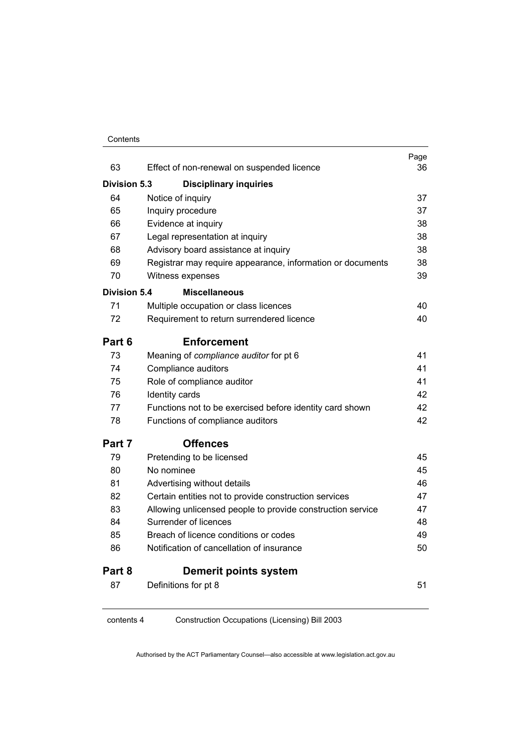#### Contents

|                     |                                                            | Page     |  |  |
|---------------------|------------------------------------------------------------|----------|--|--|
| 63                  | Effect of non-renewal on suspended licence                 | 36       |  |  |
| <b>Division 5.3</b> | <b>Disciplinary inquiries</b>                              |          |  |  |
| 64                  | Notice of inquiry                                          | 37       |  |  |
| 65                  | Inquiry procedure                                          |          |  |  |
| 66                  | Evidence at inquiry                                        |          |  |  |
| 67                  | Legal representation at inquiry                            |          |  |  |
| 68                  | Advisory board assistance at inquiry                       | 38       |  |  |
| 69                  | Registrar may require appearance, information or documents | 38<br>39 |  |  |
| 70                  | Witness expenses                                           |          |  |  |
| <b>Division 5.4</b> | <b>Miscellaneous</b>                                       |          |  |  |
| 71                  | Multiple occupation or class licences                      | 40       |  |  |
| 72                  | Requirement to return surrendered licence                  | 40       |  |  |
| Part 6              | <b>Enforcement</b>                                         |          |  |  |
| 73                  | Meaning of compliance auditor for pt 6                     | 41       |  |  |
| 74                  | Compliance auditors                                        | 41       |  |  |
| 75                  | Role of compliance auditor                                 | 41       |  |  |
| 76                  | Identity cards                                             | 42       |  |  |
| 77                  | Functions not to be exercised before identity card shown   | 42       |  |  |
| 78                  | Functions of compliance auditors                           | 42       |  |  |
| Part 7              | <b>Offences</b>                                            |          |  |  |
| 79                  | Pretending to be licensed                                  | 45       |  |  |
| 80                  | No nominee                                                 | 45       |  |  |
| 81                  | Advertising without details                                | 46       |  |  |
| 82                  | Certain entities not to provide construction services      | 47       |  |  |
| 83                  | Allowing unlicensed people to provide construction service | 47       |  |  |
| 84                  | Surrender of licences                                      | 48       |  |  |
| 85                  | Breach of licence conditions or codes                      | 49       |  |  |
| 86                  | Notification of cancellation of insurance                  | 50       |  |  |
| Part 8              | <b>Demerit points system</b>                               |          |  |  |
| 87                  | Definitions for pt 8                                       | 51       |  |  |
|                     |                                                            |          |  |  |

contents 4 Construction Occupations (Licensing) Bill 2003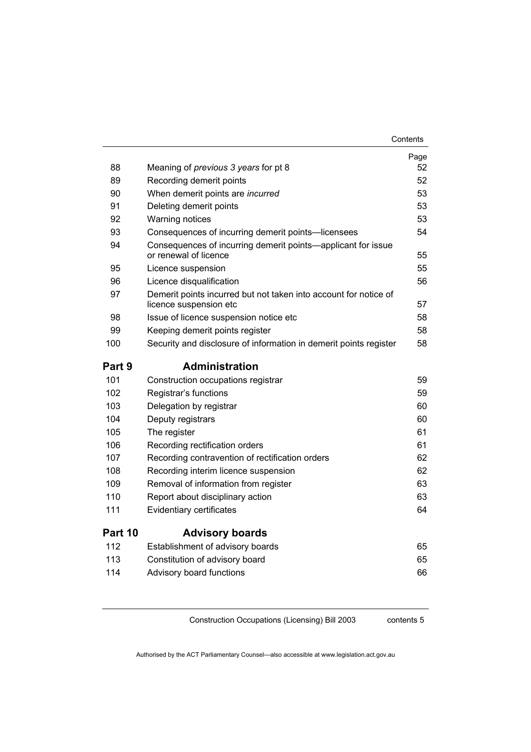|         |                                                                                            | Page |
|---------|--------------------------------------------------------------------------------------------|------|
| 88      | Meaning of <i>previous</i> 3 years for pt 8                                                | 52   |
| 89      | Recording demerit points                                                                   | 52   |
| 90      | When demerit points are incurred                                                           | 53   |
| 91      | Deleting demerit points                                                                    | 53   |
| 92      | <b>Warning notices</b>                                                                     | 53   |
| 93      | Consequences of incurring demerit points—licensees                                         | 54   |
| 94      | Consequences of incurring demerit points-applicant for issue<br>or renewal of licence      | 55   |
| 95      | Licence suspension                                                                         | 55   |
| 96      | Licence disqualification                                                                   | 56   |
| 97      | Demerit points incurred but not taken into account for notice of<br>licence suspension etc | 57   |
| 98      | Issue of licence suspension notice etc                                                     | 58   |
| 99      | Keeping demerit points register                                                            | 58   |
| 100     | Security and disclosure of information in demerit points register                          | 58   |
| Part 9  | <b>Administration</b>                                                                      |      |
| 101     | Construction occupations registrar                                                         | 59   |
| 102     | Registrar's functions                                                                      | 59   |
| 103     | Delegation by registrar                                                                    | 60   |
| 104     | Deputy registrars                                                                          | 60   |
| 105     | The register                                                                               | 61   |
| 106     | Recording rectification orders                                                             | 61   |
| 107     | Recording contravention of rectification orders                                            | 62   |
| 108     | Recording interim licence suspension                                                       | 62   |
| 109     | Removal of information from register                                                       | 63   |
| 110     | Report about disciplinary action                                                           | 63   |
| 111     | Evidentiary certificates                                                                   | 64   |
| Part 10 | <b>Advisory boards</b>                                                                     |      |
| 112     | Establishment of advisory boards                                                           | 65   |
| 113     | Constitution of advisory board                                                             | 65   |
| 114     | Advisory board functions                                                                   | 66   |

contents 5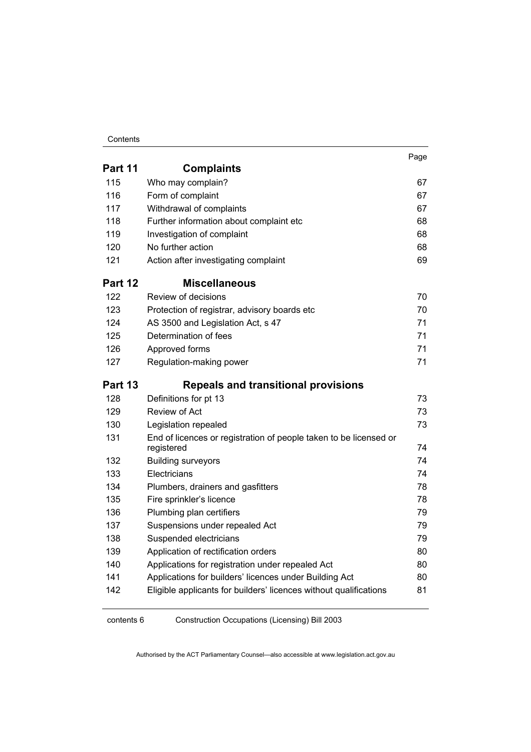#### Contents

|         |                                                                   | Page |
|---------|-------------------------------------------------------------------|------|
| Part 11 | <b>Complaints</b>                                                 |      |
| 115     | Who may complain?                                                 | 67   |
| 116     | Form of complaint                                                 | 67   |
| 117     | Withdrawal of complaints                                          | 67   |
| 118     | Further information about complaint etc                           | 68   |
| 119     | Investigation of complaint                                        | 68   |
| 120     | No further action                                                 | 68   |
| 121     | Action after investigating complaint                              | 69   |
| Part 12 | <b>Miscellaneous</b>                                              |      |
| 122     | Review of decisions                                               | 70   |
| 123     | Protection of registrar, advisory boards etc                      | 70   |
| 124     | AS 3500 and Legislation Act, s 47                                 | 71   |
| 125     | Determination of fees                                             | 71   |
| 126     | Approved forms                                                    | 71   |
| 127     | Regulation-making power                                           | 71   |
|         |                                                                   |      |
| Part 13 | <b>Repeals and transitional provisions</b>                        |      |
| 128     | Definitions for pt 13                                             | 73   |
| 129     | Review of Act                                                     | 73   |
| 130     | Legislation repealed                                              | 73   |
| 131     | End of licences or registration of people taken to be licensed or | 74   |
| 132     | registered<br><b>Building surveyors</b>                           | 74   |
| 133     | Electricians                                                      | 74   |
| 134     | Plumbers, drainers and gasfitters                                 | 78   |
| 135     | Fire sprinkler's licence                                          | 78   |
| 136     | Plumbing plan certifiers                                          | 79   |
| 137     | Suspensions under repealed Act                                    | 79   |
| 138     | Suspended electricians                                            | 79   |
| 139     | Application of rectification orders                               | 80   |
| 140     | Applications for registration under repealed Act                  | 80   |
| 141     | Applications for builders' licences under Building Act            | 80   |

contents 6 Construction Occupations (Licensing) Bill 2003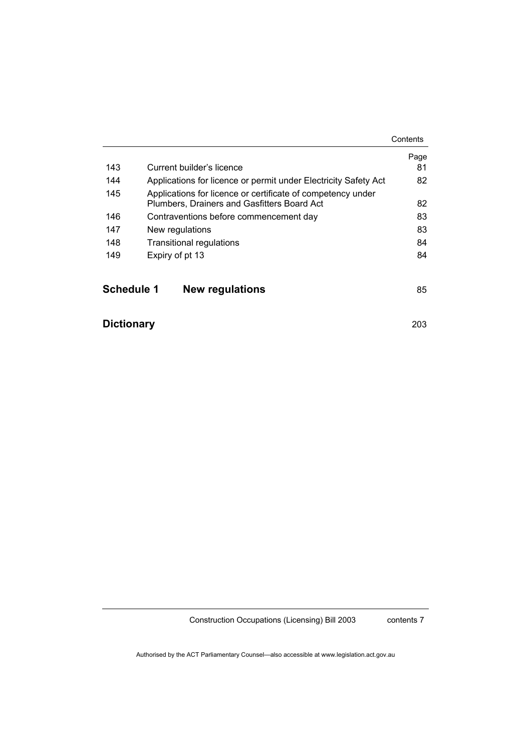|                   |                                                                                                            | Contents |  |
|-------------------|------------------------------------------------------------------------------------------------------------|----------|--|
|                   |                                                                                                            | Page     |  |
| 143               | Current builder's licence                                                                                  | 81       |  |
| 144               | Applications for licence or permit under Electricity Safety Act                                            | 82       |  |
| 145               | Applications for licence or certificate of competency under<br>Plumbers, Drainers and Gasfitters Board Act | 82       |  |
| 146               | Contraventions before commencement day                                                                     | 83       |  |
| 147               | New regulations                                                                                            |          |  |
| 148               | <b>Transitional regulations</b>                                                                            |          |  |
| 149               | Expiry of pt 13                                                                                            |          |  |
| <b>Schedule 1</b> | <b>New regulations</b>                                                                                     | 85       |  |

# **Dictionary** 203

Construction Occupations (Licensing) Bill 2003

contents 7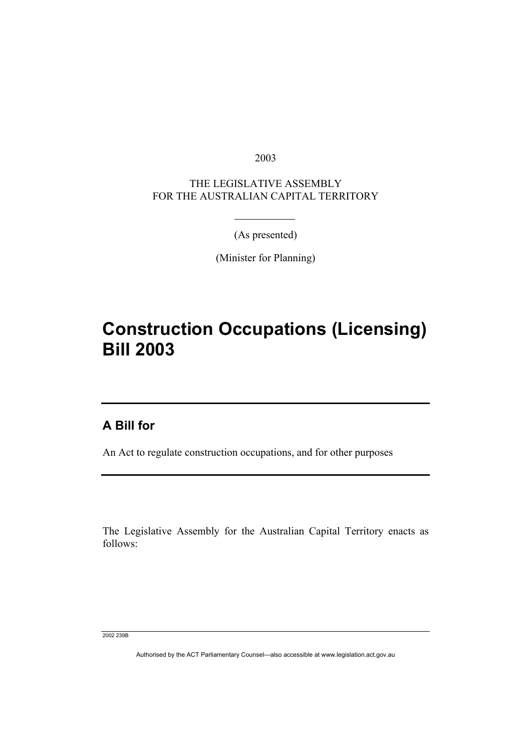2003

THE LEGISLATIVE ASSEMBLY FOR THE AUSTRALIAN CAPITAL TERRITORY

(As presented)

(Minister for Planning)

# **Construction Occupations (Licensing) Bill 2003**

### **A Bill for**

An Act to regulate construction occupations, and for other purposes

The Legislative Assembly for the Australian Capital Territory enacts as follows:

2002 239B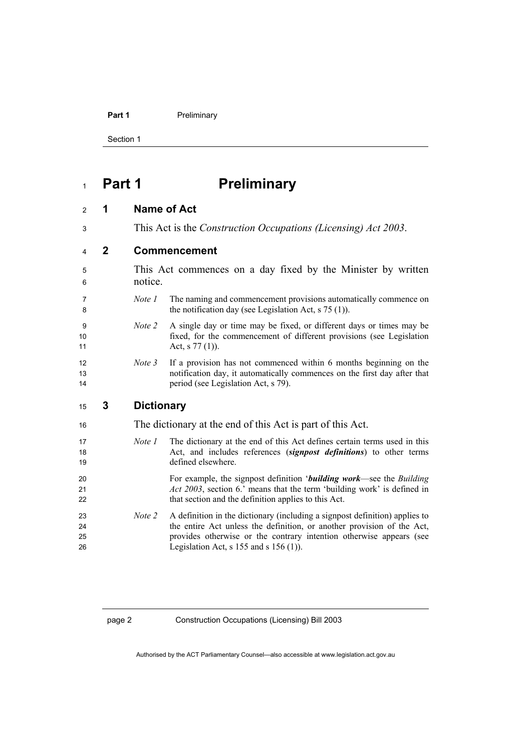Section 1

## **Part 1 Preliminary**

#### **1 Name of Act**

This Act is the *Construction Occupations (Licensing) Act 2003*.

### **2 Commencement**

This Act commences on a day fixed by the Minister by written 6 notice. *Note 1* The naming and commencement provisions automatically commence on

8 the notification day (see Legislation Act, s 75 (1)).

- *Note 2* A single day or time may be fixed, or different days or times may be fixed, for the commencement of different provisions (see Legislation 11 Act, s 77 (1)).
- *Note 3* If a provision has not commenced within 6 months beginning on the notification day, it automatically commences on the first day after that 14 period (see Legislation Act, s 79).

#### **3 Dictionary**

| The dictionary at the end of this Act is part of this Act. |                                                                                                                                                                      |
|------------------------------------------------------------|----------------------------------------------------------------------------------------------------------------------------------------------------------------------|
| Note 1                                                     | The dictionary at the end of this Act defines certain terms used in this<br>Act, and includes references (signpost definitions) to other terms<br>defined elsewhere. |
|                                                            |                                                                                                                                                                      |
|                                                            | For example, the signpost definition ' <b>building work</b> —see the <i>Building</i>                                                                                 |
|                                                            | <i>Act 2003</i> , section 6.' means that the term 'building work' is defined in                                                                                      |
|                                                            | that section and the definition applies to this Act.                                                                                                                 |
| Note 2                                                     | A definition in the dictionary (including a signpost definition) applies to                                                                                          |
|                                                            | the entire Act unless the definition, or another provision of the Act,                                                                                               |
|                                                            | provides otherwise or the contrary intention otherwise appears (see                                                                                                  |
|                                                            | Legislation Act, s $155$ and s $156(1)$ ).                                                                                                                           |
|                                                            |                                                                                                                                                                      |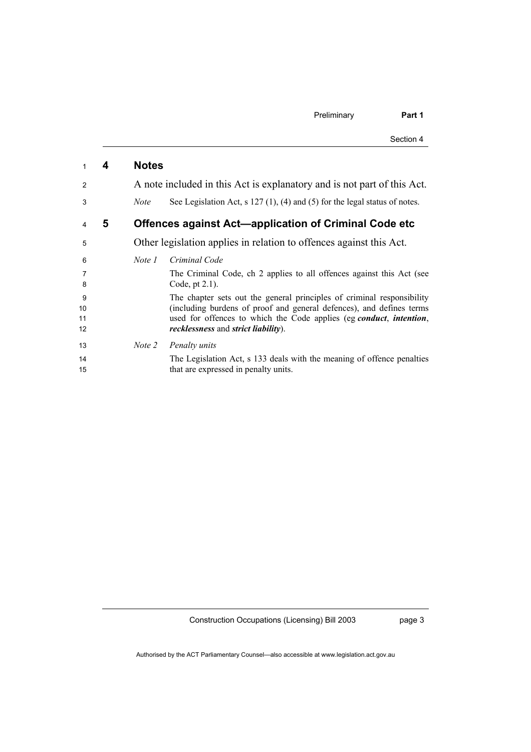| Preliminary | Part 1    |
|-------------|-----------|
|             | Section 4 |

| 1        | 4  | <b>Notes</b> |                                                                                                                           |
|----------|----|--------------|---------------------------------------------------------------------------------------------------------------------------|
| 2        |    |              | A note included in this Act is explanatory and is not part of this Act.                                                   |
| 3        |    | <i>Note</i>  | See Legislation Act, $s$ 127(1), (4) and (5) for the legal status of notes.                                               |
| 4        | 5. |              | Offences against Act-application of Criminal Code etc                                                                     |
| 5        |    |              | Other legislation applies in relation to offences against this Act.                                                       |
| 6        |    | Note 1       | Criminal Code                                                                                                             |
| 7<br>8   |    |              | The Criminal Code, ch 2 applies to all offences against this Act (see<br>Code, pt $2.1$ ).                                |
| 9        |    |              | The chapter sets out the general principles of criminal responsibility                                                    |
| 10       |    |              | (including burdens of proof and general defences), and defines terms                                                      |
| 11<br>12 |    |              | used for offences to which the Code applies (eg conduct, intention,<br><i>recklessness</i> and <i>strict liability</i> ). |
| 13       |    | Note 2       | Penalty units                                                                                                             |
| 14       |    |              | The Legislation Act, s 133 deals with the meaning of offence penalties                                                    |
| 15       |    |              | that are expressed in penalty units.                                                                                      |

page 3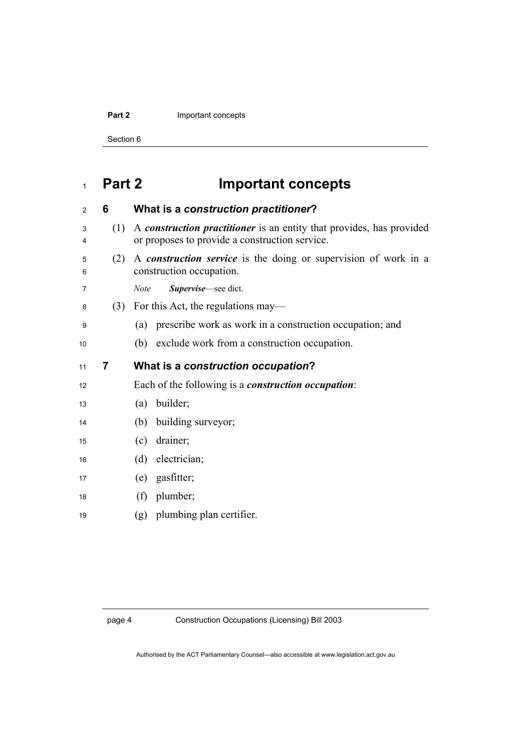#### **Part 2 Important concepts**

Section 6

# **Part 2 Important concepts**

| $\overline{2}$ | 6   | What is a construction practitioner?                                                                                   |
|----------------|-----|------------------------------------------------------------------------------------------------------------------------|
| 3<br>4         | (1) | A construction practitioner is an entity that provides, has provided<br>or proposes to provide a construction service. |
| 5<br>6         | (2) | A <i>construction service</i> is the doing or supervision of work in a<br>construction occupation.                     |
| 7              |     | Supervise-see dict.<br><b>Note</b>                                                                                     |
| 8              |     | $(3)$ For this Act, the regulations may—                                                                               |
| 9              |     | prescribe work as work in a construction occupation; and<br>(a)                                                        |
| 10             |     | (b) exclude work from a construction occupation.                                                                       |
| 11             | 7   | What is a construction occupation?                                                                                     |
| 12             |     | Each of the following is a <i>construction occupation</i> :                                                            |
| 13             |     | builder;<br>(a)                                                                                                        |
| 14             |     | building surveyor;<br>(b)                                                                                              |
| 15             |     | drainer;<br>(c)                                                                                                        |
| 16             |     | (d) electrician;                                                                                                       |
| 17             |     | (e) gasfitter;                                                                                                         |
| 18             |     | plumber;<br>(f)                                                                                                        |
|                |     |                                                                                                                        |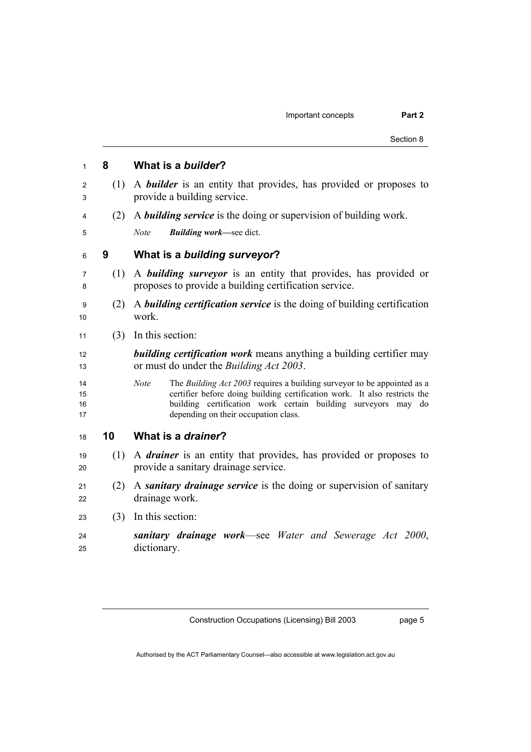|     | Section 8                                                                                                                                                                                                                                                                       |
|-----|---------------------------------------------------------------------------------------------------------------------------------------------------------------------------------------------------------------------------------------------------------------------------------|
| 8   | What is a builder?                                                                                                                                                                                                                                                              |
| (1) | A <b>builder</b> is an entity that provides, has provided or proposes to<br>provide a building service.                                                                                                                                                                         |
| (2) | A <b>building service</b> is the doing or supervision of building work.                                                                                                                                                                                                         |
|     | <b>Building work—see dict.</b><br><b>Note</b>                                                                                                                                                                                                                                   |
| 9   | What is a building surveyor?                                                                                                                                                                                                                                                    |
| (1) | A <b>building surveyor</b> is an entity that provides, has provided or<br>proposes to provide a building certification service.                                                                                                                                                 |
| (2) | A <b>building certification service</b> is the doing of building certification<br>work.                                                                                                                                                                                         |
| (3) | In this section:                                                                                                                                                                                                                                                                |
|     | <b>building certification work</b> means anything a building certifier may<br>or must do under the <i>Building Act 2003</i> .                                                                                                                                                   |
|     | <b>Note</b><br>The Building Act 2003 requires a building surveyor to be appointed as a<br>certifier before doing building certification work. It also restricts the<br>building certification work certain building surveyors may<br>do<br>depending on their occupation class. |
| 10  | What is a drainer?                                                                                                                                                                                                                                                              |
|     | (1) A <i>drainer</i> is an entity that provides, has provided or proposes to<br>provide a sanitary drainage service.                                                                                                                                                            |
| (2) | A sanitary drainage service is the doing or supervision of sanitary<br>drainage work.                                                                                                                                                                                           |
| (3) | In this section:                                                                                                                                                                                                                                                                |

*sanitary drainage work*—see *Water and Sewerage Act 2000*, dictionary.

Construction Occupations (Licensing) Bill 2003

page 5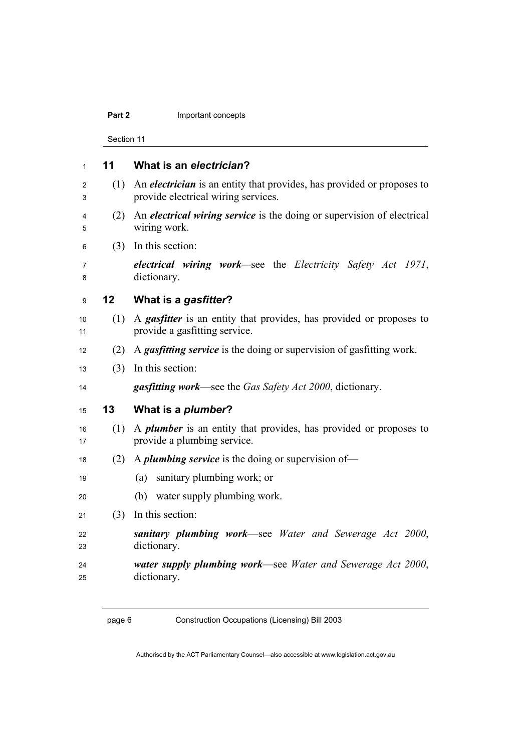#### **Part 2 Important concepts**

Section 11

| $\mathbf{1}$ | 11                | What is an electrician?                                                                                              |  |
|--------------|-------------------|----------------------------------------------------------------------------------------------------------------------|--|
| 2<br>3       | (1)               | An <i>electrician</i> is an entity that provides, has provided or proposes to<br>provide electrical wiring services. |  |
| 4<br>5       | (2)               | An <i>electrical wiring service</i> is the doing or supervision of electrical<br>wiring work.                        |  |
| 6            | (3)               | In this section:                                                                                                     |  |
| 7<br>8       |                   | electrical wiring work—see the Electricity Safety Act 1971,<br>dictionary.                                           |  |
| 9            | $12 \overline{ }$ | What is a gasfitter?                                                                                                 |  |
| 10<br>11     | (1)               | A <i>gasfitter</i> is an entity that provides, has provided or proposes to<br>provide a gasfitting service.          |  |
| 12           | (2)               | A <i>gasfitting service</i> is the doing or supervision of gasfitting work.                                          |  |
| 13           | (3)               | In this section:                                                                                                     |  |
| 14           |                   | <b>gasfitting work—see the Gas Safety Act 2000, dictionary.</b>                                                      |  |
| 15           | 13                | What is a <i>plumber</i> ?                                                                                           |  |
| 16<br>17     | (1)               | A <i>plumber</i> is an entity that provides, has provided or proposes to<br>provide a plumbing service.              |  |
| 18           | (2)               | A <i>plumbing service</i> is the doing or supervision of—                                                            |  |
| 19           |                   | sanitary plumbing work; or<br>(a)                                                                                    |  |
| 20           |                   | (b) water supply plumbing work.                                                                                      |  |
| 21           | (3)               | In this section:                                                                                                     |  |
| 22<br>23     |                   | sanitary plumbing work—see Water and Sewerage Act 2000,<br>dictionary.                                               |  |
| 24<br>25     |                   | water supply plumbing work—see Water and Sewerage Act 2000,<br>dictionary.                                           |  |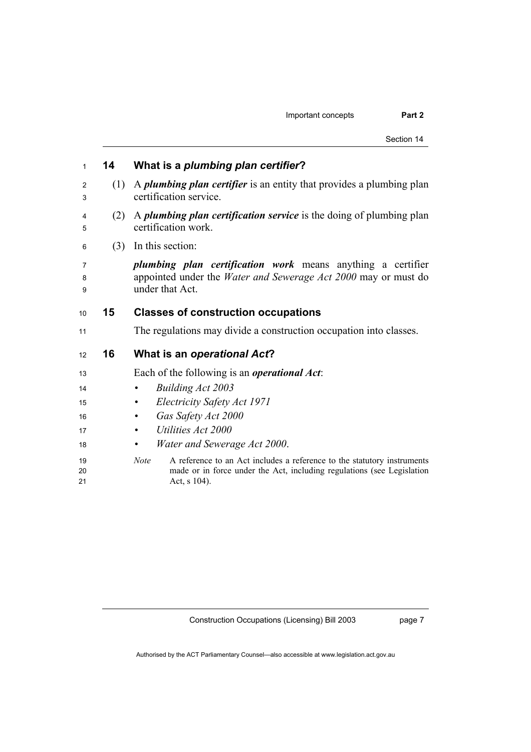| 1              | 14  | What is a plumbing plan certifier?                                                                                                                                        |
|----------------|-----|---------------------------------------------------------------------------------------------------------------------------------------------------------------------------|
| 2<br>3         | (1) | A <i>plumbing plan certifier</i> is an entity that provides a plumbing plan<br>certification service.                                                                     |
| 4<br>5         | (2) | A <i>plumbing plan certification service</i> is the doing of plumbing plan<br>certification work.                                                                         |
| 6              | (3) | In this section:                                                                                                                                                          |
| 7<br>8<br>9    |     | <i>plumbing plan certification work</i> means anything a certifier<br>appointed under the <i>Water and Sewerage Act 2000</i> may or must do<br>under that Act.            |
| 10             | 15  | <b>Classes of construction occupations</b>                                                                                                                                |
| 11             |     | The regulations may divide a construction occupation into classes.                                                                                                        |
| 12             | 16  | What is an operational Act?                                                                                                                                               |
| 13             |     | Each of the following is an <i>operational Act</i> :                                                                                                                      |
| 14             |     | <b>Building Act 2003</b><br>$\bullet$                                                                                                                                     |
| 15             |     | Electricity Safety Act 1971                                                                                                                                               |
| 16             |     | Gas Safety Act 2000                                                                                                                                                       |
| 17             |     | Utilities Act 2000                                                                                                                                                        |
| 18             |     | Water and Sewerage Act 2000.<br>$\bullet$                                                                                                                                 |
| 19<br>20<br>21 |     | Note<br>A reference to an Act includes a reference to the statutory instruments<br>made or in force under the Act, including regulations (see Legislation<br>Act, s 104). |

page 7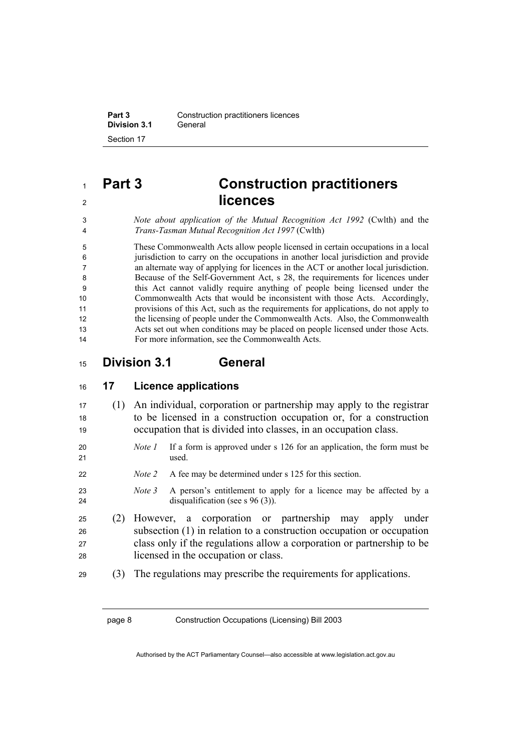**Part 3 Construction practitioners licences Division 3.1** General Section 17

## **Part 3 Construction practitioners licences**

*Note about application of the Mutual Recognition Act 1992* (Cwlth) and the *Trans-Tasman Mutual Recognition Act 1997* (Cwlth)

These Commonwealth Acts allow people licensed in certain occupations in a local jurisdiction to carry on the occupations in another local jurisdiction and provide an alternate way of applying for licences in the ACT or another local jurisdiction. Because of the Self-Government Act, s 28, the requirements for licences under this Act cannot validly require anything of people being licensed under the Commonwealth Acts that would be inconsistent with those Acts. Accordingly, provisions of this Act, such as the requirements for applications, do not apply to the licensing of people under the Commonwealth Acts. Also, the Commonwealth Acts set out when conditions may be placed on people licensed under those Acts. For more information, see the Commonwealth Acts.

#### **Division 3.1 General**

| 16 | 17 | <b>Licence applications</b> |
|----|----|-----------------------------|
|----|----|-----------------------------|

| 17 | (1) An individual, corporation or partnership may apply to the registrar |
|----|--------------------------------------------------------------------------|
| 18 | to be licensed in a construction occupation or, for a construction       |
| 19 | occupation that is divided into classes, in an occupation class.         |

- *Note 1* If a form is approved under s 126 for an application, the form must be used.
- *Note 2* A fee may be determined under s 125 for this section.
- *Note 3* A person's entitlement to apply for a licence may be affected by a 24 disqualification (see s 96 (3)).
- (2) However, a corporation or partnership may apply under subsection (1) in relation to a construction occupation or occupation class only if the regulations allow a corporation or partnership to be licensed in the occupation or class.
- (3) The regulations may prescribe the requirements for applications.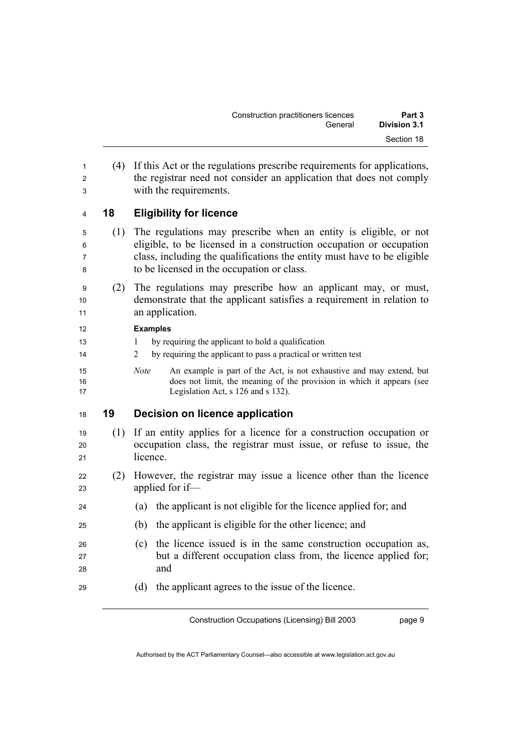| Construction practitioners licences | Part 3       |  |
|-------------------------------------|--------------|--|
| General                             | Division 3.1 |  |
|                                     | Section 18   |  |

(4) If this Act or the regulations prescribe requirements for applications, 2 the registrar need not consider an application that does not comply with the requirements.

#### **18 Eligibility for licence**

- (1) The regulations may prescribe when an entity is eligible, or not eligible, to be licensed in a construction occupation or occupation class, including the qualifications the entity must have to be eligible to be licensed in the occupation or class.
- (2) The regulations may prescribe how an applicant may, or must, demonstrate that the applicant satisfies a requirement in relation to 11 an application.

#### **Examples**

- 1 by requiring the applicant to hold a qualification
- 2 by requiring the applicant to pass a practical or written test
- *Note* An example is part of the Act, is not exhaustive and may extend, but does not limit, the meaning of the provision in which it appears (see 17 Legislation Act, s 126 and s 132).

#### **19 Decision on licence application**

- (1) If an entity applies for a licence for a construction occupation or occupation class, the registrar must issue, or refuse to issue, the 21 licence
- (2) However, the registrar may issue a licence other than the licence applied for if—
- (a) the applicant is not eligible for the licence applied for; and
- (b) the applicant is eligible for the other licence; and
- (c) the licence issued is in the same construction occupation as, 27 but a different occupation class from, the licence applied for; 28 and
- (d) the applicant agrees to the issue of the licence.

Construction Occupations (Licensing) Bill 2003

page 9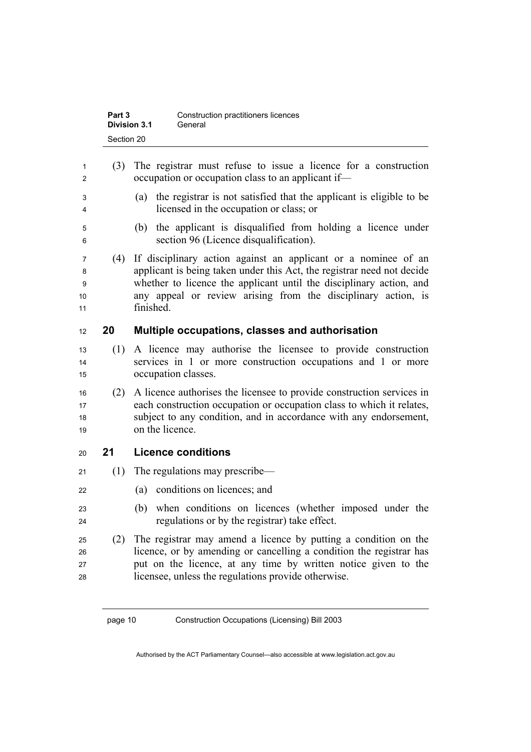| Part 3       | Construction practitioners licences |
|--------------|-------------------------------------|
| Division 3.1 | General                             |
| Section 20   |                                     |

| 3<br>4                  |     | occupation or occupation class to an applicant if-                                                                                                                                                                                                                                            |
|-------------------------|-----|-----------------------------------------------------------------------------------------------------------------------------------------------------------------------------------------------------------------------------------------------------------------------------------------------|
|                         |     | the registrar is not satisfied that the applicant is eligible to be<br>(a)<br>licensed in the occupation or class; or                                                                                                                                                                         |
| 5<br>6                  |     | the applicant is disqualified from holding a licence under<br>(b)<br>section 96 (Licence disqualification).                                                                                                                                                                                   |
| 7<br>8<br>9<br>10<br>11 | (4) | If disciplinary action against an applicant or a nominee of an<br>applicant is being taken under this Act, the registrar need not decide<br>whether to licence the applicant until the disciplinary action, and<br>any appeal or review arising from the disciplinary action, is<br>finished. |
| 12                      | 20  | Multiple occupations, classes and authorisation                                                                                                                                                                                                                                               |
| 13<br>14<br>15          | (1) | A licence may authorise the licensee to provide construction<br>services in 1 or more construction occupations and 1 or more<br>occupation classes.                                                                                                                                           |
|                         |     |                                                                                                                                                                                                                                                                                               |
| 16<br>17<br>18<br>19    | (2) | A licence authorises the licensee to provide construction services in<br>each construction occupation or occupation class to which it relates,<br>subject to any condition, and in accordance with any endorsement,<br>on the licence.                                                        |
| 20                      | 21  | <b>Licence conditions</b>                                                                                                                                                                                                                                                                     |
| 21                      | (1) | The regulations may prescribe—                                                                                                                                                                                                                                                                |
| 22                      |     | conditions on licences; and<br>(a)                                                                                                                                                                                                                                                            |
| 23<br>24                |     | when conditions on licences (whether imposed under the<br>(b)<br>regulations or by the registrar) take effect.                                                                                                                                                                                |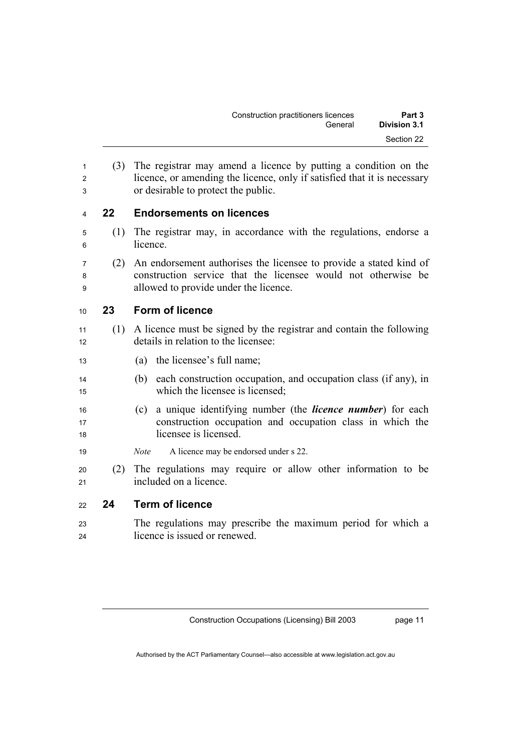| Construction practitioners licences | Part 3       |  |
|-------------------------------------|--------------|--|
| General                             | Division 3.1 |  |
|                                     | Section 22   |  |

(3) The registrar may amend a licence by putting a condition on the 2 licence, or amending the licence, only if satisfied that it is necessary or desirable to protect the public.

#### **22 Endorsements on licences**

- (1) The registrar may, in accordance with the regulations, endorse a 6 licence.
- (2) An endorsement authorises the licensee to provide a stated kind of construction service that the licensee would not otherwise be allowed to provide under the licence.

#### **23 Form of licence**

- (1) A licence must be signed by the registrar and contain the following 12 details in relation to the licensee:
- (a) the licensee's full name;
- (b) each construction occupation, and occupation class (if any), in which the licensee is licensed;
- (c) a unique identifying number (the *licence number*) for each construction occupation and occupation class in which the licensee is licensed.
- *Note* A licence may be endorsed under s 22.
- (2) The regulations may require or allow other information to be 21 included on a licence

#### **24 Term of licence**

The regulations may prescribe the maximum period for which a licence is issued or renewed.

page 11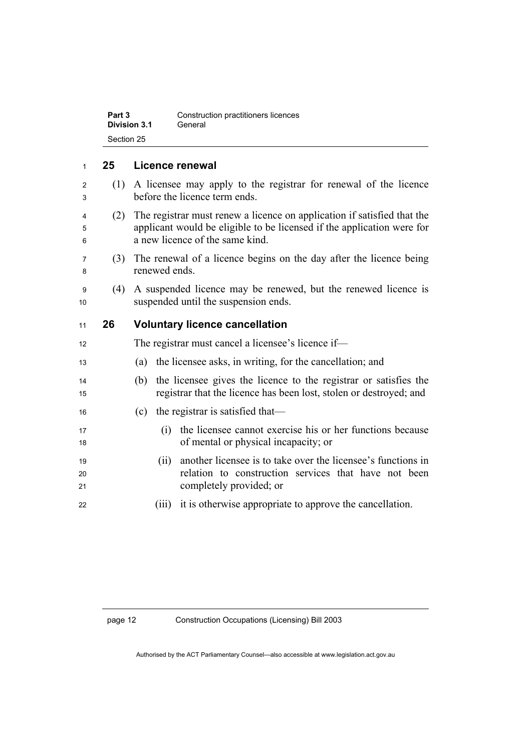| Part 3       | Construction practitioners licences |  |
|--------------|-------------------------------------|--|
| Division 3.1 | General                             |  |
| Section 25   |                                     |  |

#### <sup>1</sup>**25 Licence renewal**

- <sup>2</sup>(1) A licensee may apply to the registrar for renewal of the licence <sup>3</sup>before the licence term ends.
- <sup>4</sup>(2) The registrar must renew a licence on application if satisfied that the <sup>5</sup>applicant would be eligible to be licensed if the application were for <sup>6</sup>a new licence of the same kind.
- <sup>7</sup>(3) The renewal of a licence begins on the day after the licence being 8 renewed ends
- <sup>9</sup>(4) A suspended licence may be renewed, but the renewed licence is 10 suspended until the suspension ends.

#### <sup>11</sup>**26 Voluntary licence cancellation**

- 12 The registrar must cancel a licensee's licence if— <sup>13</sup>(a) the licensee asks, in writing, for the cancellation; and <sup>14</sup>(b) the licensee gives the licence to the registrar or satisfies the <sup>15</sup>registrar that the licence has been lost, stolen or destroyed; and
- 16 (c) the registrar is satisfied that—
- <sup>17</sup>(i) the licensee cannot exercise his or her functions because 18 of mental or physical incapacity; or
- <sup>19</sup>(ii) another licensee is to take over the licensee's functions in 20 relation to construction services that have not been 21 completely provided; or
- 22 (iii) it is otherwise appropriate to approve the cancellation.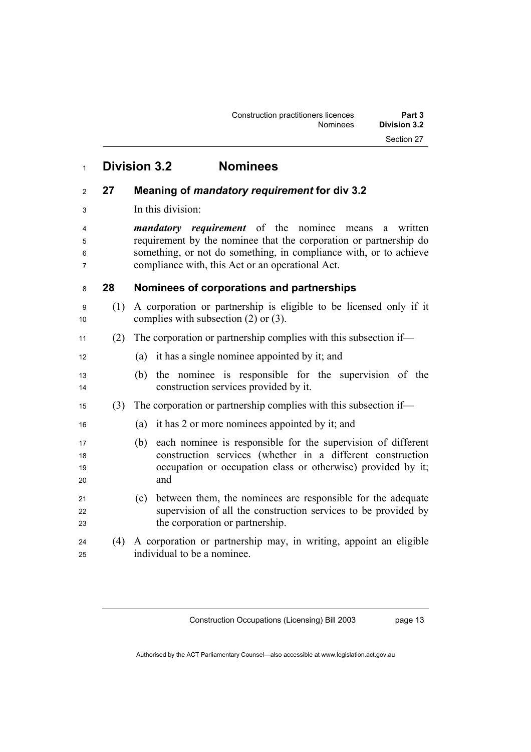### **Division 3.2 Nominees**

#### **27 Meaning of** *mandatory requirement* **for div 3.2**

3 In this division:

*mandatory requirement* of the nominee means a written requirement by the nominee that the corporation or partnership do something, or not do something, in compliance with, or to achieve compliance with, this Act or an operational Act.

#### **28 Nominees of corporations and partnerships**

- (1) A corporation or partnership is eligible to be licensed only if it 10 complies with subsection  $(2)$  or  $(3)$ .
- (2) The corporation or partnership complies with this subsection if—
- 12 (a) it has a single nominee appointed by it; and
- (b) the nominee is responsible for the supervision of the construction services provided by it.
- (3) The corporation or partnership complies with this subsection if—
- (a) it has 2 or more nominees appointed by it; and
- (b) each nominee is responsible for the supervision of different construction services (whether in a different construction 19 occupation or occupation class or otherwise) provided by it; and
- (c) between them, the nominees are responsible for the adequate supervision of all the construction services to be provided by 23 the corporation or partnership.
- (4) A corporation or partnership may, in writing, appoint an eligible individual to be a nominee.

Construction Occupations (Licensing) Bill 2003

page 13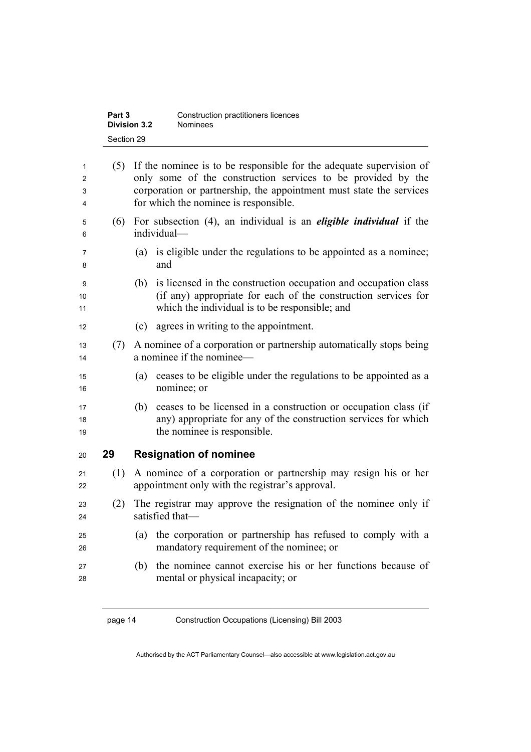| Part 3              | Construction practitioners licences |
|---------------------|-------------------------------------|
| <b>Division 3.2</b> | <b>Nominees</b>                     |
| Section 29          |                                     |

| 1<br>2<br>3<br>4 | (5) | If the nominee is to be responsible for the adequate supervision of<br>only some of the construction services to be provided by the<br>corporation or partnership, the appointment must state the services<br>for which the nominee is responsible. |
|------------------|-----|-----------------------------------------------------------------------------------------------------------------------------------------------------------------------------------------------------------------------------------------------------|
| 5<br>6           | (6) | For subsection (4), an individual is an <i>eligible individual</i> if the<br>individual-                                                                                                                                                            |
| 7<br>8           |     | is eligible under the regulations to be appointed as a nominee;<br>(a)<br>and                                                                                                                                                                       |
| 9<br>10<br>11    |     | is licensed in the construction occupation and occupation class<br>(b)<br>(if any) appropriate for each of the construction services for<br>which the individual is to be responsible; and                                                          |
| 12               |     | agrees in writing to the appointment.<br>(c)                                                                                                                                                                                                        |
| 13<br>14         | (7) | A nominee of a corporation or partnership automatically stops being<br>a nominee if the nominee—                                                                                                                                                    |
| 15<br>16         |     | ceases to be eligible under the regulations to be appointed as a<br>(a)<br>nominee; or                                                                                                                                                              |
| 17<br>18<br>19   |     | ceases to be licensed in a construction or occupation class (if<br>(b)<br>any) appropriate for any of the construction services for which<br>the nominee is responsible.                                                                            |
| 20               | 29  | <b>Resignation of nominee</b>                                                                                                                                                                                                                       |
| 21<br>22         | (1) | A nominee of a corporation or partnership may resign his or her<br>appointment only with the registrar's approval.                                                                                                                                  |
| 23<br>24         | (2) | The registrar may approve the resignation of the nominee only if<br>satisfied that-                                                                                                                                                                 |
| 25<br>26         |     | the corporation or partnership has refused to comply with a<br>(a)<br>mandatory requirement of the nominee; or                                                                                                                                      |
| 27<br>28         |     | the nominee cannot exercise his or her functions because of<br>(b)<br>mental or physical incapacity; or                                                                                                                                             |
|                  |     |                                                                                                                                                                                                                                                     |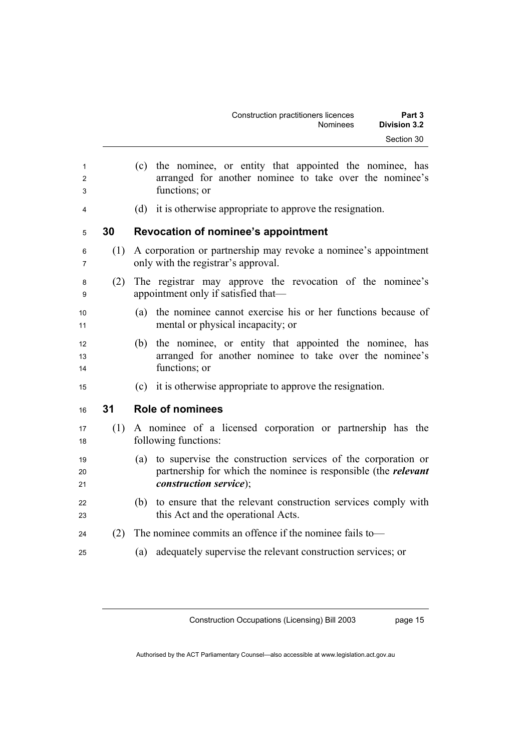| Construction practitioners licences | Part 3              |
|-------------------------------------|---------------------|
| Nominees                            | <b>Division 3.2</b> |
|                                     | Section 30          |

(c) the nominee, or entity that appointed the nominee, has arranged for another nominee to take over the nominee's functions; or (d) it is otherwise appropriate to approve the resignation. **30 Revocation of nominee's appointment**  (1) A corporation or partnership may revoke a nominee's appointment only with the registrar's approval. (2) The registrar may approve the revocation of the nominee's 9 appointment only if satisfied that— (a) the nominee cannot exercise his or her functions because of 11 mental or physical incapacity; or (b) the nominee, or entity that appointed the nominee, has arranged for another nominee to take over the nominee's 14 functions; or (c) it is otherwise appropriate to approve the resignation. **31 Role of nominees**  (1) A nominee of a licensed corporation or partnership has the 18 following functions: (a) to supervise the construction services of the corporation or partnership for which the nominee is responsible (the *relevant construction service*); (b) to ensure that the relevant construction services comply with 23 this Act and the operational Acts. (2) The nominee commits an offence if the nominee fails to— (a) adequately supervise the relevant construction services; or

Construction Occupations (Licensing) Bill 2003

page 15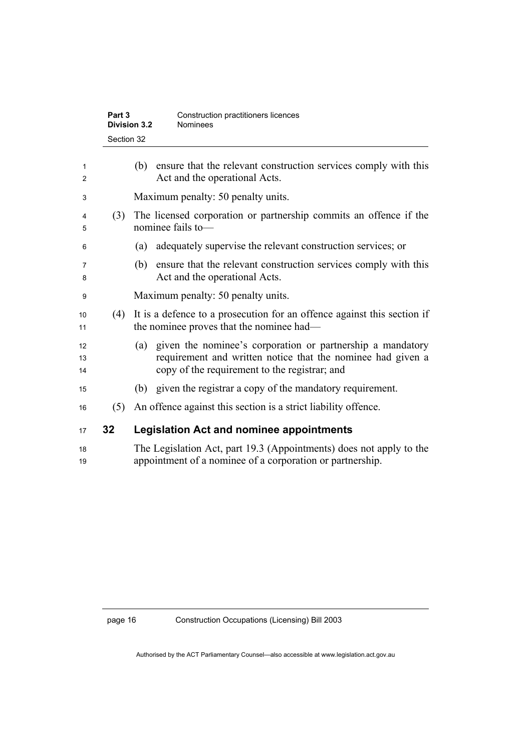| Part 3              | Construction practitioners licences |
|---------------------|-------------------------------------|
| <b>Division 3.2</b> | <b>Nominees</b>                     |
| Section 32          |                                     |

| 1<br>2         |     | ensure that the relevant construction services comply with this<br>(b)<br>Act and the operational Acts.                                                                           |
|----------------|-----|-----------------------------------------------------------------------------------------------------------------------------------------------------------------------------------|
| 3              |     | Maximum penalty: 50 penalty units.                                                                                                                                                |
| 4<br>5         | (3) | The licensed corporation or partnership commits an offence if the<br>nominee fails to-                                                                                            |
| 6              |     | adequately supervise the relevant construction services; or<br>(a)                                                                                                                |
| 7<br>8         |     | ensure that the relevant construction services comply with this<br>(b)<br>Act and the operational Acts.                                                                           |
| 9              |     | Maximum penalty: 50 penalty units.                                                                                                                                                |
| 10<br>11       | (4) | It is a defence to a prosecution for an offence against this section if<br>the nominee proves that the nominee had—                                                               |
| 12<br>13<br>14 |     | given the nominee's corporation or partnership a mandatory<br>(a)<br>requirement and written notice that the nominee had given a<br>copy of the requirement to the registrar; and |
| 15             |     | (b) given the registrar a copy of the mandatory requirement.                                                                                                                      |
| 16             | (5) | An offence against this section is a strict liability offence.                                                                                                                    |
| 17             | 32  | <b>Legislation Act and nominee appointments</b>                                                                                                                                   |
| 18<br>19       |     | The Legislation Act, part 19.3 (Appointments) does not apply to the<br>appointment of a nominee of a corporation or partnership.                                                  |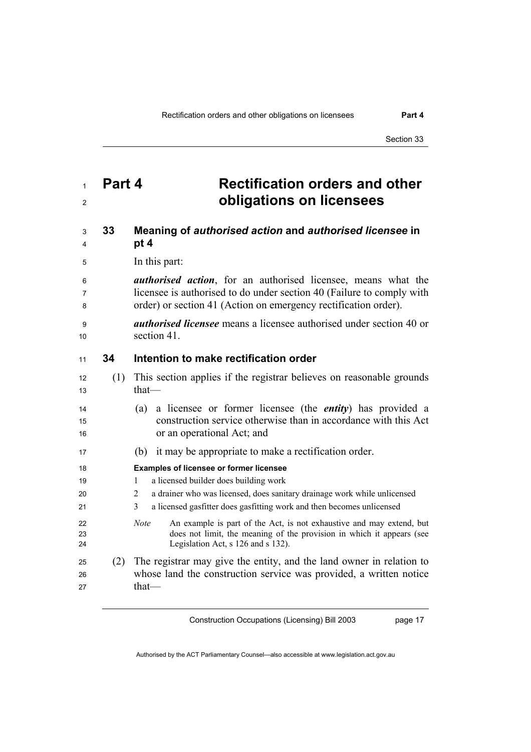Section 33

### **Part 4 Rectification orders and other obligations on licensees**

#### **33 Meaning of** *authorised action* **and** *authorised licensee* **in pt 4**

5 In this part:

*authorised action*, for an authorised licensee, means what the licensee is authorised to do under section 40 (Failure to comply with order) or section 41 (Action on emergency rectification order).

*authorised licensee* means a licensee authorised under section 40 or 10 section 41.

#### **34 Intention to make rectification order**

- (1) This section applies if the registrar believes on reasonable grounds that— (a) a licensee or former licensee (the *entity*) has provided a construction service otherwise than in accordance with this Act 16 or an operational Act; and
- (b) it may be appropriate to make a rectification order.

#### **Examples of licensee or former licensee**

- 19 1 1 a licensed builder does building work
- 2 a drainer who was licensed, does sanitary drainage work while unlicensed
- 3 a licensed gasfitter does gasfitting work and then becomes unlicensed
- *Note* An example is part of the Act, is not exhaustive and may extend, but does not limit, the meaning of the provision in which it appears (see Legislation Act, s 126 and s 132).
- (2) The registrar may give the entity, and the land owner in relation to whose land the construction service was provided, a written notice that—

Construction Occupations (Licensing) Bill 2003

page 17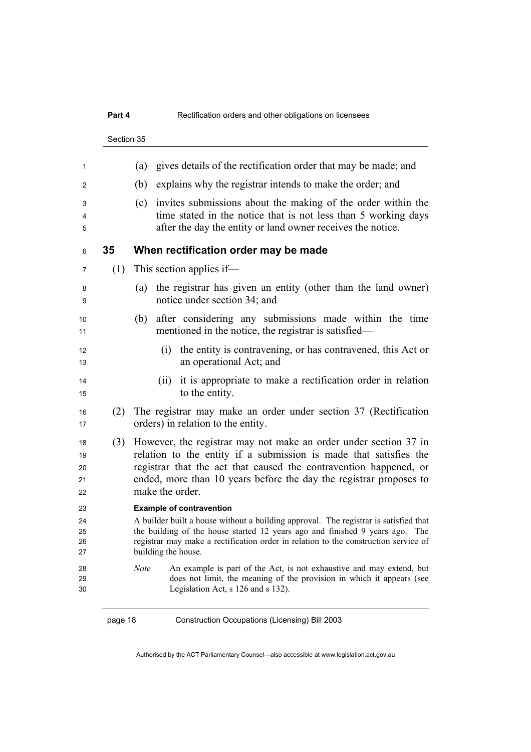### **Part 4 Rectification orders and other obligations on licensees** Section 35 (a) gives details of the rectification order that may be made; and (b) explains why the registrar intends to make the order; and (c) invites submissions about the making of the order within the time stated in the notice that is not less than 5 working days after the day the entity or land owner receives the notice. **35 When rectification order may be made**  (1) This section applies if— (a) the registrar has given an entity (other than the land owner) notice under section 34; and (b) after considering any submissions made within the time 11 mentioned in the notice, the registrar is satisfied— (i) the entity is contravening, or has contravened, this Act or an operational Act; and (ii) it is appropriate to make a rectification order in relation 15 to the entity. (2) The registrar may make an order under section 37 (Rectification 17 orders) in relation to the entity. (3) However, the registrar may not make an order under section 37 in 19 relation to the entity if a submission is made that satisfies the registrar that the act that caused the contravention happened, or 21 ended, more than 10 years before the day the registrar proposes to 22 make the order. **Example of contravention**  A builder built a house without a building approval. The registrar is satisfied that the building of the house started 12 years ago and finished 9 years ago. The registrar may make a rectification order in relation to the construction service of building the house. *Note* An example is part of the Act, is not exhaustive and may extend, but does not limit, the meaning of the provision in which it appears (see Legislation Act, s 126 and s 132).

page 18 Construction Occupations (Licensing) Bill 2003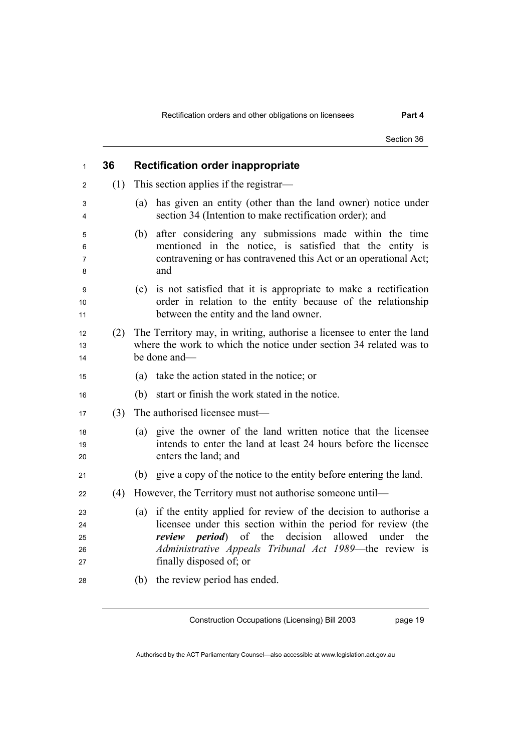|     | Section 36                                                                                                                                                                                                                                                                                        |
|-----|---------------------------------------------------------------------------------------------------------------------------------------------------------------------------------------------------------------------------------------------------------------------------------------------------|
| 36  | <b>Rectification order inappropriate</b>                                                                                                                                                                                                                                                          |
| (1) | This section applies if the registrar—                                                                                                                                                                                                                                                            |
|     | has given an entity (other than the land owner) notice under<br>(a)<br>section 34 (Intention to make rectification order); and                                                                                                                                                                    |
|     | after considering any submissions made within the time<br>(b)<br>mentioned in the notice, is satisfied that the entity is<br>contravening or has contravened this Act or an operational Act;<br>and                                                                                               |
|     | is not satisfied that it is appropriate to make a rectification<br>(c)<br>order in relation to the entity because of the relationship<br>between the entity and the land owner.                                                                                                                   |
| (2) | The Territory may, in writing, authorise a licensee to enter the land<br>where the work to which the notice under section 34 related was to<br>be done and-                                                                                                                                       |
|     | take the action stated in the notice; or<br>(a)                                                                                                                                                                                                                                                   |
|     | start or finish the work stated in the notice.<br>(b)                                                                                                                                                                                                                                             |
| (3) | The authorised licensee must-                                                                                                                                                                                                                                                                     |
|     | (a) give the owner of the land written notice that the licensee<br>intends to enter the land at least 24 hours before the licensee<br>enters the land; and                                                                                                                                        |
|     | (b) give a copy of the notice to the entity before entering the land.                                                                                                                                                                                                                             |
| (4) | However, the Territory must not authorise someone until—                                                                                                                                                                                                                                          |
|     | if the entity applied for review of the decision to authorise a<br>(a)<br>licensee under this section within the period for review (the<br><i>review period</i> ) of the decision<br>allowed<br>under<br>the<br>Administrative Appeals Tribunal Act 1989—the review is<br>finally disposed of; or |
|     | (b) the review period has ended.                                                                                                                                                                                                                                                                  |

page 19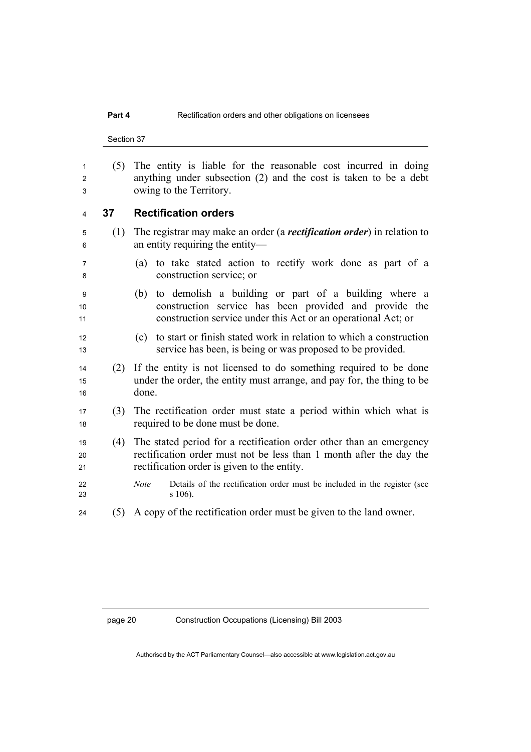Section 37

(5) The entity is liable for the reasonable cost incurred in doing anything under subsection (2) and the cost is taken to be a debt owing to the Territory.

#### **37 Rectification orders**

- (1) The registrar may make an order (a *rectification order*) in relation to an entity requiring the entity—
- (a) to take stated action to rectify work done as part of a construction service; or
- (b) to demolish a building or part of a building where a 10 construction service has been provided and provide the 11 construction service under this Act or an operational Act; or
- (c) to start or finish stated work in relation to which a construction service has been, is being or was proposed to be provided.
- (2) If the entity is not licensed to do something required to be done 15 under the order, the entity must arrange, and pay for, the thing to be 16 done.
- (3) The rectification order must state a period within which what is 18 required to be done must be done.
- (4) The stated period for a rectification order other than an emergency 20 rectification order must not be less than 1 month after the day the 21 rectification order is given to the entity.
- *Note* Details of the rectification order must be included in the register (see s 106).
- (5) A copy of the rectification order must be given to the land owner.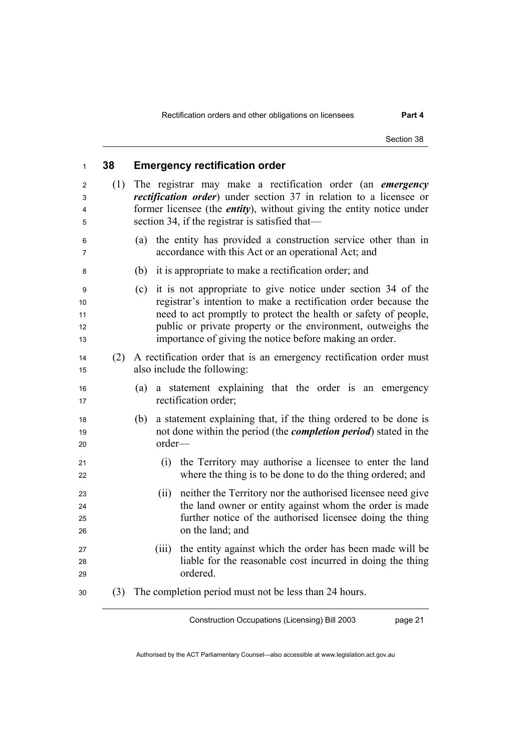| $\mathbf{1}$              | 38  | <b>Emergency rectification order</b>                                                                                                                                                                                                                                                                                                 |
|---------------------------|-----|--------------------------------------------------------------------------------------------------------------------------------------------------------------------------------------------------------------------------------------------------------------------------------------------------------------------------------------|
| 2<br>3<br>4<br>5          | (1) | The registrar may make a rectification order (an <i>emergency</i><br><i>rectification order</i> ) under section 37 in relation to a licensee or<br>former licensee (the <i>entity</i> ), without giving the entity notice under<br>section 34, if the registrar is satisfied that—                                                   |
| 6<br>7                    |     | the entity has provided a construction service other than in<br>(a)<br>accordance with this Act or an operational Act; and                                                                                                                                                                                                           |
| 8                         |     | it is appropriate to make a rectification order; and<br>(b)                                                                                                                                                                                                                                                                          |
| 9<br>10<br>11<br>12<br>13 |     | it is not appropriate to give notice under section 34 of the<br>(c)<br>registrar's intention to make a rectification order because the<br>need to act promptly to protect the health or safety of people,<br>public or private property or the environment, outweighs the<br>importance of giving the notice before making an order. |
| 14<br>15                  | (2) | A rectification order that is an emergency rectification order must<br>also include the following:                                                                                                                                                                                                                                   |
| 16<br>17                  |     | a statement explaining that the order is an emergency<br>(a)<br>rectification order;                                                                                                                                                                                                                                                 |
| 18<br>19<br>20            |     | a statement explaining that, if the thing ordered to be done is<br>(b)<br>not done within the period (the <i>completion period</i> ) stated in the<br>order-                                                                                                                                                                         |
| 21<br>22                  |     | (i) the Territory may authorise a licensee to enter the land<br>where the thing is to be done to do the thing ordered; and                                                                                                                                                                                                           |
| 23<br>24<br>25<br>26      |     | neither the Territory nor the authorised licensee need give<br>(ii)<br>the land owner or entity against whom the order is made<br>further notice of the authorised licensee doing the thing<br>on the land; and                                                                                                                      |
| 27<br>28<br>29            |     | the entity against which the order has been made will be<br>(iii)<br>liable for the reasonable cost incurred in doing the thing<br>ordered.                                                                                                                                                                                          |
| 30                        | (3) | The completion period must not be less than 24 hours.                                                                                                                                                                                                                                                                                |

page 21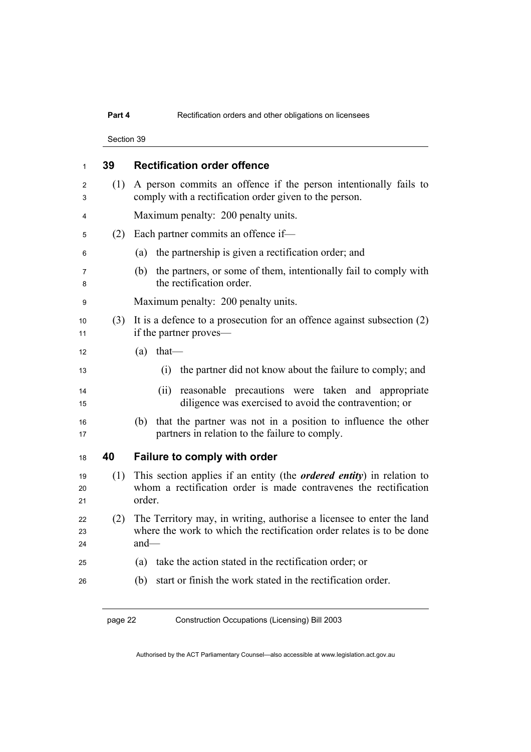### **Part 4 Rectification orders and other obligations on licensees**

Section 39

| 1              | 39  | <b>Rectification order offence</b>                                                                                                                          |
|----------------|-----|-------------------------------------------------------------------------------------------------------------------------------------------------------------|
| 2<br>3         | (1) | A person commits an offence if the person intentionally fails to<br>comply with a rectification order given to the person.                                  |
| 4              |     | Maximum penalty: 200 penalty units.                                                                                                                         |
| 5              | (2) | Each partner commits an offence if-                                                                                                                         |
| 6              |     | the partnership is given a rectification order; and<br>(a)                                                                                                  |
| 7<br>8         |     | the partners, or some of them, intentionally fail to comply with<br>(b)<br>the rectification order.                                                         |
| 9              |     | Maximum penalty: 200 penalty units.                                                                                                                         |
| 10<br>11       | (3) | It is a defence to a prosecution for an offence against subsection $(2)$<br>if the partner proves—                                                          |
| 12             |     | (a)<br>$that$ —                                                                                                                                             |
| 13             |     | (i)<br>the partner did not know about the failure to comply; and                                                                                            |
| 14<br>15       |     | reasonable precautions were taken and appropriate<br>(ii)<br>diligence was exercised to avoid the contravention; or                                         |
| 16<br>17       |     | that the partner was not in a position to influence the other<br>(b)<br>partners in relation to the failure to comply.                                      |
| 18             | 40  | Failure to comply with order                                                                                                                                |
| 19<br>20<br>21 | (1) | This section applies if an entity (the <i>ordered entity</i> ) in relation to<br>whom a rectification order is made contravenes the rectification<br>order. |
| 22<br>23       | (2) | The Territory may, in writing, authorise a licensee to enter the land<br>where the work to which the rectification order relates is to be done              |
| 24             |     | $and$ —                                                                                                                                                     |
| 25             |     | take the action stated in the rectification order; or<br>(a)                                                                                                |
| 26             |     | start or finish the work stated in the rectification order.<br>(b)                                                                                          |
|                |     |                                                                                                                                                             |

Authorised by the ACT Parliamentary Counsel—also accessible at www.legislation.act.gov.au

page 22 Construction Occupations (Licensing) Bill 2003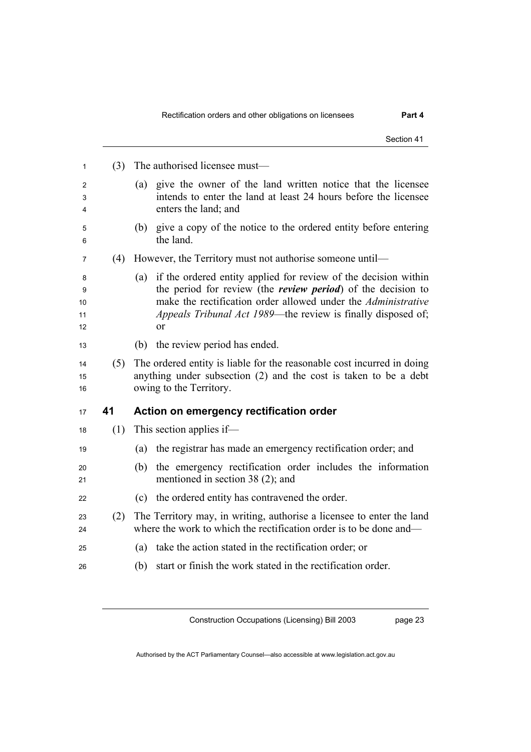|                          |     | Section 41                                                                                                                                                                                                                                                                                         |
|--------------------------|-----|----------------------------------------------------------------------------------------------------------------------------------------------------------------------------------------------------------------------------------------------------------------------------------------------------|
| 1                        | (3) | The authorised licensee must—                                                                                                                                                                                                                                                                      |
| 2<br>3<br>4              |     | give the owner of the land written notice that the licensee<br>(a)<br>intends to enter the land at least 24 hours before the licensee<br>enters the land; and                                                                                                                                      |
| 5<br>6                   |     | give a copy of the notice to the ordered entity before entering<br>(b)<br>the land.                                                                                                                                                                                                                |
| 7                        | (4) | However, the Territory must not authorise someone until—                                                                                                                                                                                                                                           |
| 8<br>9<br>10<br>11<br>12 |     | if the ordered entity applied for review of the decision within<br>(a)<br>the period for review (the <i>review period</i> ) of the decision to<br>make the rectification order allowed under the <i>Administrative</i><br>Appeals Tribunal Act 1989—the review is finally disposed of;<br>$\alpha$ |
| 13                       |     | the review period has ended.<br>(b)                                                                                                                                                                                                                                                                |
| 14<br>15<br>16           | (5) | The ordered entity is liable for the reasonable cost incurred in doing<br>anything under subsection (2) and the cost is taken to be a debt<br>owing to the Territory.                                                                                                                              |
| 17                       | 41  | Action on emergency rectification order                                                                                                                                                                                                                                                            |
| 18                       | (1) | This section applies if—                                                                                                                                                                                                                                                                           |
| 19                       |     | the registrar has made an emergency rectification order; and<br>(a)                                                                                                                                                                                                                                |
| 20<br>21                 |     | the emergency rectification order includes the information<br>(b)<br>mentioned in section 38 (2); and                                                                                                                                                                                              |
| 22                       |     | the ordered entity has contravened the order.<br>(c)                                                                                                                                                                                                                                               |
| 23<br>24                 | (2) | The Territory may, in writing, authorise a licensee to enter the land<br>where the work to which the rectification order is to be done and—                                                                                                                                                        |
|                          |     | take the action stated in the rectification order; or<br>(a)                                                                                                                                                                                                                                       |
| 25                       |     |                                                                                                                                                                                                                                                                                                    |

page 23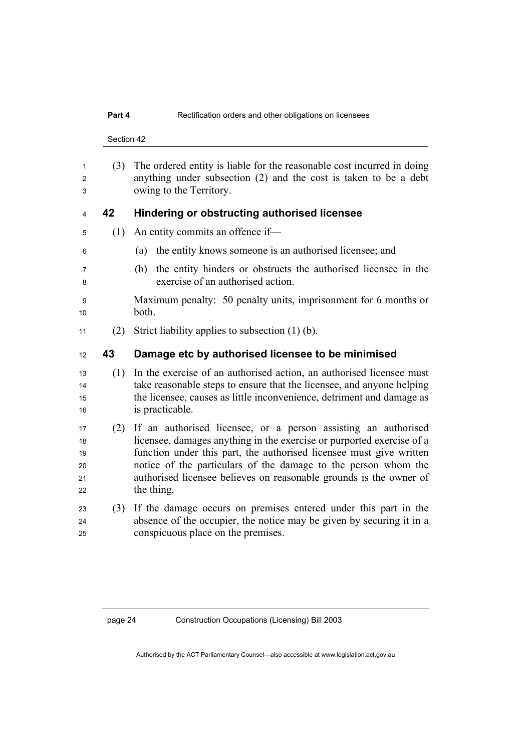Section 42

(3) The ordered entity is liable for the reasonable cost incurred in doing anything under subsection (2) and the cost is taken to be a debt owing to the Territory. **42 Hindering or obstructing authorised licensee**  (1) An entity commits an offence if— (a) the entity knows someone is an authorised licensee; and (b) the entity hinders or obstructs the authorised licensee in the exercise of an authorised action. Maximum penalty: 50 penalty units, imprisonment for 6 months or 10 both. 11 (2) Strict liability applies to subsection  $(1)$  (b). **43 Damage etc by authorised licensee to be minimised**  (1) In the exercise of an authorised action, an authorised licensee must 14 take reasonable steps to ensure that the licensee, and anyone helping the licensee, causes as little inconvenience, detriment and damage as 16 is practicable. (2) If an authorised licensee, or a person assisting an authorised licensee, damages anything in the exercise or purported exercise of a 19 function under this part, the authorised licensee must give written 20 notice of the particulars of the damage to the person whom the 21 authorised licensee believes on reasonable grounds is the owner of 22 the thing. (3) If the damage occurs on premises entered under this part in the absence of the occupier, the notice may be given by securing it in a conspicuous place on the premises.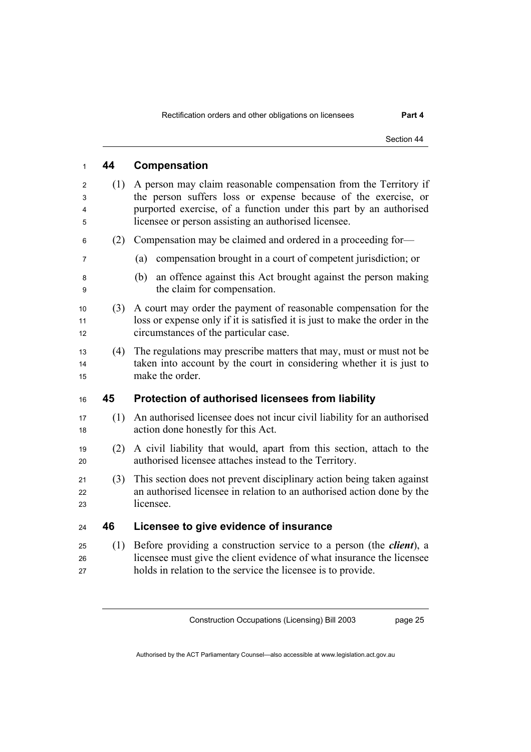| 1                | 44  | Compensation                                                                                                                                                                                                                                                     |
|------------------|-----|------------------------------------------------------------------------------------------------------------------------------------------------------------------------------------------------------------------------------------------------------------------|
| 2<br>3<br>4<br>5 | (1) | A person may claim reasonable compensation from the Territory if<br>the person suffers loss or expense because of the exercise, or<br>purported exercise, of a function under this part by an authorised<br>licensee or person assisting an authorised licensee. |
| 6                | (2) | Compensation may be claimed and ordered in a proceeding for-                                                                                                                                                                                                     |
| 7                |     | compensation brought in a court of competent jurisdiction; or<br>(a)                                                                                                                                                                                             |
| 8<br>9           |     | an offence against this Act brought against the person making<br>(b)<br>the claim for compensation.                                                                                                                                                              |
| 10<br>11<br>12   | (3) | A court may order the payment of reasonable compensation for the<br>loss or expense only if it is satisfied it is just to make the order in the<br>circumstances of the particular case.                                                                         |
| 13<br>14<br>15   | (4) | The regulations may prescribe matters that may, must or must not be<br>taken into account by the court in considering whether it is just to<br>make the order.                                                                                                   |
| 16               | 45  | Protection of authorised licensees from liability                                                                                                                                                                                                                |
| 17<br>18         | (1) | An authorised licensee does not incur civil liability for an authorised<br>action done honestly for this Act.                                                                                                                                                    |
| 19<br>20         | (2) | A civil liability that would, apart from this section, attach to the<br>authorised licensee attaches instead to the Territory.                                                                                                                                   |
| 21<br>22<br>23   | (3) | This section does not prevent disciplinary action being taken against<br>an authorised licensee in relation to an authorised action done by the<br>licensee.                                                                                                     |
| 24               | 46  | Licensee to give evidence of insurance                                                                                                                                                                                                                           |
| 25<br>26         | (1) | Before providing a construction service to a person (the <i>client</i> ), a<br>licensee must give the client evidence of what insurance the licensee                                                                                                             |

holds in relation to the service the licensee is to provide.

Construction Occupations (Licensing) Bill 2003

page 25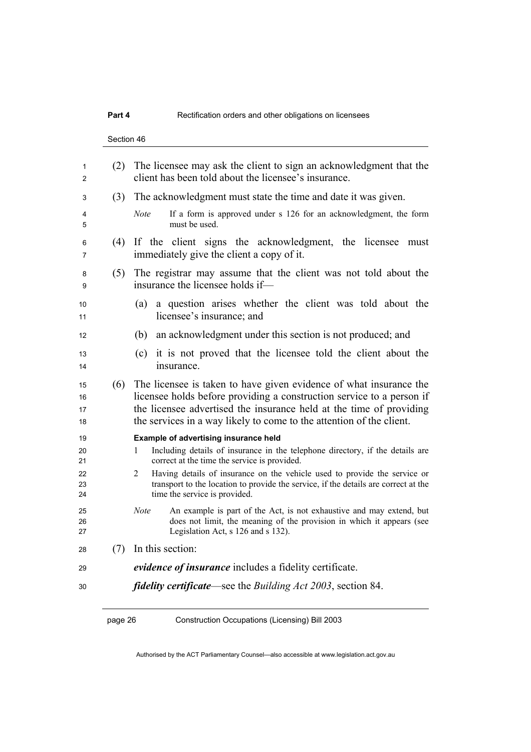### **Part 4 Rectification orders and other obligations on licensees**

Section 46

| 1<br>$\overline{c}$              | (2) | The licensee may ask the client to sign an acknowledgment that the<br>client has been told about the licensee's insurance.                                                                                                                                                                                                                                                            |
|----------------------------------|-----|---------------------------------------------------------------------------------------------------------------------------------------------------------------------------------------------------------------------------------------------------------------------------------------------------------------------------------------------------------------------------------------|
| 3                                | (3) | The acknowledgment must state the time and date it was given.                                                                                                                                                                                                                                                                                                                         |
| 4<br>5                           |     | <b>Note</b><br>If a form is approved under s 126 for an acknowledgment, the form<br>must be used.                                                                                                                                                                                                                                                                                     |
| 6<br>7                           | (4) | If the client signs the acknowledgment, the licensee must<br>immediately give the client a copy of it.                                                                                                                                                                                                                                                                                |
| 8<br>9                           | (5) | The registrar may assume that the client was not told about the<br>insurance the licensee holds if—                                                                                                                                                                                                                                                                                   |
| 10<br>11                         |     | a question arises whether the client was told about the<br>(a)<br>licensee's insurance; and                                                                                                                                                                                                                                                                                           |
| 12                               |     | an acknowledgment under this section is not produced; and<br>(b)                                                                                                                                                                                                                                                                                                                      |
| 13<br>14                         |     | it is not proved that the licensee told the client about the<br>(c)<br>insurance.                                                                                                                                                                                                                                                                                                     |
| 15<br>16<br>17<br>18             | (6) | The licensee is taken to have given evidence of what insurance the<br>licensee holds before providing a construction service to a person if<br>the licensee advertised the insurance held at the time of providing<br>the services in a way likely to come to the attention of the client.                                                                                            |
| 19<br>20<br>21<br>22<br>23<br>24 |     | Example of advertising insurance held<br>Including details of insurance in the telephone directory, if the details are<br>1<br>correct at the time the service is provided.<br>Having details of insurance on the vehicle used to provide the service or<br>2<br>transport to the location to provide the service, if the details are correct at the<br>time the service is provided. |
| 25<br>26<br>27                   |     | An example is part of the Act, is not exhaustive and may extend, but<br>Note<br>does not limit, the meaning of the provision in which it appears (see<br>Legislation Act, s 126 and s 132).                                                                                                                                                                                           |
| 28                               | (7) | In this section:                                                                                                                                                                                                                                                                                                                                                                      |
| 29                               |     | <i>evidence of insurance</i> includes a fidelity certificate.                                                                                                                                                                                                                                                                                                                         |
| 30                               |     | <i>fidelity certificate—see the Building Act 2003</i> , section 84.                                                                                                                                                                                                                                                                                                                   |

page 26 Construction Occupations (Licensing) Bill 2003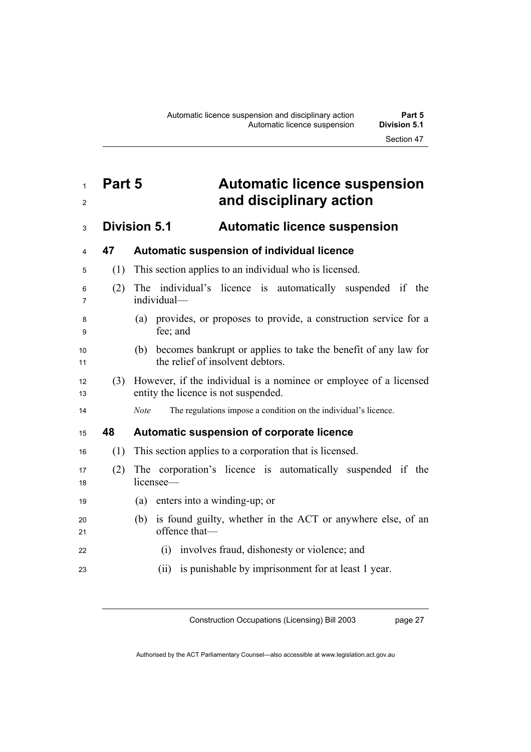# <sup>1</sup>**Part 5 Automatic licence suspension**  <sup>2</sup>**and disciplinary action**

## <sup>3</sup>**Division 5.1 Automatic licence suspension**

| 4        | 47  | Automatic suspension of individual licence                                                                    |
|----------|-----|---------------------------------------------------------------------------------------------------------------|
| 5        | (1) | This section applies to an individual who is licensed.                                                        |
| 6<br>7   | (2) | The individual's licence is automatically suspended if the<br>individual-                                     |
| 8<br>9   |     | (a) provides, or proposes to provide, a construction service for a<br>fee; and                                |
| 10<br>11 |     | becomes bankrupt or applies to take the benefit of any law for<br>(b)<br>the relief of insolvent debtors.     |
| 12<br>13 |     | (3) However, if the individual is a nominee or employee of a licensed<br>entity the licence is not suspended. |
| 14       |     | The regulations impose a condition on the individual's licence.<br><b>Note</b>                                |
| 15       | 48  | Automatic suspension of corporate licence                                                                     |
| 16       | (1) | This section applies to a corporation that is licensed.                                                       |
| 17<br>18 | (2) | The corporation's licence is automatically suspended if the<br>licensee-                                      |
| 19       |     | enters into a winding-up; or<br>(a)                                                                           |
| 20<br>21 |     | is found guilty, whether in the ACT or anywhere else, of an<br>(b)<br>offence that-                           |
| 22       |     | involves fraud, dishonesty or violence; and<br>(i)                                                            |
| 23       |     | is punishable by imprisonment for at least 1 year.<br>(ii)                                                    |

Construction Occupations (Licensing) Bill 2003

page 27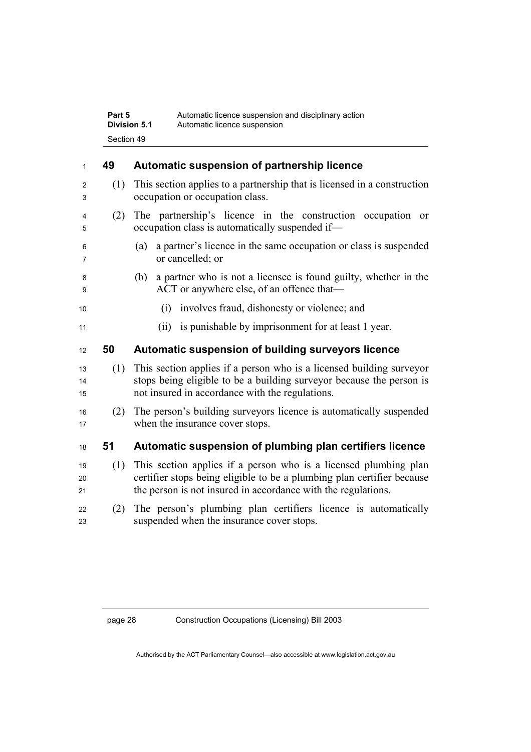| Part 5       | Automatic licence suspension and disciplinary action |
|--------------|------------------------------------------------------|
| Division 5.1 | Automatic licence suspension                         |
| Section 49   |                                                      |

| 1              | 49  | Automatic suspension of partnership licence                                                                                                                                                                 |
|----------------|-----|-------------------------------------------------------------------------------------------------------------------------------------------------------------------------------------------------------------|
| 2<br>3         | (1) | This section applies to a partnership that is licensed in a construction<br>occupation or occupation class.                                                                                                 |
| 4<br>5         | (2) | The partnership's licence in the construction occupation or<br>occupation class is automatically suspended if—                                                                                              |
| 6<br>7         |     | a partner's licence in the same occupation or class is suspended<br>(a)<br>or cancelled; or                                                                                                                 |
| 8<br>9         |     | a partner who is not a licensee is found guilty, whether in the<br>(b)<br>ACT or anywhere else, of an offence that—                                                                                         |
| 10             |     | involves fraud, dishonesty or violence; and<br>(i)                                                                                                                                                          |
| 11             |     | (ii) is punishable by imprisonment for at least 1 year.                                                                                                                                                     |
| 12             | 50  | Automatic suspension of building surveyors licence                                                                                                                                                          |
| 13<br>14<br>15 | (1) | This section applies if a person who is a licensed building surveyor<br>stops being eligible to be a building surveyor because the person is<br>not insured in accordance with the regulations.             |
| 16<br>17       | (2) | The person's building surveyors licence is automatically suspended<br>when the insurance cover stops.                                                                                                       |
| 18             | 51  | Automatic suspension of plumbing plan certifiers licence                                                                                                                                                    |
| 19<br>20<br>21 | (1) | This section applies if a person who is a licensed plumbing plan<br>certifier stops being eligible to be a plumbing plan certifier because<br>the person is not insured in accordance with the regulations. |
| 22<br>23       | (2) | The person's plumbing plan certifiers licence is automatically<br>suspended when the insurance cover stops.                                                                                                 |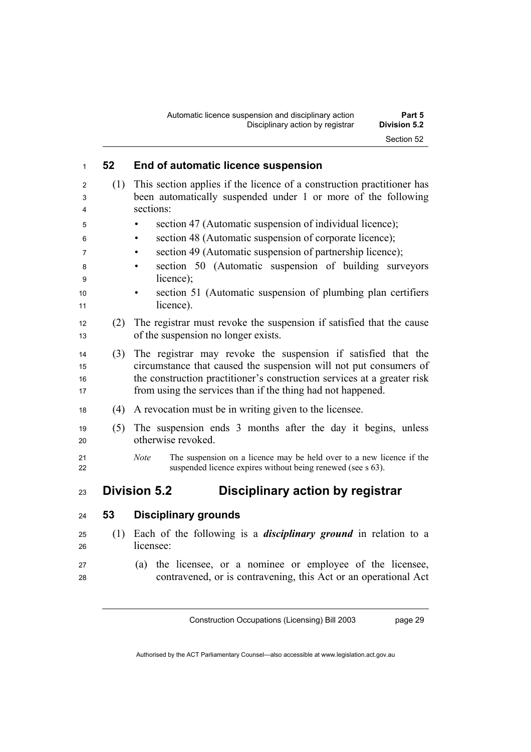| 1                    | 52  | End of automatic licence suspension                                                                                                                                                                                                                                          |
|----------------------|-----|------------------------------------------------------------------------------------------------------------------------------------------------------------------------------------------------------------------------------------------------------------------------------|
| 2<br>3<br>4          | (1) | This section applies if the licence of a construction practitioner has<br>been automatically suspended under 1 or more of the following<br>sections:                                                                                                                         |
| 5                    |     | section 47 (Automatic suspension of individual licence);                                                                                                                                                                                                                     |
| 6                    |     | section 48 (Automatic suspension of corporate licence);<br>٠                                                                                                                                                                                                                 |
| 7                    |     | section 49 (Automatic suspension of partnership licence);<br>$\bullet$                                                                                                                                                                                                       |
| 8<br>9               |     | section 50 (Automatic suspension of building surveyors<br>licence);                                                                                                                                                                                                          |
| 10<br>11             |     | section 51 (Automatic suspension of plumbing plan certifiers<br>licence).                                                                                                                                                                                                    |
| 12<br>13             | (2) | The registrar must revoke the suspension if satisfied that the cause<br>of the suspension no longer exists.                                                                                                                                                                  |
| 14<br>15<br>16<br>17 | (3) | The registrar may revoke the suspension if satisfied that the<br>circumstance that caused the suspension will not put consumers of<br>the construction practitioner's construction services at a greater risk<br>from using the services than if the thing had not happened. |
| 18                   | (4) | A revocation must be in writing given to the licensee.                                                                                                                                                                                                                       |
| 19<br>20             | (5) | The suspension ends 3 months after the day it begins, unless<br>otherwise revoked.                                                                                                                                                                                           |
| 21<br>22             |     | <b>Note</b><br>The suspension on a licence may be held over to a new licence if the<br>suspended licence expires without being renewed (see s 63).                                                                                                                           |
| 23                   |     | <b>Division 5.2</b><br>Disciplinary action by registrar                                                                                                                                                                                                                      |
| 24                   | 53  | <b>Disciplinary grounds</b>                                                                                                                                                                                                                                                  |
| 25<br>26             | (1) | Each of the following is a <i>disciplinary ground</i> in relation to a<br>licensee:                                                                                                                                                                                          |
| 27<br>28             |     | the licensee, or a nominee or employee of the licensee,<br>(a)<br>contravened, or is contravening, this Act or an operational Act                                                                                                                                            |

Construction Occupations (Licensing) Bill 2003

page 29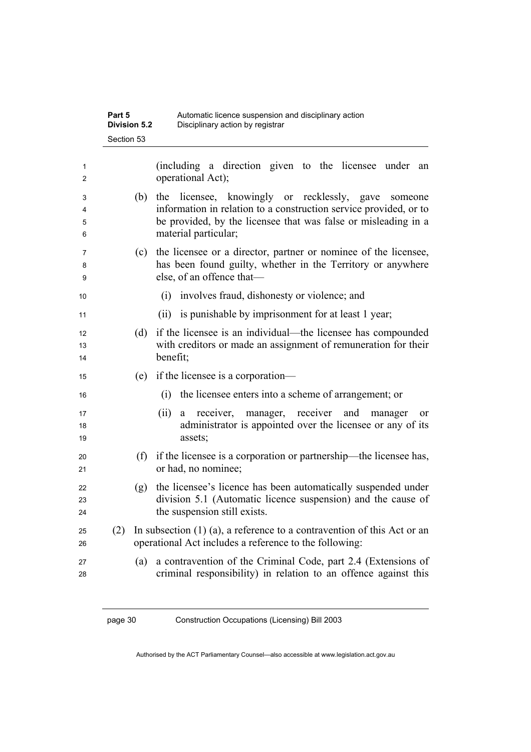| (including a direction given to the licensee under<br>operational Act);<br>the licensee, knowingly or recklessly, gave<br>(b)<br>material particular;<br>(c)<br>else, of an offence that-<br>(i)<br>involves fraud, dishonesty or violence; and<br>(ii) is punishable by imprisonment for at least 1 year;<br>(d)<br>benefit;<br>if the licensee is a corporation—<br>(e)<br>the licensee enters into a scheme of arrangement; or<br>(i)<br>manager, receiver and<br>(ii)<br>receiver,<br>manager<br>a<br>assets;<br>(f)<br>or had, no nominee;<br>(g)<br>the suspension still exists.<br>In subsection $(1)$ (a), a reference to a contravention of this Act or an<br>(2)<br>operational Act includes a reference to the following:<br>(a) | <b>Division 5.2</b><br>Section 53 | Disciplinary action by registrar                                                                                                               |
|---------------------------------------------------------------------------------------------------------------------------------------------------------------------------------------------------------------------------------------------------------------------------------------------------------------------------------------------------------------------------------------------------------------------------------------------------------------------------------------------------------------------------------------------------------------------------------------------------------------------------------------------------------------------------------------------------------------------------------------------|-----------------------------------|------------------------------------------------------------------------------------------------------------------------------------------------|
|                                                                                                                                                                                                                                                                                                                                                                                                                                                                                                                                                                                                                                                                                                                                             |                                   | an                                                                                                                                             |
|                                                                                                                                                                                                                                                                                                                                                                                                                                                                                                                                                                                                                                                                                                                                             |                                   | someone<br>information in relation to a construction service provided, or to<br>be provided, by the licensee that was false or misleading in a |
|                                                                                                                                                                                                                                                                                                                                                                                                                                                                                                                                                                                                                                                                                                                                             |                                   | the licensee or a director, partner or nominee of the licensee,<br>has been found guilty, whether in the Territory or anywhere                 |
|                                                                                                                                                                                                                                                                                                                                                                                                                                                                                                                                                                                                                                                                                                                                             |                                   |                                                                                                                                                |
|                                                                                                                                                                                                                                                                                                                                                                                                                                                                                                                                                                                                                                                                                                                                             |                                   |                                                                                                                                                |
|                                                                                                                                                                                                                                                                                                                                                                                                                                                                                                                                                                                                                                                                                                                                             |                                   | if the licensee is an individual—the licensee has compounded<br>with creditors or made an assignment of remuneration for their                 |
|                                                                                                                                                                                                                                                                                                                                                                                                                                                                                                                                                                                                                                                                                                                                             |                                   |                                                                                                                                                |
|                                                                                                                                                                                                                                                                                                                                                                                                                                                                                                                                                                                                                                                                                                                                             |                                   |                                                                                                                                                |
|                                                                                                                                                                                                                                                                                                                                                                                                                                                                                                                                                                                                                                                                                                                                             |                                   | or<br>administrator is appointed over the licensee or any of its                                                                               |
|                                                                                                                                                                                                                                                                                                                                                                                                                                                                                                                                                                                                                                                                                                                                             |                                   | if the licensee is a corporation or partnership—the licensee has,                                                                              |
|                                                                                                                                                                                                                                                                                                                                                                                                                                                                                                                                                                                                                                                                                                                                             |                                   | the licensee's licence has been automatically suspended under<br>division 5.1 (Automatic licence suspension) and the cause of                  |
|                                                                                                                                                                                                                                                                                                                                                                                                                                                                                                                                                                                                                                                                                                                                             |                                   |                                                                                                                                                |
|                                                                                                                                                                                                                                                                                                                                                                                                                                                                                                                                                                                                                                                                                                                                             |                                   | a contravention of the Criminal Code, part 2.4 (Extensions of<br>criminal responsibility) in relation to an offence against this               |

**Part 5** • **Automatic licence suspension and disciplinary action**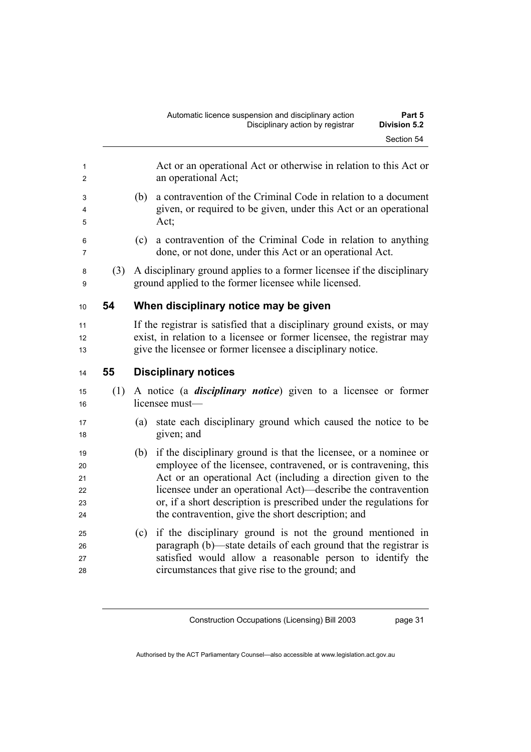|   |     | Automatic licence suspension and disciplinary action<br>Disciplinary action by registrar | Part 5<br><b>Division 5.2</b> |
|---|-----|------------------------------------------------------------------------------------------|-------------------------------|
|   |     |                                                                                          | Section 54                    |
| 1 |     | Act or an operational Act or otherwise in relation to this Act or<br>an operational Act; |                               |
| 3 | (b) | a contravention of the Criminal Code in relation to a document                           |                               |

- <sup>4</sup>given, or required to be given, under this Act or an operational 5 Act;
- <sup>6</sup>(c) a contravention of the Criminal Code in relation to anything <sup>7</sup>done, or not done, under this Act or an operational Act.
- <sup>8</sup>(3) A disciplinary ground applies to a former licensee if the disciplinary <sup>9</sup>ground applied to the former licensee while licensed.

#### <sup>10</sup>**54 When disciplinary notice may be given**

11 If the registrar is satisfied that a disciplinary ground exists, or may 12 exist, in relation to a licensee or former licensee, the registrar may <sup>13</sup>give the licensee or former licensee a disciplinary notice.

- <sup>14</sup>**55 Disciplinary notices**
- <sup>15</sup>(1) A notice (a *disciplinary notice*) given to a licensee or former 16 licensee must—
- <sup>17</sup>(a) state each disciplinary ground which caused the notice to be 18 given; and
- <sup>19</sup>(b) if the disciplinary ground is that the licensee, or a nominee or 20 employee of the licensee, contravened, or is contravening, this 21 Act or an operational Act (including a direction given to the 22 licensee under an operational Act)—describe the contravention <sup>23</sup>or, if a short description is prescribed under the regulations for 24 the contravention, give the short description; and
- <sup>25</sup>(c) if the disciplinary ground is not the ground mentioned in 26 paragraph (b)—state details of each ground that the registrar is <sup>27</sup>satisfied would allow a reasonable person to identify the 28 circumstances that give rise to the ground; and

Construction Occupations (Licensing) Bill 2003

page 31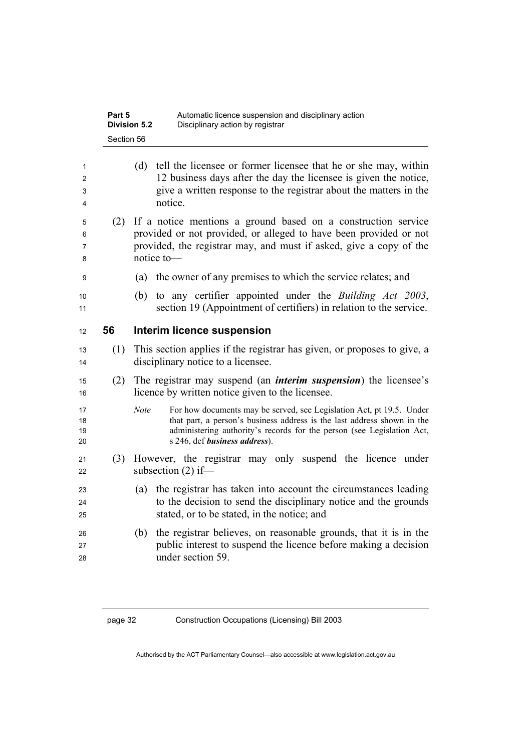|                      | Part 5     | Automatic licence suspension and disciplinary action<br><b>Division 5.2</b><br>Disciplinary action by registrar                                                                                                                                                           |
|----------------------|------------|---------------------------------------------------------------------------------------------------------------------------------------------------------------------------------------------------------------------------------------------------------------------------|
|                      | Section 56 |                                                                                                                                                                                                                                                                           |
| 1<br>2<br>3<br>4     |            | tell the licensee or former licensee that he or she may, within<br>(d)<br>12 business days after the day the licensee is given the notice,<br>give a written response to the registrar about the matters in the<br>notice.                                                |
| 5<br>6<br>7<br>8     | (2)        | If a notice mentions a ground based on a construction service<br>provided or not provided, or alleged to have been provided or not<br>provided, the registrar may, and must if asked, give a copy of the<br>notice to-                                                    |
| 9                    |            | the owner of any premises to which the service relates; and<br>(a)                                                                                                                                                                                                        |
| 10<br>11             |            | to any certifier appointed under the <i>Building Act 2003</i> ,<br>(b)<br>section 19 (Appointment of certifiers) in relation to the service.                                                                                                                              |
| 12                   | 56         | Interim licence suspension                                                                                                                                                                                                                                                |
| 13<br>14             | (1)        | This section applies if the registrar has given, or proposes to give, a<br>disciplinary notice to a licensee.                                                                                                                                                             |
| 15<br>16             | (2)        | The registrar may suspend (an <i>interim suspension</i> ) the licensee's<br>licence by written notice given to the licensee.                                                                                                                                              |
| 17<br>18<br>19<br>20 |            | <b>Note</b><br>For how documents may be served, see Legislation Act, pt 19.5. Under<br>that part, a person's business address is the last address shown in the<br>administering authority's records for the person (see Legislation Act,<br>s 246, def business address). |
| 21<br>22             | (3)        | However, the registrar may only suspend the licence under<br>subsection $(2)$ if—                                                                                                                                                                                         |
| 23<br>24<br>25       |            | the registrar has taken into account the circumstances leading<br>(a)<br>to the decision to send the disciplinary notice and the grounds<br>stated, or to be stated, in the notice; and                                                                                   |
| 26<br>27<br>28       |            | the registrar believes, on reasonable grounds, that it is in the<br>(b)<br>public interest to suspend the licence before making a decision<br>under section 59.                                                                                                           |
|                      |            |                                                                                                                                                                                                                                                                           |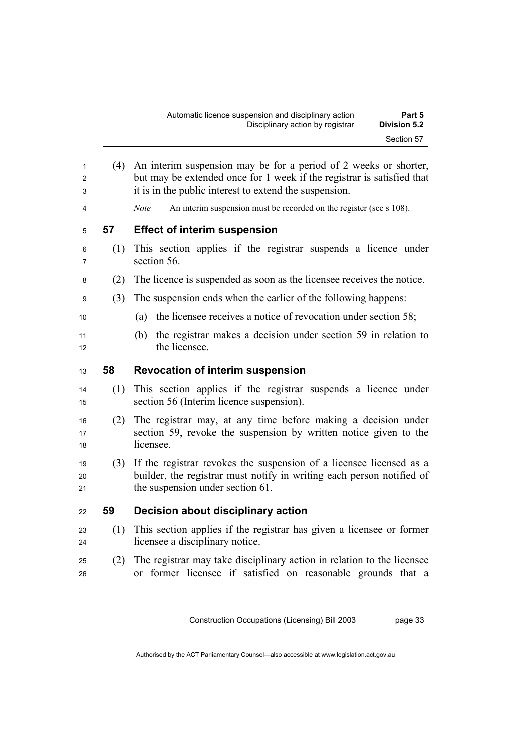<sup>1</sup>(4) An interim suspension may be for a period of 2 weeks or shorter, 2 but may be extended once for 1 week if the registrar is satisfied that <sup>3</sup>it is in the public interest to extend the suspension.

4 *Note* An interim suspension must be recorded on the register (see s 108).

## <sup>5</sup>**57 Effect of interim suspension**

- <sup>6</sup>(1) This section applies if the registrar suspends a licence under z section 56.
- <sup>8</sup>(2) The licence is suspended as soon as the licensee receives the notice.
- <sup>9</sup>(3) The suspension ends when the earlier of the following happens:
- <sup>10</sup>(a) the licensee receives a notice of revocation under section 58;
- <sup>11</sup>(b) the registrar makes a decision under section 59 in relation to 12 the licensee.

#### <sup>13</sup>**58 Revocation of interim suspension**

- <sup>14</sup>(1) This section applies if the registrar suspends a licence under <sup>15</sup>section 56 (Interim licence suspension).
- <sup>16</sup>(2) The registrar may, at any time before making a decision under 17 section 59, revoke the suspension by written notice given to the 18 licensee.
- <sup>19</sup>(3) If the registrar revokes the suspension of a licensee licensed as a 20 builder, the registrar must notify in writing each person notified of 21 the suspension under section 61.

#### <sup>22</sup>**59 Decision about disciplinary action**

- <sup>23</sup>(1) This section applies if the registrar has given a licensee or former <sup>24</sup>licensee a disciplinary notice.
- <sup>25</sup>(2) The registrar may take disciplinary action in relation to the licensee 26 or former licensee if satisfied on reasonable grounds that a

Construction Occupations (Licensing) Bill 2003

page 33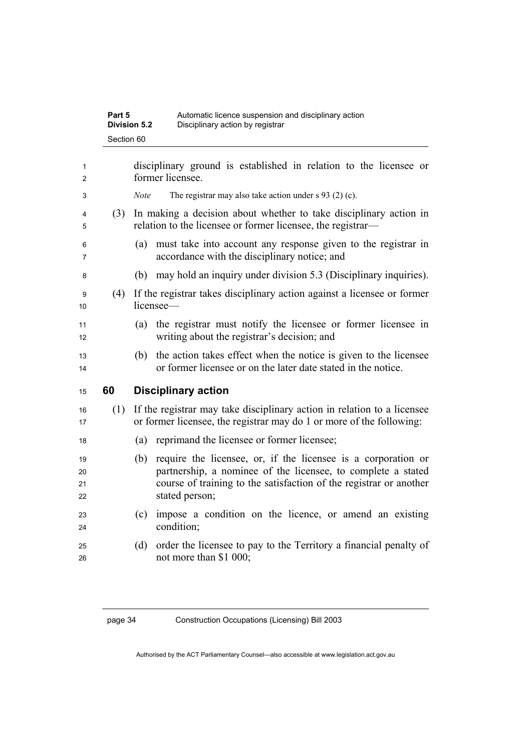| Part 5              | Automatic licence suspension and disciplinary action |
|---------------------|------------------------------------------------------|
| <b>Division 5.2</b> | Disciplinary action by registrar                     |
| Section 60          |                                                      |

| 1<br>2               |     | disciplinary ground is established in relation to the licensee or<br>former licensee.                                                                                                                                        |
|----------------------|-----|------------------------------------------------------------------------------------------------------------------------------------------------------------------------------------------------------------------------------|
| 3                    |     | The registrar may also take action under $s$ 93 (2) (c).<br>Note                                                                                                                                                             |
| 4<br>5               | (3) | In making a decision about whether to take disciplinary action in<br>relation to the licensee or former licensee, the registrar—                                                                                             |
| 6<br>7               |     | must take into account any response given to the registrar in<br>(a)<br>accordance with the disciplinary notice; and                                                                                                         |
| 8                    |     | may hold an inquiry under division 5.3 (Disciplinary inquiries).<br>(b)                                                                                                                                                      |
| 9<br>10              | (4) | If the registrar takes disciplinary action against a licensee or former<br>licensee-                                                                                                                                         |
| 11<br>12             |     | the registrar must notify the licensee or former licensee in<br>(a)<br>writing about the registrar's decision; and                                                                                                           |
| 13<br>14             |     | the action takes effect when the notice is given to the licensee<br>(b)<br>or former licensee or on the later date stated in the notice.                                                                                     |
| 15                   | 60  | <b>Disciplinary action</b>                                                                                                                                                                                                   |
| 16<br>17             | (1) | If the registrar may take disciplinary action in relation to a licensee<br>or former licensee, the registrar may do 1 or more of the following:                                                                              |
| 18                   |     | reprimand the licensee or former licensee;<br>(a)                                                                                                                                                                            |
|                      |     |                                                                                                                                                                                                                              |
| 19<br>20<br>21<br>22 |     | require the licensee, or, if the licensee is a corporation or<br>(b)<br>partnership, a nominee of the licensee, to complete a stated<br>course of training to the satisfaction of the registrar or another<br>stated person; |
| 23<br>24             |     | impose a condition on the licence, or amend an existing<br>(c)<br>condition;                                                                                                                                                 |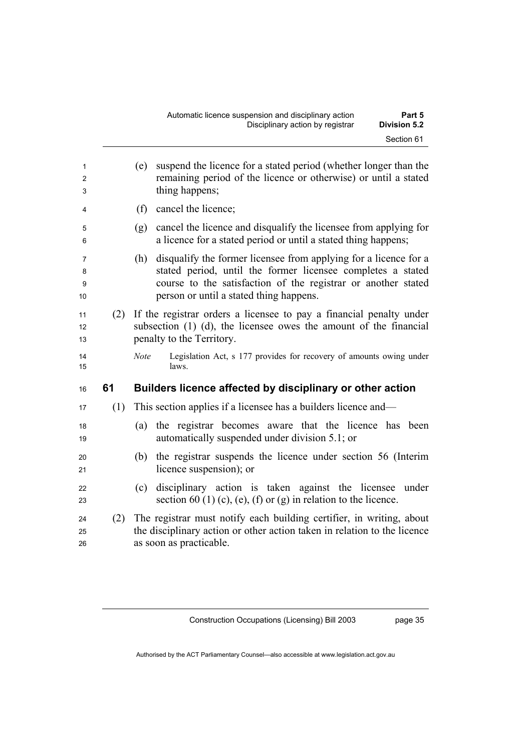| 1<br>2<br>3       |     | suspend the licence for a stated period (whether longer than the<br>(e)<br>remaining period of the licence or otherwise) or until a stated<br>thing happens;                                                                                       |
|-------------------|-----|----------------------------------------------------------------------------------------------------------------------------------------------------------------------------------------------------------------------------------------------------|
| 4                 |     | (f)<br>cancel the licence;                                                                                                                                                                                                                         |
| 5<br>6            |     | cancel the licence and disqualify the licensee from applying for<br>(g)<br>a licence for a stated period or until a stated thing happens;                                                                                                          |
| 7<br>8<br>9<br>10 |     | disqualify the former licensee from applying for a licence for a<br>(h)<br>stated period, until the former licensee completes a stated<br>course to the satisfaction of the registrar or another stated<br>person or until a stated thing happens. |
| 11<br>12<br>13    | (2) | If the registrar orders a licensee to pay a financial penalty under<br>subsection $(1)$ $(d)$ , the licensee owes the amount of the financial<br>penalty to the Territory.                                                                         |
| 14                |     | Legislation Act, s 177 provides for recovery of amounts owing under<br><b>Note</b>                                                                                                                                                                 |
| 15                |     | laws.                                                                                                                                                                                                                                              |
| 16                | 61  | Builders licence affected by disciplinary or other action                                                                                                                                                                                          |
| 17                | (1) | This section applies if a licensee has a builders licence and—                                                                                                                                                                                     |
| 18<br>19          |     | (a) the registrar becomes aware that the licence has been<br>automatically suspended under division 5.1; or                                                                                                                                        |
| 20<br>21          |     | the registrar suspends the licence under section 56 (Interim<br>(b)<br>licence suspension); or                                                                                                                                                     |
| 22<br>23          |     | disciplinary action is taken against the licensee<br>under<br>(c)<br>section 60 (1) (c), (e), (f) or (g) in relation to the licence.                                                                                                               |
| 24<br>25<br>26    | (2) | The registrar must notify each building certifier, in writing, about<br>the disciplinary action or other action taken in relation to the licence<br>as soon as practicable.                                                                        |

Construction Occupations (Licensing) Bill 2003

page 35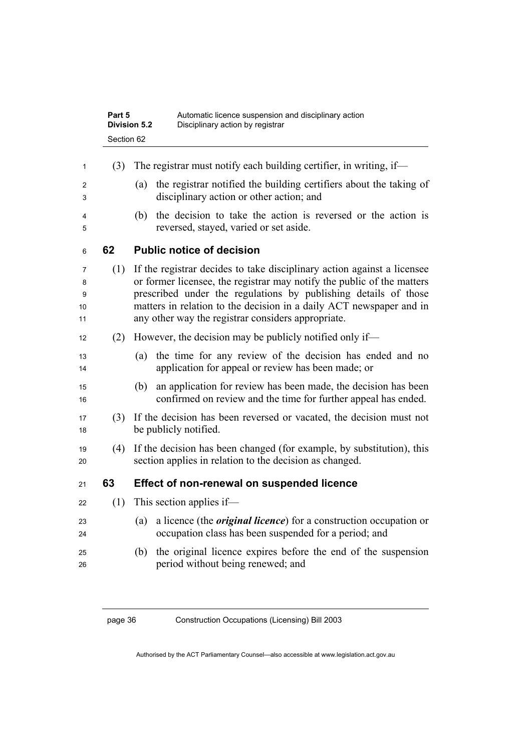|                         | Part 5<br>Section 62 | Automatic licence suspension and disciplinary action<br><b>Division 5.2</b><br>Disciplinary action by registrar                                                                                                                                                                                                                                   |
|-------------------------|----------------------|---------------------------------------------------------------------------------------------------------------------------------------------------------------------------------------------------------------------------------------------------------------------------------------------------------------------------------------------------|
| 1                       | (3)                  | The registrar must notify each building certifier, in writing, if—                                                                                                                                                                                                                                                                                |
| 2<br>3                  |                      | the registrar notified the building certifiers about the taking of<br>(a)<br>disciplinary action or other action; and                                                                                                                                                                                                                             |
| 4<br>5                  |                      | the decision to take the action is reversed or the action is<br>(b)<br>reversed, stayed, varied or set aside.                                                                                                                                                                                                                                     |
| 6                       | 62                   | <b>Public notice of decision</b>                                                                                                                                                                                                                                                                                                                  |
| 7<br>8<br>9<br>10<br>11 | (1)                  | If the registrar decides to take disciplinary action against a licensee<br>or former licensee, the registrar may notify the public of the matters<br>prescribed under the regulations by publishing details of those<br>matters in relation to the decision in a daily ACT newspaper and in<br>any other way the registrar considers appropriate. |
| 12                      | (2)                  | However, the decision may be publicly notified only if—                                                                                                                                                                                                                                                                                           |
| 13<br>14                |                      | the time for any review of the decision has ended and no<br>(a)<br>application for appeal or review has been made; or                                                                                                                                                                                                                             |
| 15<br>16                |                      | an application for review has been made, the decision has been<br>(b)<br>confirmed on review and the time for further appeal has ended.                                                                                                                                                                                                           |
| 17<br>18                | (3)                  | If the decision has been reversed or vacated, the decision must not<br>be publicly notified.                                                                                                                                                                                                                                                      |
| 19<br>20                | (4)                  | If the decision has been changed (for example, by substitution), this<br>section applies in relation to the decision as changed.                                                                                                                                                                                                                  |
| 21                      | 63                   | Effect of non-renewal on suspended licence                                                                                                                                                                                                                                                                                                        |
| 22                      | (1)                  | This section applies if—                                                                                                                                                                                                                                                                                                                          |
| 23<br>24                |                      | a licence (the <i>original licence</i> ) for a construction occupation or<br>(a)<br>occupation class has been suspended for a period; and                                                                                                                                                                                                         |
| 25<br>26                |                      | the original licence expires before the end of the suspension<br>(b)<br>period without being renewed; and                                                                                                                                                                                                                                         |
|                         |                      |                                                                                                                                                                                                                                                                                                                                                   |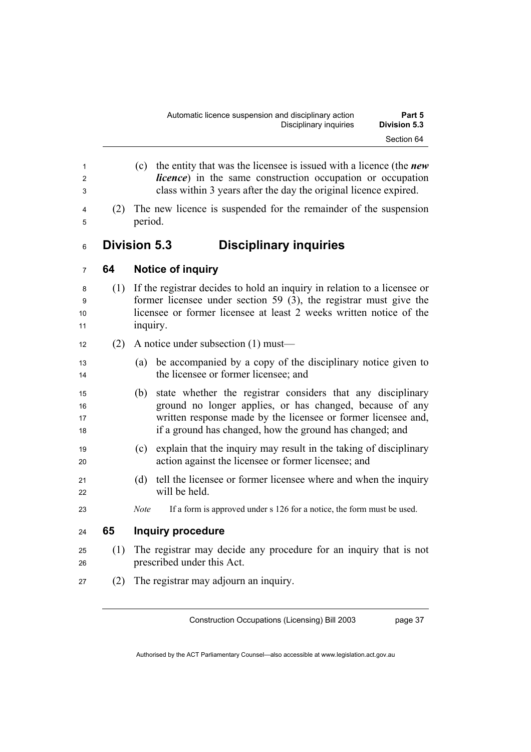- (c) the entity that was the licensee is issued with a licence (the *new licence*) in the same construction occupation or occupation class within 3 years after the day the original licence expired. (2) The new licence is suspended for the remainder of the suspension 5 period. **Division 5.3 Disciplinary inquiries 64 Notice of inquiry**  (1) If the registrar decides to hold an inquiry in relation to a licensee or former licensee under section 59 (3), the registrar must give the 10 licensee or former licensee at least 2 weeks written notice of the 11 inquiry. 12 (2) A notice under subsection  $(1)$  must— (a) be accompanied by a copy of the disciplinary notice given to 14 the licensee or former licensee; and (b) state whether the registrar considers that any disciplinary ground no longer applies, or has changed, because of any 17 written response made by the licensee or former licensee and, if a ground has changed, how the ground has changed; and (c) explain that the inquiry may result in the taking of disciplinary action against the licensee or former licensee; and (d) tell the licensee or former licensee where and when the inquiry will be held. *Note* If a form is approved under s 126 for a notice, the form must be used. **65 Inquiry procedure**  (1) The registrar may decide any procedure for an inquiry that is not 26 prescribed under this Act.
- (2) The registrar may adjourn an inquiry.

Construction Occupations (Licensing) Bill 2003

page 37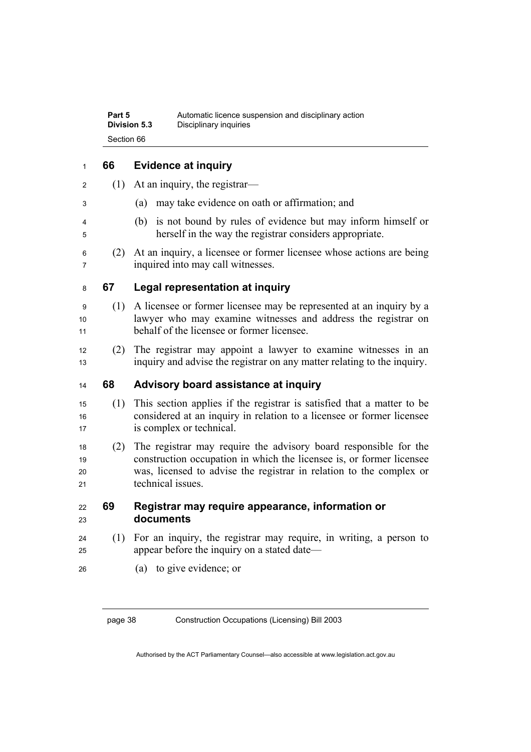| Part 5              | Automatic licence suspension and disciplinary action |
|---------------------|------------------------------------------------------|
| <b>Division 5.3</b> | Disciplinary inquiries                               |
| Section 66          |                                                      |

## **66 Evidence at inquiry**

- 2 (1) At an inquiry, the registrar—
- (a) may take evidence on oath or affirmation; and
- (b) is not bound by rules of evidence but may inform himself or herself in the way the registrar considers appropriate.
- (2) At an inquiry, a licensee or former licensee whose actions are being inquired into may call witnesses.

#### **67 Legal representation at inquiry**

- (1) A licensee or former licensee may be represented at an inquiry by a lawyer who may examine witnesses and address the registrar on behalf of the licensee or former licensee.
- (2) The registrar may appoint a lawyer to examine witnesses in an inquiry and advise the registrar on any matter relating to the inquiry.

#### **68 Advisory board assistance at inquiry**

- (1) This section applies if the registrar is satisfied that a matter to be considered at an inquiry in relation to a licensee or former licensee 17 is complex or technical.
- (2) The registrar may require the advisory board responsible for the 19 construction occupation in which the licensee is, or former licensee was, licensed to advise the registrar in relation to the complex or 21 technical issues

#### **69 Registrar may require appearance, information or documents**

- (1) For an inquiry, the registrar may require, in writing, a person to appear before the inquiry on a stated date—
- (a) to give evidence; or

page 38 Construction Occupations (Licensing) Bill 2003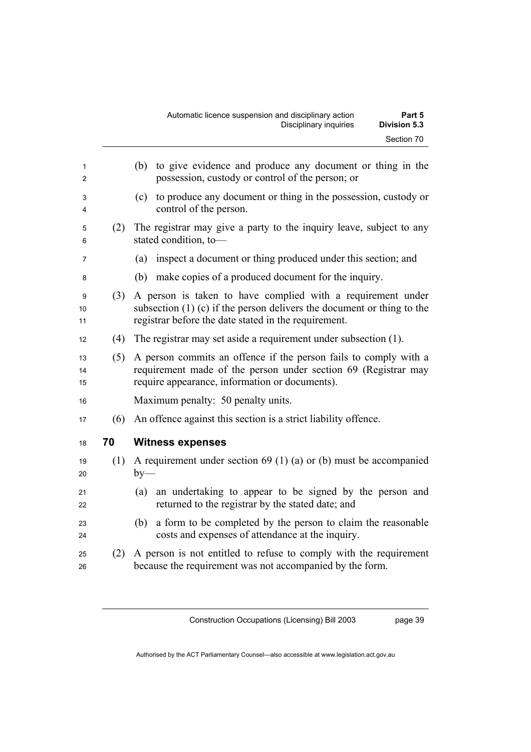| 1<br>2         |     | to give evidence and produce any document or thing in the<br>(b)<br>possession, custody or control of the person; or                                                                            |
|----------------|-----|-------------------------------------------------------------------------------------------------------------------------------------------------------------------------------------------------|
| 3<br>4         |     | to produce any document or thing in the possession, custody or<br>(c)<br>control of the person.                                                                                                 |
| 5<br>6         | (2) | The registrar may give a party to the inquiry leave, subject to any<br>stated condition, to-                                                                                                    |
| 7              |     | inspect a document or thing produced under this section; and<br>(a)                                                                                                                             |
| 8              |     | (b) make copies of a produced document for the inquiry.                                                                                                                                         |
| 9<br>10<br>11  | (3) | A person is taken to have complied with a requirement under<br>subsection $(1)$ (c) if the person delivers the document or thing to the<br>registrar before the date stated in the requirement. |
| 12             | (4) | The registrar may set aside a requirement under subsection (1).                                                                                                                                 |
| 13<br>14<br>15 | (5) | A person commits an offence if the person fails to comply with a<br>requirement made of the person under section 69 (Registrar may<br>require appearance, information or documents).            |
| 16             |     | Maximum penalty: 50 penalty units.                                                                                                                                                              |
| 17             | (6) | An offence against this section is a strict liability offence.                                                                                                                                  |
| 18             | 70  | <b>Witness expenses</b>                                                                                                                                                                         |
| 19<br>20       | (1) | A requirement under section $69(1)(a)$ or (b) must be accompanied<br>$by-$                                                                                                                      |
| 21<br>22       |     | an undertaking to appear to be signed by the person and<br>(a)<br>returned to the registrar by the stated date; and                                                                             |
| 23<br>24       |     | a form to be completed by the person to claim the reasonable<br>(b)<br>costs and expenses of attendance at the inquiry.                                                                         |
| 25<br>26       | (2) | A person is not entitled to refuse to comply with the requirement<br>because the requirement was not accompanied by the form.                                                                   |

Construction Occupations (Licensing) Bill 2003

page 39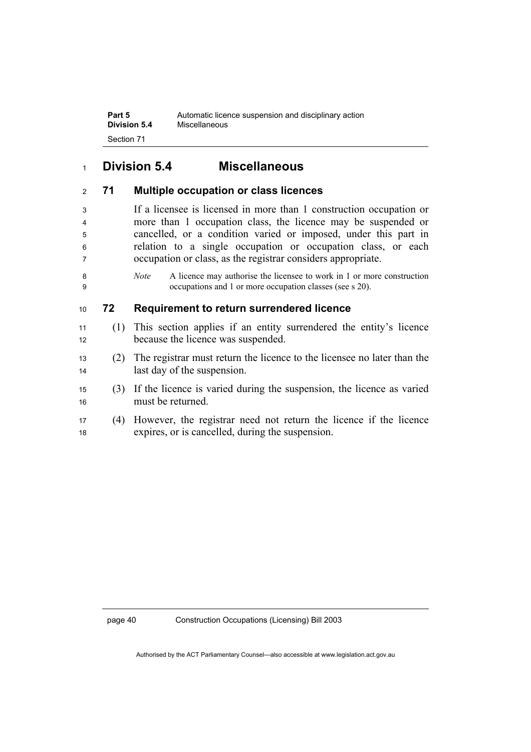**Part 5 Automatic licence suspension and disciplinary action**<br>**Division 5.4** Miscellaneous **Division 5.4** Miscellaneous Section 71

## **Division 5.4 Miscellaneous**

#### **71 Multiple occupation or class licences**

If a licensee is licensed in more than 1 construction occupation or more than 1 occupation class, the licence may be suspended or cancelled, or a condition varied or imposed, under this part in relation to a single occupation or occupation class, or each occupation or class, as the registrar considers appropriate.

*Note* A licence may authorise the licensee to work in 1 or more construction occupations and 1 or more occupation classes (see s 20).

#### **72 Requirement to return surrendered licence**

- (1) This section applies if an entity surrendered the entity's licence 12 because the licence was suspended.
- (2) The registrar must return the licence to the licensee no later than the 14 last day of the suspension.
- (3) If the licence is varied during the suspension, the licence as varied 16 must be returned
- (4) However, the registrar need not return the licence if the licence expires, or is cancelled, during the suspension.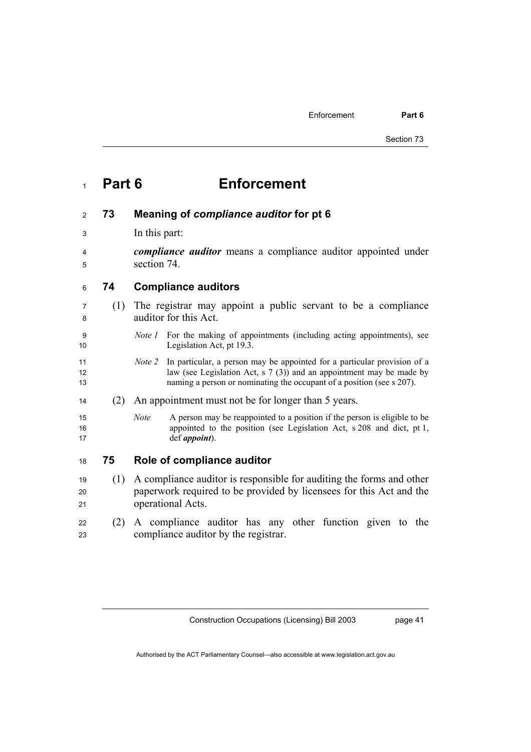Enforcement **Part 6** 

# <sup>1</sup>**Part 6 Enforcement**

#### <sup>2</sup>**73 Meaning of** *compliance auditor* **for pt 6**

- 3 In this part:
- <sup>4</sup>*compliance auditor* means a compliance auditor appointed under <sup>5</sup>section 74.

<sup>6</sup>**74 Compliance auditors** 

- <sup>7</sup>(1) The registrar may appoint a public servant to be a compliance <sup>8</sup>auditor for this Act.
- 9 *Note 1* For the making of appointments (including acting appointments), see 10 Legislation Act, pt 19.3.
- 11 *Note 2* In particular, a person may be appointed for a particular provision of a 12 law (see Legislation Act, s 7 (3)) and an appointment may be made by 13 naming a person or nominating the occupant of a position (see s 207).
- <sup>14</sup>(2) An appointment must not be for longer than 5 years.
- 15 *Note* A person may be reappointed to a position if the person is eligible to be 16 appointed to the position (see Legislation Act, s 208 and dict, pt 1, 17 def *appoint*).

#### <sup>18</sup>**75 Role of compliance auditor**

- <sup>19</sup>(1) A compliance auditor is responsible for auditing the forms and other 20 paperwork required to be provided by licensees for this Act and the 21 operational Acts.
- <sup>22</sup>(2) A compliance auditor has any other function given to the 23 compliance auditor by the registrar.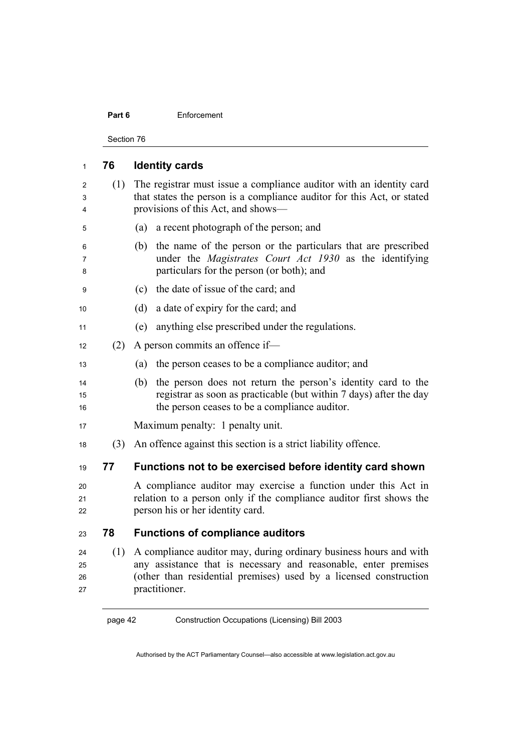#### **Part 6** Enforcement

Section 76

| 1                    | 76  | <b>Identity cards</b>                                                                                                                                                                                                      |
|----------------------|-----|----------------------------------------------------------------------------------------------------------------------------------------------------------------------------------------------------------------------------|
| 2<br>3<br>4          | (1) | The registrar must issue a compliance auditor with an identity card<br>that states the person is a compliance auditor for this Act, or stated<br>provisions of this Act, and shows-                                        |
| 5                    |     | a recent photograph of the person; and<br>(a)                                                                                                                                                                              |
| 6<br>7<br>8          |     | the name of the person or the particulars that are prescribed<br>(b)<br>under the <i>Magistrates</i> Court Act 1930 as the identifying<br>particulars for the person (or both); and                                        |
| 9                    |     | the date of issue of the card; and<br>(c)                                                                                                                                                                                  |
| 10                   |     | a date of expiry for the card; and<br>(d)                                                                                                                                                                                  |
| 11                   |     | anything else prescribed under the regulations.<br>(e)                                                                                                                                                                     |
| 12                   | (2) | A person commits an offence if-                                                                                                                                                                                            |
| 13                   |     | the person ceases to be a compliance auditor; and<br>(a)                                                                                                                                                                   |
| 14<br>15<br>16       |     | the person does not return the person's identity card to the<br>(b)<br>registrar as soon as practicable (but within 7 days) after the day<br>the person ceases to be a compliance auditor.                                 |
| 17                   |     | Maximum penalty: 1 penalty unit.                                                                                                                                                                                           |
| 18                   | (3) | An offence against this section is a strict liability offence.                                                                                                                                                             |
| 19                   | 77  | Functions not to be exercised before identity card shown                                                                                                                                                                   |
| 20<br>21<br>22       |     | A compliance auditor may exercise a function under this Act in<br>relation to a person only if the compliance auditor first shows the<br>person his or her identity card.                                                  |
| 23                   | 78  | <b>Functions of compliance auditors</b>                                                                                                                                                                                    |
| 24<br>25<br>26<br>27 | (1) | A compliance auditor may, during ordinary business hours and with<br>any assistance that is necessary and reasonable, enter premises<br>(other than residential premises) used by a licensed construction<br>practitioner. |

page 42 Construction Occupations (Licensing) Bill 2003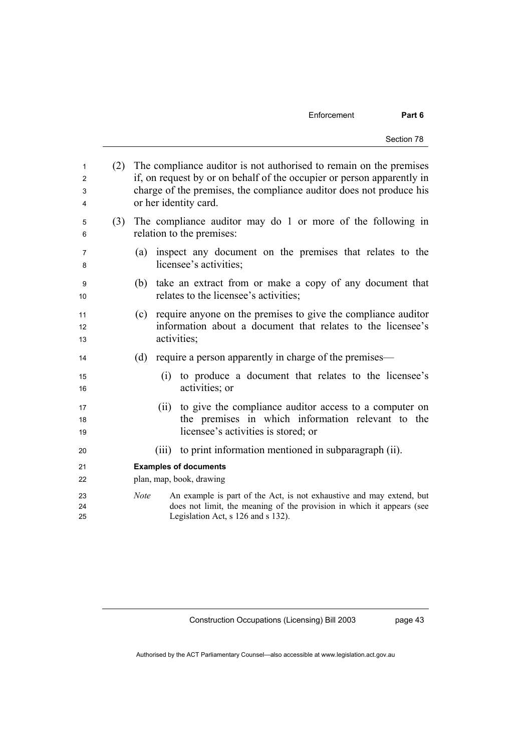| 1<br>2<br>3<br>4 | (2) | The compliance auditor is not authorised to remain on the premises<br>if, on request by or on behalf of the occupier or person apparently in<br>charge of the premises, the compliance auditor does not produce his<br>or her identity card. |
|------------------|-----|----------------------------------------------------------------------------------------------------------------------------------------------------------------------------------------------------------------------------------------------|
| 5<br>6           | (3) | The compliance auditor may do 1 or more of the following in<br>relation to the premises:                                                                                                                                                     |
| 7<br>8           |     | inspect any document on the premises that relates to the<br>(a)<br>licensee's activities;                                                                                                                                                    |
| 9<br>10          |     | take an extract from or make a copy of any document that<br>(b)<br>relates to the licensee's activities;                                                                                                                                     |
| 11<br>12<br>13   |     | (c) require anyone on the premises to give the compliance auditor<br>information about a document that relates to the licensee's<br>activities;                                                                                              |
| 14               |     | require a person apparently in charge of the premises—<br>(d)                                                                                                                                                                                |
| 15<br>16         |     | to produce a document that relates to the licensee's<br>(i)<br>activities; or                                                                                                                                                                |
| 17               |     | to give the compliance auditor access to a computer on<br>(ii)                                                                                                                                                                               |
| 18               |     | the premises in which information relevant to the                                                                                                                                                                                            |
| 19               |     | licensee's activities is stored; or                                                                                                                                                                                                          |
| 20               |     | to print information mentioned in subparagraph (ii).<br>(iii)                                                                                                                                                                                |
| 21               |     | <b>Examples of documents</b>                                                                                                                                                                                                                 |
| 22               |     | plan, map, book, drawing                                                                                                                                                                                                                     |
| 23               |     | An example is part of the Act, is not exhaustive and may extend, but<br><b>Note</b>                                                                                                                                                          |
| 24               |     | does not limit, the meaning of the provision in which it appears (see                                                                                                                                                                        |
| 25               |     | Legislation Act, s 126 and s 132).                                                                                                                                                                                                           |

Construction Occupations (Licensing) Bill 2003

page 43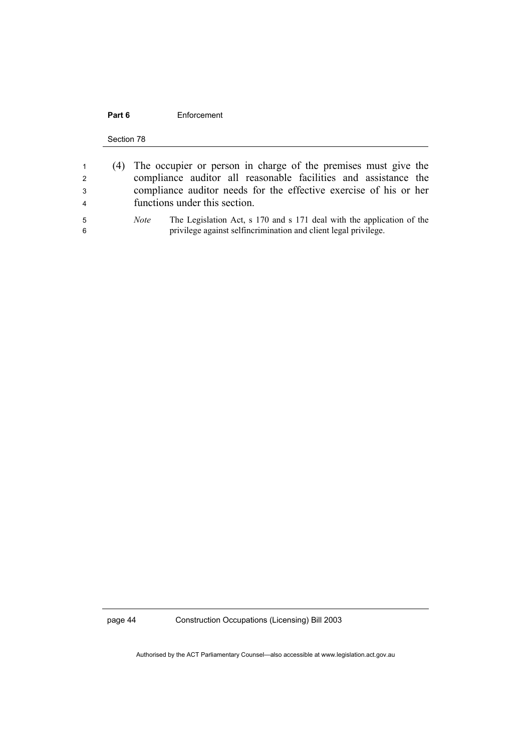#### Part 6 **Enforcement**

Section 78

| $\mathbf{1}$   | (4) The occupier or person in charge of the premises must give the                   |
|----------------|--------------------------------------------------------------------------------------|
| $\overline{2}$ | compliance auditor all reasonable facilities and assistance the                      |
| -3             | compliance auditor needs for the effective exercise of his or her                    |
| $\overline{4}$ | functions under this section.                                                        |
| -5             | The Legislation Act, s 170 and s 171 deal with the application of the<br><i>Note</i> |
| -6             | privilege against selfincrimination and client legal privilege.                      |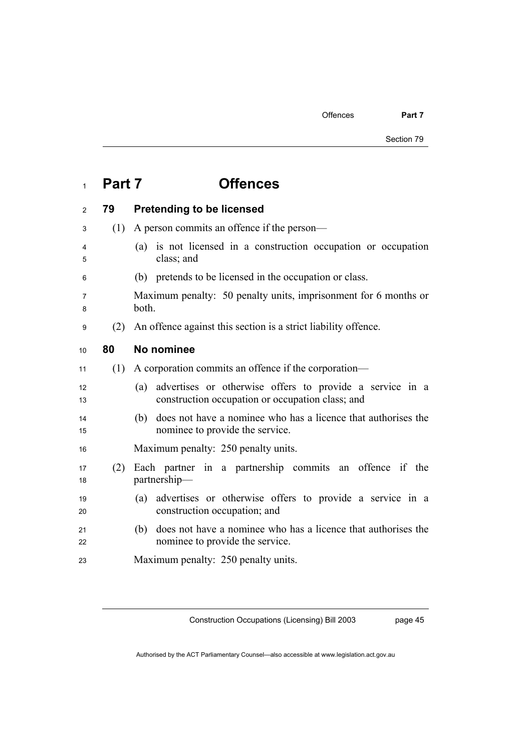Offences **Part 7** 

Section 79

# <sup>1</sup>**Part 7 Offences**

# <sup>2</sup>**79 Pretending to be licensed**  <sup>3</sup>(1) A person commits an offence if the person— <sup>4</sup>(a) is not licensed in a construction occupation or occupation <sup>5</sup>class; and <sup>6</sup>(b) pretends to be licensed in the occupation or class. <sup>7</sup>Maximum penalty: 50 penalty units, imprisonment for 6 months or 8 both. <sup>9</sup>(2) An offence against this section is a strict liability offence. <sup>10</sup>**80 No nominee**  <sup>11</sup>(1) A corporation commits an offence if the corporation— <sup>12</sup>(a) advertises or otherwise offers to provide a service in a 13 construction occupation or occupation class; and <sup>14</sup>(b) does not have a nominee who has a licence that authorises the 15 nominee to provide the service. 16 Maximum penalty: 250 penalty units. <sup>17</sup>(2) Each partner in a partnership commits an offence if the 18 partnership— <sup>19</sup>(a) advertises or otherwise offers to provide a service in a 20 construction occupation; and <sup>21</sup>(b) does not have a nominee who has a licence that authorises the 22 nominee to provide the service. 23 Maximum penalty: 250 penalty units.

Construction Occupations (Licensing) Bill 2003

page 45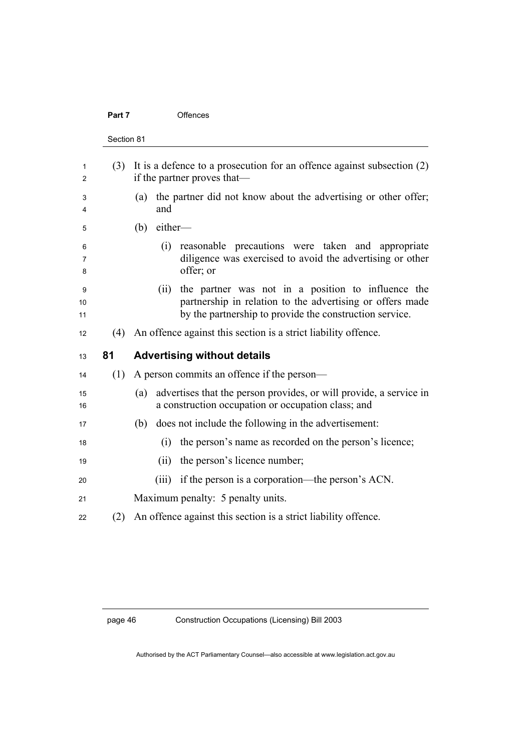## Part 7 **Offences**

|     | Section 81                                                                                                                                                                         |
|-----|------------------------------------------------------------------------------------------------------------------------------------------------------------------------------------|
| (3) | It is a defence to a prosecution for an offence against subsection $(2)$<br>if the partner proves that—                                                                            |
|     | the partner did not know about the advertising or other offer;<br>(a)<br>and                                                                                                       |
|     | either-<br>(b)                                                                                                                                                                     |
|     | reasonable precautions were taken and appropriate<br>(i)<br>diligence was exercised to avoid the advertising or other<br>offer; or                                                 |
|     | the partner was not in a position to influence the<br>(ii)<br>partnership in relation to the advertising or offers made<br>by the partnership to provide the construction service. |
| (4) | An offence against this section is a strict liability offence.                                                                                                                     |
| 81  | <b>Advertising without details</b>                                                                                                                                                 |
| (1) | A person commits an offence if the person—                                                                                                                                         |
|     | advertises that the person provides, or will provide, a service in<br>(a)<br>a construction occupation or occupation class; and                                                    |
|     | does not include the following in the advertisement:<br>(b)                                                                                                                        |
|     | the person's name as recorded on the person's licence;<br>(i)                                                                                                                      |
|     | the person's licence number;<br>(ii)                                                                                                                                               |
|     | if the person is a corporation—the person's ACN.<br>(iii)                                                                                                                          |
|     | Maximum penalty: 5 penalty units.                                                                                                                                                  |
|     |                                                                                                                                                                                    |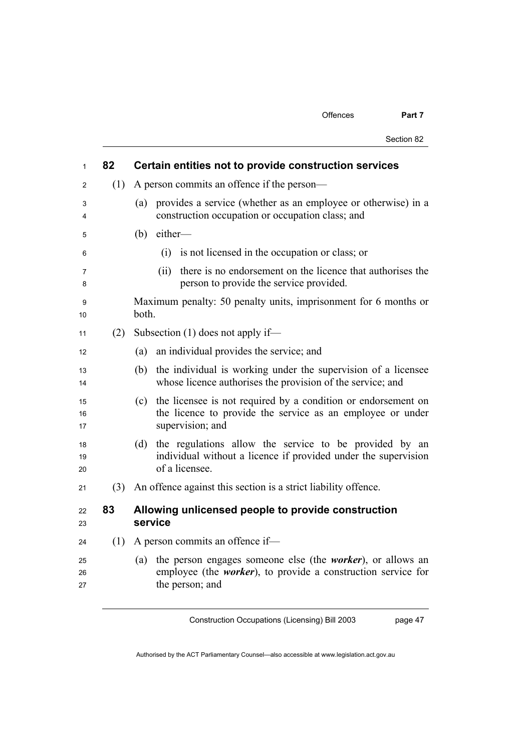| $\mathbf{1}$   | 82  | Certain entities not to provide construction services                                                                                                                |
|----------------|-----|----------------------------------------------------------------------------------------------------------------------------------------------------------------------|
| 2              | (1) | A person commits an offence if the person—                                                                                                                           |
| 3<br>4         |     | provides a service (whether as an employee or otherwise) in a<br>(a)<br>construction occupation or occupation class; and                                             |
| 5              |     | either-<br>(b)                                                                                                                                                       |
| 6              |     | (i) is not licensed in the occupation or class; or                                                                                                                   |
| 7<br>8         |     | there is no endorsement on the licence that authorises the<br>(ii)<br>person to provide the service provided.                                                        |
| 9<br>10        |     | Maximum penalty: 50 penalty units, imprisonment for 6 months or<br>both.                                                                                             |
| 11             | (2) | Subsection $(1)$ does not apply if—                                                                                                                                  |
| 12             |     | (a)<br>an individual provides the service; and                                                                                                                       |
| 13<br>14       |     | the individual is working under the supervision of a licensee<br>(b)<br>whose licence authorises the provision of the service; and                                   |
| 15<br>16<br>17 |     | the licensee is not required by a condition or endorsement on<br>(c)<br>the licence to provide the service as an employee or under<br>supervision; and               |
| 18<br>19<br>20 |     | the regulations allow the service to be provided by an<br>(d)<br>individual without a licence if provided under the supervision<br>of a licensee.                    |
| 21             |     | (3) An offence against this section is a strict liability offence.                                                                                                   |
| 22<br>23       | 83  | Allowing unlicensed people to provide construction<br>service                                                                                                        |
| 24             | (1) | A person commits an offence if-                                                                                                                                      |
| 25<br>26<br>27 |     | the person engages someone else (the <i>worker</i> ), or allows an<br>(a)<br>employee (the <i>worker</i> ), to provide a construction service for<br>the person; and |

Construction Occupations (Licensing) Bill 2003

page 47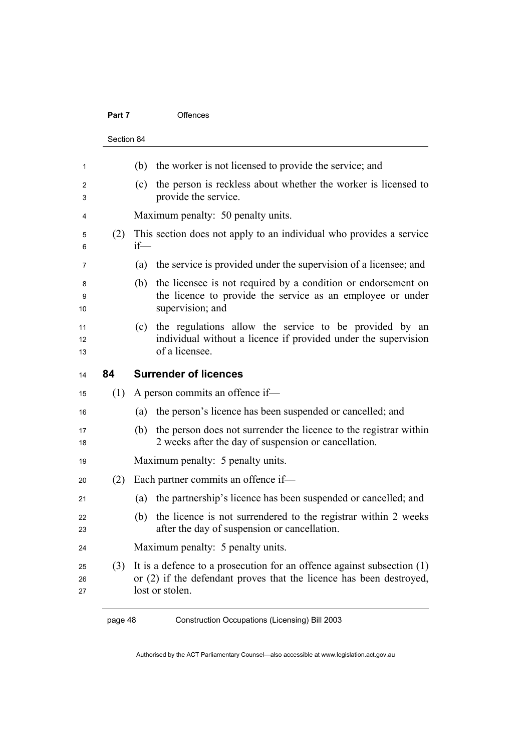#### Part 7 **Offences**

|     | Section 84                                                                                                                                             |
|-----|--------------------------------------------------------------------------------------------------------------------------------------------------------|
|     | the worker is not licensed to provide the service; and<br>(b)                                                                                          |
|     | the person is reckless about whether the worker is licensed to<br>(c)<br>provide the service.                                                          |
|     | Maximum penalty: 50 penalty units.                                                                                                                     |
| (2) | This section does not apply to an individual who provides a service<br>$if$ —                                                                          |
|     | the service is provided under the supervision of a licensee; and<br>(a)                                                                                |
|     | the licensee is not required by a condition or endorsement on<br>(b)<br>the licence to provide the service as an employee or under<br>supervision; and |
|     | the regulations allow the service to be provided by an<br>(c)<br>individual without a licence if provided under the supervision<br>of a licensee.      |
| 84  | <b>Surrender of licences</b>                                                                                                                           |
| (1) | A person commits an offence if-                                                                                                                        |
|     |                                                                                                                                                        |
|     | the person's licence has been suspended or cancelled; and<br>(a)                                                                                       |
|     | (b)<br>2 weeks after the day of suspension or cancellation.                                                                                            |
|     | Maximum penalty: 5 penalty units.                                                                                                                      |
| (2) | Each partner commits an offence if-                                                                                                                    |
|     | the person does not surrender the licence to the registrar within<br>the partnership's licence has been suspended or cancelled; and<br>(a)             |
|     | the licence is not surrendered to the registrar within 2 weeks<br>(b)<br>after the day of suspension or cancellation.                                  |
|     | Maximum penalty: 5 penalty units.                                                                                                                      |

page 48 Construction Occupations (Licensing) Bill 2003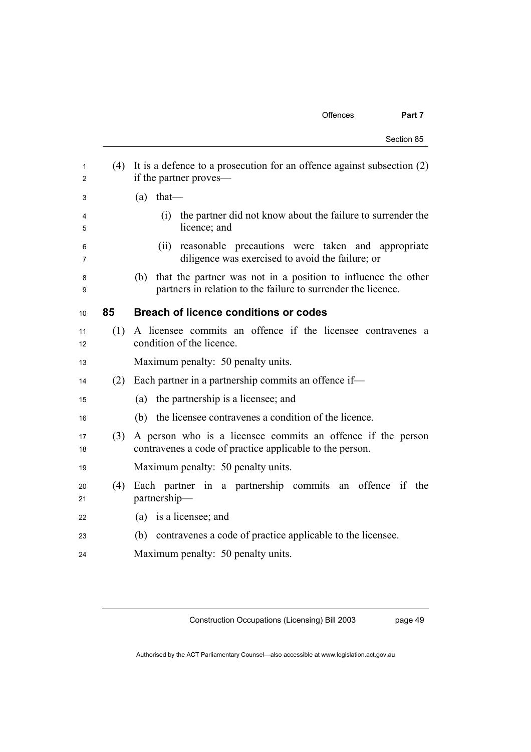Section 85

| 1<br>$\overline{2}$ | (4) | It is a defence to a prosecution for an offence against subsection $(2)$<br>if the partner proves—                                    |
|---------------------|-----|---------------------------------------------------------------------------------------------------------------------------------------|
| 3                   |     | that-<br>(a)                                                                                                                          |
| 4<br>5              |     | the partner did not know about the failure to surrender the<br>(i)<br>licence; and                                                    |
| 6<br>7              |     | reasonable precautions were taken and appropriate<br>(ii)<br>diligence was exercised to avoid the failure; or                         |
| 8<br>9              |     | that the partner was not in a position to influence the other<br>(b)<br>partners in relation to the failure to surrender the licence. |
| 10                  | 85  | <b>Breach of licence conditions or codes</b>                                                                                          |
| 11<br>12            | (1) | A licensee commits an offence if the licensee contravenes a<br>condition of the licence.                                              |
| 13                  |     | Maximum penalty: 50 penalty units.                                                                                                    |
| 14                  | (2) | Each partner in a partnership commits an offence if-                                                                                  |
| 15                  |     | the partnership is a licensee; and<br>(a)                                                                                             |
| 16                  |     | the licensee contravenes a condition of the licence.<br>(b)                                                                           |
| 17<br>18            | (3) | A person who is a licensee commits an offence if the person<br>contravenes a code of practice applicable to the person.               |
| 19                  |     | Maximum penalty: 50 penalty units.                                                                                                    |
| 20<br>21            | (4) | Each partner in a partnership commits an offence if<br>the<br>partnership-                                                            |
| 22                  |     | (a) is a licensee; and                                                                                                                |
| 23                  |     | contravenes a code of practice applicable to the licensee.<br>(b)                                                                     |
| 24                  |     | Maximum penalty: 50 penalty units.                                                                                                    |

Construction Occupations (Licensing) Bill 2003

page 49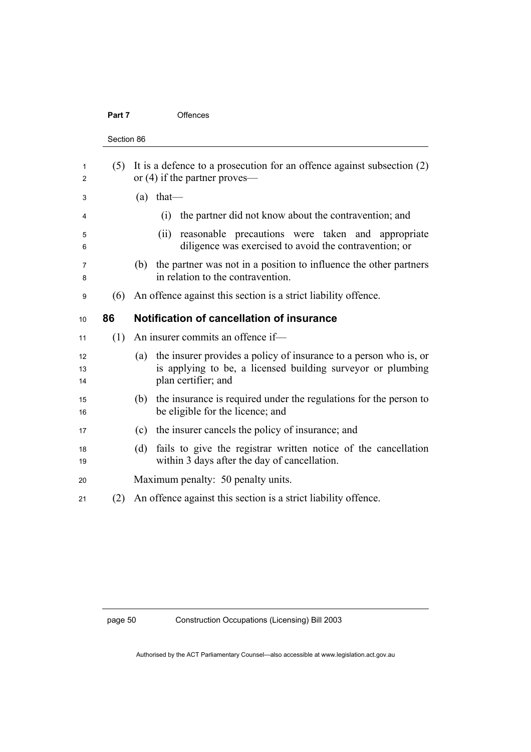## Part 7 **Offences**

| Section 86 |                                                                                                                                                                |
|------------|----------------------------------------------------------------------------------------------------------------------------------------------------------------|
| (5)        | It is a defence to a prosecution for an offence against subsection $(2)$<br>or $(4)$ if the partner proves—                                                    |
|            | $(a)$ that—                                                                                                                                                    |
|            | the partner did not know about the contravention; and<br>(i)                                                                                                   |
|            | reasonable precautions were taken and appropriate<br>(ii)<br>diligence was exercised to avoid the contravention; or                                            |
|            | the partner was not in a position to influence the other partners<br>(b)<br>in relation to the contravention.                                                  |
| (6)        | An offence against this section is a strict liability offence.                                                                                                 |
| 86         | Notification of cancellation of insurance                                                                                                                      |
| (1)        | An insurer commits an offence if—                                                                                                                              |
|            | the insurer provides a policy of insurance to a person who is, or<br>(a)<br>is applying to be, a licensed building surveyor or plumbing<br>plan certifier; and |
|            | the insurance is required under the regulations for the person to<br>(b)<br>be eligible for the licence; and                                                   |
|            | the insurer cancels the policy of insurance; and<br>(c)                                                                                                        |
|            | fails to give the registrar written notice of the cancellation<br>(d)<br>within 3 days after the day of cancellation.                                          |
|            |                                                                                                                                                                |
|            | Maximum penalty: 50 penalty units.                                                                                                                             |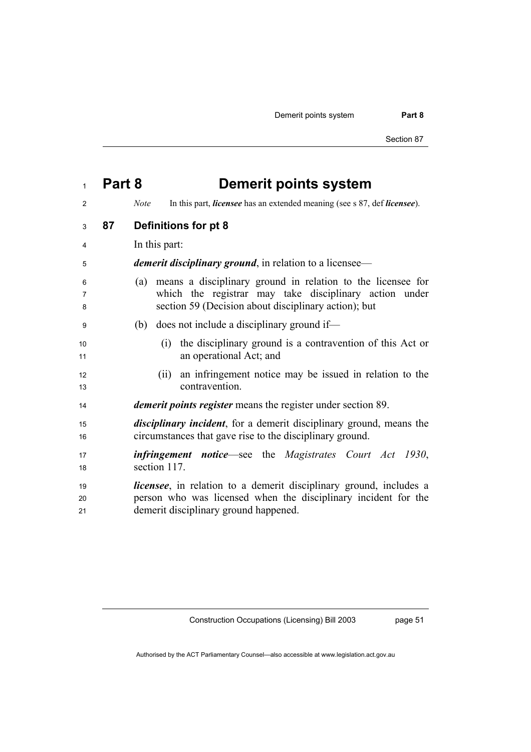Demerit points system **Part 8** 

Section 87

| $\mathbf{1}$   | Part 8 | <b>Demerit points system</b>                                                                                                                                                          |
|----------------|--------|---------------------------------------------------------------------------------------------------------------------------------------------------------------------------------------|
| 2              |        | In this part, <i>licensee</i> has an extended meaning (see s 87, def <i>licensee</i> ).<br><b>Note</b>                                                                                |
| 3              | 87     | Definitions for pt 8                                                                                                                                                                  |
| 4              |        | In this part:                                                                                                                                                                         |
| 5              |        | <i>demerit disciplinary ground</i> , in relation to a licensee—                                                                                                                       |
| 6<br>7<br>8    |        | means a disciplinary ground in relation to the licensee for<br>(a)<br>which the registrar may take disciplinary action under<br>section 59 (Decision about disciplinary action); but  |
| 9              |        | does not include a disciplinary ground if—<br>(b)                                                                                                                                     |
| 10<br>11       |        | the disciplinary ground is a contravention of this Act or<br>(1)<br>an operational Act; and                                                                                           |
| 12<br>13       |        | an infringement notice may be issued in relation to the<br>(i)<br>contravention.                                                                                                      |
| 14             |        | <i>demerit points register</i> means the register under section 89.                                                                                                                   |
| 15<br>16       |        | <i>disciplinary incident</i> , for a demerit disciplinary ground, means the<br>circumstances that gave rise to the disciplinary ground.                                               |
| 17<br>18       |        | <b>infringement</b> notice—see the Magistrates Court Act 1930,<br>section 117.                                                                                                        |
| 19<br>20<br>21 |        | <i>licensee</i> , in relation to a demerit disciplinary ground, includes a<br>person who was licensed when the disciplinary incident for the<br>demerit disciplinary ground happened. |

Construction Occupations (Licensing) Bill 2003

page 51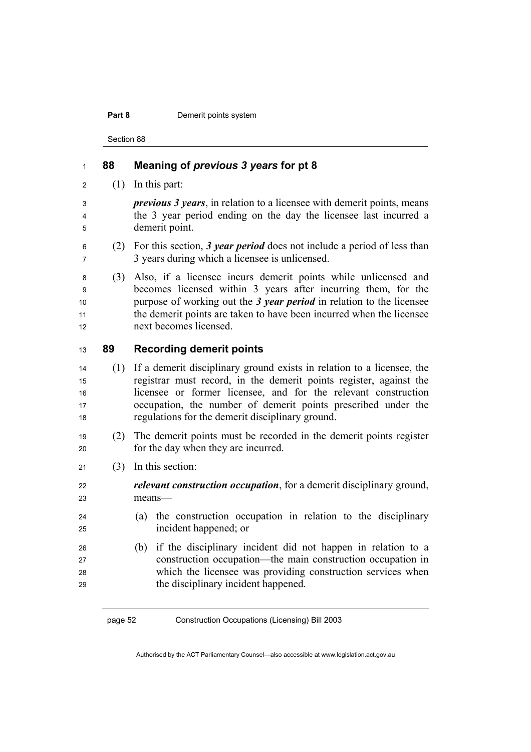#### **Part 8 Demerit points system**

Section 88

# **88 Meaning of** *previous 3 years* **for pt 8**   $2 \qquad (1)$  In this part: *previous 3 years*, in relation to a licensee with demerit points, means the 3 year period ending on the day the licensee last incurred a demerit point. (2) For this section, *3 year period* does not include a period of less than 3 years during which a licensee is unlicensed. (3) Also, if a licensee incurs demerit points while unlicensed and becomes licensed within 3 years after incurring them, for the 10 purpose of working out the *3 year period* in relation to the licensee 11 the demerit points are taken to have been incurred when the licensee 12 next becomes licensed. **89 Recording demerit points**  (1) If a demerit disciplinary ground exists in relation to a licensee, the registrar must record, in the demerit points register, against the licensee or former licensee, and for the relevant construction 17 occupation, the number of demerit points prescribed under the regulations for the demerit disciplinary ground. (2) The demerit points must be recorded in the demerit points register 20 for the day when they are incurred. (3) In this section: *relevant construction occupation*, for a demerit disciplinary ground, means— (a) the construction occupation in relation to the disciplinary incident happened; or (b) if the disciplinary incident did not happen in relation to a construction occupation—the main construction occupation in which the licensee was providing construction services when the disciplinary incident happened.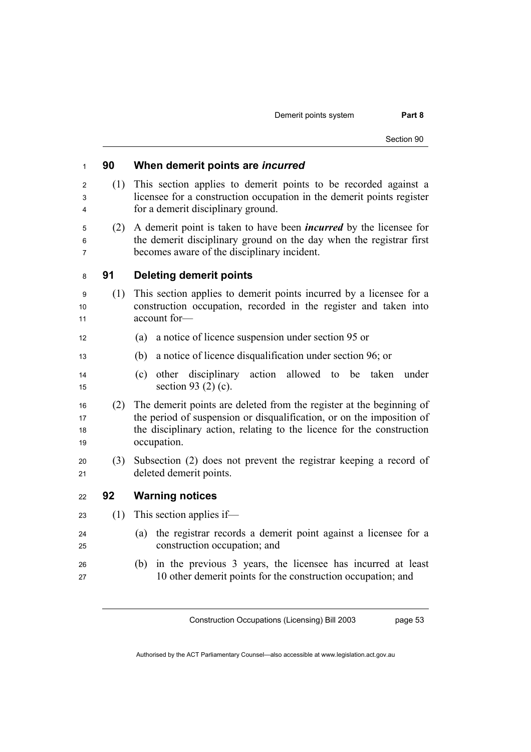Demerit points system **Part 8** 

# **90 When demerit points are** *incurred* (1) This section applies to demerit points to be recorded against a licensee for a construction occupation in the demerit points register for a demerit disciplinary ground. (2) A demerit point is taken to have been *incurred* by the licensee for the demerit disciplinary ground on the day when the registrar first becomes aware of the disciplinary incident. **91 Deleting demerit points**  (1) This section applies to demerit points incurred by a licensee for a construction occupation, recorded in the register and taken into 11 account for— (a) a notice of licence suspension under section 95 or (b) a notice of licence disqualification under section 96; or (c) other disciplinary action allowed to be taken under 15 section 93 (2) (c). (2) The demerit points are deleted from the register at the beginning of 17 the period of suspension or disqualification, or on the imposition of 18 the disciplinary action, relating to the licence for the construction 19 occupation. (3) Subsection (2) does not prevent the registrar keeping a record of 21 deleted demerit points. **92 Warning notices**  (1) This section applies if— (a) the registrar records a demerit point against a licensee for a 25 construction occupation; and (b) in the previous 3 years, the licensee has incurred at least 10 other demerit points for the construction occupation; and

Construction Occupations (Licensing) Bill 2003

page 53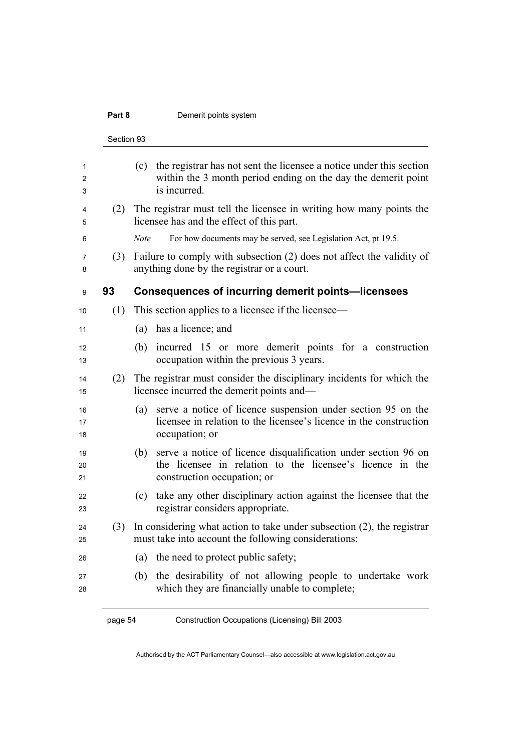## **Part 8 Demerit points system**

|                | Section 93 |                                                                                                                                                                   |
|----------------|------------|-------------------------------------------------------------------------------------------------------------------------------------------------------------------|
| 1<br>2<br>3    |            | the registrar has not sent the licensee a notice under this section<br>(c)<br>within the 3 month period ending on the day the demerit point<br>is incurred.       |
| 4<br>5         | (2)        | The registrar must tell the licensee in writing how many points the<br>licensee has and the effect of this part.                                                  |
| 6              |            | <b>Note</b><br>For how documents may be served, see Legislation Act, pt 19.5.                                                                                     |
| 7<br>8         | (3)        | Failure to comply with subsection (2) does not affect the validity of<br>anything done by the registrar or a court.                                               |
| 9              | 93         | <b>Consequences of incurring demerit points-licensees</b>                                                                                                         |
| 10             | (1)        | This section applies to a licensee if the licensee—                                                                                                               |
| 11             |            | has a licence; and<br>(a)                                                                                                                                         |
| 12<br>13       |            | incurred 15 or more demerit points for a construction<br>(b)<br>occupation within the previous 3 years.                                                           |
| 14<br>15       | (2)        | The registrar must consider the disciplinary incidents for which the<br>licensee incurred the demerit points and—                                                 |
| 16<br>17<br>18 |            | serve a notice of licence suspension under section 95 on the<br>(a)<br>licensee in relation to the licensee's licence in the construction<br>occupation; or       |
| 19<br>20<br>21 |            | serve a notice of licence disqualification under section 96 on<br>(b)<br>the licensee in relation to the licensee's licence in the<br>construction occupation; or |
| 22<br>23       |            | take any other disciplinary action against the licensee that the<br>(c)<br>registrar considers appropriate.                                                       |
| 24<br>25       | (3)        | In considering what action to take under subsection $(2)$ , the registrar<br>must take into account the following considerations:                                 |
| 26             |            | the need to protect public safety;<br>(a)                                                                                                                         |
| 27<br>28       |            | the desirability of not allowing people to undertake work<br>(b)<br>which they are financially unable to complete;                                                |
|                | page 54    | Construction Occupations (Licensing) Bill 2003                                                                                                                    |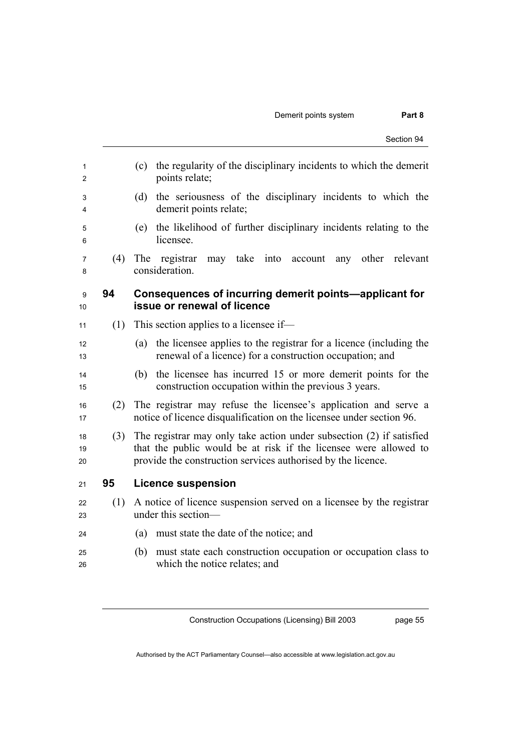## Demerit points system **Part 8**

| 1<br>2         |     | the regularity of the disciplinary incidents to which the demerit<br>(c)<br>points relate;                                                                                                               |
|----------------|-----|----------------------------------------------------------------------------------------------------------------------------------------------------------------------------------------------------------|
| 3<br>4         |     | the seriousness of the disciplinary incidents to which the<br>(d)<br>demerit points relate;                                                                                                              |
| 5<br>6         |     | the likelihood of further disciplinary incidents relating to the<br>(e)<br>licensee.                                                                                                                     |
| 7<br>8         | (4) | The<br>registrar<br>may take into account<br>any other<br>relevant<br>consideration.                                                                                                                     |
| 9<br>10        | 94  | Consequences of incurring demerit points—applicant for<br>issue or renewal of licence                                                                                                                    |
| 11             | (1) | This section applies to a licensee if-                                                                                                                                                                   |
| 12<br>13       |     | the licensee applies to the registrar for a licence (including the<br>(a)<br>renewal of a licence) for a construction occupation; and                                                                    |
| 14<br>15       |     | the licensee has incurred 15 or more demerit points for the<br>(b)<br>construction occupation within the previous 3 years.                                                                               |
| 16<br>17       | (2) | The registrar may refuse the licensee's application and serve a<br>notice of licence disqualification on the licensee under section 96.                                                                  |
| 18<br>19<br>20 | (3) | The registrar may only take action under subsection (2) if satisfied<br>that the public would be at risk if the licensee were allowed to<br>provide the construction services authorised by the licence. |
| 21             | 95  | <b>Licence suspension</b>                                                                                                                                                                                |
| 22<br>23       | (1) | A notice of licence suspension served on a licensee by the registrar<br>under this section-                                                                                                              |
| 24             |     | (a)<br>must state the date of the notice; and                                                                                                                                                            |
| 25<br>26       |     | must state each construction occupation or occupation class to<br>(b)<br>which the notice relates; and                                                                                                   |

Construction Occupations (Licensing) Bill 2003

page 55

Authorised by the ACT Parliamentary Counsel—also accessible at www.legislation.act.gov.au

Section 94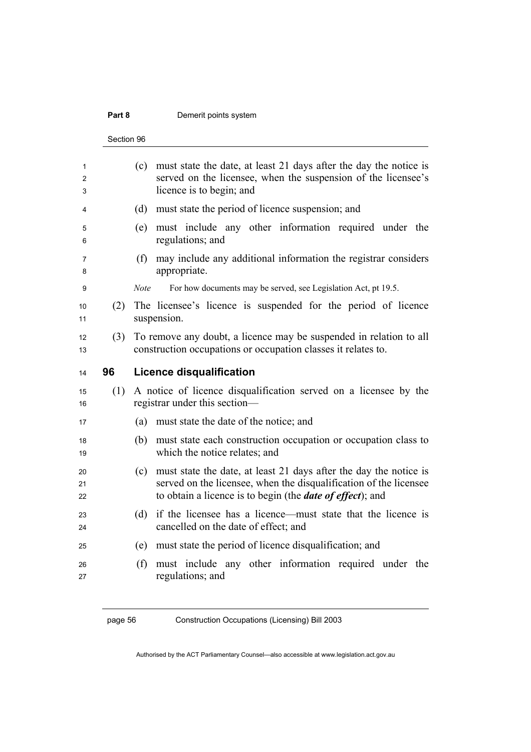## **Part 8 Demerit points system**

Section 96

|     | Section 96                                                                                                                                                            |
|-----|-----------------------------------------------------------------------------------------------------------------------------------------------------------------------|
|     | must state the date, at least 21 days after the day the notice is<br>(c)<br>served on the licensee, when the suspension of the licensee's<br>licence is to begin; and |
|     | must state the period of licence suspension; and<br>(d)                                                                                                               |
|     | must include any other information required under the<br>(e)<br>regulations; and                                                                                      |
|     | may include any additional information the registrar considers<br>(f)<br>appropriate.                                                                                 |
|     | For how documents may be served, see Legislation Act, pt 19.5.<br><b>Note</b>                                                                                         |
| (2) | The licensee's licence is suspended for the period of licence<br>suspension.                                                                                          |
| (3) | To remove any doubt, a licence may be suspended in relation to all<br>construction occupations or occupation classes it relates to.                                   |
| 96  | <b>Licence disqualification</b>                                                                                                                                       |
| (1) | A notice of licence disqualification served on a licensee by the<br>registrar under this section—                                                                     |
|     | must state the date of the notice; and<br>(a)                                                                                                                         |
|     | must state each construction occupation or occupation class to<br>(b)<br>which the notice relates; and                                                                |
|     | must state the date, at least 21 days after the day the notice is<br>(c)<br>served on the licensee, when the disqualification of the licensee                         |
|     | to obtain a licence is to begin (the <i>date of effect</i> ); and                                                                                                     |
|     | (d)<br>cancelled on the date of effect; and                                                                                                                           |
|     | if the licensee has a licence—must state that the licence is<br>must state the period of licence disqualification; and<br>(e)                                         |

page 56 Construction Occupations (Licensing) Bill 2003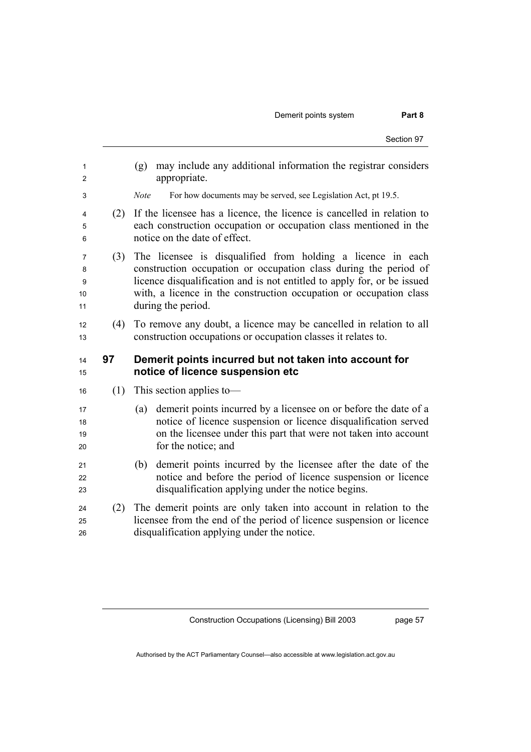| 1<br>2                  |     | may include any additional information the registrar considers<br>(g)<br>appropriate.                                                                                                                                                                                                                  |
|-------------------------|-----|--------------------------------------------------------------------------------------------------------------------------------------------------------------------------------------------------------------------------------------------------------------------------------------------------------|
| 3                       |     | For how documents may be served, see Legislation Act, pt 19.5.<br><b>Note</b>                                                                                                                                                                                                                          |
| 4<br>5<br>6             | (2) | If the licensee has a licence, the licence is cancelled in relation to<br>each construction occupation or occupation class mentioned in the<br>notice on the date of effect.                                                                                                                           |
| 7<br>8<br>9<br>10<br>11 | (3) | The licensee is disqualified from holding a licence in each<br>construction occupation or occupation class during the period of<br>licence disqualification and is not entitled to apply for, or be issued<br>with, a licence in the construction occupation or occupation class<br>during the period. |
| 12<br>13                | (4) | To remove any doubt, a licence may be cancelled in relation to all<br>construction occupations or occupation classes it relates to.                                                                                                                                                                    |
| 14                      | 97  | Demerit points incurred but not taken into account for                                                                                                                                                                                                                                                 |
| 15                      |     | notice of licence suspension etc                                                                                                                                                                                                                                                                       |
| 16                      | (1) | This section applies to-                                                                                                                                                                                                                                                                               |
| 17<br>18<br>19<br>20    |     | demerit points incurred by a licensee on or before the date of a<br>(a)<br>notice of licence suspension or licence disqualification served<br>on the licensee under this part that were not taken into account<br>for the notice; and                                                                  |
| 21<br>22<br>23          |     | demerit points incurred by the licensee after the date of the<br>(b)<br>notice and before the period of licence suspension or licence<br>disqualification applying under the notice begins.                                                                                                            |

Construction Occupations (Licensing) Bill 2003

page 57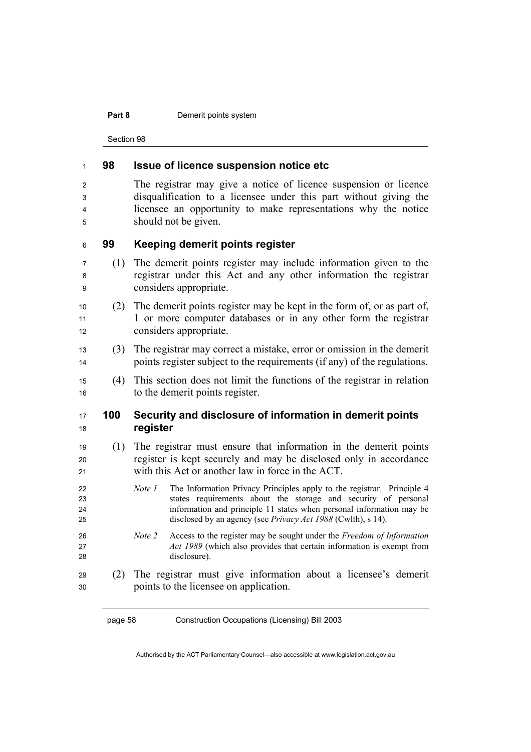#### **Part 8 Demerit points system**

Section 98

# **98 Issue of licence suspension notice etc**  The registrar may give a notice of licence suspension or licence disqualification to a licensee under this part without giving the licensee an opportunity to make representations why the notice should not be given. **99 Keeping demerit points register**  (1) The demerit points register may include information given to the registrar under this Act and any other information the registrar considers appropriate. (2) The demerit points register may be kept in the form of, or as part of, 1 or more computer databases or in any other form the registrar 12 considers appropriate. (3) The registrar may correct a mistake, error or omission in the demerit 14 points register subject to the requirements (if any) of the regulations. (4) This section does not limit the functions of the registrar in relation 16 to the demerit points register. **100 Security and disclosure of information in demerit points register**  (1) The registrar must ensure that information in the demerit points 20 register is kept securely and may be disclosed only in accordance with this Act or another law in force in the ACT. *Note 1* The Information Privacy Principles apply to the registrar. Principle 4 states requirements about the storage and security of personal information and principle 11 states when personal information may be disclosed by an agency (see *Privacy Act 1988* (Cwlth), s 14). *Note 2* Access to the register may be sought under the *Freedom of Information Act 1989* (which also provides that certain information is exempt from disclosure). (2) The registrar must give information about a licensee's demerit points to the licensee on application.

page 58 Construction Occupations (Licensing) Bill 2003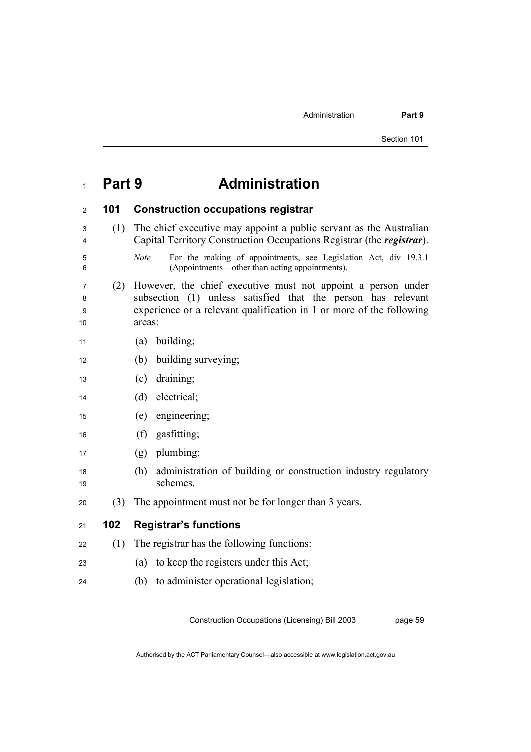# <sup>1</sup>**Part 9 Administration**

| 2                 | 101 | <b>Construction occupations registrar</b>                                                                                                                                                                      |
|-------------------|-----|----------------------------------------------------------------------------------------------------------------------------------------------------------------------------------------------------------------|
| 3<br>4            | (1) | The chief executive may appoint a public servant as the Australian<br>Capital Territory Construction Occupations Registrar (the registrar).                                                                    |
| 5<br>6            |     | For the making of appointments, see Legislation Act, div 19.3.1<br><b>Note</b><br>(Appointments—other than acting appointments).                                                                               |
| 7<br>8<br>9<br>10 | (2) | However, the chief executive must not appoint a person under<br>subsection (1) unless satisfied that the person has relevant<br>experience or a relevant qualification in 1 or more of the following<br>areas: |
| 11                |     | building;<br>(a)                                                                                                                                                                                               |
| 12                |     | building surveying;<br>(b)                                                                                                                                                                                     |
| 13                |     | draining;<br>(c)                                                                                                                                                                                               |
| 14                |     | electrical;<br>(d)                                                                                                                                                                                             |
| 15                |     | engineering;<br>(e)                                                                                                                                                                                            |
| 16                |     | (f)<br>gasfitting;                                                                                                                                                                                             |
| 17                |     | plumbing;<br>(g)                                                                                                                                                                                               |
| 18<br>19          |     | administration of building or construction industry regulatory<br>(h)<br>schemes.                                                                                                                              |
| 20                | (3) | The appointment must not be for longer than 3 years.                                                                                                                                                           |
| 21                | 102 | <b>Registrar's functions</b>                                                                                                                                                                                   |
| 22                | (1) | The registrar has the following functions:                                                                                                                                                                     |
| 23                |     | to keep the registers under this Act;<br>(a)                                                                                                                                                                   |
| 24                |     | to administer operational legislation;<br>(b)                                                                                                                                                                  |
|                   |     |                                                                                                                                                                                                                |

Construction Occupations (Licensing) Bill 2003

page 59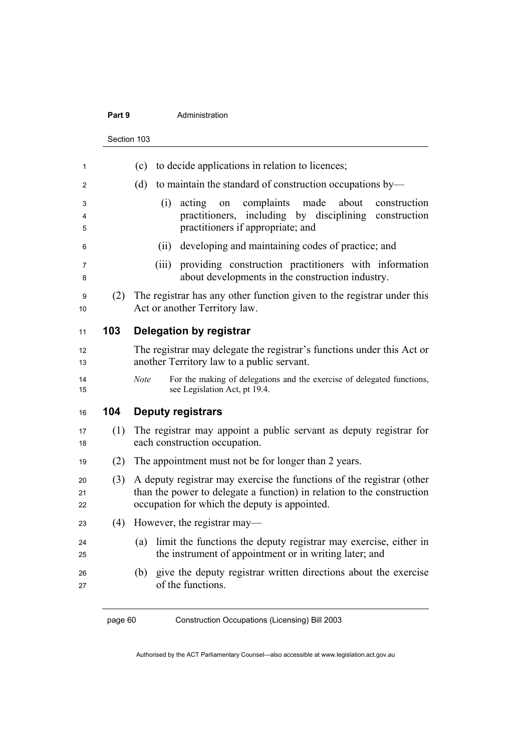#### **Part 9 Administration**

Section 103

| 1              |     | to decide applications in relation to licences;<br>(c)                                                                                                                                           |
|----------------|-----|--------------------------------------------------------------------------------------------------------------------------------------------------------------------------------------------------|
| 2              |     | to maintain the standard of construction occupations by-<br>(d)                                                                                                                                  |
| 3<br>4<br>5    |     | complaints<br>made<br>about<br>(i)<br>acting<br>construction<br>on<br>practitioners, including by disciplining<br>construction<br>practitioners if appropriate; and                              |
| 6              |     | developing and maintaining codes of practice; and<br>(ii)                                                                                                                                        |
| 7<br>8         |     | providing construction practitioners with information<br>(iii)<br>about developments in the construction industry.                                                                               |
| 9<br>10        | (2) | The registrar has any other function given to the registrar under this<br>Act or another Territory law.                                                                                          |
| 11             | 103 | Delegation by registrar                                                                                                                                                                          |
| 12<br>13       |     | The registrar may delegate the registrar's functions under this Act or<br>another Territory law to a public servant.                                                                             |
| 14<br>15       |     | <b>Note</b><br>For the making of delegations and the exercise of delegated functions,<br>see Legislation Act, pt 19.4.                                                                           |
| 16             | 104 | <b>Deputy registrars</b>                                                                                                                                                                         |
| 17<br>18       | (1) | The registrar may appoint a public servant as deputy registrar for<br>each construction occupation.                                                                                              |
| 19             | (2) | The appointment must not be for longer than 2 years.                                                                                                                                             |
| 20<br>21<br>22 | (3) | A deputy registrar may exercise the functions of the registrar (other<br>than the power to delegate a function) in relation to the construction<br>occupation for which the deputy is appointed. |
| 23             | (4) | However, the registrar may—                                                                                                                                                                      |
| 24<br>25       |     | limit the functions the deputy registrar may exercise, either in<br>(a)<br>the instrument of appointment or in writing later; and                                                                |
| 26<br>27       |     | give the deputy registrar written directions about the exercise<br>(b)<br>of the functions.                                                                                                      |
|                |     |                                                                                                                                                                                                  |

page 60 Construction Occupations (Licensing) Bill 2003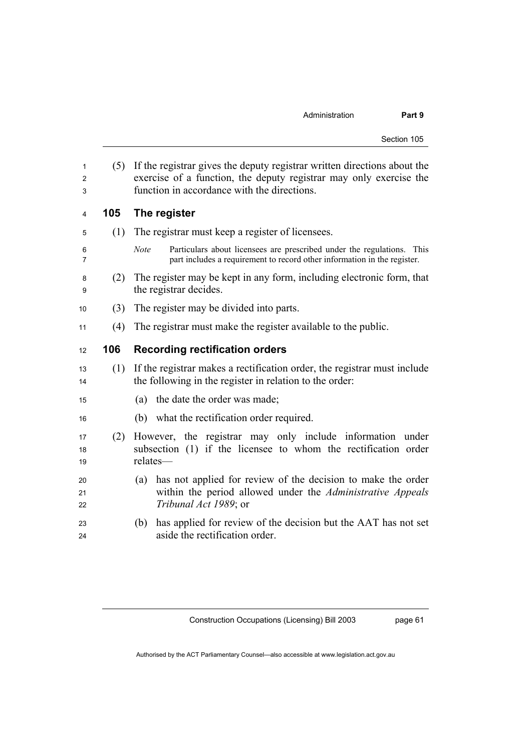| 1<br>2<br>3    | (5) | If the registrar gives the deputy registrar written directions about the<br>exercise of a function, the deputy registrar may only exercise the<br>function in accordance with the directions. |
|----------------|-----|-----------------------------------------------------------------------------------------------------------------------------------------------------------------------------------------------|
| 4              | 105 | The register                                                                                                                                                                                  |
| 5              | (1) | The registrar must keep a register of licensees.                                                                                                                                              |
| 6<br>7         |     | <b>Note</b><br>Particulars about licensees are prescribed under the regulations. This<br>part includes a requirement to record other information in the register.                             |
| 8<br>9         | (2) | The register may be kept in any form, including electronic form, that<br>the registrar decides.                                                                                               |
| 10             | (3) | The register may be divided into parts.                                                                                                                                                       |
| 11             | (4) | The registrar must make the register available to the public.                                                                                                                                 |
| 12             | 106 | <b>Recording rectification orders</b>                                                                                                                                                         |
| 13<br>14       |     | (1) If the registrar makes a rectification order, the registrar must include<br>the following in the register in relation to the order:                                                       |
| 15             |     | (a) the date the order was made;                                                                                                                                                              |
| 16             |     | what the rectification order required.<br>(b)                                                                                                                                                 |
| 17<br>18<br>19 | (2) | However, the registrar may only include information under<br>subsection (1) if the licensee to whom the rectification order<br>relates-                                                       |
| 20<br>21<br>22 |     | has not applied for review of the decision to make the order<br>(a)<br>within the period allowed under the Administrative Appeals<br>Tribunal Act 1989; or                                    |
| 23<br>24       |     | has applied for review of the decision but the AAT has not set<br>(b)<br>aside the rectification order.                                                                                       |

page 61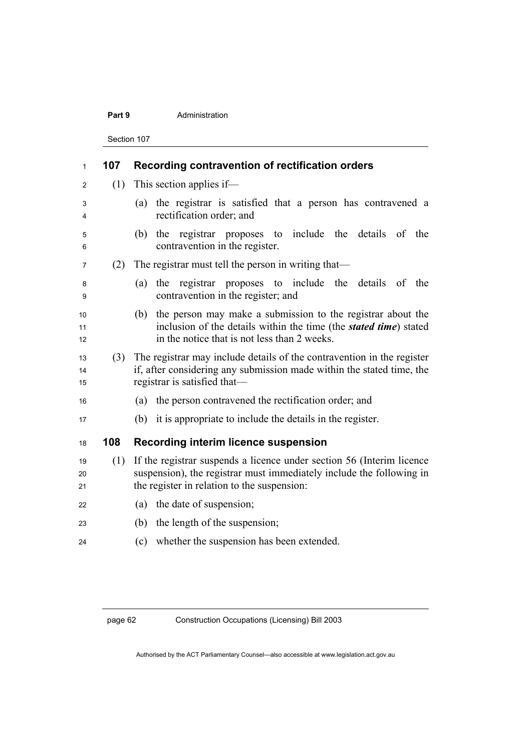#### **Part 9 Administration**

Section 107

| $\mathbf{1}$   | 107 | Recording contravention of rectification orders                                                                                                                                                 |
|----------------|-----|-------------------------------------------------------------------------------------------------------------------------------------------------------------------------------------------------|
| 2              | (1) | This section applies if—                                                                                                                                                                        |
| 3<br>4         |     | the registrar is satisfied that a person has contravened a<br>(a)<br>rectification order; and                                                                                                   |
| 5<br>6         |     | registrar proposes to include the<br>details of the<br>the<br>(b)<br>contravention in the register.                                                                                             |
| 7              | (2) | The registrar must tell the person in writing that—                                                                                                                                             |
| 8<br>9         |     | registrar proposes to include the details of<br>the<br>(a)<br>the<br>contravention in the register; and                                                                                         |
| 10<br>11<br>12 |     | the person may make a submission to the registrar about the<br>(b)<br>inclusion of the details within the time (the <i>stated time</i> ) stated<br>in the notice that is not less than 2 weeks. |
| 13<br>14<br>15 | (3) | The registrar may include details of the contravention in the register<br>if, after considering any submission made within the stated time, the<br>registrar is satisfied that—                 |
| 16             |     | the person contravened the rectification order; and<br>(a)                                                                                                                                      |
| 17             |     | (b) it is appropriate to include the details in the register.                                                                                                                                   |
| 18             | 108 | <b>Recording interim licence suspension</b>                                                                                                                                                     |
| 19<br>20<br>21 | (1) | If the registrar suspends a licence under section 56 (Interim licence)<br>suspension), the registrar must immediately include the following in<br>the register in relation to the suspension:   |
| 22             |     | (a) the date of suspension;                                                                                                                                                                     |
| 23             |     | the length of the suspension;<br>(b)                                                                                                                                                            |
| 24             |     | (c) whether the suspension has been extended.                                                                                                                                                   |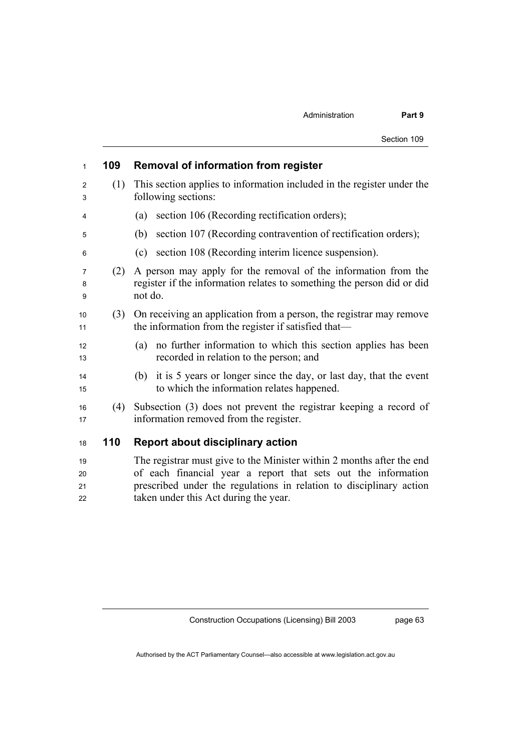| $\mathbf{1}$ | 109 | <b>Removal of information from register</b>                                                                                                         |
|--------------|-----|-----------------------------------------------------------------------------------------------------------------------------------------------------|
| 2<br>3       | (1) | This section applies to information included in the register under the<br>following sections:                                                       |
| 4            |     | section 106 (Recording rectification orders);<br>(a)                                                                                                |
| 5            |     | section 107 (Recording contravention of rectification orders);<br>(b)                                                                               |
| 6            |     | section 108 (Recording interim licence suspension).<br>(c)                                                                                          |
| 7<br>8<br>9  | (2) | A person may apply for the removal of the information from the<br>register if the information relates to something the person did or did<br>not do. |
| 10<br>11     | (3) | On receiving an application from a person, the registrar may remove<br>the information from the register if satisfied that—                         |
| 12<br>13     |     | no further information to which this section applies has been<br>(a)<br>recorded in relation to the person; and                                     |
| 14<br>15     |     | it is 5 years or longer since the day, or last day, that the event<br>(b)<br>to which the information relates happened.                             |
| 16<br>17     | (4) | Subsection (3) does not prevent the registrar keeping a record of<br>information removed from the register.                                         |
| 18           | 110 | <b>Report about disciplinary action</b>                                                                                                             |
| 19           |     | The registrar must give to the Minister within 2 months after the end                                                                               |

The registrar must give to the Minister within 2 months after the end of each financial year a report that sets out the information prescribed under the regulations in relation to disciplinary action taken under this Act during the year.

Construction Occupations (Licensing) Bill 2003

page 63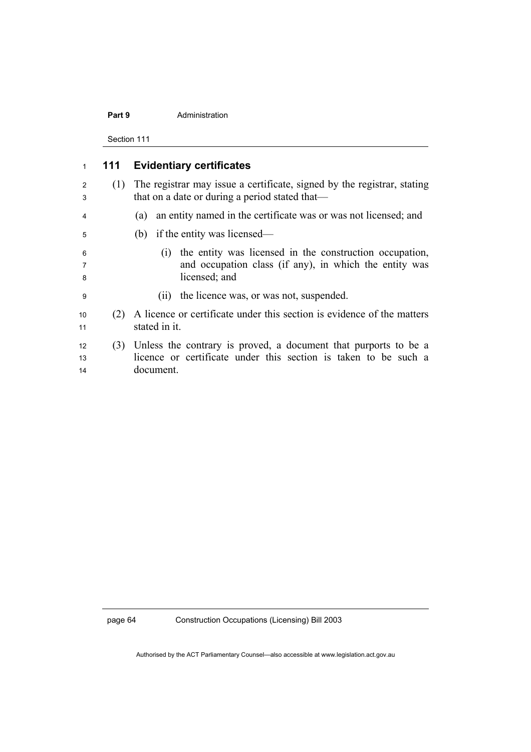#### **Part 9 Administration**

Section 111

| 1              | 111 | <b>Evidentiary certificates</b>                                                                                                                 |
|----------------|-----|-------------------------------------------------------------------------------------------------------------------------------------------------|
| 2<br>3         | (1) | The registrar may issue a certificate, signed by the registrar, stating<br>that on a date or during a period stated that—                       |
| 4              |     | an entity named in the certificate was or was not licensed; and<br>(a)                                                                          |
| 5              |     | (b) if the entity was licensed—                                                                                                                 |
| 6<br>7<br>8    |     | (i) the entity was licensed in the construction occupation,<br>and occupation class (if any), in which the entity was<br>licensed; and          |
| 9              |     | the licence was, or was not, suspended.<br>(11)                                                                                                 |
| 10<br>11       | (2) | A licence or certificate under this section is evidence of the matters<br>stated in it.                                                         |
| 12<br>13<br>14 | (3) | Unless the contrary is proved, a document that purports to be a<br>licence or certificate under this section is taken to be such a<br>document. |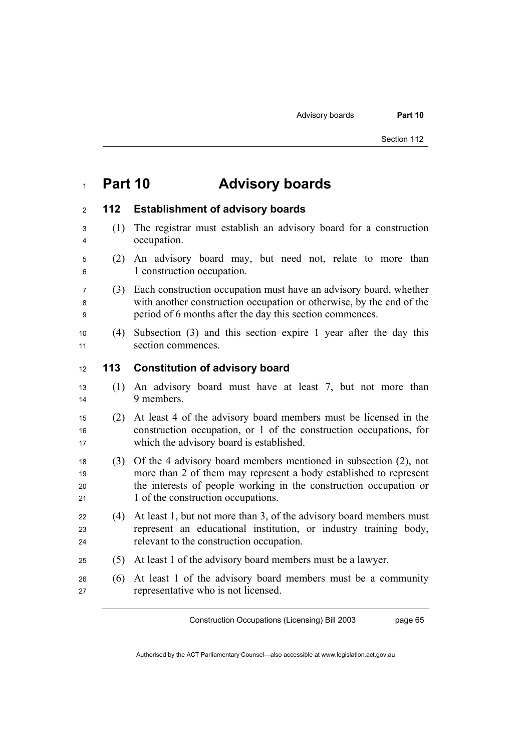## **Part 10 Advisory boards**

## **112 Establishment of advisory boards**

- (1) The registrar must establish an advisory board for a construction occupation.
- (2) An advisory board may, but need not, relate to more than 1 construction occupation.
- (3) Each construction occupation must have an advisory board, whether with another construction occupation or otherwise, by the end of the period of 6 months after the day this section commences.
- (4) Subsection (3) and this section expire 1 year after the day this 11 section commences.

## **113 Constitution of advisory board**

- (1) An advisory board must have at least 7, but not more than 14 9 members
- (2) At least 4 of the advisory board members must be licensed in the construction occupation, or 1 of the construction occupations, for 17 which the advisory board is established.
- (3) Of the 4 advisory board members mentioned in subsection (2), not more than 2 of them may represent a body established to represent 20 the interests of people working in the construction occupation or 21 1 of the construction occupations.
- 22  $(4)$  At least 1, but not more than 3, of the advisory board members must 23 represent an educational institution, or industry training body, relevant to the construction occupation.
- (5) At least 1 of the advisory board members must be a lawyer.
- (6) At least 1 of the advisory board members must be a community representative who is not licensed.

Construction Occupations (Licensing) Bill 2003

page 65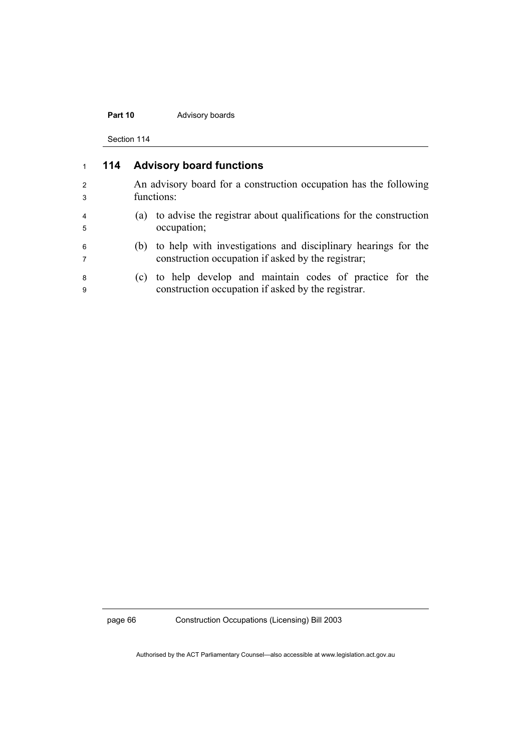## Part 10 Advisory boards

Section 114

|                      | 114 | <b>Advisory board functions</b>                                                                                         |
|----------------------|-----|-------------------------------------------------------------------------------------------------------------------------|
| $\overline{2}$<br>3  |     | An advisory board for a construction occupation has the following<br>functions:                                         |
| $\overline{4}$<br>-5 |     | (a) to advise the registrar about qualifications for the construction<br>occupation;                                    |
| 6<br>7               |     | (b) to help with investigations and disciplinary hearings for the<br>construction occupation if asked by the registrar; |
| 8<br>9               |     | (c) to help develop and maintain codes of practice for the<br>construction occupation if asked by the registrar.        |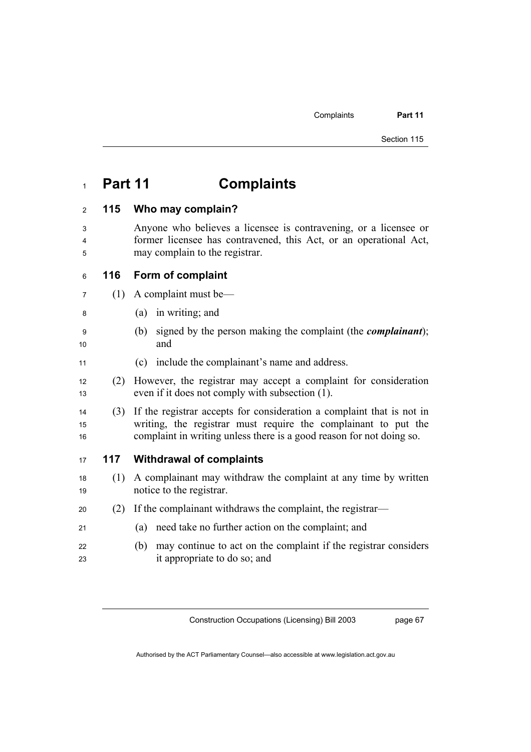## **Part 11 Complaints**

## **115 Who may complain?**

- Anyone who believes a licensee is contravening, or a licensee or former licensee has contravened, this Act, or an operational Act, may complain to the registrar.
- **116 Form of complaint**
- (1) A complaint must be—
- (a) in writing; and
- (b) signed by the person making the complaint (the *complainant*); 10 and
- (c) include the complainant's name and address.
- (2) However, the registrar may accept a complaint for consideration 13 even if it does not comply with subsection (1).
- (3) If the registrar accepts for consideration a complaint that is not in writing, the registrar must require the complainant to put the complaint in writing unless there is a good reason for not doing so.

## **117 Withdrawal of complaints**

- (1) A complainant may withdraw the complaint at any time by written 19 notice to the registrar.
- (2) If the complainant withdraws the complaint, the registrar—
- (a) need take no further action on the complaint; and
- (b) may continue to act on the complaint if the registrar considers it appropriate to do so; and

Construction Occupations (Licensing) Bill 2003

page 67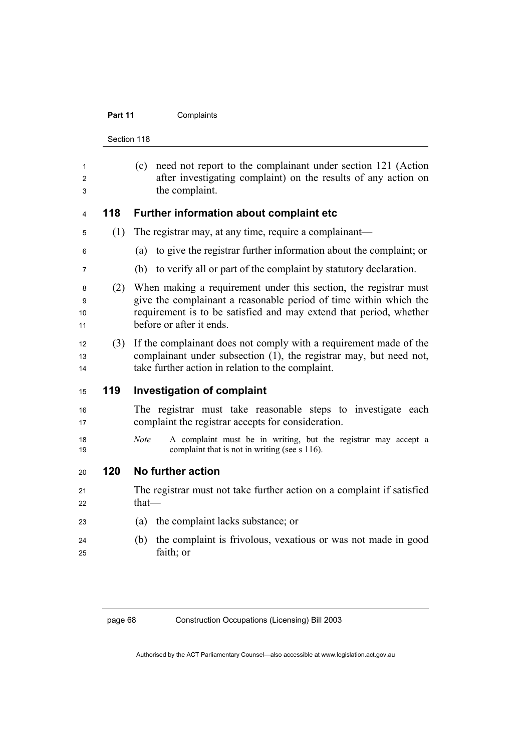## Part 11 **Complaints**

Section 118

| 1<br>2<br>3        |     | (c) need not report to the complainant under section 121 (Action<br>after investigating complaint) on the results of any action on<br>the complaint.                                                                                    |
|--------------------|-----|-----------------------------------------------------------------------------------------------------------------------------------------------------------------------------------------------------------------------------------------|
|                    |     |                                                                                                                                                                                                                                         |
| 4                  | 118 | Further information about complaint etc                                                                                                                                                                                                 |
| 5                  | (1) | The registrar may, at any time, require a complainant—                                                                                                                                                                                  |
| 6                  |     | to give the registrar further information about the complaint; or<br>(a)                                                                                                                                                                |
| 7                  |     | to verify all or part of the complaint by statutory declaration.<br>(b)                                                                                                                                                                 |
| 8<br>9<br>10<br>11 | (2) | When making a requirement under this section, the registrar must<br>give the complainant a reasonable period of time within which the<br>requirement is to be satisfied and may extend that period, whether<br>before or after it ends. |
| 12<br>13<br>14     | (3) | If the complainant does not comply with a requirement made of the<br>complainant under subsection (1), the registrar may, but need not,<br>take further action in relation to the complaint.                                            |
| 15                 | 119 | <b>Investigation of complaint</b>                                                                                                                                                                                                       |
| 16<br>17           |     | The registrar must take reasonable steps to investigate each<br>complaint the registrar accepts for consideration.                                                                                                                      |
| 18<br>19           |     | A complaint must be in writing, but the registrar may accept a<br><b>Note</b><br>complaint that is not in writing (see s 116).                                                                                                          |
| 20                 | 120 | No further action                                                                                                                                                                                                                       |
| 21<br>22           |     | The registrar must not take further action on a complaint if satisfied<br>$that$ —                                                                                                                                                      |
| 23                 |     | the complaint lacks substance; or<br>(a)                                                                                                                                                                                                |
| 24<br>25           |     | the complaint is frivolous, vexatious or was not made in good<br>(b)<br>faith; or                                                                                                                                                       |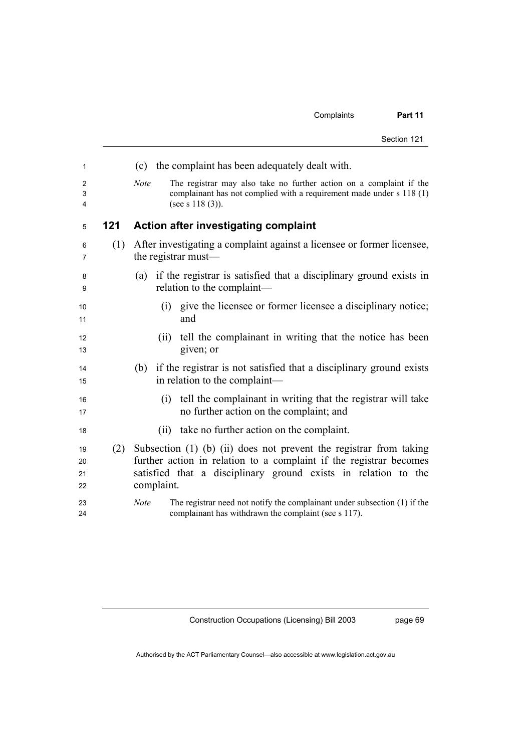| Section 121 |  |
|-------------|--|
|-------------|--|

| 1                    |     | (c) the complaint has been adequately dealt with.                                                                                                                                                                        |
|----------------------|-----|--------------------------------------------------------------------------------------------------------------------------------------------------------------------------------------------------------------------------|
| 2<br>3<br>4          |     | <b>Note</b><br>The registrar may also take no further action on a complaint if the<br>complainant has not complied with a requirement made under s 118 (1)<br>(see s $118(3)$ ).                                         |
| 5                    | 121 | <b>Action after investigating complaint</b>                                                                                                                                                                              |
| 6<br>7               | (1) | After investigating a complaint against a licensee or former licensee,<br>the registrar must—                                                                                                                            |
| 8<br>9               |     | if the registrar is satisfied that a disciplinary ground exists in<br>(a)<br>relation to the complaint-                                                                                                                  |
| 10<br>11             |     | (i) give the licensee or former licensee a disciplinary notice;<br>and                                                                                                                                                   |
| 12<br>13             |     | tell the complainant in writing that the notice has been<br>(11)<br>given; or                                                                                                                                            |
| 14<br>15             |     | (b) if the registrar is not satisfied that a disciplinary ground exists<br>in relation to the complaint—                                                                                                                 |
| 16<br>17             |     | (i) tell the complainant in writing that the registrar will take<br>no further action on the complaint; and                                                                                                              |
| 18                   |     | (ii) take no further action on the complaint.                                                                                                                                                                            |
| 19<br>20<br>21<br>22 | (2) | Subsection (1) (b) (ii) does not prevent the registrar from taking<br>further action in relation to a complaint if the registrar becomes<br>satisfied that a disciplinary ground exists in relation to the<br>complaint. |
| 23<br>24             |     | The registrar need not notify the complainant under subsection (1) if the<br><b>Note</b><br>complainant has withdrawn the complaint (see s 117).                                                                         |

page 69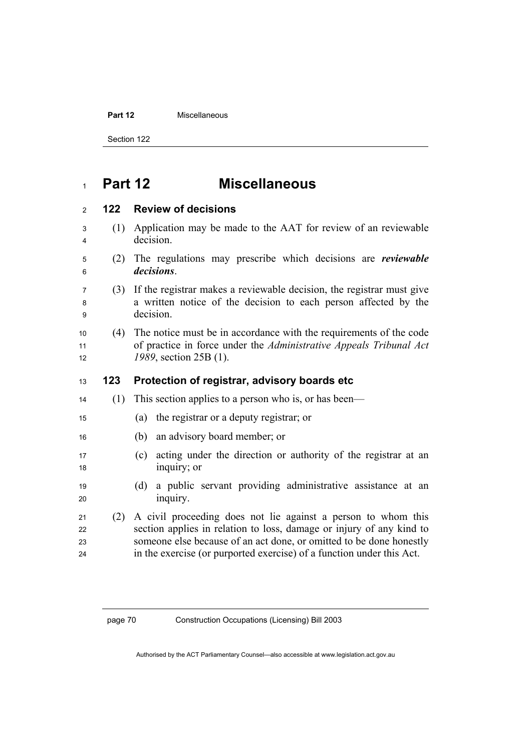### **Part 12 Miscellaneous**

Section 122

## **Part 12 Miscellaneous**

## **122 Review of decisions**

- (1) Application may be made to the AAT for review of an reviewable decision.
- (2) The regulations may prescribe which decisions are *reviewable decisions*.
- (3) If the registrar makes a reviewable decision, the registrar must give a written notice of the decision to each person affected by the decision.
- (4) The notice must be in accordance with the requirements of the code of practice in force under the *Administrative Appeals Tribunal Act 1989*, section 25B (1).

## **123 Protection of registrar, advisory boards etc**

- (1) This section applies to a person who is, or has been—
- (a) the registrar or a deputy registrar; or
- (b) an advisory board member; or
- (c) acting under the direction or authority of the registrar at an 18 inquiry; or
- (d) a public servant providing administrative assistance at an 20 inquiry.
- (2) A civil proceeding does not lie against a person to whom this section applies in relation to loss, damage or injury of any kind to someone else because of an act done, or omitted to be done honestly in the exercise (or purported exercise) of a function under this Act.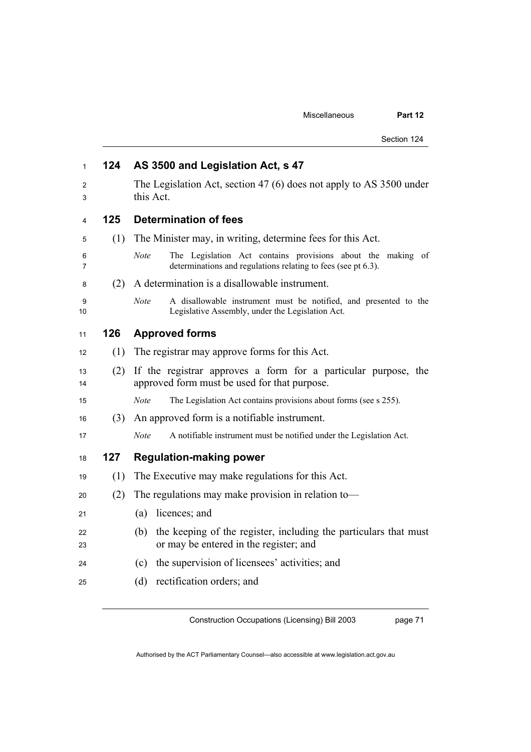| 1        | 124 | AS 3500 and Legislation Act, s 47                                                                                                           |  |  |
|----------|-----|---------------------------------------------------------------------------------------------------------------------------------------------|--|--|
| 2<br>3   |     | The Legislation Act, section 47 (6) does not apply to AS 3500 under<br>this Act.                                                            |  |  |
| 4        | 125 | <b>Determination of fees</b>                                                                                                                |  |  |
| 5        | (1) | The Minister may, in writing, determine fees for this Act.                                                                                  |  |  |
| 6<br>7   |     | <b>Note</b><br>The Legislation Act contains provisions about the making of<br>determinations and regulations relating to fees (see pt 6.3). |  |  |
| 8        | (2) | A determination is a disallowable instrument.                                                                                               |  |  |
| 9<br>10  |     | <b>Note</b><br>A disallowable instrument must be notified, and presented to the<br>Legislative Assembly, under the Legislation Act.         |  |  |
| 11       | 126 | <b>Approved forms</b>                                                                                                                       |  |  |
| 12       | (1) | The registrar may approve forms for this Act.                                                                                               |  |  |
| 13<br>14 | (2) | If the registrar approves a form for a particular purpose, the<br>approved form must be used for that purpose.                              |  |  |
| 15       |     | The Legislation Act contains provisions about forms (see s 255).<br><b>Note</b>                                                             |  |  |
| 16       | (3) | An approved form is a notifiable instrument.                                                                                                |  |  |
| 17       |     | A notifiable instrument must be notified under the Legislation Act.<br>Note                                                                 |  |  |
| 18       | 127 | <b>Regulation-making power</b>                                                                                                              |  |  |
| 19       | (1) | The Executive may make regulations for this Act.                                                                                            |  |  |
| 20       | (2) | The regulations may make provision in relation to-                                                                                          |  |  |
| 21       |     | (a)<br>licences; and                                                                                                                        |  |  |
| 22<br>23 |     | the keeping of the register, including the particulars that must<br>(b)<br>or may be entered in the register; and                           |  |  |
| 24       |     | the supervision of licensees' activities; and<br>(c)                                                                                        |  |  |
| 25       |     | rectification orders; and<br>(d)                                                                                                            |  |  |

page 71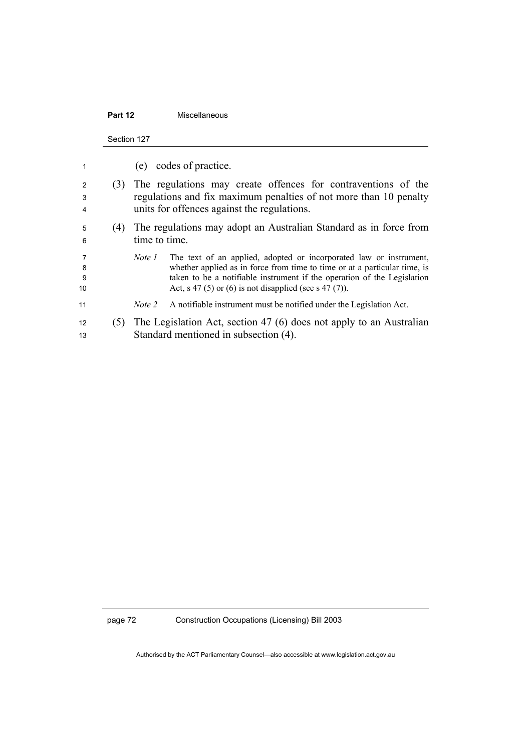## **Part 12** Miscellaneous

Section 127

| 1                 |     |               | (e) codes of practice.                                                                                                                                                                                                                                                               |
|-------------------|-----|---------------|--------------------------------------------------------------------------------------------------------------------------------------------------------------------------------------------------------------------------------------------------------------------------------------|
| 2<br>3<br>4       | (3) |               | The regulations may create offences for contraventions of the<br>regulations and fix maximum penalties of not more than 10 penalty<br>units for offences against the regulations.                                                                                                    |
| 5<br>6            | (4) | time to time. | The regulations may adopt an Australian Standard as in force from                                                                                                                                                                                                                    |
| 7<br>8<br>9<br>10 |     | Note 1        | The text of an applied, adopted or incorporated law or instrument,<br>whether applied as in force from time to time or at a particular time, is<br>taken to be a notifiable instrument if the operation of the Legislation<br>Act, s 47 (5) or (6) is not disapplied (see s 47 (7)). |
| 11                |     | Note 2        | A notifiable instrument must be notified under the Legislation Act.                                                                                                                                                                                                                  |
| 12<br>13          |     |               | (5) The Legislation Act, section 47 (6) does not apply to an Australian<br>Standard mentioned in subsection (4).                                                                                                                                                                     |

page 72 Construction Occupations (Licensing) Bill 2003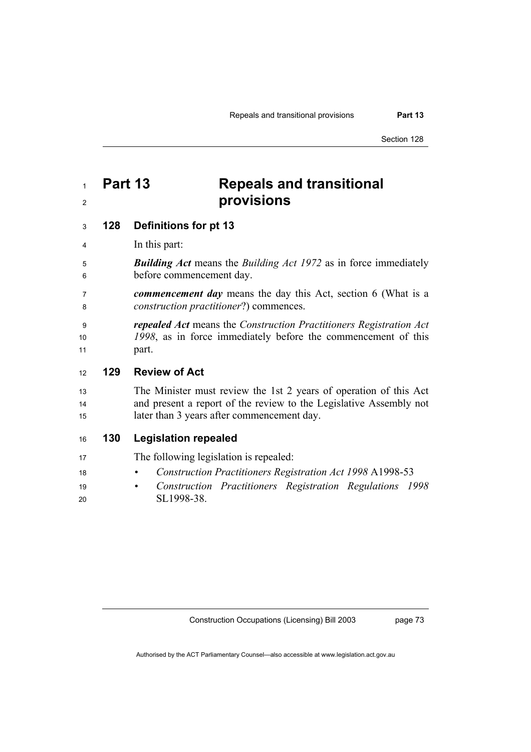## <sup>1</sup>**Part 13 Repeals and transitional**  <sup>2</sup>**provisions**

## <sup>3</sup>**128 Definitions for pt 13**

4 In this part:

- <sup>5</sup>*Building Act* means the *Building Act 1972* as in force immediately <sup>6</sup>before commencement day.
- <sup>7</sup>*commencement day* means the day this Act, section 6 (What is a <sup>8</sup>*construction practitioner*?) commences.
- <sup>9</sup>*repealed Act* means the *Construction Practitioners Registration Act*  <sup>10</sup>*1998*, as in force immediately before the commencement of this 11 part.

## <sup>12</sup>**129 Review of Act**

- 13 The Minister must review the 1st 2 years of operation of this Act 14 and present a report of the review to the Legislative Assembly not 15 later than 3 years after commencement day.
- <sup>16</sup>**130 Legislation repealed**
- 17 The following legislation is repealed:
- <sup>18</sup> *Construction Practitioners Registration Act 1998* A1998-53
- <sup>19</sup> *Construction Practitioners Registration Regulations 1998* 20 SL1998-38.

Construction Occupations (Licensing) Bill 2003

page 73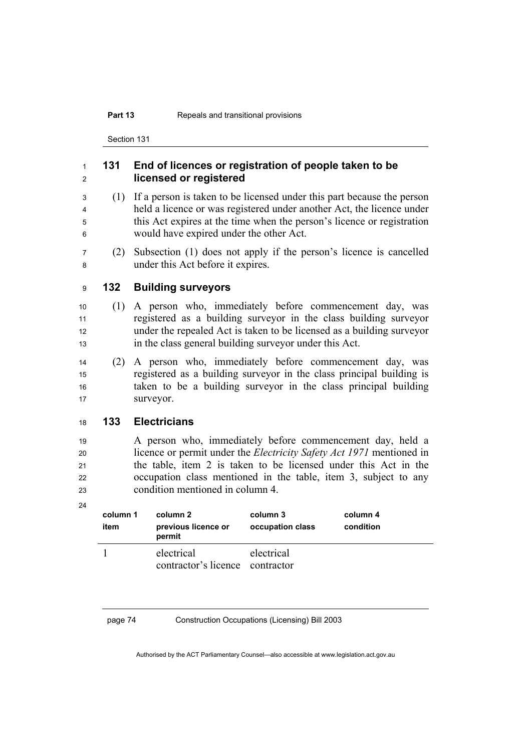### **Part 13** Repeals and transitional provisions

Section 131

## <sup>1</sup>**131 End of licences or registration of people taken to be**  <sup>2</sup>**licensed or registered**

- <sup>3</sup>(1) If a person is taken to be licensed under this part because the person <sup>4</sup>held a licence or was registered under another Act, the licence under 5 this Act expires at the time when the person's licence or registration <sup>6</sup>would have expired under the other Act.
- <sup>7</sup>(2) Subsection (1) does not apply if the person's licence is cancelled <sup>8</sup>under this Act before it expires.

## <sup>9</sup>**132 Building surveyors**

- <sup>10</sup>(1) A person who, immediately before commencement day, was <sup>11</sup>registered as a building surveyor in the class building surveyor <sup>12</sup>under the repealed Act is taken to be licensed as a building surveyor <sup>13</sup>in the class general building surveyor under this Act.
- <sup>14</sup>(2) A person who, immediately before commencement day, was <sup>15</sup>registered as a building surveyor in the class principal building is 16 taken to be a building survey in the class principal building 17 Surveyor.

## <sup>18</sup>**133 Electricians**

<sup>19</sup>A person who, immediately before commencement day, held a <sup>20</sup>licence or permit under the *Electricity Safety Act 1971* mentioned in 21 the table, item 2 is taken to be licensed under this Act in the 22 occupation class mentioned in the table, item 3, subject to any <sup>23</sup>condition mentioned in column 4.

24

| column 1<br>item | column 2<br>previous licence or<br>permit     | column 3<br>occupation class | column 4<br>condition |
|------------------|-----------------------------------------------|------------------------------|-----------------------|
|                  | electrical<br>contractor's licence contractor | electrical                   |                       |

page 74 Construction Occupations (Licensing) Bill 2003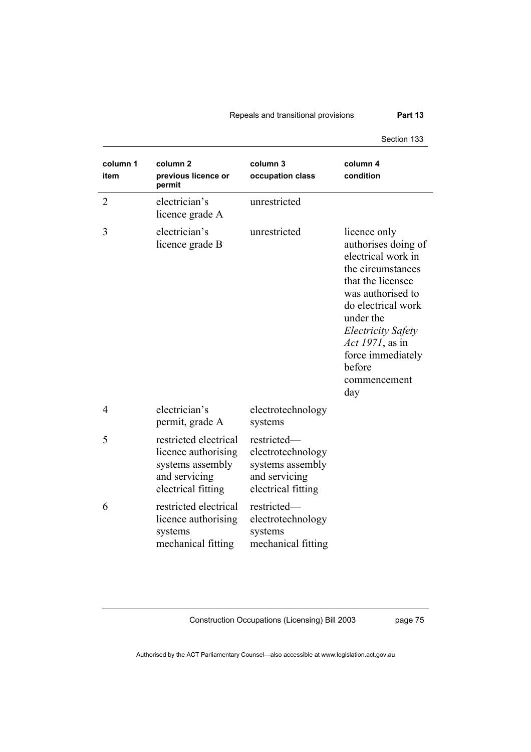## Repeals and transitional provisions **Part 13**

Section 133

| column 1<br>item | column 2<br>previous licence or<br>permit                                                               | column <sub>3</sub><br>occupation class                                                     | column 4<br>condition                                                                                                                                                                                                                                              |
|------------------|---------------------------------------------------------------------------------------------------------|---------------------------------------------------------------------------------------------|--------------------------------------------------------------------------------------------------------------------------------------------------------------------------------------------------------------------------------------------------------------------|
| $\overline{2}$   | electrician's<br>licence grade A                                                                        | unrestricted                                                                                |                                                                                                                                                                                                                                                                    |
| 3                | electrician's<br>licence grade B                                                                        | unrestricted                                                                                | licence only<br>authorises doing of<br>electrical work in<br>the circumstances<br>that the licensee<br>was authorised to<br>do electrical work<br>under the<br>Electricity Safety<br><i>Act 1971</i> , as in<br>force immediately<br>before<br>commencement<br>day |
| $\overline{4}$   | electrician's<br>permit, grade A                                                                        | electrotechnology<br>systems                                                                |                                                                                                                                                                                                                                                                    |
| 5                | restricted electrical<br>licence authorising<br>systems assembly<br>and servicing<br>electrical fitting | restricted-<br>electrotechnology<br>systems assembly<br>and servicing<br>electrical fitting |                                                                                                                                                                                                                                                                    |
| 6                | restricted electrical<br>licence authorising<br>systems<br>mechanical fitting                           | restricted-<br>electrotechnology<br>systems<br>mechanical fitting                           |                                                                                                                                                                                                                                                                    |

Construction Occupations (Licensing) Bill 2003

page 75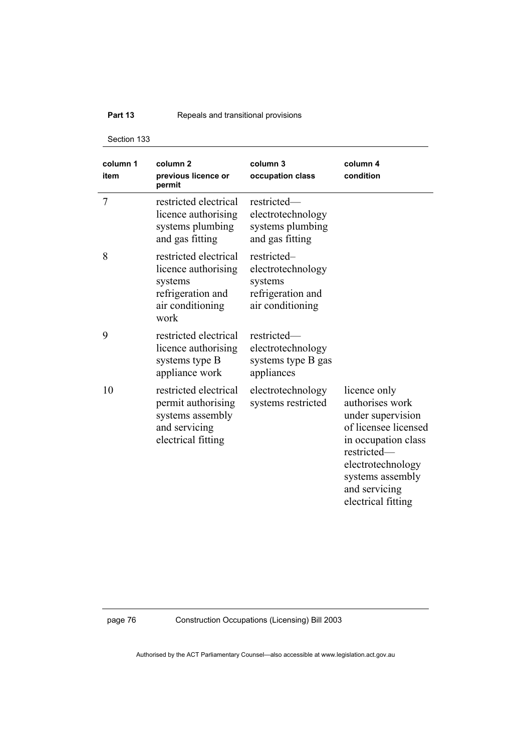## **Part 13 Repeals and transitional provisions**

Section 133

| column 1<br>item | column <sub>2</sub><br>previous licence or<br>permit                                                     | column 3<br>occupation class                                                         | column 4<br>condition                                                                                                                                                                              |
|------------------|----------------------------------------------------------------------------------------------------------|--------------------------------------------------------------------------------------|----------------------------------------------------------------------------------------------------------------------------------------------------------------------------------------------------|
| 7                | restricted electrical<br>licence authorising<br>systems plumbing<br>and gas fitting                      | restricted-<br>electrotechnology<br>systems plumbing<br>and gas fitting              |                                                                                                                                                                                                    |
| 8                | restricted electrical<br>licence authorising<br>systems<br>refrigeration and<br>air conditioning<br>work | restricted-<br>electrotechnology<br>systems<br>refrigeration and<br>air conditioning |                                                                                                                                                                                                    |
| 9                | restricted electrical<br>licence authorising<br>systems type B<br>appliance work                         | restricted-<br>electrotechnology<br>systems type B gas<br>appliances                 |                                                                                                                                                                                                    |
| 10               | restricted electrical<br>permit authorising<br>systems assembly<br>and servicing<br>electrical fitting   | electrotechnology<br>systems restricted                                              | licence only<br>authorises work<br>under supervision<br>of licensee licensed<br>in occupation class<br>restricted-<br>electrotechnology<br>systems assembly<br>and servicing<br>electrical fitting |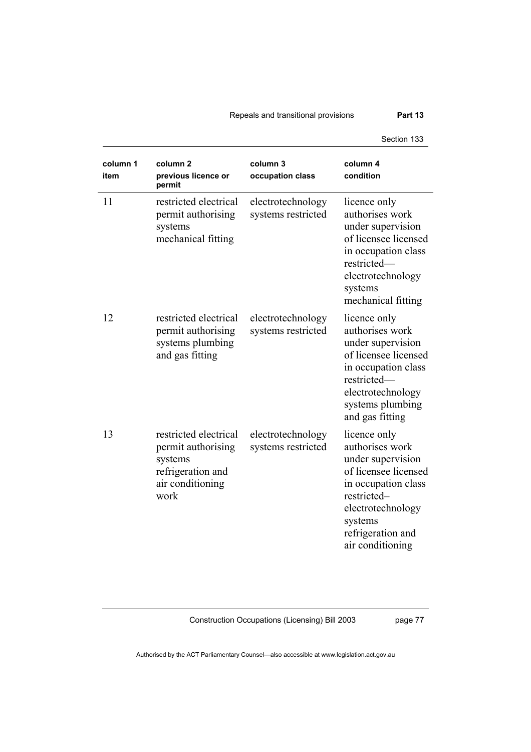## Repeals and transitional provisions **Part 13**

Section 133

| column 1<br>item | column 2<br>previous licence or<br>permit                                                               | column 3<br>occupation class            | column 4<br>condition                                                                                                                                                                       |
|------------------|---------------------------------------------------------------------------------------------------------|-----------------------------------------|---------------------------------------------------------------------------------------------------------------------------------------------------------------------------------------------|
| 11               | restricted electrical<br>permit authorising<br>systems<br>mechanical fitting                            | electrotechnology<br>systems restricted | licence only<br>authorises work<br>under supervision<br>of licensee licensed<br>in occupation class<br>restricted-<br>electrotechnology<br>systems<br>mechanical fitting                    |
| 12               | restricted electrical<br>permit authorising<br>systems plumbing<br>and gas fitting                      | electrotechnology<br>systems restricted | licence only<br>authorises work<br>under supervision<br>of licensee licensed<br>in occupation class<br>restricted-<br>electrotechnology<br>systems plumbing<br>and gas fitting              |
| 13               | restricted electrical<br>permit authorising<br>systems<br>refrigeration and<br>air conditioning<br>work | electrotechnology<br>systems restricted | licence only<br>authorises work<br>under supervision<br>of licensee licensed<br>in occupation class<br>restricted-<br>electrotechnology<br>systems<br>refrigeration and<br>air conditioning |

Construction Occupations (Licensing) Bill 2003

page 77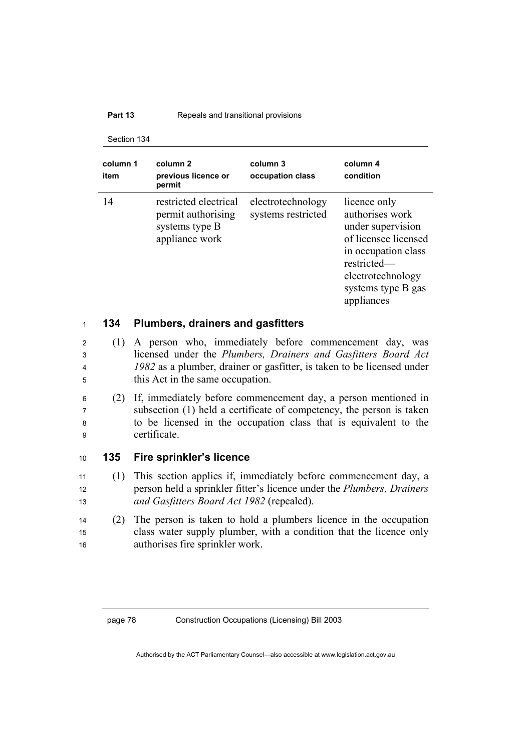### **Part 13 Repeals and transitional provisions**

#### Section 134

| column 1<br>item | column <sub>2</sub><br>previous licence or<br>permit                            | column 3<br>occupation class            | column 4<br>condition                                                                                                                                                       |
|------------------|---------------------------------------------------------------------------------|-----------------------------------------|-----------------------------------------------------------------------------------------------------------------------------------------------------------------------------|
| 14               | restricted electrical<br>permit authorising<br>systems type B<br>appliance work | electrotechnology<br>systems restricted | licence only<br>authorises work<br>under supervision<br>of licensee licensed<br>in occupation class<br>restricted-<br>electrotechnology<br>systems type B gas<br>appliances |

## <sup>1</sup>**134 Plumbers, drainers and gasfitters**

- <sup>2</sup>(1) A person who, immediately before commencement day, was <sup>3</sup>licensed under the *Plumbers, Drainers and Gasfitters Board Act*  <sup>4</sup>*1982* as a plumber, drainer or gasfitter, is taken to be licensed under 5 this Act in the same occupation.
- <sup>6</sup>(2) If, immediately before commencement day, a person mentioned in <sup>7</sup>subsection (1) held a certificate of competency, the person is taken <sup>8</sup>to be licensed in the occupation class that is equivalent to the <sup>9</sup>certificate.

## <sup>10</sup>**135 Fire sprinkler's licence**

- <sup>11</sup>(1) This section applies if, immediately before commencement day, a <sup>12</sup>person held a sprinkler fitter's licence under the *Plumbers, Drainers*  <sup>13</sup>*and Gasfitters Board Act 1982* (repealed).
- <sup>14</sup>(2) The person is taken to hold a plumbers licence in the occupation 15 class water supply plumber, with a condition that the licence only 16 authorises fire sprinkler work.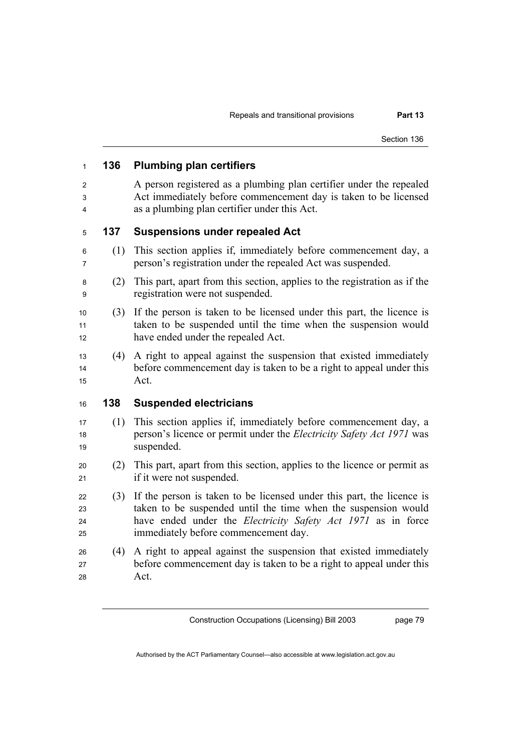## **136 Plumbing plan certifiers**  A person registered as a plumbing plan certifier under the repealed Act immediately before commencement day is taken to be licensed as a plumbing plan certifier under this Act. **137 Suspensions under repealed Act**  (1) This section applies if, immediately before commencement day, a person's registration under the repealed Act was suspended. (2) This part, apart from this section, applies to the registration as if the registration were not suspended. (3) If the person is taken to be licensed under this part, the licence is 11 taken to be suspended until the time when the suspension would 12 have ended under the repealed Act. (4) A right to appeal against the suspension that existed immediately 14 before commencement day is taken to be a right to appeal under this Act. **138 Suspended electricians**  (1) This section applies if, immediately before commencement day, a person's licence or permit under the *Electricity Safety Act 1971* was 19 suspended. (2) This part, apart from this section, applies to the licence or permit as 21 if it were not suspended. (3) If the person is taken to be licensed under this part, the licence is 23 taken to be suspended until the time when the suspension would have ended under the *Electricity Safety Act 1971* as in force immediately before commencement day. (4) A right to appeal against the suspension that existed immediately before commencement day is taken to be a right to appeal under this Act.

Construction Occupations (Licensing) Bill 2003

page 79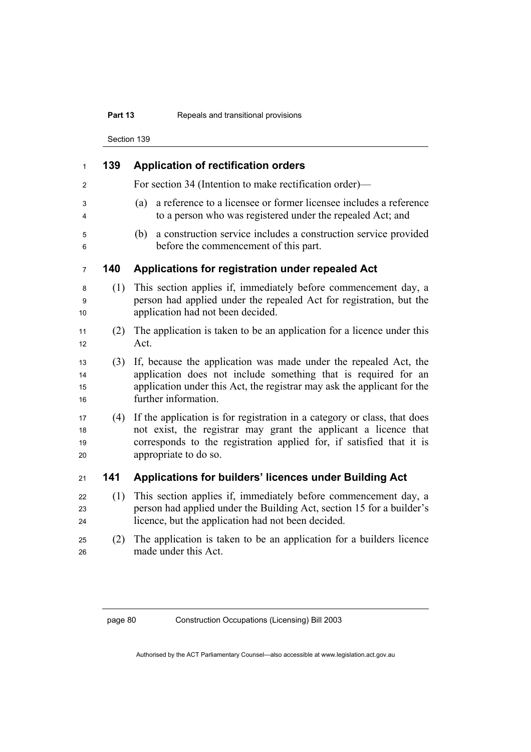## **Part 13 Repeals and transitional provisions**

Section 139

| $\mathbf{1}$         | 139 | <b>Application of rectification orders</b>                                                                                                                                                                                                   |  |  |
|----------------------|-----|----------------------------------------------------------------------------------------------------------------------------------------------------------------------------------------------------------------------------------------------|--|--|
| 2                    |     | For section 34 (Intention to make rectification order)—                                                                                                                                                                                      |  |  |
| 3<br>4               |     | a reference to a licensee or former licensee includes a reference<br>(a)<br>to a person who was registered under the repealed Act; and                                                                                                       |  |  |
| 5<br>6               |     | a construction service includes a construction service provided<br>(b)<br>before the commencement of this part.                                                                                                                              |  |  |
| $\overline{7}$       | 140 | Applications for registration under repealed Act                                                                                                                                                                                             |  |  |
| 8<br>9<br>10         | (1) | This section applies if, immediately before commencement day, a<br>person had applied under the repealed Act for registration, but the<br>application had not been decided.                                                                  |  |  |
| 11<br>12             | (2) | The application is taken to be an application for a licence under this<br>Act.                                                                                                                                                               |  |  |
| 13<br>14<br>15<br>16 | (3) | If, because the application was made under the repealed Act, the<br>application does not include something that is required for an<br>application under this Act, the registrar may ask the applicant for the<br>further information.        |  |  |
| 17<br>18<br>19<br>20 | (4) | If the application is for registration in a category or class, that does<br>not exist, the registrar may grant the applicant a licence that<br>corresponds to the registration applied for, if satisfied that it is<br>appropriate to do so. |  |  |
| 21                   | 141 | Applications for builders' licences under Building Act                                                                                                                                                                                       |  |  |
| 22<br>23<br>24       | (1) | This section applies if, immediately before commencement day, a<br>person had applied under the Building Act, section 15 for a builder's<br>licence, but the application had not been decided.                                               |  |  |
| 25<br>26             | (2) | The application is taken to be an application for a builders licence<br>made under this Act.                                                                                                                                                 |  |  |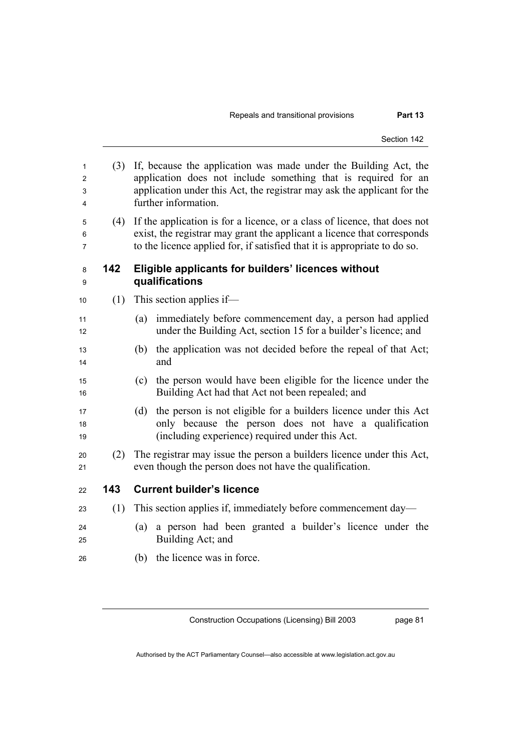| 1<br>2<br>3<br>4 | (3) | If, because the application was made under the Building Act, the<br>application does not include something that is required for an<br>application under this Act, the registrar may ask the applicant for the<br>further information. |
|------------------|-----|---------------------------------------------------------------------------------------------------------------------------------------------------------------------------------------------------------------------------------------|
| 5<br>6<br>7      | (4) | If the application is for a licence, or a class of licence, that does not<br>exist, the registrar may grant the applicant a licence that corresponds<br>to the licence applied for, if satisfied that it is appropriate to do so.     |
| 8<br>9           | 142 | Eligible applicants for builders' licences without<br>qualifications                                                                                                                                                                  |
| 10               | (1) | This section applies if—                                                                                                                                                                                                              |
| 11<br>12         |     | immediately before commencement day, a person had applied<br>(a)<br>under the Building Act, section 15 for a builder's licence; and                                                                                                   |
| 13<br>14         |     | the application was not decided before the repeal of that Act;<br>(b)<br>and                                                                                                                                                          |
| 15<br>16         |     | the person would have been eligible for the licence under the<br>(c)<br>Building Act had that Act not been repealed; and                                                                                                              |
| 17<br>18<br>19   |     | the person is not eligible for a builders licence under this Act<br>(d)<br>only because the person does not have a qualification<br>(including experience) required under this Act.                                                   |
| 20<br>21         | (2) | The registrar may issue the person a builders licence under this Act,<br>even though the person does not have the qualification.                                                                                                      |
| 22               | 143 | <b>Current builder's licence</b>                                                                                                                                                                                                      |
| 23               | (1) | This section applies if, immediately before commencement day—                                                                                                                                                                         |
| 24<br>25         |     | a person had been granted a builder's licence under the<br>(a)<br>Building Act; and                                                                                                                                                   |
| 26               |     | the licence was in force.<br>(b)                                                                                                                                                                                                      |
|                  |     |                                                                                                                                                                                                                                       |

page 81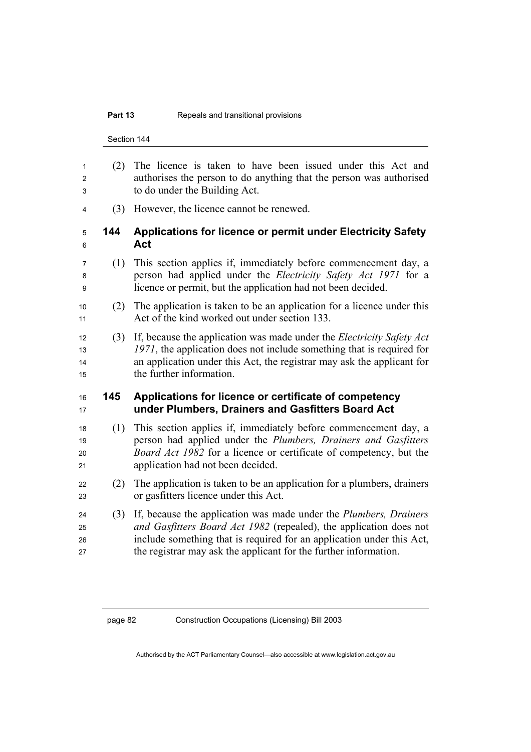#### **Part 13 Repeals and transitional provisions**

Section 144 (2) The licence is taken to have been issued under this Act and authorises the person to do anything that the person was authorised to do under the Building Act. (3) However, the licence cannot be renewed. **144 Applications for licence or permit under Electricity Safety** 

- **Act**
- (1) This section applies if, immediately before commencement day, a person had applied under the *Electricity Safety Act 1971* for a licence or permit, but the application had not been decided.
- (2) The application is taken to be an application for a licence under this 11 Act of the kind worked out under section 133.
- (3) If, because the application was made under the *Electricity Safety Act 1971*, the application does not include something that is required for an application under this Act, the registrar may ask the applicant for 15 the further information.

## **145 Applications for licence or certificate of competency under Plumbers, Drainers and Gasfitters Board Act**

- (1) This section applies if, immediately before commencement day, a person had applied under the *Plumbers, Drainers and Gasfitters Board Act 1982* for a licence or certificate of competency, but the 21 application had not been decided.
- (2) The application is taken to be an application for a plumbers, drainers or gasfitters licence under this Act.
- (3) If, because the application was made under the *Plumbers, Drainers and Gasfitters Board Act 1982* (repealed), the application does not include something that is required for an application under this Act, the registrar may ask the applicant for the further information.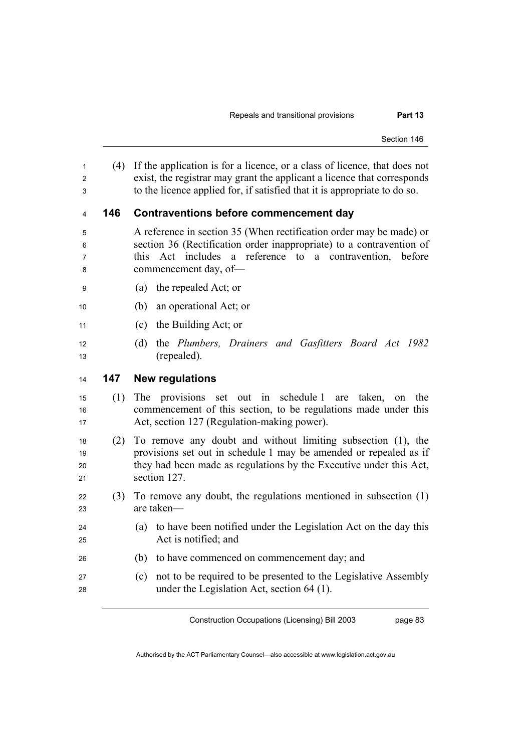(4) If the application is for a licence, or a class of licence, that does not exist, the registrar may grant the applicant a licence that corresponds to the licence applied for, if satisfied that it is appropriate to do so.

## **146 Contraventions before commencement day**

- A reference in section 35 (When rectification order may be made) or section 36 (Rectification order inappropriate) to a contravention of this Act includes a reference to a contravention, before 8 commencement day, of-
- (a) the repealed Act; or
- (b) an operational Act; or
- (c) the Building Act; or
- (d) the *Plumbers, Drainers and Gasfitters Board Act 1982*  13 (repealed).

## **147 New regulations**

- (1) The provisions set out in schedule 1 are taken, on the commencement of this section, to be regulations made under this 17 Act, section 127 (Regulation-making power).
- (2) To remove any doubt and without limiting subsection (1), the **provisions set out in schedule 1 may be amended or repealed as if** 20 they had been made as regulations by the Executive under this Act, 21 section 127.
- 22 (3) To remove any doubt, the regulations mentioned in subsection  $(1)$ are taken—
- (a) to have been notified under the Legislation Act on the day this 25 Act is notified; and
- (b) to have commenced on commencement day; and
- (c) not to be required to be presented to the Legislative Assembly under the Legislation Act, section 64 (1).

Construction Occupations (Licensing) Bill 2003

page 83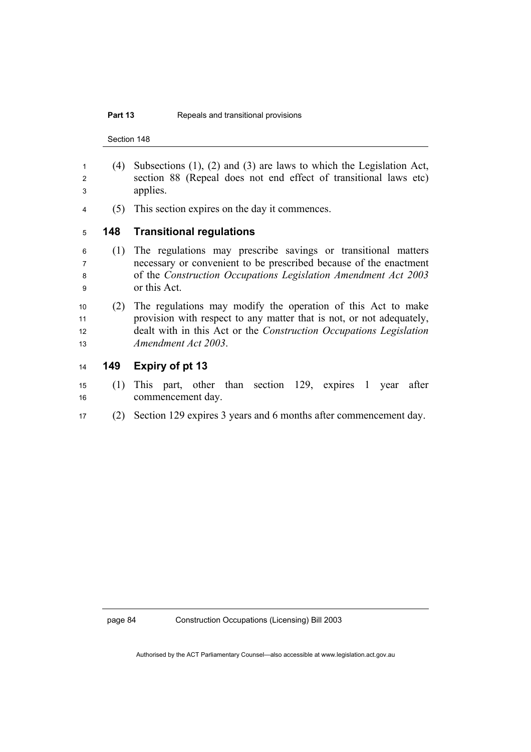### **Part 13** Repeals and transitional provisions

Section 148

- (4) Subsections (1), (2) and (3) are laws to which the Legislation Act, section 88 (Repeal does not end effect of transitional laws etc) applies.
- (5) This section expires on the day it commences.

**148 Transitional regulations** 

- (1) The regulations may prescribe savings or transitional matters necessary or convenient to be prescribed because of the enactment of the *Construction Occupations Legislation Amendment Act 2003* or this Act.
- (2) The regulations may modify the operation of this Act to make 11 provision with respect to any matter that is not, or not adequately, 12 dealt with in this Act or the *Construction Occupations Legislation Amendment Act 2003*.
- **149 Expiry of pt 13**
- (1) This part, other than section 129, expires 1 year after 16 commencement day.
- (2) Section 129 expires 3 years and 6 months after commencement day.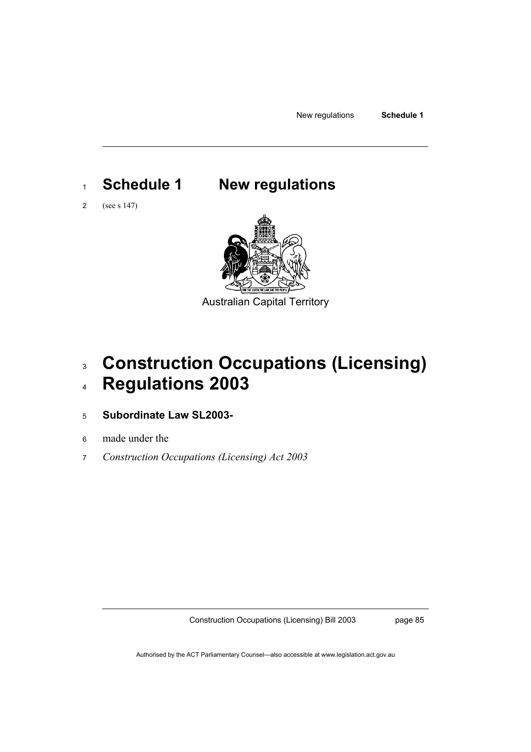New regulations **Schedule 1** 

# <sup>1</sup>**Schedule 1 New regulations**

2 (see s 147)



Australian Capital Territory

# <sup>3</sup>**Construction Occupations (Licensing)**  <sup>4</sup>**Regulations 2003**

## <sup>5</sup>**Subordinate Law SL2003-**

- 6 made under the
- 7 *Construction Occupations (Licensing) Act 2003*

Construction Occupations (Licensing) Bill 2003

page 85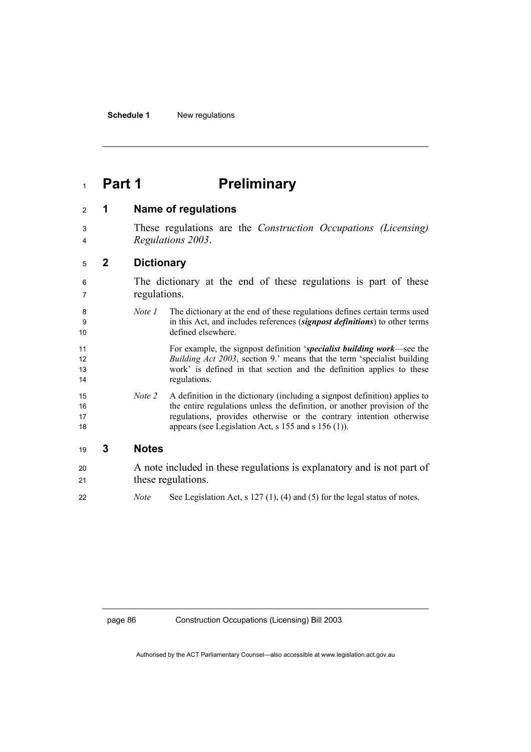## **Part 1 Preliminary**

- **1 Name of regulations**
- These regulations are the *Construction Occupations (Licensing) Regulations 2003*.

## **2 Dictionary**

- The dictionary at the end of these regulations is part of these regulations.
- *Note 1* The dictionary at the end of these regulations defines certain terms used in this Act, and includes references (*signpost definitions*) to other terms defined elsewhere.
- For example, the signpost definition '*specialist building work*—see the *Building Act 2003*, section 9.' means that the term 'specialist building work' is defined in that section and the definition applies to these 14 regulations.
- *Note 2* A definition in the dictionary (including a signpost definition) applies to the entire regulations unless the definition, or another provision of the regulations, provides otherwise or the contrary intention otherwise 18 appears (see Legislation Act, s 155 and s 156 (1)).

## **3 Notes**

A note included in these regulations is explanatory and is not part of 21 these regulations. *Note* See Legislation Act, s 127 (1), (4) and (5) for the legal status of notes.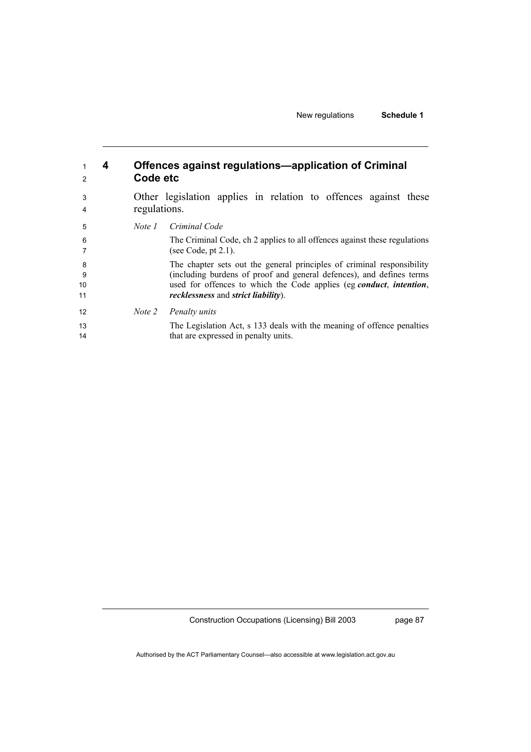| $\overline{2}$ | 4 | Code etc     | Offences against regulations-application of Criminal                                                                      |
|----------------|---|--------------|---------------------------------------------------------------------------------------------------------------------------|
| 3<br>4         |   | regulations. | Other legislation applies in relation to offences against these                                                           |
| 5              |   | Note 1       | Criminal Code                                                                                                             |
| 6<br>7         |   |              | The Criminal Code, ch 2 applies to all offences against these regulations<br>(see Code, pt $2.1$ ).                       |
| 8              |   |              | The chapter sets out the general principles of criminal responsibility                                                    |
| -9             |   |              | (including burdens of proof and general defences), and defines terms                                                      |
| 10<br>11       |   |              | used for offences to which the Code applies (eg conduct, intention,<br><i>recklessness</i> and <i>strict liability</i> ). |
| 12             |   | Note 2       | Penalty units                                                                                                             |
| 13<br>14       |   |              | The Legislation Act, s 133 deals with the meaning of offence penalties<br>that are expressed in penalty units.            |

page 87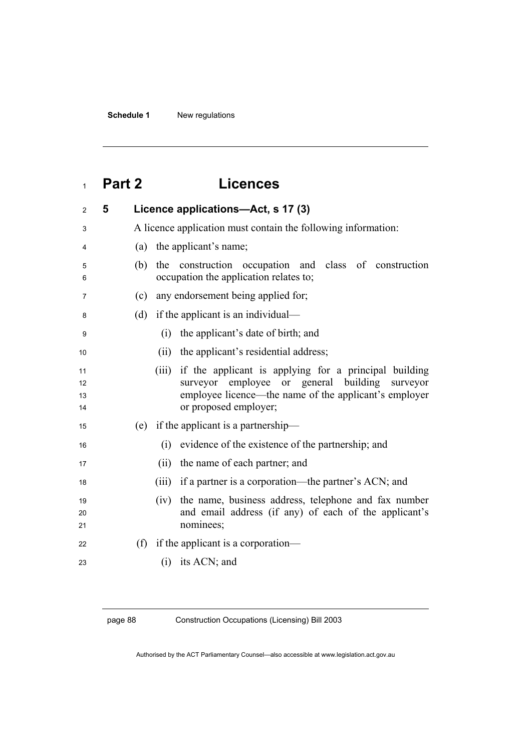# **Part 2 Licences**

| $\overline{2}$       | 5 | Licence applications-Act, s 17 (3)                                                                                                                                                                    |
|----------------------|---|-------------------------------------------------------------------------------------------------------------------------------------------------------------------------------------------------------|
| 3                    |   | A licence application must contain the following information:                                                                                                                                         |
| 4                    |   | the applicant's name;<br>(a)                                                                                                                                                                          |
| 5<br>6               |   | construction occupation and class of construction<br>(b)<br>the<br>occupation the application relates to;                                                                                             |
| 7                    |   | any endorsement being applied for;<br>(c)                                                                                                                                                             |
| 8                    |   | if the applicant is an individual—<br>(d)                                                                                                                                                             |
| 9                    |   | the applicant's date of birth; and<br>(i)                                                                                                                                                             |
| 10                   |   | the applicant's residential address;<br>(ii)                                                                                                                                                          |
| 11<br>12<br>13<br>14 |   | if the applicant is applying for a principal building<br>(iii)<br>surveyor employee or general building<br>surveyor<br>employee licence—the name of the applicant's employer<br>or proposed employer; |
| 15                   |   | if the applicant is a partnership—<br>(e)                                                                                                                                                             |
| 16                   |   | evidence of the existence of the partnership; and<br>(i)                                                                                                                                              |
| 17                   |   | (ii)<br>the name of each partner; and                                                                                                                                                                 |
| 18                   |   | if a partner is a corporation—the partner's ACN; and<br>(iii)                                                                                                                                         |
| 19<br>20<br>21       |   | the name, business address, telephone and fax number<br>(iv)<br>and email address (if any) of each of the applicant's<br>nominees;                                                                    |
| 22                   |   | if the applicant is a corporation—<br>(f)                                                                                                                                                             |
| 23                   |   | its ACN; and<br>(i)                                                                                                                                                                                   |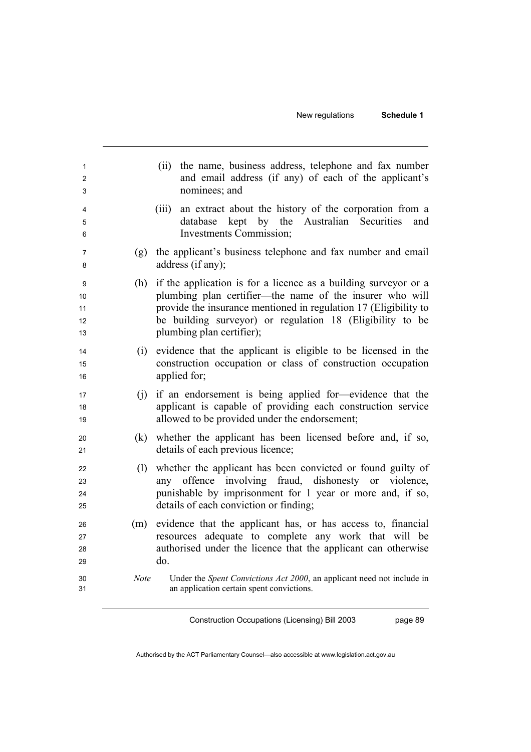| 1<br>2<br>3                      | the name, business address, telephone and fax number<br>(ii)<br>and email address (if any) of each of the applicant's<br>nominees; and                                                                                                                                                    |
|----------------------------------|-------------------------------------------------------------------------------------------------------------------------------------------------------------------------------------------------------------------------------------------------------------------------------------------|
| 4<br>5<br>6                      | an extract about the history of the corporation from a<br>(iii)<br>kept<br>by the Australian Securities<br>database<br>and<br><b>Investments Commission;</b>                                                                                                                              |
| (g)<br>7<br>8                    | the applicant's business telephone and fax number and email<br>address (if any);                                                                                                                                                                                                          |
| (h)<br>9<br>10<br>11<br>12<br>13 | if the application is for a licence as a building surveyor or a<br>plumbing plan certifier—the name of the insurer who will<br>provide the insurance mentioned in regulation 17 (Eligibility to<br>be building surveyor) or regulation 18 (Eligibility to be<br>plumbing plan certifier); |
| (i)<br>14<br>15<br>16            | evidence that the applicant is eligible to be licensed in the<br>construction occupation or class of construction occupation<br>applied for;                                                                                                                                              |
| (i)<br>17<br>18<br>19            | if an endorsement is being applied for-evidence that the<br>applicant is capable of providing each construction service<br>allowed to be provided under the endorsement;                                                                                                                  |
| (k)<br>20<br>21                  | whether the applicant has been licensed before and, if so,<br>details of each previous licence;                                                                                                                                                                                           |
| (1)<br>22<br>23<br>24<br>25      | whether the applicant has been convicted or found guilty of<br>any offence involving fraud, dishonesty or violence,<br>punishable by imprisonment for 1 year or more and, if so,<br>details of each conviction or finding;                                                                |
| (m)<br>26<br>27<br>28<br>29      | evidence that the applicant has, or has access to, financial<br>resources adequate to complete any work that will be<br>authorised under the licence that the applicant can otherwise<br>do.                                                                                              |
| <b>Note</b><br>30<br>31          | Under the Spent Convictions Act 2000, an applicant need not include in<br>an application certain spent convictions.                                                                                                                                                                       |

page 89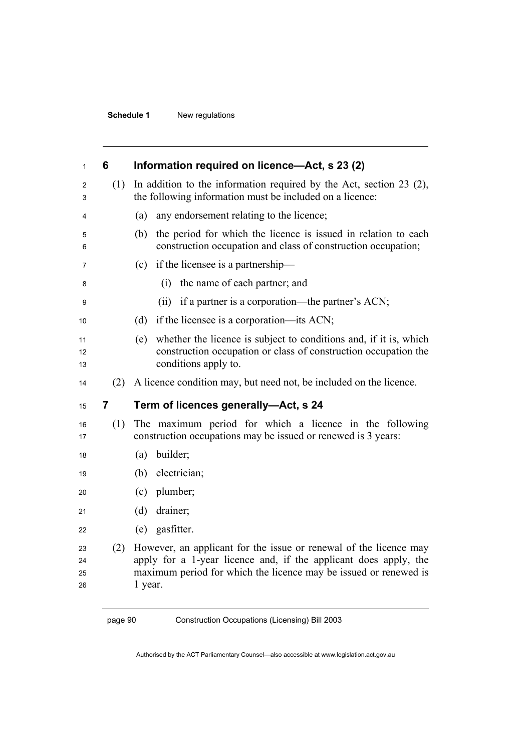## **Schedule 1** New regulations

| 1                    | 6   | Information required on licence—Act, s 23 (2)                                                                                                                                                                        |
|----------------------|-----|----------------------------------------------------------------------------------------------------------------------------------------------------------------------------------------------------------------------|
| 2<br>3               | (1) | In addition to the information required by the Act, section $23$ (2),<br>the following information must be included on a licence:                                                                                    |
| 4                    |     | any endorsement relating to the licence;<br>(a)                                                                                                                                                                      |
| 5<br>6               |     | the period for which the licence is issued in relation to each<br>(b)<br>construction occupation and class of construction occupation;                                                                               |
| 7                    |     | if the licensee is a partnership—<br>(c)                                                                                                                                                                             |
| 8                    |     | the name of each partner; and<br>(i)                                                                                                                                                                                 |
| 9                    |     | (ii) if a partner is a corporation—the partner's ACN;                                                                                                                                                                |
| 10                   |     | if the licensee is a corporation—its ACN;<br>(d)                                                                                                                                                                     |
| 11<br>12<br>13       |     | whether the licence is subject to conditions and, if it is, which<br>(e)<br>construction occupation or class of construction occupation the<br>conditions apply to.                                                  |
| 14                   | (2) | A licence condition may, but need not, be included on the licence.                                                                                                                                                   |
| 15                   | 7   | Term of licences generally-Act, s 24                                                                                                                                                                                 |
| 16<br>17             | (1) | The maximum period for which a licence in the following<br>construction occupations may be issued or renewed is 3 years:                                                                                             |
| 18                   |     | builder;<br>(a)                                                                                                                                                                                                      |
| 19                   |     | electrician;<br>(b)                                                                                                                                                                                                  |
| 20                   |     | $(c)$ plumber;                                                                                                                                                                                                       |
| 21                   |     | (d)<br>drainer;                                                                                                                                                                                                      |
| 22                   |     | (e) gasfitter.                                                                                                                                                                                                       |
| 23<br>24<br>25<br>26 | (2) | However, an applicant for the issue or renewal of the licence may<br>apply for a 1-year licence and, if the applicant does apply, the<br>maximum period for which the licence may be issued or renewed is<br>1 year. |

page 90 Construction Occupations (Licensing) Bill 2003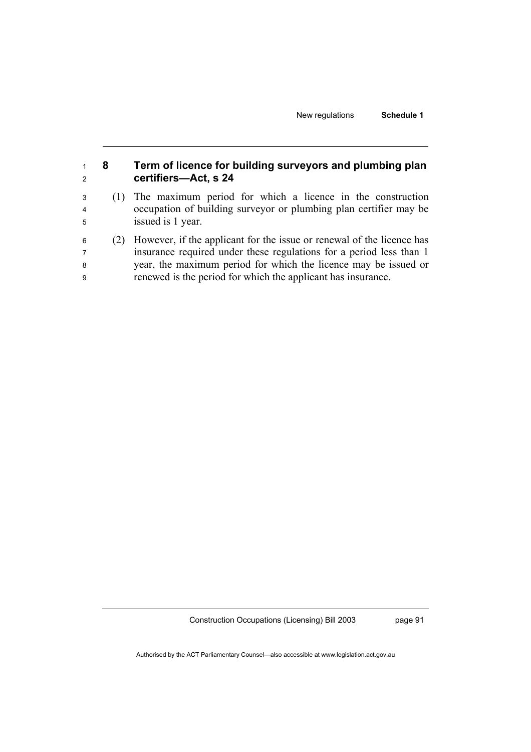New regulations **Schedule 1** 

| 1<br>2                        | 8   | Term of licence for building surveyors and plumbing plan<br>certifiers-Act, s 24                                                                                                                                                                                                |
|-------------------------------|-----|---------------------------------------------------------------------------------------------------------------------------------------------------------------------------------------------------------------------------------------------------------------------------------|
| 3<br>$\overline{4}$<br>5      | (1) | The maximum period for which a licence in the construction<br>occupation of building surveyor or plumbing plan certifier may be<br>issued is 1 year.                                                                                                                            |
| 6<br>$\overline{7}$<br>8<br>9 | (2) | However, if the applicant for the issue or renewal of the licence has<br>insurance required under these regulations for a period less than 1<br>year, the maximum period for which the licence may be issued or<br>renewed is the period for which the applicant has insurance. |

Construction Occupations (Licensing) Bill 2003

page 91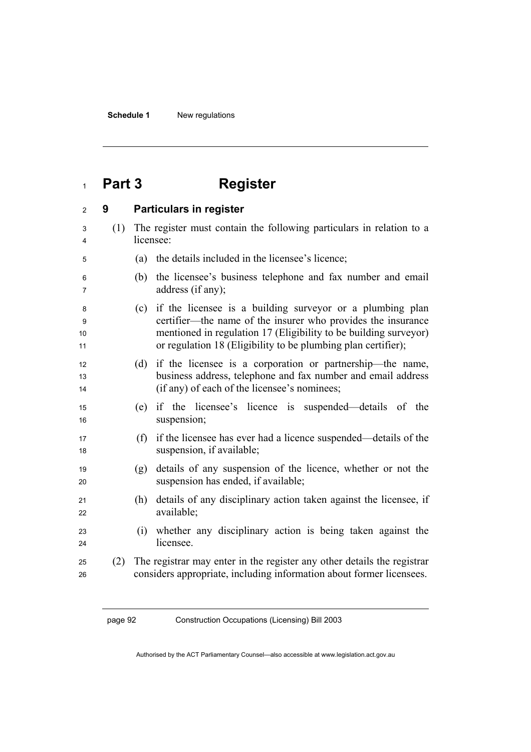# <sup>1</sup>**Part 3 Register**

| $\overline{c}$     | 9   | <b>Particulars in register</b>                                                                                                                                                                                                                                      |
|--------------------|-----|---------------------------------------------------------------------------------------------------------------------------------------------------------------------------------------------------------------------------------------------------------------------|
| 3<br>4             | (1) | The register must contain the following particulars in relation to a<br>licensee:                                                                                                                                                                                   |
| 5                  |     | the details included in the licensee's licence;<br>(a)                                                                                                                                                                                                              |
| 6<br>7             |     | the licensee's business telephone and fax number and email<br>(b)<br>address (if any);                                                                                                                                                                              |
| 8<br>9<br>10<br>11 |     | if the licensee is a building survey or a plumbing plan<br>(c)<br>certifier—the name of the insurer who provides the insurance<br>mentioned in regulation 17 (Eligibility to be building surveyor)<br>or regulation 18 (Eligibility to be plumbing plan certifier); |
| 12<br>13<br>14     |     | if the licensee is a corporation or partnership—the name,<br>(d)<br>business address, telephone and fax number and email address<br>(if any) of each of the licensee's nominees;                                                                                    |
| 15<br>16           |     | if the licensee's licence is suspended—details of the<br>(e)<br>suspension;                                                                                                                                                                                         |
| 17<br>18           |     | if the licensee has ever had a licence suspended—details of the<br>(f)<br>suspension, if available;                                                                                                                                                                 |
| 19<br>20           |     | details of any suspension of the licence, whether or not the<br>(g)<br>suspension has ended, if available;                                                                                                                                                          |
| 21<br>22           |     | details of any disciplinary action taken against the licensee, if<br>(h)<br>available;                                                                                                                                                                              |
| 23<br>24           |     | whether any disciplinary action is being taken against the<br>(i)<br>licensee.                                                                                                                                                                                      |
| 25<br>26           | (2) | The registrar may enter in the register any other details the registrar<br>considers appropriate, including information about former licensees.                                                                                                                     |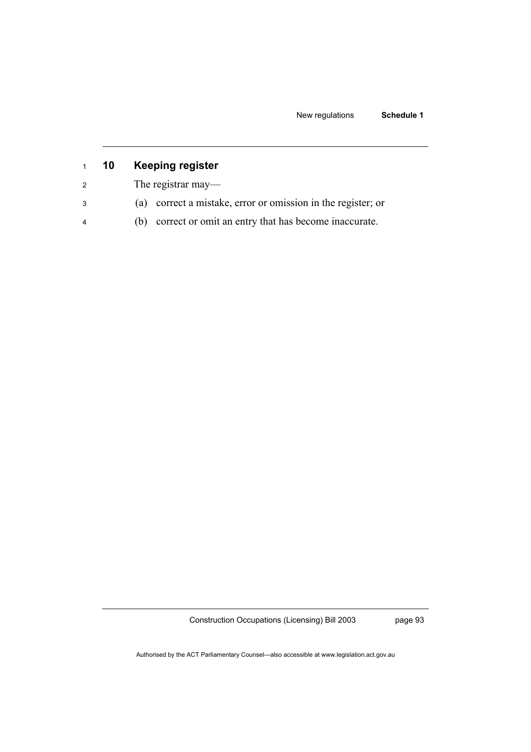New regulations **Schedule 1** 

| $1 \quad$      | 10 | <b>Keeping register</b>                                         |
|----------------|----|-----------------------------------------------------------------|
| 2              |    | The registrar may—                                              |
| 3              |    | correct a mistake, error or omission in the register; or<br>(a) |
| $\overline{4}$ |    | correct or omit an entry that has become inaccurate.<br>(b)     |

Construction Occupations (Licensing) Bill 2003

page 93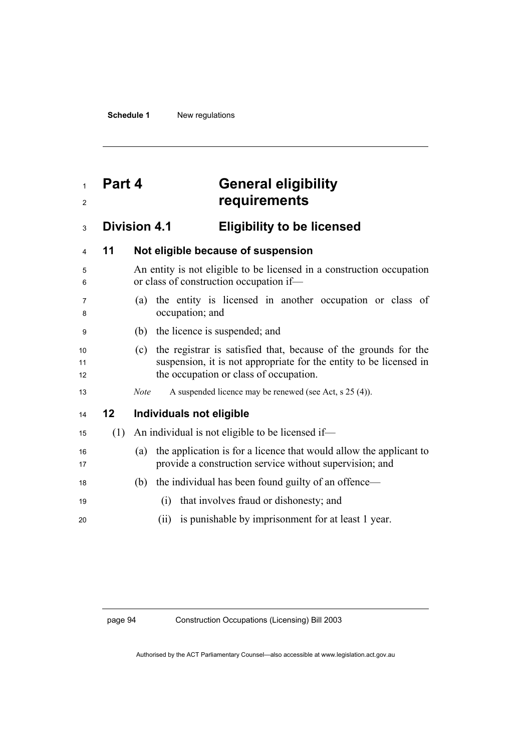# **Part 4 General eligibility requirements**

# **Division 4.1 Eligibility to be licensed**

| 4              | 11  | Not eligible because of suspension                                                                                                                                                     |
|----------------|-----|----------------------------------------------------------------------------------------------------------------------------------------------------------------------------------------|
| 5<br>6         |     | An entity is not eligible to be licensed in a construction occupation<br>or class of construction occupation if-                                                                       |
| 7<br>8         |     | (a) the entity is licensed in another occupation or class of<br>occupation; and                                                                                                        |
| 9              |     | (b) the licence is suspended; and                                                                                                                                                      |
| 10<br>11<br>12 |     | the registrar is satisfied that, because of the grounds for the<br>(c)<br>suspension, it is not appropriate for the entity to be licensed in<br>the occupation or class of occupation. |
| 13             |     | A suspended licence may be renewed (see Act, s 25 (4)).<br><b>Note</b>                                                                                                                 |
| 14             | 12  | Individuals not eligible                                                                                                                                                               |
| 15             | (1) | An individual is not eligible to be licensed if—                                                                                                                                       |
| 16<br>17       |     | the application is for a licence that would allow the applicant to<br>(a)<br>provide a construction service without supervision; and                                                   |
| 18             |     | (b) the individual has been found guilty of an offence—                                                                                                                                |
| 19             |     | that involves fraud or dishonesty; and<br>(i)                                                                                                                                          |
| 20             |     | is punishable by imprisonment for at least 1 year.<br>(i)                                                                                                                              |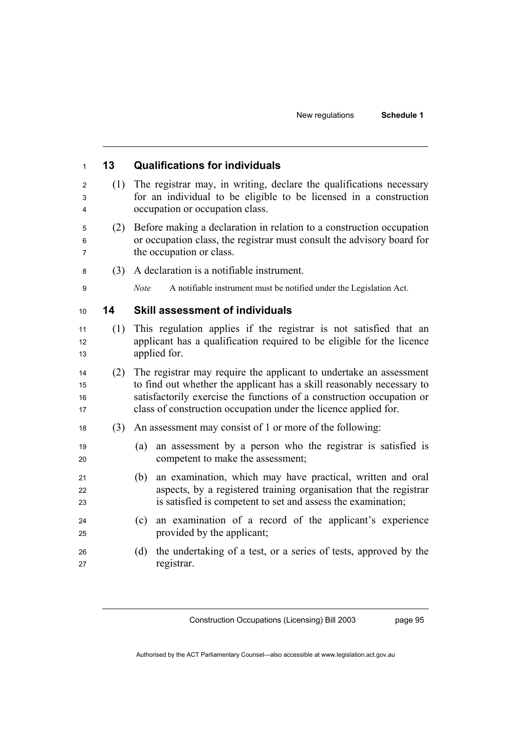| 13  | <b>Qualifications for individuals</b>                                                                                                                                                                                                                                                   |
|-----|-----------------------------------------------------------------------------------------------------------------------------------------------------------------------------------------------------------------------------------------------------------------------------------------|
| (1) | The registrar may, in writing, declare the qualifications necessary<br>for an individual to be eligible to be licensed in a construction<br>occupation or occupation class.                                                                                                             |
| (2) | Before making a declaration in relation to a construction occupation<br>or occupation class, the registrar must consult the advisory board for<br>the occupation or class.                                                                                                              |
| (3) | A declaration is a notifiable instrument.                                                                                                                                                                                                                                               |
|     | Note<br>A notifiable instrument must be notified under the Legislation Act.                                                                                                                                                                                                             |
| 14  | <b>Skill assessment of individuals</b>                                                                                                                                                                                                                                                  |
| (1) | This regulation applies if the registrar is not satisfied that an<br>applicant has a qualification required to be eligible for the licence<br>applied for.                                                                                                                              |
| (2) | The registrar may require the applicant to undertake an assessment<br>to find out whether the applicant has a skill reasonably necessary to<br>satisfactorily exercise the functions of a construction occupation or<br>class of construction occupation under the licence applied for. |
| (3) | An assessment may consist of 1 or more of the following:                                                                                                                                                                                                                                |
|     | an assessment by a person who the registrar is satisfied is<br>(a)<br>competent to make the assessment;                                                                                                                                                                                 |
|     | an examination, which may have practical, written and oral<br>(b)<br>aspects, by a registered training organisation that the registrar<br>is satisfied is competent to set and assess the examination;                                                                                  |
|     | an examination of a record of the applicant's experience<br>(c)<br>provided by the applicant;                                                                                                                                                                                           |
|     | the undertaking of a test, or a series of tests, approved by the<br>(d)                                                                                                                                                                                                                 |

page 95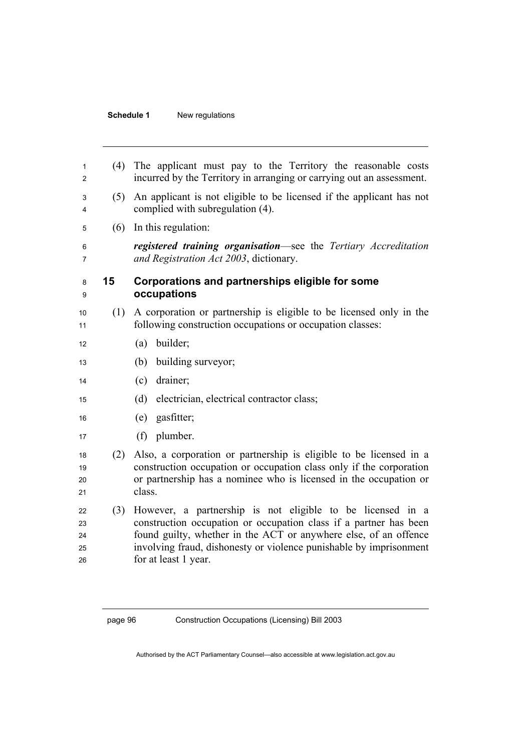## **Schedule 1** New regulations

| 1<br>2                     | (4) | The applicant must pay to the Territory the reasonable costs<br>incurred by the Territory in arranging or carrying out an assessment.                                                                                                                                                             |
|----------------------------|-----|---------------------------------------------------------------------------------------------------------------------------------------------------------------------------------------------------------------------------------------------------------------------------------------------------|
| 3<br>4                     | (5) | An applicant is not eligible to be licensed if the applicant has not<br>complied with subregulation (4).                                                                                                                                                                                          |
| 5                          | (6) | In this regulation:                                                                                                                                                                                                                                                                               |
| 6<br>7                     |     | registered training organisation—see the Tertiary Accreditation<br>and Registration Act 2003, dictionary.                                                                                                                                                                                         |
| 8<br>9                     | 15  | Corporations and partnerships eligible for some<br>occupations                                                                                                                                                                                                                                    |
| 10<br>11                   |     | (1) A corporation or partnership is eligible to be licensed only in the<br>following construction occupations or occupation classes:                                                                                                                                                              |
| 12                         |     | builder;<br>(a)                                                                                                                                                                                                                                                                                   |
| 13                         |     | building surveyor;<br>(b)                                                                                                                                                                                                                                                                         |
| 14                         |     | drainer;<br>(c)                                                                                                                                                                                                                                                                                   |
| 15                         |     | (d)<br>electrician, electrical contractor class;                                                                                                                                                                                                                                                  |
| 16                         |     | gasfitter;<br>(e)                                                                                                                                                                                                                                                                                 |
| 17                         |     | (f) plumber.                                                                                                                                                                                                                                                                                      |
| 18<br>19<br>20<br>21       | (2) | Also, a corporation or partnership is eligible to be licensed in a<br>construction occupation or occupation class only if the corporation<br>or partnership has a nominee who is licensed in the occupation or<br>class.                                                                          |
| 22<br>23<br>24<br>25<br>26 | (3) | However, a partnership is not eligible to be licensed in a<br>construction occupation or occupation class if a partner has been<br>found guilty, whether in the ACT or anywhere else, of an offence<br>involving fraud, dishonesty or violence punishable by imprisonment<br>for at least 1 year. |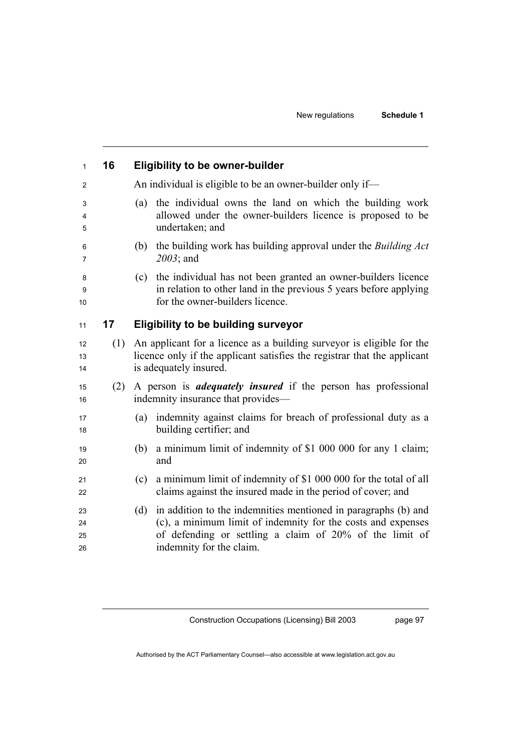| 16  | <b>Eligibility to be owner-builder</b>                                                                                                                                                                                       |
|-----|------------------------------------------------------------------------------------------------------------------------------------------------------------------------------------------------------------------------------|
|     | An individual is eligible to be an owner-builder only if—                                                                                                                                                                    |
|     | the individual owns the land on which the building work<br>(a)<br>allowed under the owner-builders licence is proposed to be<br>undertaken; and                                                                              |
|     | the building work has building approval under the <i>Building Act</i><br>(b)<br>2003; and                                                                                                                                    |
|     | the individual has not been granted an owner-builders licence<br>(c)<br>in relation to other land in the previous 5 years before applying<br>for the owner-builders licence.                                                 |
| 17  | <b>Eligibility to be building surveyor</b>                                                                                                                                                                                   |
| (1) | An applicant for a licence as a building survey or is eligible for the<br>licence only if the applicant satisfies the registrar that the applicant<br>is adequately insured.                                                 |
| (2) | A person is <i>adequately insured</i> if the person has professional<br>indemnity insurance that provides—                                                                                                                   |
|     | indemnity against claims for breach of professional duty as a<br>(a)<br>building certifier; and                                                                                                                              |
|     | a minimum limit of indemnity of \$1 000 000 for any 1 claim;<br>(b)<br>and                                                                                                                                                   |
|     | a minimum limit of indemnity of \$1 000 000 for the total of all<br>(c)<br>claims against the insured made in the period of cover; and                                                                                       |
|     | in addition to the indemnities mentioned in paragraphs (b) and<br>(d)<br>(c), a minimum limit of indemnity for the costs and expenses<br>of defending or settling a claim of 20% of the limit of<br>indemnity for the claim. |
|     |                                                                                                                                                                                                                              |

page 97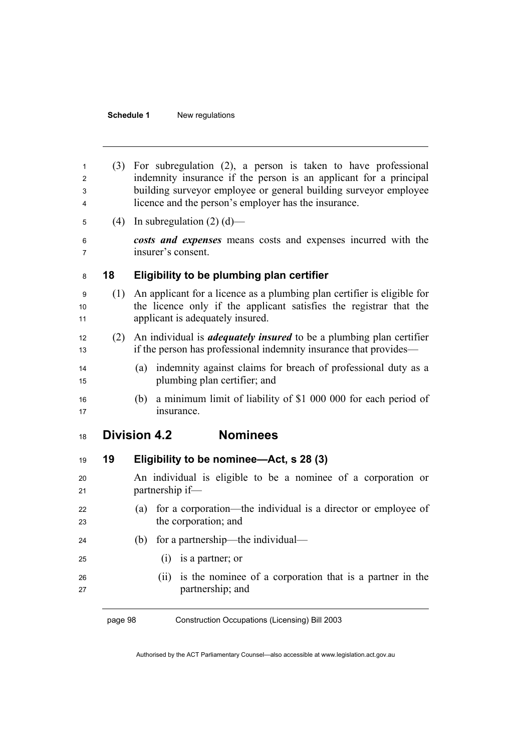## **Schedule 1** New regulations

| 1<br>2<br>3<br>4 |         | (3) For subregulation (2), a person is taken to have professional<br>indemnity insurance if the person is an applicant for a principal<br>building surveyor employee or general building surveyor employee<br>licence and the person's employer has the insurance. |  |  |
|------------------|---------|--------------------------------------------------------------------------------------------------------------------------------------------------------------------------------------------------------------------------------------------------------------------|--|--|
| 5                |         | (4) In subregulation (2) (d)—                                                                                                                                                                                                                                      |  |  |
| 6<br>7           |         | costs and expenses means costs and expenses incurred with the<br>insurer's consent.                                                                                                                                                                                |  |  |
| 8                | 18      | Eligibility to be plumbing plan certifier                                                                                                                                                                                                                          |  |  |
| 9<br>10<br>11    | (1)     | An applicant for a licence as a plumbing plan certifier is eligible for<br>the licence only if the applicant satisfies the registrar that the<br>applicant is adequately insured.                                                                                  |  |  |
| 12<br>13         |         | (2) An individual is <i>adequately insured</i> to be a plumbing plan certifier<br>if the person has professional indemnity insurance that provides—                                                                                                                |  |  |
| 14<br>15         |         | indemnity against claims for breach of professional duty as a<br>(a)<br>plumbing plan certifier; and                                                                                                                                                               |  |  |
| 16<br>17         |         | a minimum limit of liability of \$1 000 000 for each period of<br>(b)<br>insurance.                                                                                                                                                                                |  |  |
| 18               |         | <b>Nominees</b><br><b>Division 4.2</b>                                                                                                                                                                                                                             |  |  |
| 19               | 19      | Eligibility to be nominee—Act, s 28 (3)                                                                                                                                                                                                                            |  |  |
| 20<br>21         |         | An individual is eligible to be a nominee of a corporation or<br>partnership if-                                                                                                                                                                                   |  |  |
| 22<br>23         |         | (a) for a corporation—the individual is a director or employee of<br>the corporation; and                                                                                                                                                                          |  |  |
| 24               |         | for a partnership—the individual—<br>(b)                                                                                                                                                                                                                           |  |  |
| 25               |         | (i) is a partner; or                                                                                                                                                                                                                                               |  |  |
| 26<br>27         |         | is the nominee of a corporation that is a partner in the<br>(ii)<br>partnership; and                                                                                                                                                                               |  |  |
|                  | page 98 | Construction Occupations (Licensing) Bill 2003                                                                                                                                                                                                                     |  |  |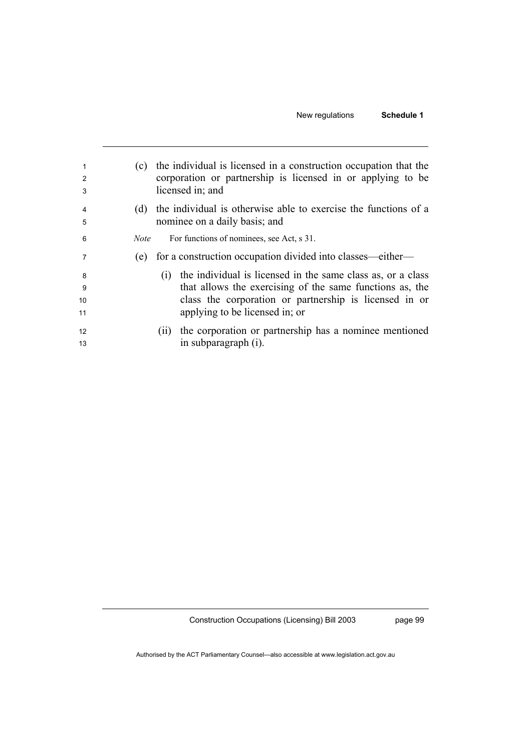| 1<br>2<br>3         | (c)         | the individual is licensed in a construction occupation that the<br>corporation or partnership is licensed in or applying to be<br>licensed in; and                                                                     |
|---------------------|-------------|-------------------------------------------------------------------------------------------------------------------------------------------------------------------------------------------------------------------------|
| 4<br>5              | (d)         | the individual is otherwise able to exercise the functions of a<br>nominee on a daily basis; and                                                                                                                        |
| 6                   | <i>Note</i> | For functions of nominees, see Act, s 31.                                                                                                                                                                               |
| 7                   | (e)         | for a construction occupation divided into classes—either—                                                                                                                                                              |
| 8<br>-9<br>10<br>11 |             | (i) the individual is licensed in the same class as, or a class<br>that allows the exercising of the same functions as, the<br>class the corporation or partnership is licensed in or<br>applying to be licensed in; or |
| 12<br>13            |             | (ii) the corporation or partnership has a nominee mentioned<br>in subparagraph (i).                                                                                                                                     |

page 99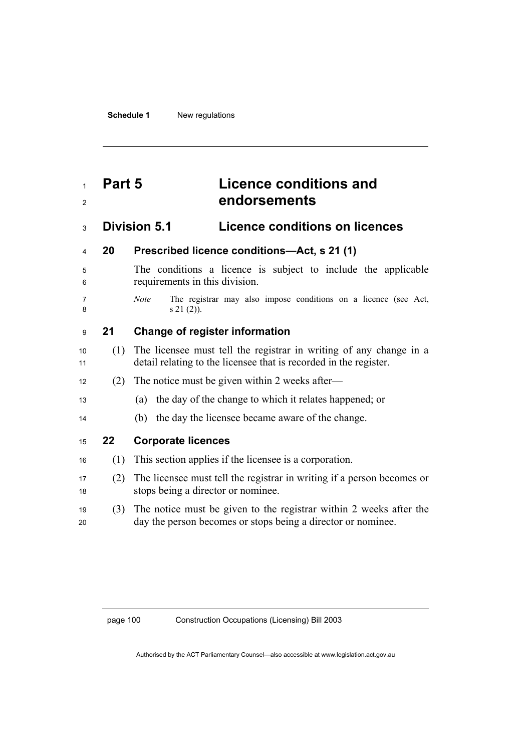## **Part 5 Licence conditions and endorsements**

## **Division 5.1 Licence conditions on licences**

## **20 Prescribed licence conditions—Act, s 21 (1)**

The conditions a licence is subject to include the applicable requirements in this division.

- 
- *Note* The registrar may also impose conditions on a licence (see Act, 8 s  $21 (2)$ .

## **21 Change of register information**

- (1) The licensee must tell the registrar in writing of any change in a 11 detail relating to the licensee that is recorded in the register.
- 12 (2) The notice must be given within 2 weeks after—
- (a) the day of the change to which it relates happened; or
- (b) the day the licensee became aware of the change.
- **22 Corporate licences**
- (1) This section applies if the licensee is a corporation.
- (2) The licensee must tell the registrar in writing if a person becomes or stops being a director or nominee.
- (3) The notice must be given to the registrar within 2 weeks after the day the person becomes or stops being a director or nominee.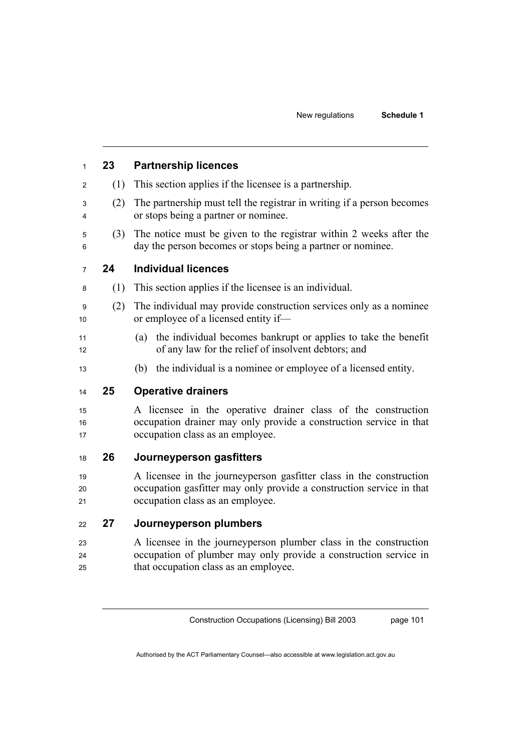## **23 Partnership licences**  (1) This section applies if the licensee is a partnership. (2) The partnership must tell the registrar in writing if a person becomes or stops being a partner or nominee. (3) The notice must be given to the registrar within 2 weeks after the day the person becomes or stops being a partner or nominee. **24 Individual licences**  (1) This section applies if the licensee is an individual. (2) The individual may provide construction services only as a nominee 10 or employee of a licensed entity if— (a) the individual becomes bankrupt or applies to take the benefit 12 of any law for the relief of insolvent debtors; and (b) the individual is a nominee or employee of a licensed entity.

## **25 Operative drainers**

A licensee in the operative drainer class of the construction 16 occupation drainer may only provide a construction service in that 17 occupation class as an employee.

### **26 Journeyperson gasfitters**

A licensee in the journeyperson gasfitter class in the construction 20 occupation gasfitter may only provide a construction service in that 21 occupation class as an employee.

### **27 Journeyperson plumbers**

A licensee in the journeyperson plumber class in the construction occupation of plumber may only provide a construction service in that occupation class as an employee.

Construction Occupations (Licensing) Bill 2003

page 101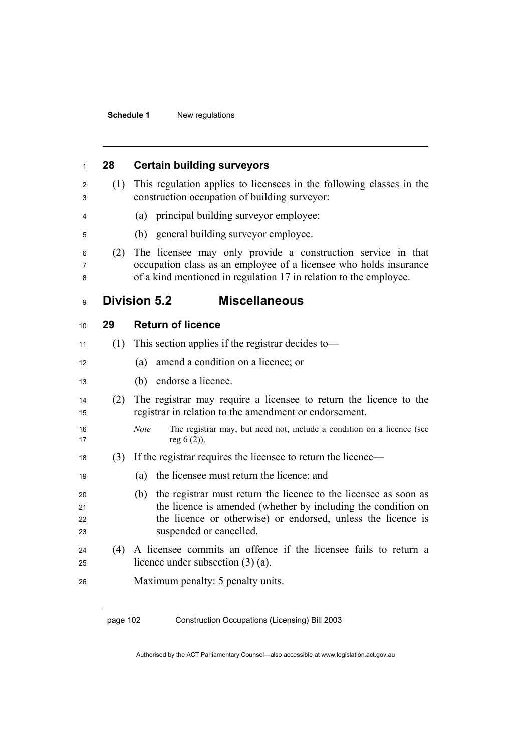| 1                    | 28  | <b>Certain building surveyors</b>                                                                                                                                                                                                   |
|----------------------|-----|-------------------------------------------------------------------------------------------------------------------------------------------------------------------------------------------------------------------------------------|
| 2<br>3               | (1) | This regulation applies to licensees in the following classes in the<br>construction occupation of building surveyor:                                                                                                               |
| 4                    |     | (a) principal building survey or employee;                                                                                                                                                                                          |
| 5                    |     | general building surveyor employee.<br>(b)                                                                                                                                                                                          |
| 6<br>7<br>8          | (2) | The licensee may only provide a construction service in that<br>occupation class as an employee of a licensee who holds insurance<br>of a kind mentioned in regulation 17 in relation to the employee.                              |
| 9                    |     | <b>Miscellaneous</b><br><b>Division 5.2</b>                                                                                                                                                                                         |
| 10                   | 29  | <b>Return of licence</b>                                                                                                                                                                                                            |
| 11                   | (1) | This section applies if the registrar decides to—                                                                                                                                                                                   |
| 12                   |     | amend a condition on a licence; or<br>(a)                                                                                                                                                                                           |
| 13                   |     | endorse a licence.<br>(b)                                                                                                                                                                                                           |
| 14<br>15             | (2) | The registrar may require a licensee to return the licence to the<br>registrar in relation to the amendment or endorsement.                                                                                                         |
| 16<br>17             |     | <b>Note</b><br>The registrar may, but need not, include a condition on a licence (see<br>reg $6(2)$ ).                                                                                                                              |
| 18                   | (3) | If the registrar requires the licensee to return the licence—                                                                                                                                                                       |
| 19                   |     | (a)<br>the licensee must return the licence; and                                                                                                                                                                                    |
| 20<br>21<br>22<br>23 |     | the registrar must return the licence to the licensee as soon as<br>(b)<br>the licence is amended (whether by including the condition on<br>the licence or otherwise) or endorsed, unless the licence is<br>suspended or cancelled. |
| 24<br>25             | (4) | A licensee commits an offence if the licensee fails to return a<br>licence under subsection $(3)$ $(a)$ .                                                                                                                           |
| 26                   |     | Maximum penalty: 5 penalty units.                                                                                                                                                                                                   |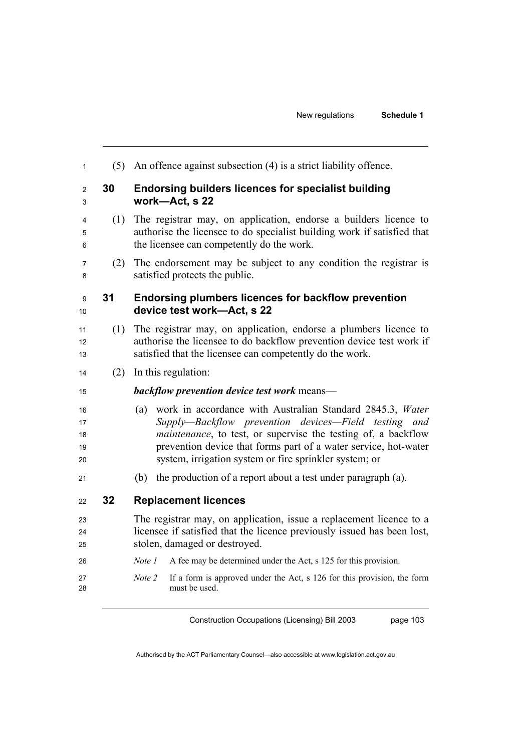| 1                          | (5) | An offence against subsection (4) is a strict liability offence.                                                                                                                                                                                                                                                       |  |  |  |
|----------------------------|-----|------------------------------------------------------------------------------------------------------------------------------------------------------------------------------------------------------------------------------------------------------------------------------------------------------------------------|--|--|--|
| $\overline{2}$<br>3        | 30  | <b>Endorsing builders licences for specialist building</b><br>work-Act, s 22                                                                                                                                                                                                                                           |  |  |  |
| 4<br>5<br>6                | (1) | The registrar may, on application, endorse a builders licence to<br>authorise the licensee to do specialist building work if satisfied that<br>the licensee can competently do the work.                                                                                                                               |  |  |  |
| 7<br>8                     | (2) | The endorsement may be subject to any condition the registrar is<br>satisfied protects the public.                                                                                                                                                                                                                     |  |  |  |
| 9<br>10                    | 31  | <b>Endorsing plumbers licences for backflow prevention</b><br>device test work-Act, s 22                                                                                                                                                                                                                               |  |  |  |
| 11<br>12<br>13             | (1) | The registrar may, on application, endorse a plumbers licence to<br>authorise the licensee to do backflow prevention device test work if<br>satisfied that the licensee can competently do the work.                                                                                                                   |  |  |  |
| 14                         | (2) | In this regulation:                                                                                                                                                                                                                                                                                                    |  |  |  |
| 15                         |     | backflow prevention device test work means-                                                                                                                                                                                                                                                                            |  |  |  |
| 16<br>17<br>18<br>19<br>20 |     | work in accordance with Australian Standard 2845.3, Water<br>(a)<br>Supply—Backflow prevention devices—Field testing and<br>maintenance, to test, or supervise the testing of, a backflow<br>prevention device that forms part of a water service, hot-water<br>system, irrigation system or fire sprinkler system; or |  |  |  |
| 21                         |     | the production of a report about a test under paragraph (a).<br>(b)                                                                                                                                                                                                                                                    |  |  |  |
| 22                         | 32  | <b>Replacement licences</b>                                                                                                                                                                                                                                                                                            |  |  |  |
| 23<br>24<br>25             |     | The registrar may, on application, issue a replacement licence to a<br>licensee if satisfied that the licence previously issued has been lost,<br>stolen, damaged or destroyed.                                                                                                                                        |  |  |  |
| 26                         |     | Note 1<br>A fee may be determined under the Act, s 125 for this provision.                                                                                                                                                                                                                                             |  |  |  |
| 27<br>28                   |     | If a form is approved under the Act, s 126 for this provision, the form<br>Note 2<br>must be used.                                                                                                                                                                                                                     |  |  |  |
|                            |     |                                                                                                                                                                                                                                                                                                                        |  |  |  |

Authorised by the ACT Parliamentary Counsel—also accessible at www.legislation.act.gov.au

Construction Occupations (Licensing) Bill 2003

page 103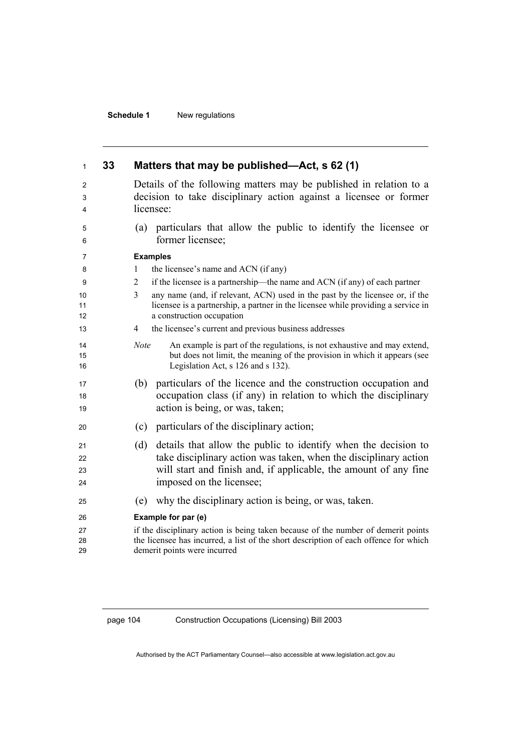| 1                    | 33 | Matters that may be published—Act, s 62 (1)                                                                                                                                                                                               |  |  |  |
|----------------------|----|-------------------------------------------------------------------------------------------------------------------------------------------------------------------------------------------------------------------------------------------|--|--|--|
| 2<br>3<br>4          |    | Details of the following matters may be published in relation to a<br>decision to take disciplinary action against a licensee or former<br>licensee:                                                                                      |  |  |  |
| 5<br>6               |    | particulars that allow the public to identify the licensee or<br>(a)<br>former licensee;                                                                                                                                                  |  |  |  |
| 7                    |    | <b>Examples</b>                                                                                                                                                                                                                           |  |  |  |
| 8                    |    | the licensee's name and ACN (if any)<br>1                                                                                                                                                                                                 |  |  |  |
| 9                    |    | if the licensee is a partnership—the name and ACN (if any) of each partner<br>2                                                                                                                                                           |  |  |  |
| 10<br>11<br>12       |    | 3<br>any name (and, if relevant, ACN) used in the past by the licensee or, if the<br>licensee is a partnership, a partner in the licensee while providing a service in<br>a construction occupation                                       |  |  |  |
| 13                   |    | the licensee's current and previous business addresses<br>4                                                                                                                                                                               |  |  |  |
| 14<br>15<br>16       |    | An example is part of the regulations, is not exhaustive and may extend,<br><b>Note</b><br>but does not limit, the meaning of the provision in which it appears (see<br>Legislation Act, s 126 and s 132).                                |  |  |  |
| 17<br>18<br>19       |    | particulars of the licence and the construction occupation and<br>(b)<br>occupation class (if any) in relation to which the disciplinary<br>action is being, or was, taken;                                                               |  |  |  |
| 20                   |    | particulars of the disciplinary action;<br>(c)                                                                                                                                                                                            |  |  |  |
| 21<br>22<br>23<br>24 |    | details that allow the public to identify when the decision to<br>(d)<br>take disciplinary action was taken, when the disciplinary action<br>will start and finish and, if applicable, the amount of any fine<br>imposed on the licensee; |  |  |  |
| 25                   |    | why the disciplinary action is being, or was, taken.<br>(e)                                                                                                                                                                               |  |  |  |
| 26<br>27             |    | Example for par (e)<br>if the disciplinary action is being taken because of the number of demerit points                                                                                                                                  |  |  |  |
| 28<br>29             |    | the licensee has incurred, a list of the short description of each offence for which<br>demerit points were incurred                                                                                                                      |  |  |  |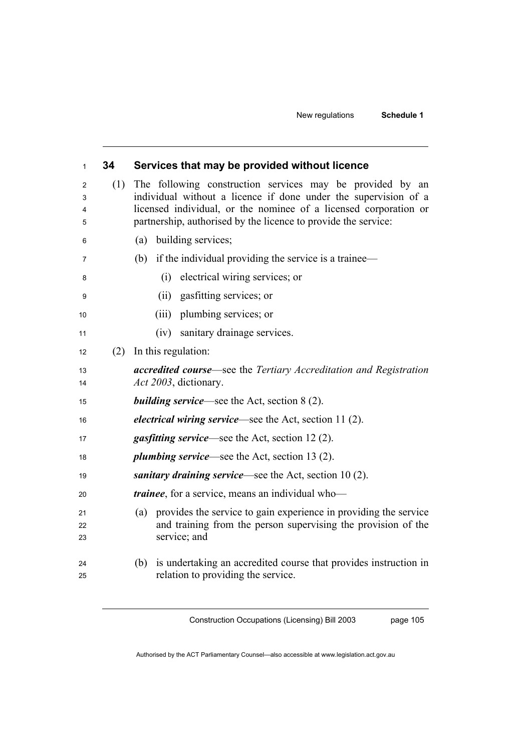| $\mathbf{1}$     | 34  | Services that may be provided without licence                                                                                                                                                                                                                      |  |  |  |
|------------------|-----|--------------------------------------------------------------------------------------------------------------------------------------------------------------------------------------------------------------------------------------------------------------------|--|--|--|
| 2<br>3<br>4<br>5 | (1) | The following construction services may be provided by an<br>individual without a licence if done under the supervision of a<br>licensed individual, or the nominee of a licensed corporation or<br>partnership, authorised by the licence to provide the service: |  |  |  |
| 6                |     | building services;<br>(a)                                                                                                                                                                                                                                          |  |  |  |
| 7                |     | (b)<br>if the individual providing the service is a trainee—                                                                                                                                                                                                       |  |  |  |
| 8                |     | electrical wiring services; or<br>(i)                                                                                                                                                                                                                              |  |  |  |
| 9                |     | gasfitting services; or<br>(ii)                                                                                                                                                                                                                                    |  |  |  |
| 10               |     | (iii)<br>plumbing services; or                                                                                                                                                                                                                                     |  |  |  |
| 11               |     | (iv) sanitary drainage services.                                                                                                                                                                                                                                   |  |  |  |
| 12               | (2) | In this regulation:                                                                                                                                                                                                                                                |  |  |  |
| 13<br>14         |     | accredited course—see the Tertiary Accreditation and Registration<br>Act 2003, dictionary.                                                                                                                                                                         |  |  |  |
| 15               |     | <b>building service—see the Act, section 8 (2).</b>                                                                                                                                                                                                                |  |  |  |
| 16               |     | <i>electrical wiring service</i> —see the Act, section 11(2).                                                                                                                                                                                                      |  |  |  |
| 17               |     | <i>gasfitting service</i> —see the Act, section 12 (2).                                                                                                                                                                                                            |  |  |  |
| 18               |     | <i>plumbing service</i> —see the Act, section 13 (2).                                                                                                                                                                                                              |  |  |  |
| 19               |     | sanitary draining service—see the Act, section $10(2)$ .                                                                                                                                                                                                           |  |  |  |
| 20               |     | <i>trainee</i> , for a service, means an individual who-                                                                                                                                                                                                           |  |  |  |
| 21<br>22<br>23   |     | provides the service to gain experience in providing the service<br>(a)<br>and training from the person supervising the provision of the<br>service; and                                                                                                           |  |  |  |
| 24<br>25         |     | is undertaking an accredited course that provides instruction in<br>(b)<br>relation to providing the service.                                                                                                                                                      |  |  |  |

Construction Occupations (Licensing) Bill 2003

page 105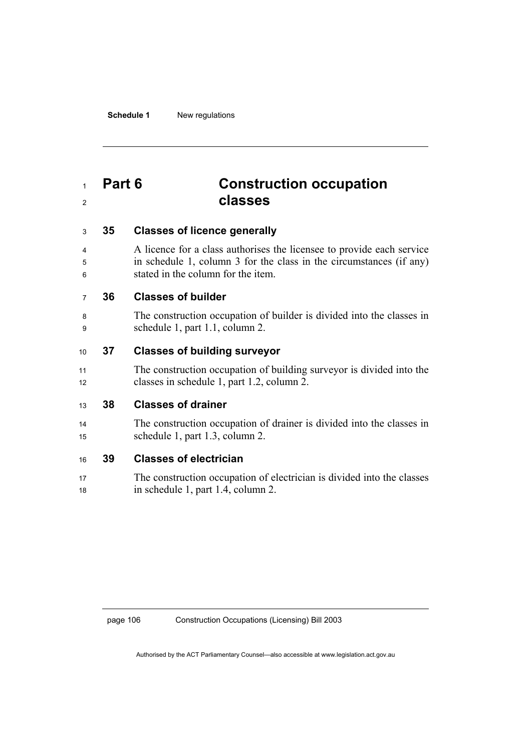## **Part 6 Construction occupation classes**

## **35 Classes of licence generally**

A licence for a class authorises the licensee to provide each service in schedule 1, column 3 for the class in the circumstances (if any) stated in the column for the item.

## **36 Classes of builder**

The construction occupation of builder is divided into the classes in schedule 1, part 1.1, column 2.

## **37 Classes of building surveyor**

11 The construction occupation of building surveyor is divided into the 12 classes in schedule 1, part 1.2, column 2.

### **38 Classes of drainer**

The construction occupation of drainer is divided into the classes in schedule 1, part 1.3, column 2.

### **39 Classes of electrician**

17 The construction occupation of electrician is divided into the classes in schedule 1, part 1.4, column 2.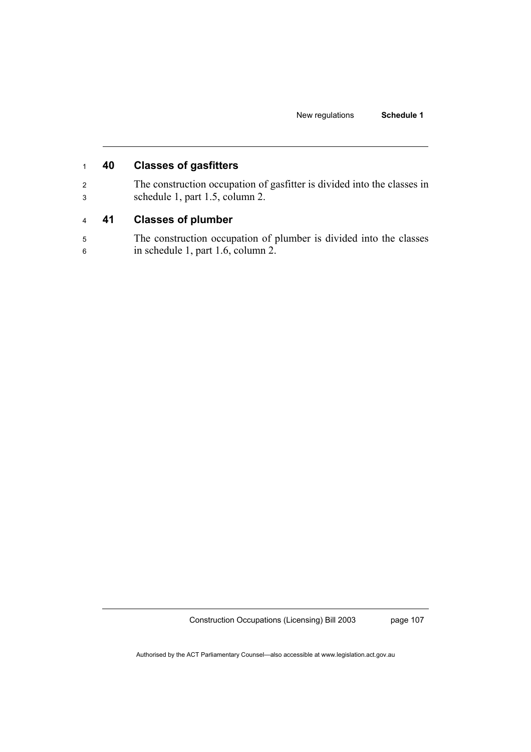## <sup>1</sup>**40 Classes of gasfitters**

<sup>2</sup>The construction occupation of gasfitter is divided into the classes in <sup>3</sup>schedule 1, part 1.5, column 2.

## <sup>4</sup>**41 Classes of plumber**

5 The construction occupation of plumber is divided into the classes 6 in schedule 1, part 1.6, column 2.

Construction Occupations (Licensing) Bill 2003

page 107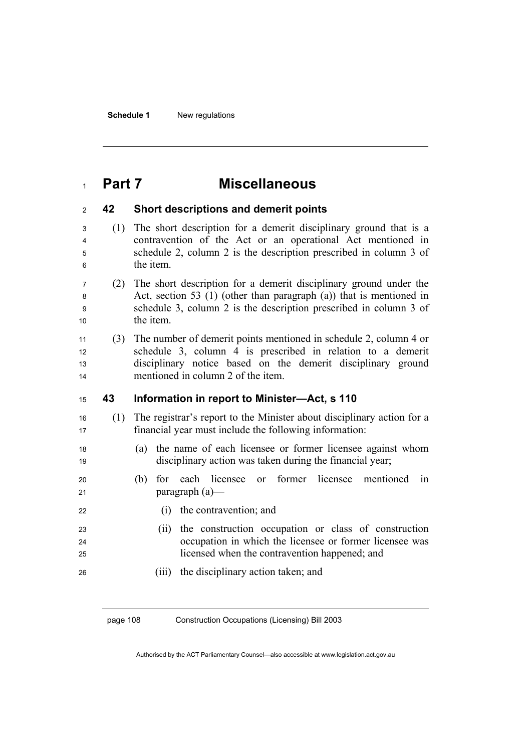## **Part 7 Miscellaneous**

### **42 Short descriptions and demerit points**

- (1) The short description for a demerit disciplinary ground that is a contravention of the Act or an operational Act mentioned in schedule 2, column 2 is the description prescribed in column 3 of 6 the item.
- (2) The short description for a demerit disciplinary ground under the Act, section 53 (1) (other than paragraph (a)) that is mentioned in schedule 3, column 2 is the description prescribed in column 3 of 10 the item

(3) The number of demerit points mentioned in schedule 2, column 4 or 12 schedule 3, column 4 is prescribed in relation to a demerit 13 disciplinary notice based on the demerit disciplinary ground mentioned in column 2 of the item.

### **43 Information in report to Minister—Act, s 110**

- (1) The registrar's report to the Minister about disciplinary action for a financial year must include the following information:
- (a) the name of each licensee or former licensee against whom disciplinary action was taken during the financial year;
- (b) for each licensee or former licensee mentioned in 21 paragraph (a)—
- 22 (i) the contravention; and
- (ii) the construction occupation or class of construction occupation in which the licensee or former licensee was licensed when the contravention happened; and
- (iii) the disciplinary action taken; and

page 108 Construction Occupations (Licensing) Bill 2003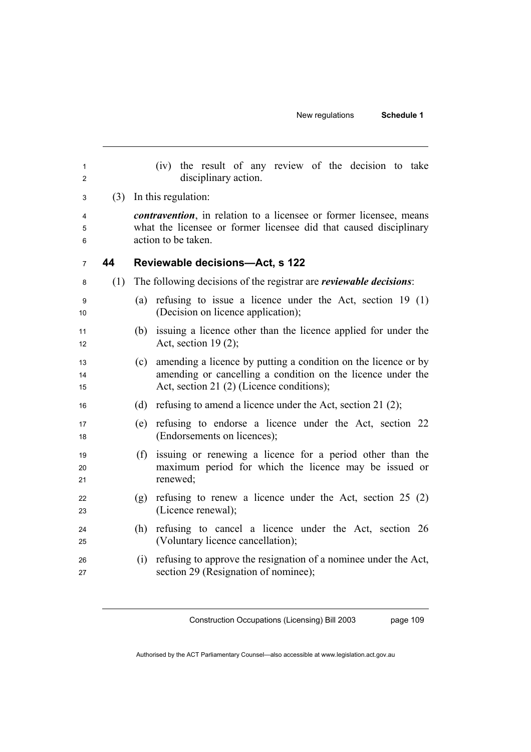| 1<br>2         |     | (iv) the result of any review of the decision to take<br>disciplinary action.                                                                                                     |
|----------------|-----|-----------------------------------------------------------------------------------------------------------------------------------------------------------------------------------|
| 3              |     | (3) In this regulation:                                                                                                                                                           |
| 4              |     | <i>contravention</i> , in relation to a licensee or former licensee, means                                                                                                        |
| 5<br>6         |     | what the licensee or former licensee did that caused disciplinary<br>action to be taken.                                                                                          |
| $\overline{7}$ | 44  | Reviewable decisions-Act, s 122                                                                                                                                                   |
| 8              | (1) | The following decisions of the registrar are <i>reviewable decisions</i> :                                                                                                        |
| 9<br>10        |     | refusing to issue a licence under the Act, section $19(1)$<br>(a)<br>(Decision on licence application);                                                                           |
| 11<br>12       |     | issuing a licence other than the licence applied for under the<br>(b)<br>Act, section $19(2)$ ;                                                                                   |
| 13<br>14<br>15 |     | amending a licence by putting a condition on the licence or by<br>(c)<br>amending or cancelling a condition on the licence under the<br>Act, section 21 (2) (Licence conditions); |
| 16             |     | refusing to amend a licence under the Act, section 21 (2);<br>(d)                                                                                                                 |
| 17<br>18       |     | (e) refusing to endorse a licence under the Act, section 22<br>(Endorsements on licences);                                                                                        |
| 19<br>20<br>21 |     | issuing or renewing a licence for a period other than the<br>(f)<br>maximum period for which the licence may be issued or<br>renewed;                                             |
| 22<br>23       |     | refusing to renew a licence under the Act, section $25(2)$<br>(g)<br>(Licence renewal);                                                                                           |
| 24<br>25       |     | (h) refusing to cancel a licence under the Act, section 26<br>(Voluntary licence cancellation);                                                                                   |
| 26<br>27       |     | refusing to approve the resignation of a nominee under the Act,<br>(i)<br>section 29 (Resignation of nominee);                                                                    |

Construction Occupations (Licensing) Bill 2003

page 109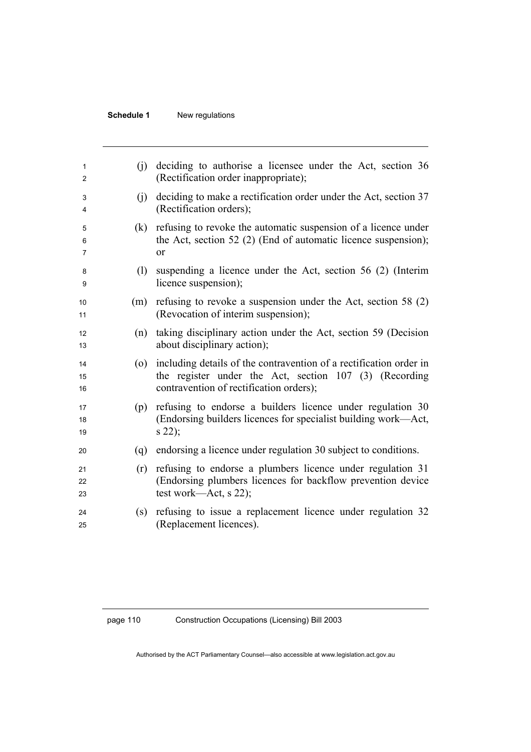| 1<br>2         | (i) | deciding to authorise a licensee under the Act, section 36<br>(Rectification order inappropriate);                                                                      |
|----------------|-----|-------------------------------------------------------------------------------------------------------------------------------------------------------------------------|
| 3<br>4         | (i) | deciding to make a rectification order under the Act, section 37<br>(Rectification orders);                                                                             |
| 5<br>6<br>7    | (k) | refusing to revoke the automatic suspension of a licence under<br>the Act, section 52 (2) (End of automatic licence suspension);<br>or                                  |
| 8<br>9         | (1) | suspending a licence under the Act, section 56 (2) (Interim<br>licence suspension);                                                                                     |
| 10<br>11       | (m) | refusing to revoke a suspension under the Act, section 58 $(2)$<br>(Revocation of interim suspension);                                                                  |
| 12<br>13       | (n) | taking disciplinary action under the Act, section 59 (Decision<br>about disciplinary action);                                                                           |
| 14<br>15<br>16 | (0) | including details of the contravention of a rectification order in<br>the register under the Act, section 107 (3) (Recording<br>contravention of rectification orders); |
| 17<br>18<br>19 | (p) | refusing to endorse a builders licence under regulation 30<br>(Endorsing builders licences for specialist building work—Act,<br>$s$ 22);                                |
| 20             | (q) | endorsing a licence under regulation 30 subject to conditions.                                                                                                          |
| 21<br>22<br>23 | (r) | refusing to endorse a plumbers licence under regulation 31<br>(Endorsing plumbers licences for backflow prevention device)<br>test work—Act, $s$ 22);                   |
| 24<br>25       | (s) | refusing to issue a replacement licence under regulation 32<br>(Replacement licences).                                                                                  |
|                |     |                                                                                                                                                                         |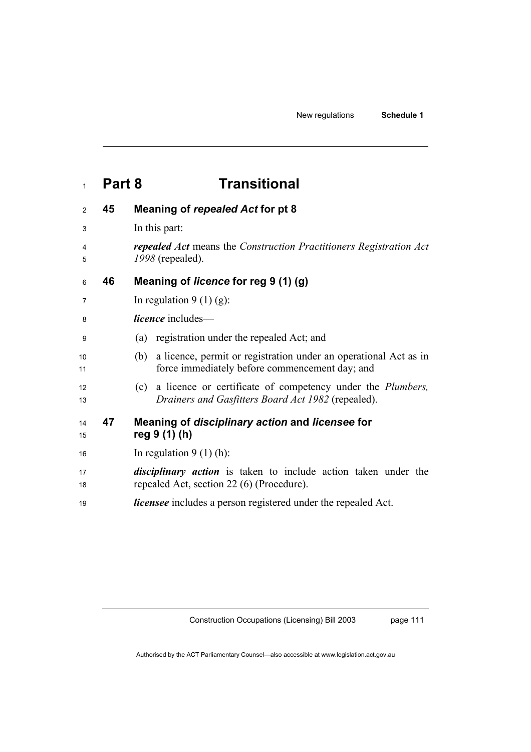## **Part 8 Transitional**

## **45 Meaning of** *repealed Act* **for pt 8**  3 In this part: *repealed Act* means the *Construction Practitioners Registration Act 1998* (repealed). **46 Meaning of** *licence* **for reg 9 (1) (g)**   $\frac{7}{10}$  In regulation 9 (1) (g): *licence* includes— (a) registration under the repealed Act; and (b) a licence, permit or registration under an operational Act as in 11 force immediately before commencement day; and (c) a licence or certificate of competency under the *Plumbers, Drainers and Gasfitters Board Act 1982* (repealed). **47 Meaning of** *disciplinary action* **and** *licensee* **for reg 9 (1) (h)**  16 In regulation 9 (1) (h): *disciplinary action* is taken to include action taken under the 18 repealed Act, section 22 (6) (Procedure). *licensee* includes a person registered under the repealed Act.

Construction Occupations (Licensing) Bill 2003

page 111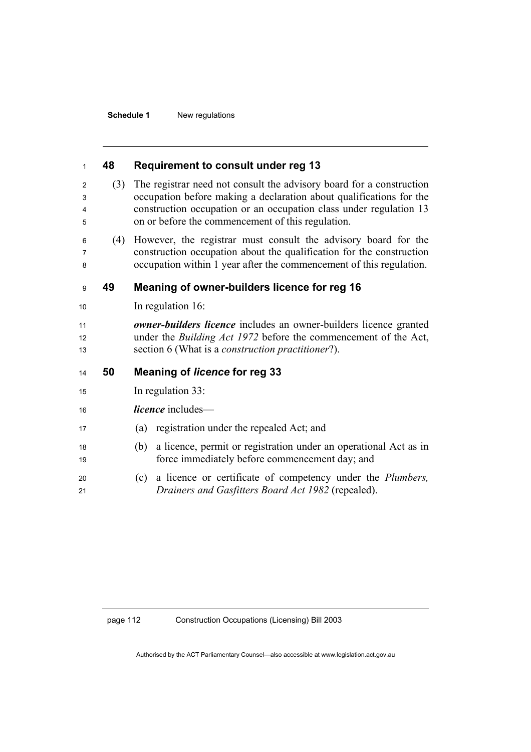### **48 Requirement to consult under reg 13**

(3) The registrar need not consult the advisory board for a construction occupation before making a declaration about qualifications for the construction occupation or an occupation class under regulation 13 on or before the commencement of this regulation.

(4) However, the registrar must consult the advisory board for the construction occupation about the qualification for the construction occupation within 1 year after the commencement of this regulation.

### **49 Meaning of owner-builders licence for reg 16**

10 In regulation 16:

*owner-builders licence* includes an owner-builders licence granted 12 under the *Building Act 1972* before the commencement of the Act, section 6 (What is a *construction practitioner*?).

#### **50 Meaning of** *licence* **for reg 33**

- 15 In regulation 33:
- *licence* includes—
- (a) registration under the repealed Act; and
- (b) a licence, permit or registration under an operational Act as in 19 force immediately before commencement day; and
- (c) a licence or certificate of competency under the *Plumbers, Drainers and Gasfitters Board Act 1982* (repealed).

#### page 112 Construction Occupations (Licensing) Bill 2003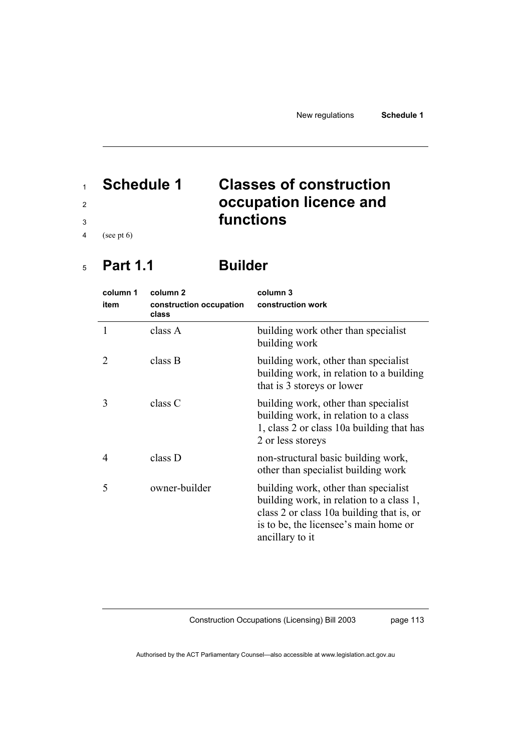# <sup>1</sup>**Schedule 1 Classes of construction**  <sup>2</sup>**occupation licence and**  <sup>3</sup>**functions**

4 (see pt 6)

## <sup>5</sup>**Part 1.1 Builder**

| column 1<br>item | column <sub>2</sub><br>construction occupation<br>class | column 3<br>construction work                                                                                                                                                             |  |
|------------------|---------------------------------------------------------|-------------------------------------------------------------------------------------------------------------------------------------------------------------------------------------------|--|
| 1                | class A                                                 | building work other than specialist<br>building work                                                                                                                                      |  |
|                  | class B                                                 | building work, other than specialist<br>building work, in relation to a building<br>that is 3 storeys or lower                                                                            |  |
| 3                | class C                                                 | building work, other than specialist<br>building work, in relation to a class<br>1, class 2 or class 10a building that has<br>2 or less storeys                                           |  |
| 4                | class D                                                 | non-structural basic building work,<br>other than specialist building work                                                                                                                |  |
| 5                | owner-builder                                           | building work, other than specialist<br>building work, in relation to a class 1,<br>class 2 or class 10a building that is, or<br>is to be, the licensee's main home or<br>ancillary to it |  |

Construction Occupations (Licensing) Bill 2003

page 113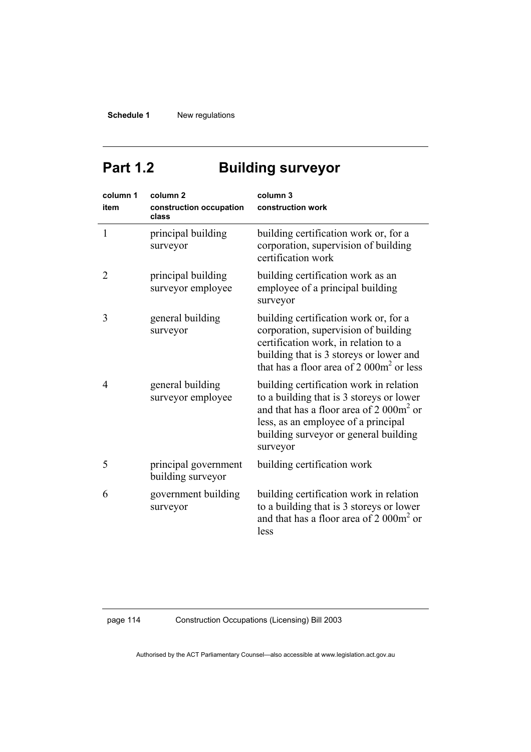# Part 1.2 **Building surveyor**

| column 1<br>item | column <sub>2</sub><br>construction occupation<br>class | column 3<br>construction work                                                                                                                                                                                                 |  |
|------------------|---------------------------------------------------------|-------------------------------------------------------------------------------------------------------------------------------------------------------------------------------------------------------------------------------|--|
| 1                | principal building<br>surveyor                          | building certification work or, for a<br>corporation, supervision of building<br>certification work                                                                                                                           |  |
| 2                | principal building<br>surveyor employee                 | building certification work as an<br>employee of a principal building<br>surveyor                                                                                                                                             |  |
| 3                | general building<br>surveyor                            | building certification work or, for a<br>corporation, supervision of building<br>certification work, in relation to a<br>building that is 3 storeys or lower and<br>that has a floor area of 2 000m <sup>2</sup> or less      |  |
| 4                | general building<br>surveyor employee                   | building certification work in relation<br>to a building that is 3 storeys or lower<br>and that has a floor area of 2 000 $m2$ or<br>less, as an employee of a principal<br>building surveyor or general building<br>surveyor |  |
| 5                | principal government<br>building surveyor               | building certification work                                                                                                                                                                                                   |  |
| 6                | government building<br>surveyor                         | building certification work in relation<br>to a building that is 3 storeys or lower<br>and that has a floor area of $2000m^2$ or<br>less                                                                                      |  |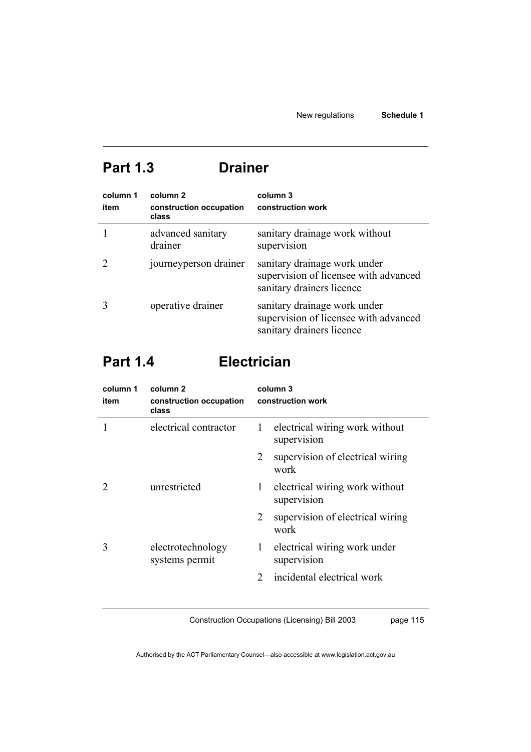## **Part 1.3 Drainer**

| column 1<br>item | column 2<br>construction occupation<br>class | column 3<br>construction work                                                                      |
|------------------|----------------------------------------------|----------------------------------------------------------------------------------------------------|
|                  | advanced sanitary<br>drainer                 | sanitary drainage work without<br>supervision                                                      |
|                  | journeyperson drainer                        | sanitary drainage work under<br>supervision of licensee with advanced<br>sanitary drainers licence |
|                  | operative drainer                            | sanitary drainage work under<br>supervision of licensee with advanced<br>sanitary drainers licence |

# **Part 1.4 Electrician**

| column 1<br>item | column 2<br>construction occupation<br>class | column 3<br>construction work |                                               |
|------------------|----------------------------------------------|-------------------------------|-----------------------------------------------|
|                  | electrical contractor                        | 1                             | electrical wiring work without<br>supervision |
|                  |                                              | 2                             | supervision of electrical wiring<br>work      |
|                  | unrestricted                                 | $\mathbf{1}$                  | electrical wiring work without<br>supervision |
|                  |                                              | 2                             | supervision of electrical wiring<br>work      |
| 3                | electrotechnology<br>systems permit          | $\mathbf{1}$                  | electrical wiring work under<br>supervision   |
|                  |                                              | $\mathcal{D}_{\mathcal{L}}$   | incidental electrical work                    |

Construction Occupations (Licensing) Bill 2003

page 115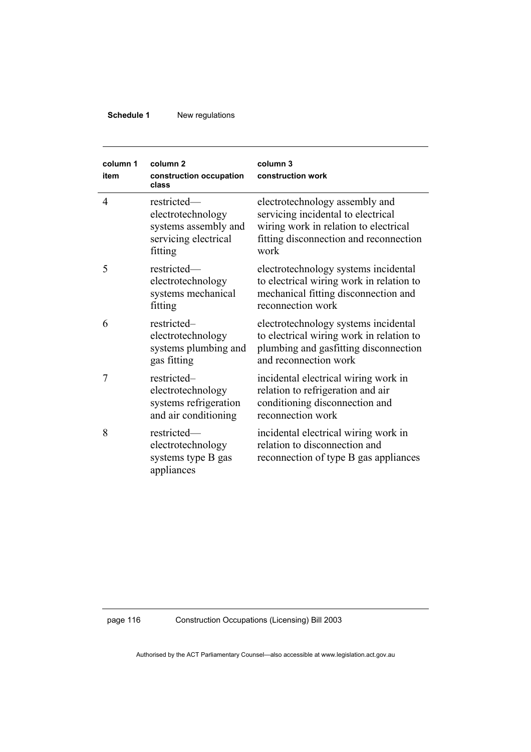| column 1<br>item | column <sub>2</sub><br>construction occupation<br>class                                     | column 3<br>construction work                                                                                                                                   |  |
|------------------|---------------------------------------------------------------------------------------------|-----------------------------------------------------------------------------------------------------------------------------------------------------------------|--|
| $\overline{4}$   | restricted-<br>electrotechnology<br>systems assembly and<br>servicing electrical<br>fitting | electrotechnology assembly and<br>servicing incidental to electrical<br>wiring work in relation to electrical<br>fitting disconnection and reconnection<br>work |  |
| 5                | restricted-<br>electrotechnology<br>systems mechanical<br>fitting                           | electrotechnology systems incidental<br>to electrical wiring work in relation to<br>mechanical fitting disconnection and<br>reconnection work                   |  |
| 6                | restricted-<br>electrotechnology<br>systems plumbing and<br>gas fitting                     | electrotechnology systems incidental<br>to electrical wiring work in relation to<br>plumbing and gasfitting disconnection<br>and reconnection work              |  |
| 7                | restricted-<br>electrotechnology<br>systems refrigeration<br>and air conditioning           | incidental electrical wiring work in<br>relation to refrigeration and air<br>conditioning disconnection and<br>reconnection work                                |  |
| 8                | restricted-<br>electrotechnology<br>systems type B gas<br>appliances                        | incidental electrical wiring work in<br>relation to disconnection and<br>reconnection of type B gas appliances                                                  |  |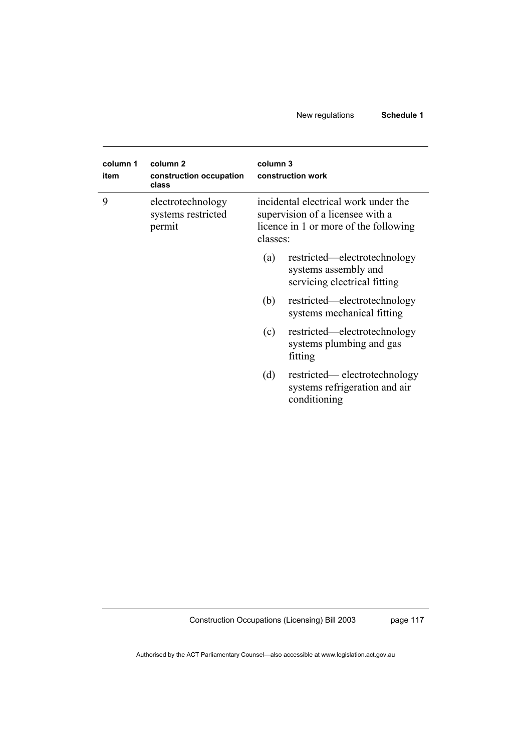| column 1<br>item | column <sub>2</sub><br>construction occupation<br>class | column 3<br>construction work                                                                                                 |                                                                                      |
|------------------|---------------------------------------------------------|-------------------------------------------------------------------------------------------------------------------------------|--------------------------------------------------------------------------------------|
| 9                | electrotechnology<br>systems restricted<br>permit       | incidental electrical work under the<br>supervision of a licensee with a<br>licence in 1 or more of the following<br>classes: |                                                                                      |
|                  |                                                         | (a)                                                                                                                           | restricted—electrotechnology<br>systems assembly and<br>servicing electrical fitting |
|                  |                                                         | (b)                                                                                                                           | restricted—electrotechnology<br>systems mechanical fitting                           |
|                  |                                                         | (c)                                                                                                                           | restricted—electrotechnology<br>systems plumbing and gas<br>fitting                  |
|                  |                                                         | (d)                                                                                                                           | restricted—electrotechnology<br>systems refrigeration and air<br>conditioning        |

Construction Occupations (Licensing) Bill 2003

page 117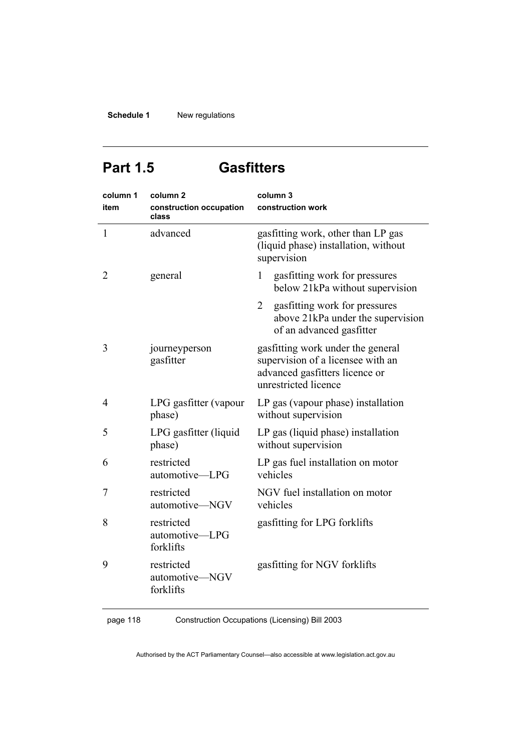## **Part 1.5 Gasfitters**

| column 1<br>item | column <sub>2</sub><br>construction occupation<br>class | column 3<br>construction work                                                                                                    |
|------------------|---------------------------------------------------------|----------------------------------------------------------------------------------------------------------------------------------|
| $\mathbf{1}$     | advanced                                                | gasfitting work, other than LP gas<br>(liquid phase) installation, without<br>supervision                                        |
| 2                | general                                                 | gasfitting work for pressures<br>1<br>below 21kPa without supervision                                                            |
|                  |                                                         | 2<br>gasfitting work for pressures<br>above 21kPa under the supervision<br>of an advanced gasfitter                              |
| 3                | journeyperson<br>gasfitter                              | gasfitting work under the general<br>supervision of a licensee with an<br>advanced gasfitters licence or<br>unrestricted licence |
| 4                | LPG gasfitter (vapour<br>phase)                         | LP gas (vapour phase) installation<br>without supervision                                                                        |
| 5                | LPG gasfitter (liquid<br>phase)                         | LP gas (liquid phase) installation<br>without supervision                                                                        |
| 6                | restricted<br>automotive-LPG                            | LP gas fuel installation on motor<br>vehicles                                                                                    |
| 7                | restricted<br>automotive-NGV                            | NGV fuel installation on motor<br>vehicles                                                                                       |
| 8                | restricted<br>automotive-LPG<br>forklifts               | gasfitting for LPG forklifts                                                                                                     |
| 9                | restricted<br>automotive-NGV<br>forklifts               | gasfitting for NGV forklifts                                                                                                     |

page 118 Construction Occupations (Licensing) Bill 2003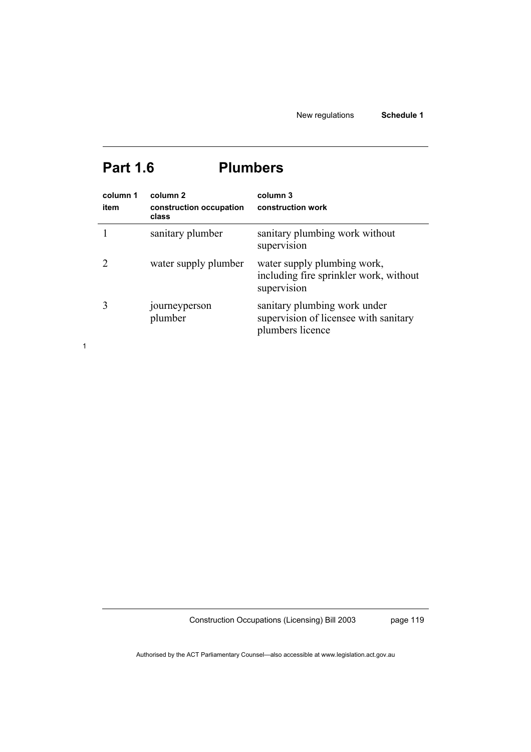# **Part 1.6 Plumbers**

| column 1<br>item | column <sub>2</sub><br>construction occupation<br>class | column 3<br>construction work                                                             |
|------------------|---------------------------------------------------------|-------------------------------------------------------------------------------------------|
|                  | sanitary plumber                                        | sanitary plumbing work without<br>supervision                                             |
|                  | water supply plumber                                    | water supply plumbing work,<br>including fire sprinkler work, without<br>supervision      |
|                  | journeyperson<br>plumber                                | sanitary plumbing work under<br>supervision of licensee with sanitary<br>plumbers licence |

1

Construction Occupations (Licensing) Bill 2003

page 119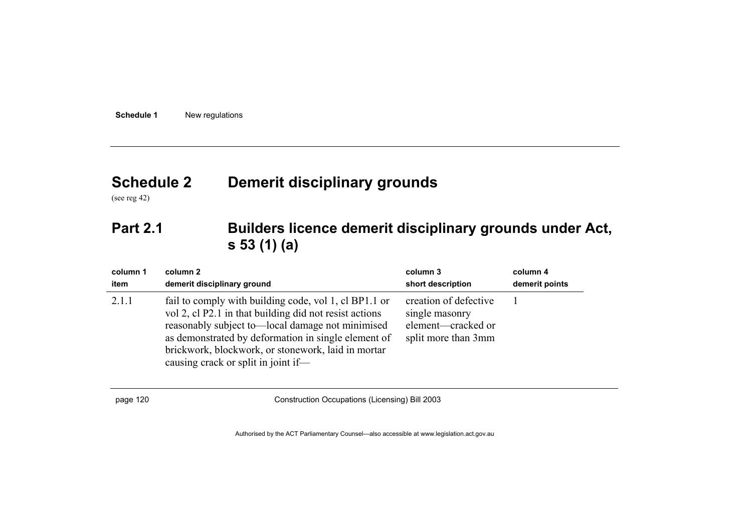# **Schedule 2 Demerit disciplinary grounds**

(see reg 42)

## **Part 2.1 Builders licence demerit disciplinary grounds under Act, s 53 (1) (a)**

| column 1 | column 2                                                                                                                                                                                                                                                                                                                | column 3                                                                             | column 4       |
|----------|-------------------------------------------------------------------------------------------------------------------------------------------------------------------------------------------------------------------------------------------------------------------------------------------------------------------------|--------------------------------------------------------------------------------------|----------------|
| item     | demerit disciplinary ground                                                                                                                                                                                                                                                                                             | short description                                                                    | demerit points |
| 2.1.1    | fail to comply with building code, vol 1, cl BP1.1 or<br>vol 2, cl P2.1 in that building did not resist actions<br>reasonably subject to—local damage not minimised<br>as demonstrated by deformation in single element of<br>brickwork, blockwork, or stonework, laid in mortar<br>causing crack or split in joint if— | creation of defective<br>single masonry<br>element—cracked or<br>split more than 3mm |                |

page 120 Construction Occupations (Licensing) Bill 2003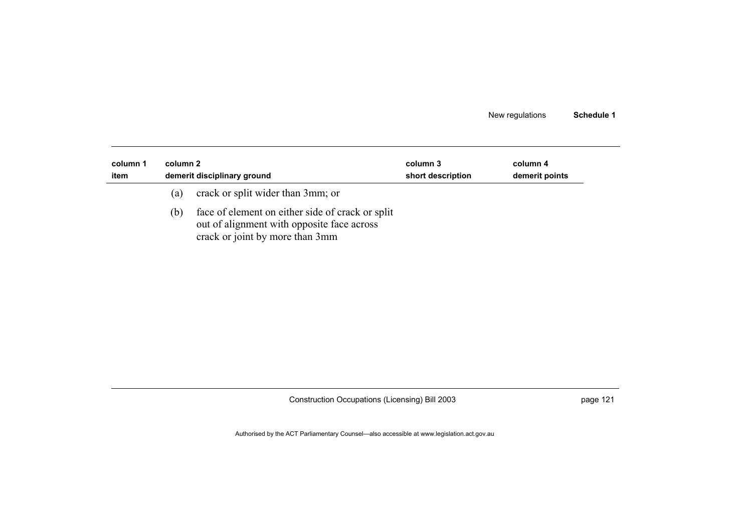| column 1<br>item | column 2 | demerit disciplinary ground                                                                                                       | column 3<br>short description | column 4<br>demerit points |
|------------------|----------|-----------------------------------------------------------------------------------------------------------------------------------|-------------------------------|----------------------------|
|                  | (a)      | crack or split wider than 3mm; or                                                                                                 |                               |                            |
|                  | (b)      | face of element on either side of crack or split<br>out of alignment with opposite face across<br>crack or joint by more than 3mm |                               |                            |

Construction Occupations (Licensing) Bill 2003 **page 121** page 121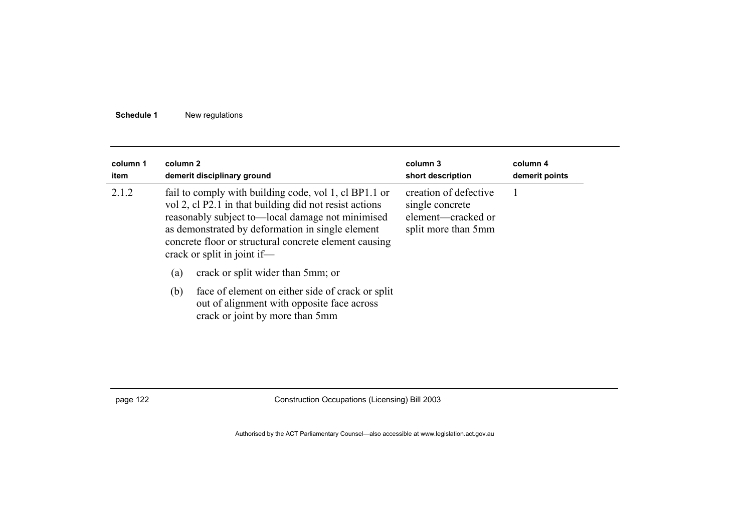| column 1<br>item | column 2 | demerit disciplinary ground                                                                                                                                                                                                                                                                                     | column 3<br>short description                                                         | column 4<br>demerit points |
|------------------|----------|-----------------------------------------------------------------------------------------------------------------------------------------------------------------------------------------------------------------------------------------------------------------------------------------------------------------|---------------------------------------------------------------------------------------|----------------------------|
| 2.1.2            |          | fail to comply with building code, vol 1, cl BP1.1 or<br>vol 2, cl P2.1 in that building did not resist actions<br>reasonably subject to-local damage not minimised<br>as demonstrated by deformation in single element<br>concrete floor or structural concrete element causing<br>crack or split in joint if- | creation of defective<br>single concrete<br>element—cracked or<br>split more than 5mm |                            |
|                  | (a)      | crack or split wider than 5mm; or                                                                                                                                                                                                                                                                               |                                                                                       |                            |
|                  | (b)      | face of element on either side of crack or split<br>out of alignment with opposite face across<br>crack or joint by more than 5mm                                                                                                                                                                               |                                                                                       |                            |

page 122 Construction Occupations (Licensing) Bill 2003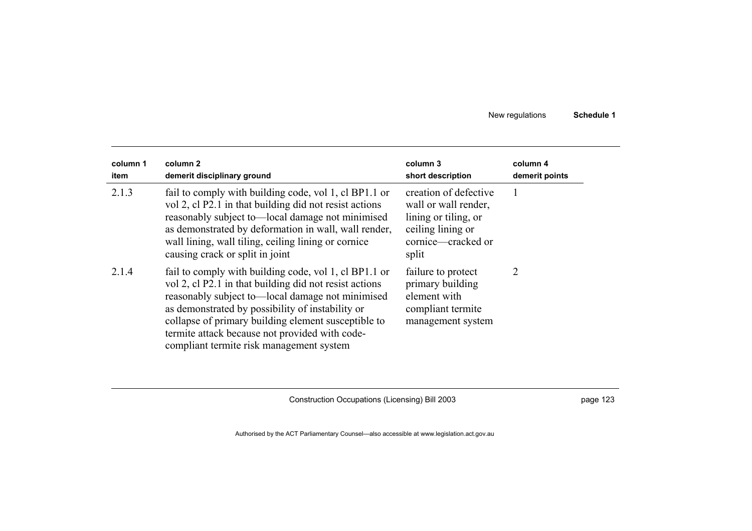| column 1<br>item | column 2<br>demerit disciplinary ground                                                                                                                                                                                                                                                                                                                                      | column 3<br>short description                                                                                             | column 4<br>demerit points |
|------------------|------------------------------------------------------------------------------------------------------------------------------------------------------------------------------------------------------------------------------------------------------------------------------------------------------------------------------------------------------------------------------|---------------------------------------------------------------------------------------------------------------------------|----------------------------|
| 2.1.3            | fail to comply with building code, vol 1, cl BP1.1 or<br>vol 2, cl P2.1 in that building did not resist actions<br>reasonably subject to—local damage not minimised<br>as demonstrated by deformation in wall, wall render,<br>wall lining, wall tiling, ceiling lining or cornice<br>causing crack or split in joint                                                        | creation of defective<br>wall or wall render,<br>lining or tiling, or<br>ceiling lining or<br>cornice—cracked or<br>split |                            |
| 2.1.4            | fail to comply with building code, vol 1, cl BP1.1 or<br>vol 2, cl P2.1 in that building did not resist actions<br>reasonably subject to—local damage not minimised<br>as demonstrated by possibility of instability or<br>collapse of primary building element susceptible to<br>termite attack because not provided with code-<br>compliant termite risk management system | failure to protect<br>primary building<br>element with<br>compliant termite<br>management system                          | $\overline{2}$             |

Construction Occupations (Licensing) Bill 2003 **page 123** page 123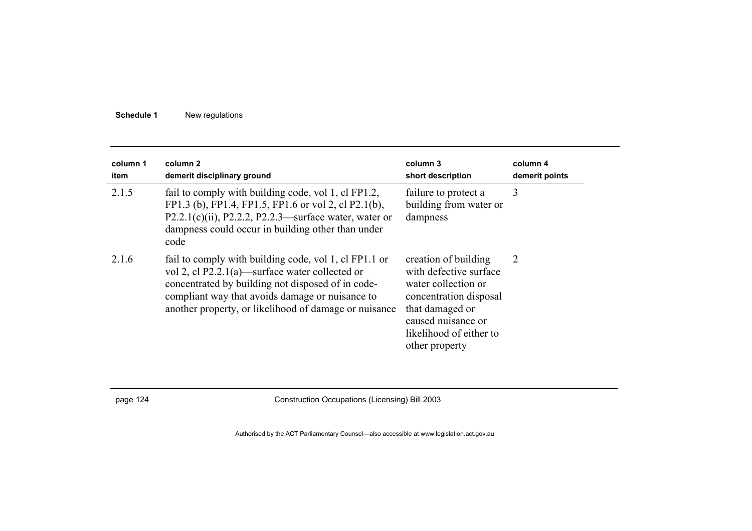| column 1<br>item | column 2<br>demerit disciplinary ground                                                                                                                                                                                                                                  | column 3<br>short description                                                                                                                                                         | column 4<br>demerit points |
|------------------|--------------------------------------------------------------------------------------------------------------------------------------------------------------------------------------------------------------------------------------------------------------------------|---------------------------------------------------------------------------------------------------------------------------------------------------------------------------------------|----------------------------|
| 2.1.5            | fail to comply with building code, vol 1, cl FP1.2,<br>FP1.3 (b), FP1.4, FP1.5, FP1.6 or vol 2, cl P2.1(b),<br>P2.2.1(c)(ii), P2.2.2, P2.2.3—surface water, water or<br>dampness could occur in building other than under<br>code                                        | failure to protect a<br>building from water or<br>dampness                                                                                                                            | 3                          |
| 2.1.6            | fail to comply with building code, vol 1, cl FP1.1 or<br>vol 2, cl P2.2.1(a)—surface water collected or<br>concentrated by building not disposed of in code-<br>compliant way that avoids damage or nuisance to<br>another property, or likelihood of damage or nuisance | creation of building<br>with defective surface<br>water collection or<br>concentration disposal<br>that damaged or<br>caused nuisance or<br>likelihood of either to<br>other property | 2                          |

page 124 Construction Occupations (Licensing) Bill 2003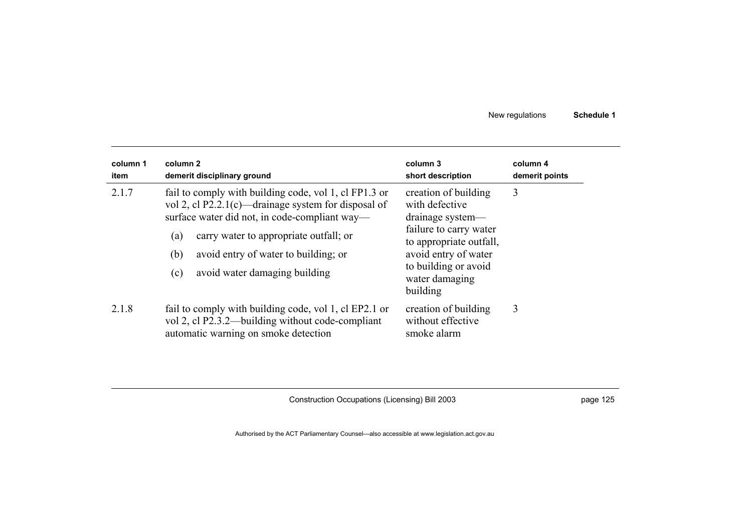| column 1<br>item | column 2<br>demerit disciplinary ground                                                                                                                                                                                                                                                               | column 3<br>short description                                                                                                                                                                 | column 4<br>demerit points |
|------------------|-------------------------------------------------------------------------------------------------------------------------------------------------------------------------------------------------------------------------------------------------------------------------------------------------------|-----------------------------------------------------------------------------------------------------------------------------------------------------------------------------------------------|----------------------------|
| 2.1.7            | fail to comply with building code, vol 1, cl FP1.3 or<br>vol 2, cl P2.2.1(c)—drainage system for disposal of<br>surface water did not, in code-compliant way-<br>carry water to appropriate outfall; or<br>(a)<br>(b)<br>avoid entry of water to building; or<br>avoid water damaging building<br>(c) | creation of building<br>with defective<br>drainage system—<br>failure to carry water<br>to appropriate outfall,<br>avoid entry of water<br>to building or avoid<br>water damaging<br>building | 3                          |
| 2.1.8            | fail to comply with building code, vol 1, cl EP2.1 or<br>vol 2, cl P2.3.2—building without code-compliant<br>automatic warning on smoke detection                                                                                                                                                     | creation of building<br>without effective<br>smoke alarm                                                                                                                                      | 3                          |

Construction Occupations (Licensing) Bill 2003 **page 125** page 125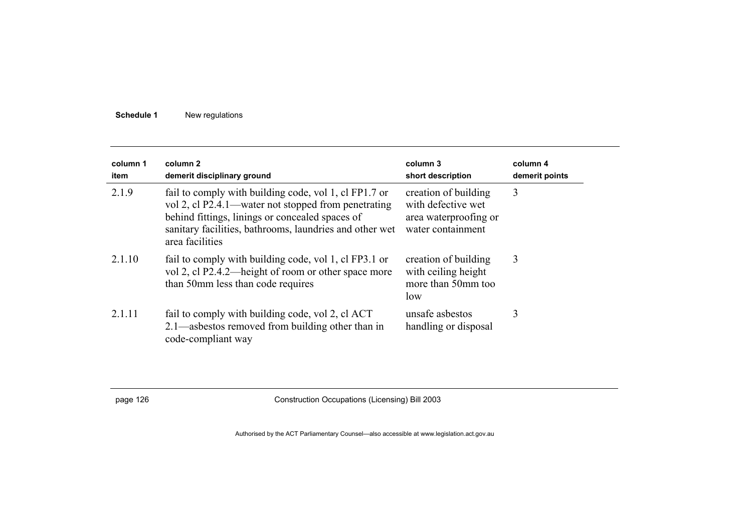| column 1<br>item | column 2<br>demerit disciplinary ground                                                                                                                                                                                                       | column 3<br>short description                                                            | column 4<br>demerit points |
|------------------|-----------------------------------------------------------------------------------------------------------------------------------------------------------------------------------------------------------------------------------------------|------------------------------------------------------------------------------------------|----------------------------|
| 2.1.9            | fail to comply with building code, vol 1, cl FP1.7 or<br>vol 2, cl P2.4.1—water not stopped from penetrating<br>behind fittings, linings or concealed spaces of<br>sanitary facilities, bathrooms, laundries and other wet<br>area facilities | creation of building<br>with defective wet<br>area waterproofing or<br>water containment | 3                          |
| 2.1.10           | fail to comply with building code, vol 1, cl FP3.1 or<br>vol 2, cl P2.4.2—height of room or other space more<br>than 50mm less than code requires                                                                                             | creation of building<br>with ceiling height<br>more than 50mm too<br>low                 | 3                          |
| 2.1.11           | fail to comply with building code, vol 2, cl ACT<br>2.1—asbestos removed from building other than in<br>code-compliant way                                                                                                                    | unsafe asbestos<br>handling or disposal                                                  | 3                          |

page 126 Construction Occupations (Licensing) Bill 2003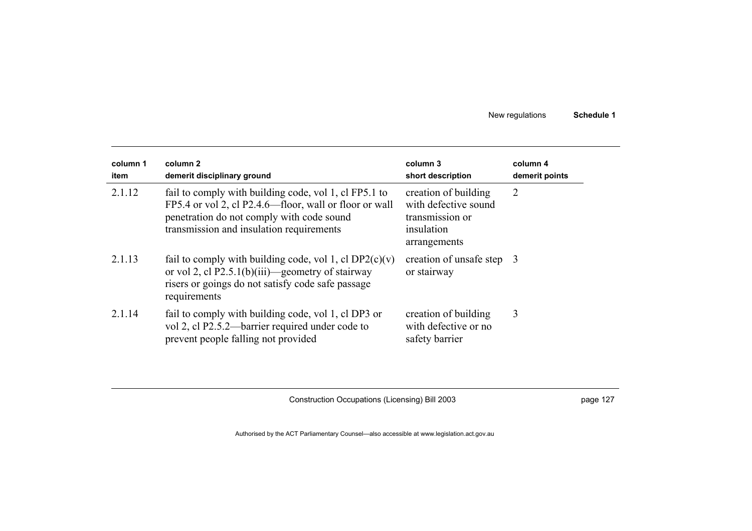| column 1<br>item | column 2<br>demerit disciplinary ground                                                                                                                                                                  | column 3<br>short description                                                                 | column 4<br>demerit points |
|------------------|----------------------------------------------------------------------------------------------------------------------------------------------------------------------------------------------------------|-----------------------------------------------------------------------------------------------|----------------------------|
| 2.1.12           | fail to comply with building code, vol 1, cl FP5.1 to<br>FP5.4 or vol 2, cl P2.4.6—floor, wall or floor or wall<br>penetration do not comply with code sound<br>transmission and insulation requirements | creation of building<br>with defective sound<br>transmission or<br>insulation<br>arrangements | 2                          |
| 2.1.13           | fail to comply with building code, vol 1, cl $DP2(c)(v)$<br>or vol 2, cl P2.5.1(b)(iii)—geometry of stairway<br>risers or goings do not satisfy code safe passage<br>requirements                        | creation of unsafe step 3<br>or stairway                                                      |                            |
| 2.1.14           | fail to comply with building code, vol 1, cl DP3 or<br>vol 2, cl P2.5.2—barrier required under code to<br>prevent people falling not provided                                                            | creation of building<br>with defective or no<br>safety barrier                                | 3                          |

Construction Occupations (Licensing) Bill 2003 **page 127** page 127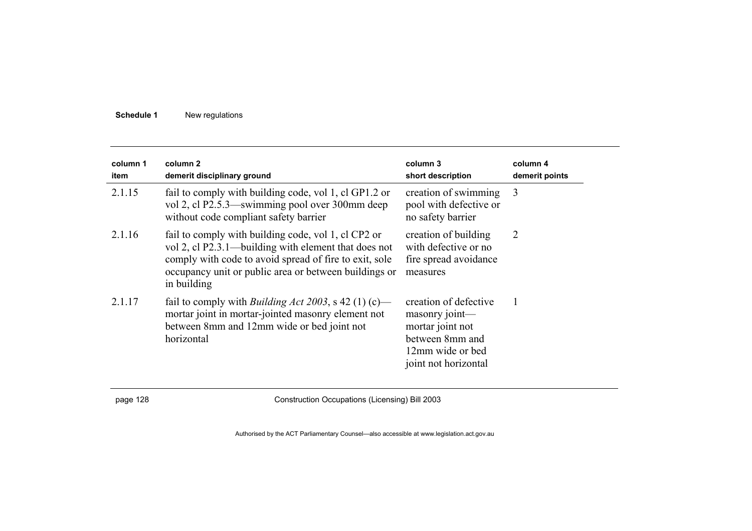| column 1<br>item | column <sub>2</sub><br>demerit disciplinary ground                                                                                                                                                                                            | column 3<br>short description                                                                                              | column 4<br>demerit points |
|------------------|-----------------------------------------------------------------------------------------------------------------------------------------------------------------------------------------------------------------------------------------------|----------------------------------------------------------------------------------------------------------------------------|----------------------------|
| 2.1.15           | fail to comply with building code, vol 1, cl GP1.2 or<br>vol 2, cl P2.5.3—swimming pool over 300mm deep<br>without code compliant safety barrier                                                                                              | creation of swimming<br>pool with defective or<br>no safety barrier                                                        | 3                          |
| 2.1.16           | fail to comply with building code, vol 1, cl CP2 or<br>vol 2, cl P2.3.1—building with element that does not<br>comply with code to avoid spread of fire to exit, sole<br>occupancy unit or public area or between buildings or<br>in building | creation of building<br>with defective or no<br>fire spread avoidance<br>measures                                          | 2                          |
| 2.1.17           | fail to comply with <i>Building Act 2003</i> , s 42 (1) (c)—<br>mortar joint in mortar-jointed masonry element not<br>between 8mm and 12mm wide or bed joint not<br>horizontal                                                                | creation of defective<br>masonry joint-<br>mortar joint not<br>between 8mm and<br>12mm wide or bed<br>joint not horizontal |                            |

page 128 Construction Occupations (Licensing) Bill 2003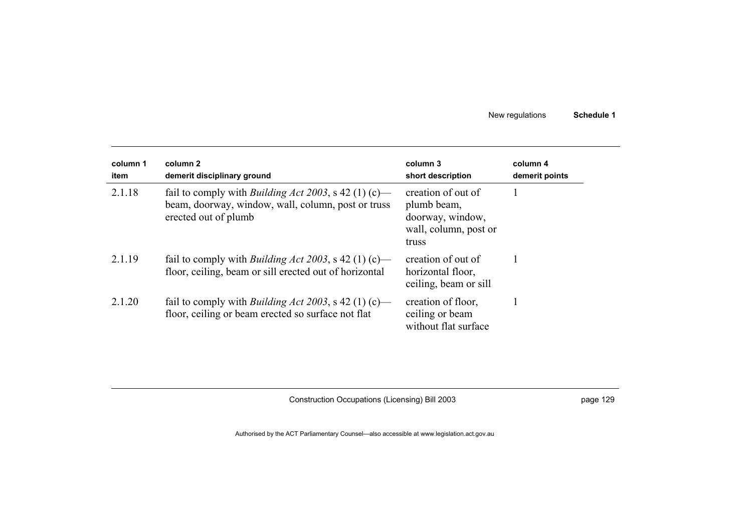| column 1<br>item | column 2<br>demerit disciplinary ground                                                                                                    | column 3<br>short description                                                           | column 4<br>demerit points |
|------------------|--------------------------------------------------------------------------------------------------------------------------------------------|-----------------------------------------------------------------------------------------|----------------------------|
| 2.1.18           | fail to comply with <i>Building Act 2003</i> , s 42 (1) (c)—<br>beam, doorway, window, wall, column, post or truss<br>erected out of plumb | creation of out of<br>plumb beam,<br>doorway, window,<br>wall, column, post or<br>truss |                            |
| 2.1.19           | fail to comply with <i>Building Act 2003</i> , s 42 (1) (c)—<br>floor, ceiling, beam or sill erected out of horizontal                     | creation of out of<br>horizontal floor,<br>ceiling, beam or sill                        |                            |
| 2.1.20           | fail to comply with <i>Building Act 2003</i> , s 42 (1) (c)—<br>floor, ceiling or beam erected so surface not flat                         | creation of floor,<br>ceiling or beam<br>without flat surface                           |                            |

Construction Occupations (Licensing) Bill 2003 **page 129** page 129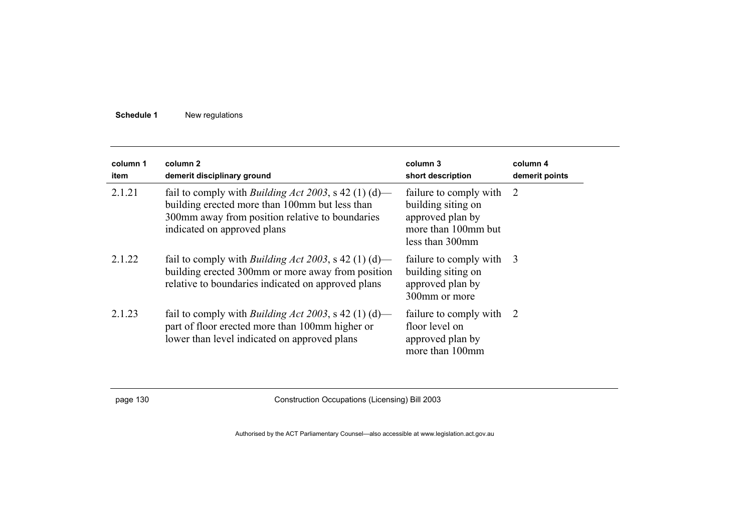| column 1<br>item | column 2<br>demerit disciplinary ground                                                                                                                                                          | column 3<br>short description                                                                                | column 4<br>demerit points |
|------------------|--------------------------------------------------------------------------------------------------------------------------------------------------------------------------------------------------|--------------------------------------------------------------------------------------------------------------|----------------------------|
| 2.1.21           | fail to comply with <i>Building Act 2003</i> , s 42 (1) (d)—<br>building erected more than 100mm but less than<br>300mm away from position relative to boundaries<br>indicated on approved plans | failure to comply with 2<br>building siting on<br>approved plan by<br>more than 100mm but<br>less than 300mm |                            |
| 2 1 2 2          | fail to comply with <i>Building Act 2003</i> , s 42 (1) (d)—<br>building erected 300mm or more away from position<br>relative to boundaries indicated on approved plans                          | failure to comply with 3<br>building siting on<br>approved plan by<br>300mm or more                          |                            |
| 2 1 2 3          | fail to comply with <i>Building Act 2003</i> , s 42 (1) (d)—<br>part of floor erected more than 100mm higher or<br>lower than level indicated on approved plans                                  | failure to comply with 2<br>floor level on<br>approved plan by<br>more than 100mm                            |                            |

page 130 Construction Occupations (Licensing) Bill 2003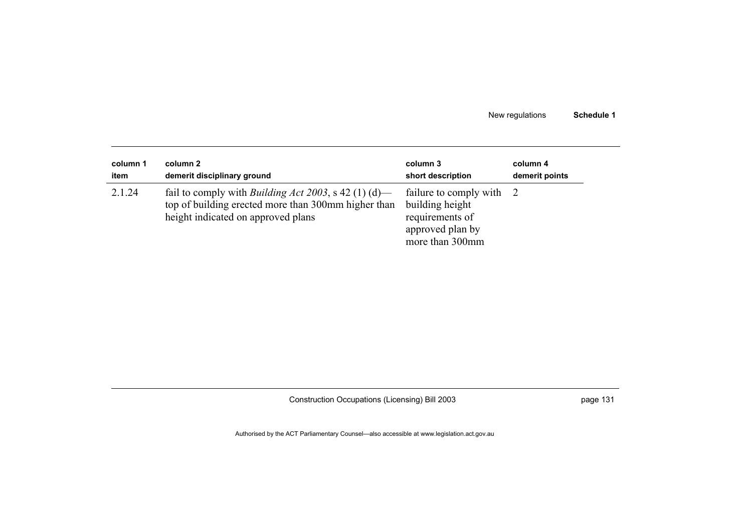| column 1 | column 2                                                                                                                                                  | column 3                                                                                            | column 4       |
|----------|-----------------------------------------------------------------------------------------------------------------------------------------------------------|-----------------------------------------------------------------------------------------------------|----------------|
| item     | demerit disciplinary ground                                                                                                                               | short description                                                                                   | demerit points |
| 2.1.24   | fail to comply with <i>Building Act 2003</i> , s 42 (1) (d)—<br>top of building erected more than 300mm higher than<br>height indicated on approved plans | failure to comply with<br>building height<br>requirements of<br>approved plan by<br>more than 300mm |                |

Construction Occupations (Licensing) Bill 2003 **page 131** page 131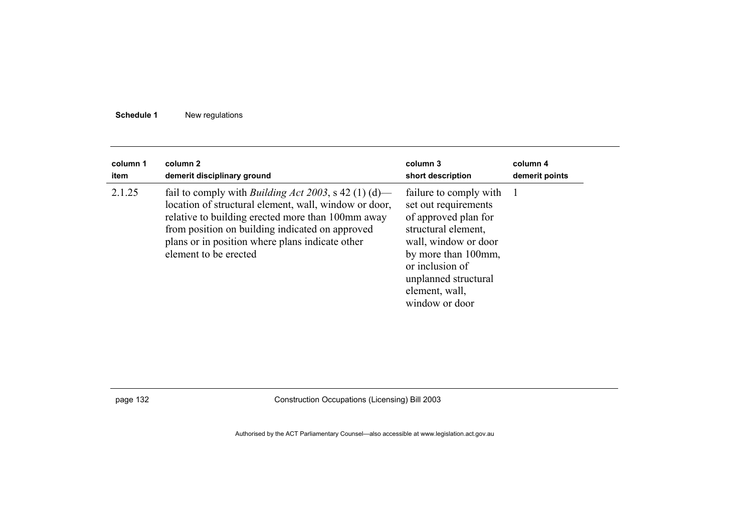| column 1 | column 2                                                                                                                                                                                                                                                                                                  | column 3                                                                                                                                                                                                                    | column 4       |
|----------|-----------------------------------------------------------------------------------------------------------------------------------------------------------------------------------------------------------------------------------------------------------------------------------------------------------|-----------------------------------------------------------------------------------------------------------------------------------------------------------------------------------------------------------------------------|----------------|
| item     | demerit disciplinary ground                                                                                                                                                                                                                                                                               | short description                                                                                                                                                                                                           | demerit points |
| 2.1.25   | fail to comply with <i>Building Act 2003</i> , s 42 (1) (d)—<br>location of structural element, wall, window or door,<br>relative to building erected more than 100mm away<br>from position on building indicated on approved<br>plans or in position where plans indicate other<br>element to be erected | failure to comply with<br>set out requirements<br>of approved plan for<br>structural element,<br>wall, window or door<br>by more than 100mm,<br>or inclusion of<br>unplanned structural<br>element, wall,<br>window or door |                |

page 132 Construction Occupations (Licensing) Bill 2003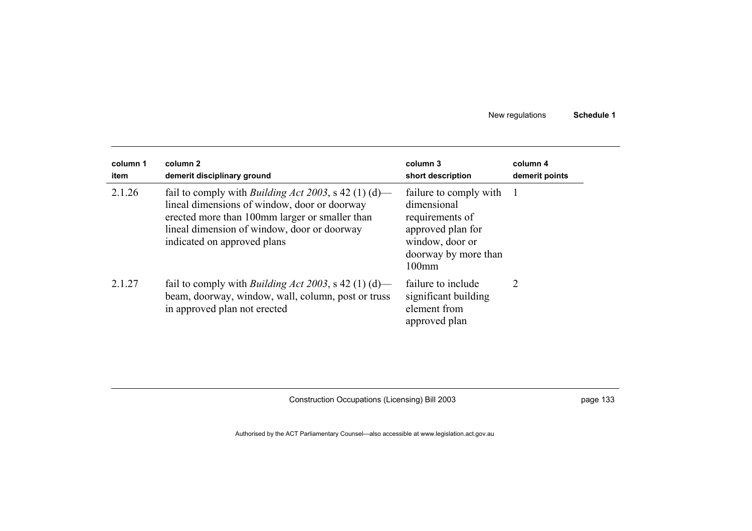| column 1<br>item | column 2<br>demerit disciplinary ground                                                                                                                                                                                                      | column 3<br>short description                                                                                                        | column 4<br>demerit points |
|------------------|----------------------------------------------------------------------------------------------------------------------------------------------------------------------------------------------------------------------------------------------|--------------------------------------------------------------------------------------------------------------------------------------|----------------------------|
| 2.1.26           | fail to comply with <i>Building Act 2003</i> , s 42 (1) (d)—<br>lineal dimensions of window, door or doorway<br>erected more than 100mm larger or smaller than<br>lineal dimension of window, door or doorway<br>indicated on approved plans | failure to comply with<br>dimensional<br>requirements of<br>approved plan for<br>window, door or<br>doorway by more than<br>$100$ mm |                            |
| 2.1.27           | fail to comply with <i>Building Act 2003</i> , s 42 (1) (d)—<br>beam, doorway, window, wall, column, post or truss<br>in approved plan not erected                                                                                           | failure to include<br>significant building<br>element from<br>approved plan                                                          | 2                          |

Construction Occupations (Licensing) Bill 2003 **page 133** page 133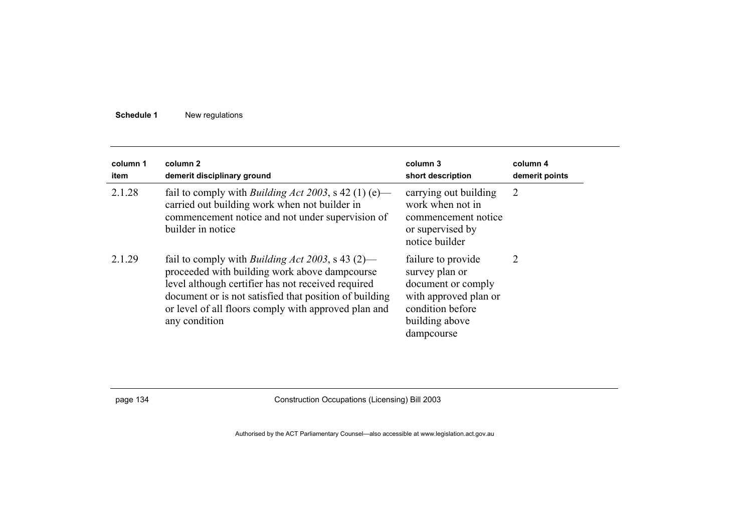| column 1<br>item | column 2<br>demerit disciplinary ground                                                                                                                                                                                                                                                            | column 3<br>short description                                                                                                           | column 4<br>demerit points |
|------------------|----------------------------------------------------------------------------------------------------------------------------------------------------------------------------------------------------------------------------------------------------------------------------------------------------|-----------------------------------------------------------------------------------------------------------------------------------------|----------------------------|
| 2.1.28           | fail to comply with <i>Building Act 2003</i> , s 42 (1) (e)—<br>carried out building work when not builder in<br>commencement notice and not under supervision of<br>builder in notice                                                                                                             | carrying out building<br>work when not in<br>commencement notice<br>or supervised by<br>notice builder                                  | 2                          |
| 2.1.29           | fail to comply with <i>Building Act 2003</i> , s 43 (2)—<br>proceeded with building work above dampcourse<br>level although certifier has not received required<br>document or is not satisfied that position of building<br>or level of all floors comply with approved plan and<br>any condition | failure to provide<br>survey plan or<br>document or comply<br>with approved plan or<br>condition before<br>building above<br>dampcourse | 2                          |

page 134 Construction Occupations (Licensing) Bill 2003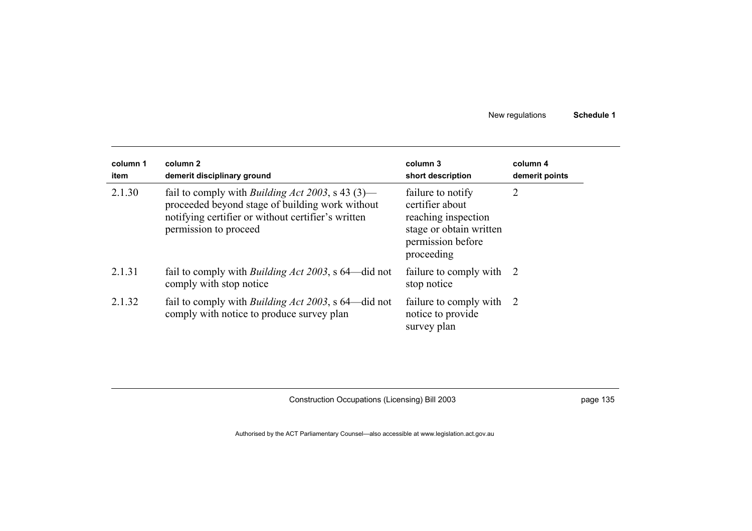| column 1<br>item | column 2<br>demerit disciplinary ground                                                                                                                                                    | column 3<br>short description                                                                                             | column 4<br>demerit points |
|------------------|--------------------------------------------------------------------------------------------------------------------------------------------------------------------------------------------|---------------------------------------------------------------------------------------------------------------------------|----------------------------|
| 2.1.30           | fail to comply with <i>Building Act 2003</i> , s 43 (3)—<br>proceeded beyond stage of building work without<br>notifying certifier or without certifier's written<br>permission to proceed | failure to notify<br>certifier about<br>reaching inspection<br>stage or obtain written<br>permission before<br>proceeding | 2                          |
| 2.1.31           | fail to comply with <i>Building Act 2003</i> , s 64—did not<br>comply with stop notice                                                                                                     | failure to comply with 2<br>stop notice                                                                                   |                            |
| 2.1.32           | fail to comply with <i>Building Act 2003</i> , s 64—did not<br>comply with notice to produce survey plan                                                                                   | failure to comply with 2<br>notice to provide<br>survey plan                                                              |                            |

Construction Occupations (Licensing) Bill 2003 **page 135** page 135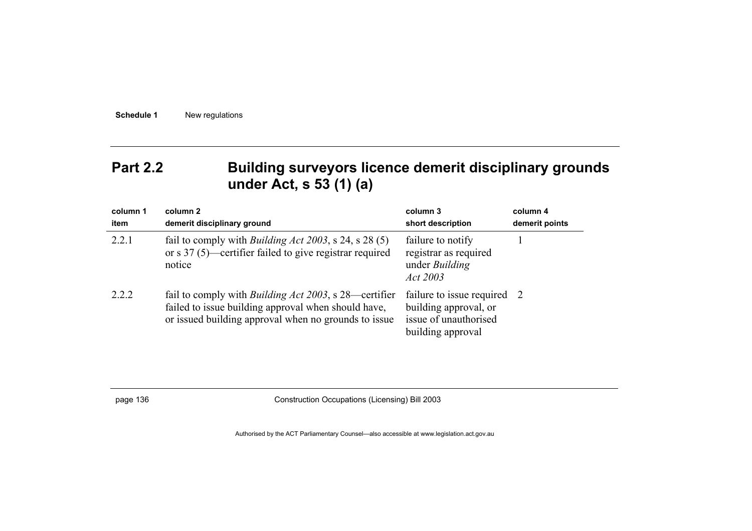## **Part 2.2 Building surveyors licence demerit disciplinary grounds under Act, s 53 (1) (a)**

| column 1<br>item | column 2<br>demerit disciplinary ground                                                                                                                                      | column 3<br>short description                                                                    | column 4<br>demerit points |
|------------------|------------------------------------------------------------------------------------------------------------------------------------------------------------------------------|--------------------------------------------------------------------------------------------------|----------------------------|
| 2.2.1            | fail to comply with <i>Building Act 2003</i> , s 24, s 28 (5)<br>or s $37(5)$ —certifier failed to give registrar required<br>notice                                         | failure to notify<br>registrar as required<br>under <i>Building</i><br>Act 2003                  |                            |
| 2.2.2            | fail to comply with <i>Building Act 2003</i> , s 28—certifier<br>failed to issue building approval when should have,<br>or issued building approval when no grounds to issue | failure to issue required<br>building approval, or<br>issue of unauthorised<br>building approval | - 2                        |

page 136 Construction Occupations (Licensing) Bill 2003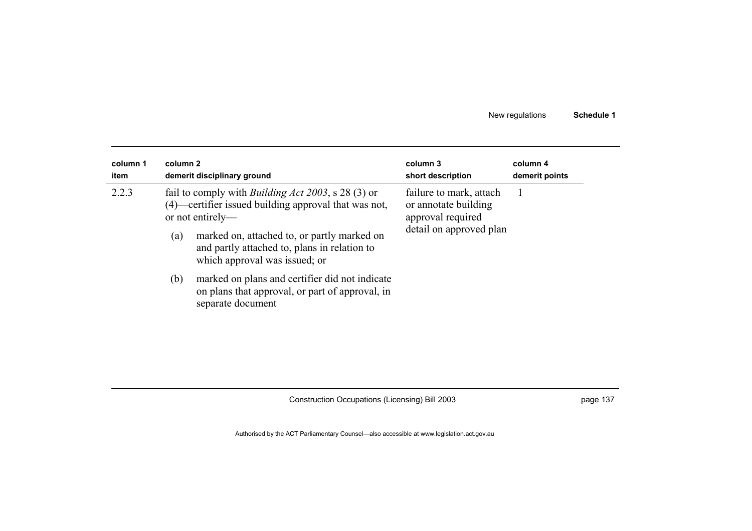| column 1 | column 2                                                                                                                                                                                                                                                                                                                                                                                                       | column 3                                                                                        | column 4       |
|----------|----------------------------------------------------------------------------------------------------------------------------------------------------------------------------------------------------------------------------------------------------------------------------------------------------------------------------------------------------------------------------------------------------------------|-------------------------------------------------------------------------------------------------|----------------|
| item     | demerit disciplinary ground                                                                                                                                                                                                                                                                                                                                                                                    | short description                                                                               | demerit points |
| 2.2.3    | fail to comply with <i>Building Act 2003</i> , s 28 (3) or<br>(4)—certifier issued building approval that was not,<br>or not entirely—<br>marked on, attached to, or partly marked on<br>(a)<br>and partly attached to, plans in relation to<br>which approval was issued; or<br>marked on plans and certifier did not indicate<br>(b)<br>on plans that approval, or part of approval, in<br>separate document | failure to mark, attach<br>or annotate building<br>approval required<br>detail on approved plan |                |

Construction Occupations (Licensing) Bill 2003 **page 137** page 137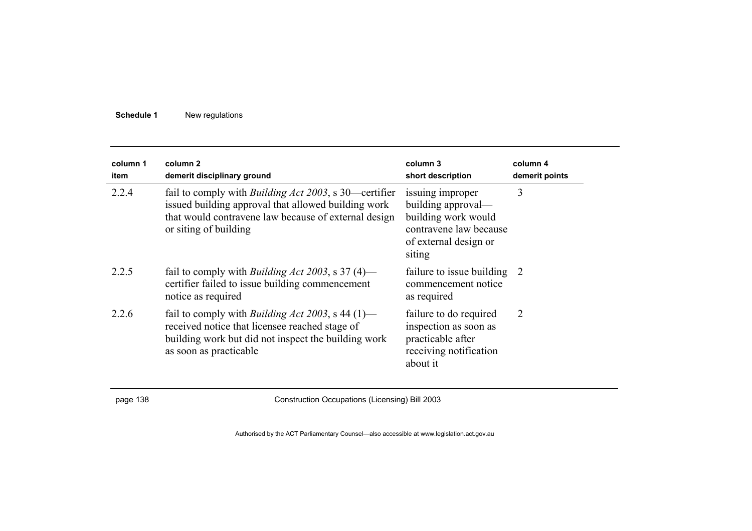| column 1<br>item | column 2<br>demerit disciplinary ground                                                                                                                                                               | column 3<br>short description                                                                                              | column 4<br>demerit points |
|------------------|-------------------------------------------------------------------------------------------------------------------------------------------------------------------------------------------------------|----------------------------------------------------------------------------------------------------------------------------|----------------------------|
| 2.2.4            | fail to comply with <i>Building Act 2003</i> , s 30—certifier<br>issued building approval that allowed building work<br>that would contravene law because of external design<br>or siting of building | issuing improper<br>building approval—<br>building work would<br>contravene law because<br>of external design or<br>siting | 3                          |
| 2.2.5            | fail to comply with <i>Building Act 2003</i> , s 37 (4)—<br>certifier failed to issue building commencement<br>notice as required                                                                     | failure to issue building 2<br>commencement notice<br>as required                                                          |                            |
| 2.2.6            | fail to comply with <i>Building Act 2003</i> , s 44 (1)—<br>received notice that licensee reached stage of<br>building work but did not inspect the building work<br>as soon as practicable           | failure to do required<br>inspection as soon as<br>practicable after<br>receiving notification<br>about it                 | $\overline{2}$             |

page 138 Construction Occupations (Licensing) Bill 2003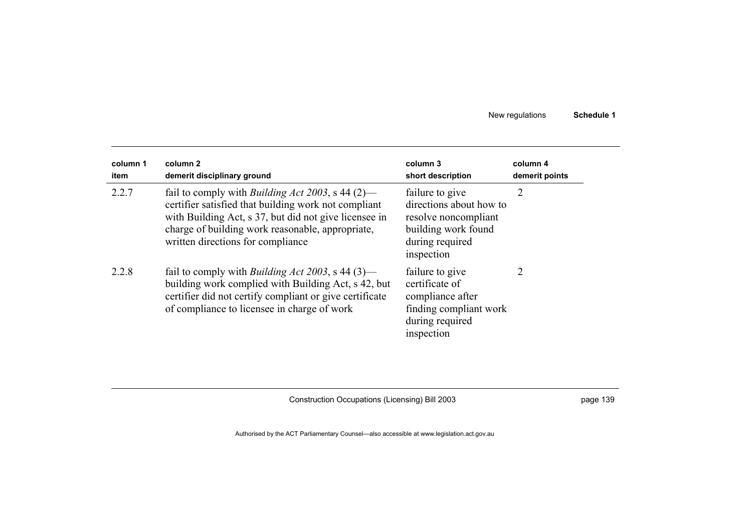| column 1<br>item | column 2<br>demerit disciplinary ground                                                                                                                                                                                                                            | column 3<br>short description                                                                                              | column 4<br>demerit points |
|------------------|--------------------------------------------------------------------------------------------------------------------------------------------------------------------------------------------------------------------------------------------------------------------|----------------------------------------------------------------------------------------------------------------------------|----------------------------|
| 2.2.7            | fail to comply with <i>Building Act 2003</i> , s 44 (2)—<br>certifier satisfied that building work not compliant<br>with Building Act, s 37, but did not give licensee in<br>charge of building work reasonable, appropriate,<br>written directions for compliance | failure to give<br>directions about how to<br>resolve noncompliant<br>building work found<br>during required<br>inspection | 2                          |
| 2.2.8            | fail to comply with <i>Building Act 2003</i> , s 44 (3)—<br>building work complied with Building Act, s 42, but<br>certifier did not certify compliant or give certificate<br>of compliance to licensee in charge of work                                          | failure to give<br>certificate of<br>compliance after<br>finding compliant work<br>during required<br>inspection           | 2                          |

Construction Occupations (Licensing) Bill 2003 **page 139** page 139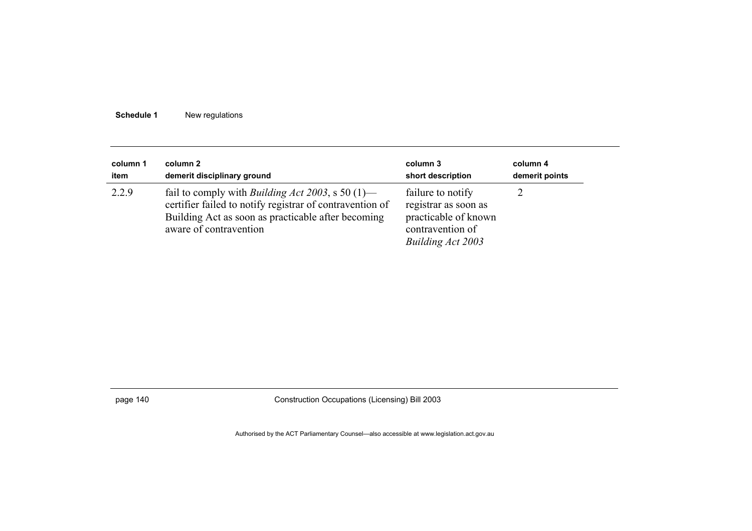| column 1 | column 2                                                                                                                                                                                                | column 3                                                                                                   | column 4       |
|----------|---------------------------------------------------------------------------------------------------------------------------------------------------------------------------------------------------------|------------------------------------------------------------------------------------------------------------|----------------|
| item     | demerit disciplinary ground                                                                                                                                                                             | short description                                                                                          | demerit points |
| 2.2.9    | fail to comply with <i>Building Act 2003</i> , s 50 $(1)$ —<br>certifier failed to notify registrar of contravention of<br>Building Act as soon as practicable after becoming<br>aware of contravention | failure to notify<br>registrar as soon as<br>practicable of known<br>contravention of<br>Building Act 2003 |                |

page 140 Construction Occupations (Licensing) Bill 2003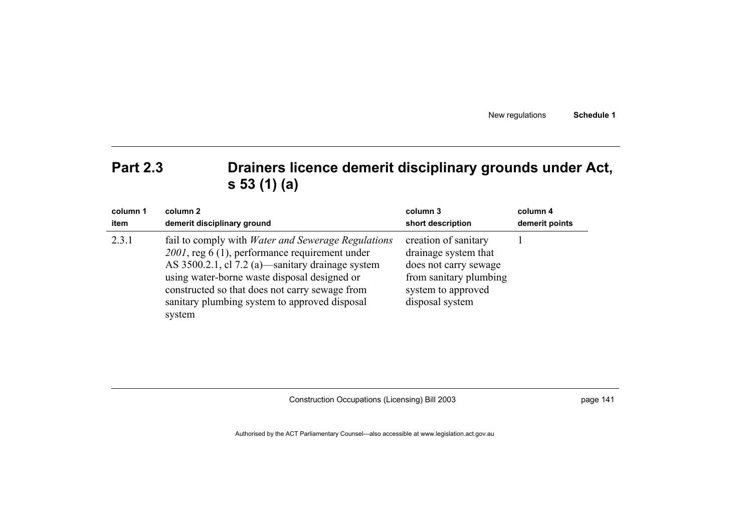# **Part 2.3 Drainers licence demerit disciplinary grounds under Act, s 53 (1) (a)**

| column 1 | column 2                                                                                                                                                                                                                                                                                                                     | column 3                                                                                                                                 | column 4       |
|----------|------------------------------------------------------------------------------------------------------------------------------------------------------------------------------------------------------------------------------------------------------------------------------------------------------------------------------|------------------------------------------------------------------------------------------------------------------------------------------|----------------|
| item     | demerit disciplinary ground                                                                                                                                                                                                                                                                                                  | short description                                                                                                                        | demerit points |
| 2.3.1    | fail to comply with <i>Water and Sewerage Regulations</i><br>2001, reg 6 (1), performance requirement under<br>AS 3500.2.1, cl 7.2 (a)—sanitary drainage system<br>using water-borne waste disposal designed or<br>constructed so that does not carry sewage from<br>sanitary plumbing system to approved disposal<br>system | creation of sanitary<br>drainage system that<br>does not carry sewage<br>from sanitary plumbing<br>system to approved<br>disposal system |                |

Construction Occupations (Licensing) Bill 2003 page 141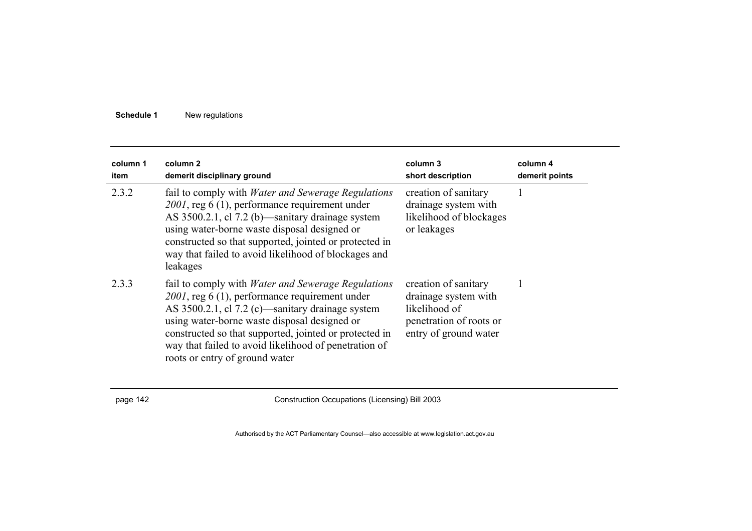| column 1<br>item | column <sub>2</sub><br>demerit disciplinary ground                                                                                                                                                                                                                                                                                                                   | column 3<br>short description                                                                                     | column 4<br>demerit points |
|------------------|----------------------------------------------------------------------------------------------------------------------------------------------------------------------------------------------------------------------------------------------------------------------------------------------------------------------------------------------------------------------|-------------------------------------------------------------------------------------------------------------------|----------------------------|
| 2.3.2            | fail to comply with <i>Water and Sewerage Regulations</i><br>2001, reg 6 (1), performance requirement under<br>AS 3500.2.1, cl 7.2 (b) sanitary drainage system<br>using water-borne waste disposal designed or<br>constructed so that supported, jointed or protected in<br>way that failed to avoid likelihood of blockages and<br>leakages                        | creation of sanitary<br>drainage system with<br>likelihood of blockages<br>or leakages                            |                            |
| 2.3.3            | fail to comply with <i>Water and Sewerage Regulations</i><br>2001, reg 6 (1), performance requirement under<br>AS 3500.2.1, cl 7.2 (c)—sanitary drainage system<br>using water-borne waste disposal designed or<br>constructed so that supported, jointed or protected in<br>way that failed to avoid likelihood of penetration of<br>roots or entry of ground water | creation of sanitary<br>drainage system with<br>likelihood of<br>penetration of roots or<br>entry of ground water |                            |

page 142 Construction Occupations (Licensing) Bill 2003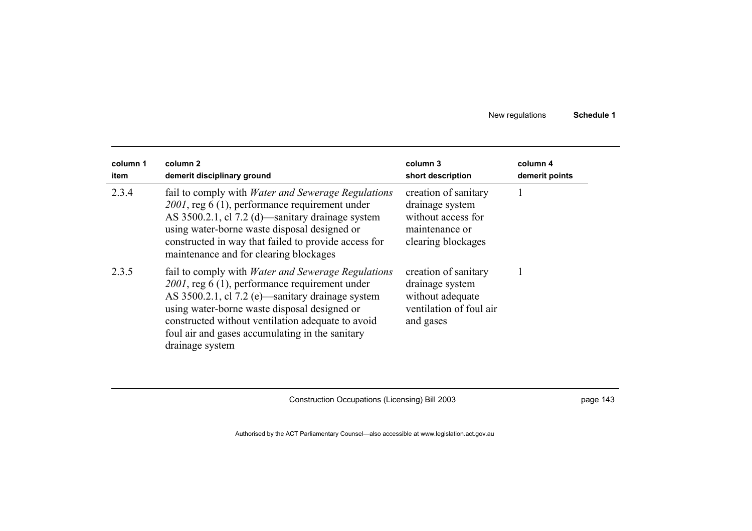| column 1<br>item | column 2<br>demerit disciplinary ground                                                                                                                                                                                                                                                                                                       | column 3<br>short description                                                                         | column 4<br>demerit points |
|------------------|-----------------------------------------------------------------------------------------------------------------------------------------------------------------------------------------------------------------------------------------------------------------------------------------------------------------------------------------------|-------------------------------------------------------------------------------------------------------|----------------------------|
| 2.3.4            | fail to comply with <i>Water and Sewerage Regulations</i><br>$2001$ , reg 6 (1), performance requirement under<br>AS 3500.2.1, cl 7.2 (d)—sanitary drainage system<br>using water-borne waste disposal designed or<br>constructed in way that failed to provide access for<br>maintenance and for clearing blockages                          | creation of sanitary<br>drainage system<br>without access for<br>maintenance or<br>clearing blockages |                            |
| 2.3.5            | fail to comply with <i>Water and Sewerage Regulations</i><br>$2001$ , reg 6 (1), performance requirement under<br>AS 3500.2.1, cl 7.2 (e)—sanitary drainage system<br>using water-borne waste disposal designed or<br>constructed without ventilation adequate to avoid<br>foul air and gases accumulating in the sanitary<br>drainage system | creation of sanitary<br>drainage system<br>without adequate<br>ventilation of foul air<br>and gases   |                            |

Construction Occupations (Licensing) Bill 2003 **page 143** page 143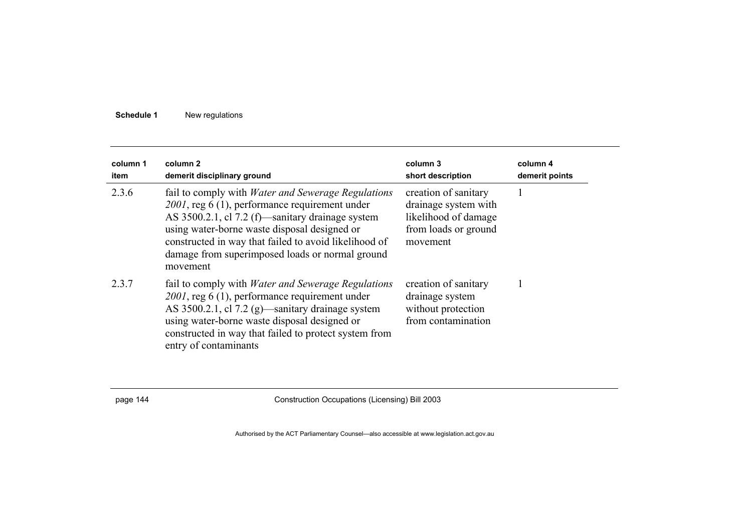| column 1<br>item | column 2<br>demerit disciplinary ground                                                                                                                                                                                                                                                                                                    | column 3<br>short description                                                                            | column 4<br>demerit points |
|------------------|--------------------------------------------------------------------------------------------------------------------------------------------------------------------------------------------------------------------------------------------------------------------------------------------------------------------------------------------|----------------------------------------------------------------------------------------------------------|----------------------------|
| 2.3.6            | fail to comply with <i>Water and Sewerage Regulations</i><br>$2001$ , reg 6 (1), performance requirement under<br>AS 3500.2.1, cl 7.2 (f)—sanitary drainage system<br>using water-borne waste disposal designed or<br>constructed in way that failed to avoid likelihood of<br>damage from superimposed loads or normal ground<br>movement | creation of sanitary<br>drainage system with<br>likelihood of damage<br>from loads or ground<br>movement |                            |
| 2.3.7            | fail to comply with <i>Water and Sewerage Regulations</i><br>$2001$ , reg 6 (1), performance requirement under<br>AS 3500.2.1, cl 7.2 (g)—sanitary drainage system<br>using water-borne waste disposal designed or<br>constructed in way that failed to protect system from<br>entry of contaminants                                       | creation of sanitary<br>drainage system<br>without protection<br>from contamination                      |                            |

page 144 Construction Occupations (Licensing) Bill 2003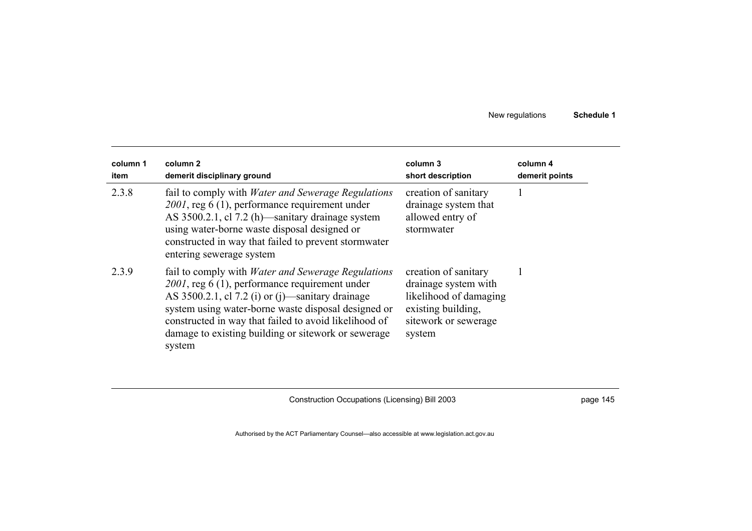| column 1<br>item | column 2<br>demerit disciplinary ground                                                                                                                                                                                                                                                                                                                  | column 3<br>short description                                                                                                  | column 4<br>demerit points |
|------------------|----------------------------------------------------------------------------------------------------------------------------------------------------------------------------------------------------------------------------------------------------------------------------------------------------------------------------------------------------------|--------------------------------------------------------------------------------------------------------------------------------|----------------------------|
| 2.3.8            | fail to comply with <i>Water and Sewerage Regulations</i><br>$2001$ , reg 6 (1), performance requirement under<br>AS 3500.2.1, cl 7.2 (h) sanitary drainage system<br>using water-borne waste disposal designed or<br>constructed in way that failed to prevent stormwater<br>entering sewerage system                                                   | creation of sanitary<br>drainage system that<br>allowed entry of<br>stormwater                                                 |                            |
| 2.3.9            | fail to comply with <i>Water and Sewerage Regulations</i><br>$2001$ , reg 6 (1), performance requirement under<br>AS $3500.2.1$ , cl $7.2$ (i) or (j)—sanitary drainage<br>system using water-borne waste disposal designed or<br>constructed in way that failed to avoid likelihood of<br>damage to existing building or sitework or sewerage<br>system | creation of sanitary<br>drainage system with<br>likelihood of damaging<br>existing building,<br>sitework or sewerage<br>system |                            |

Construction Occupations (Licensing) Bill 2003 **page 145**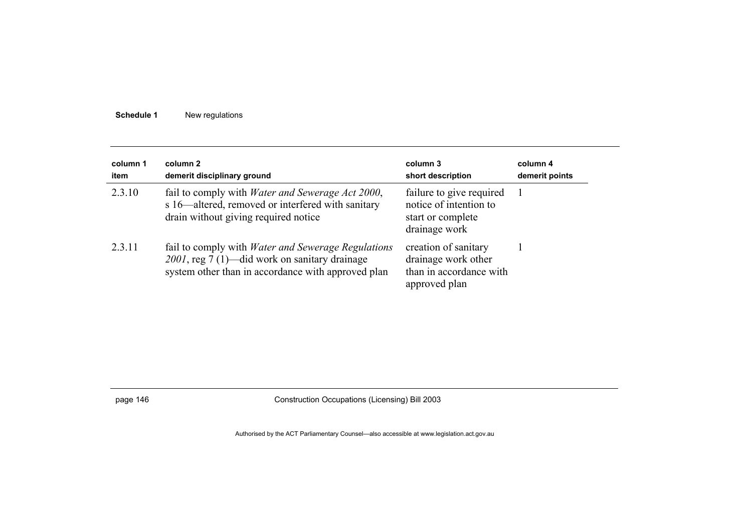| column 1<br>item | column 2<br>demerit disciplinary ground                                                                                                                          | column 3<br>short description                                                            | column 4<br>demerit points |
|------------------|------------------------------------------------------------------------------------------------------------------------------------------------------------------|------------------------------------------------------------------------------------------|----------------------------|
| 2.3.10           | fail to comply with <i>Water and Sewerage Act 2000</i> ,<br>s 16—altered, removed or interfered with sanitary<br>drain without giving required notice            | failure to give required<br>notice of intention to<br>start or complete<br>drainage work |                            |
| 2.3.11           | fail to comply with <i>Water and Sewerage Regulations</i><br>2001, reg 7 (1)—did work on sanitary drainage<br>system other than in accordance with approved plan | creation of sanitary<br>drainage work other<br>than in accordance with<br>approved plan  |                            |

page 146 Construction Occupations (Licensing) Bill 2003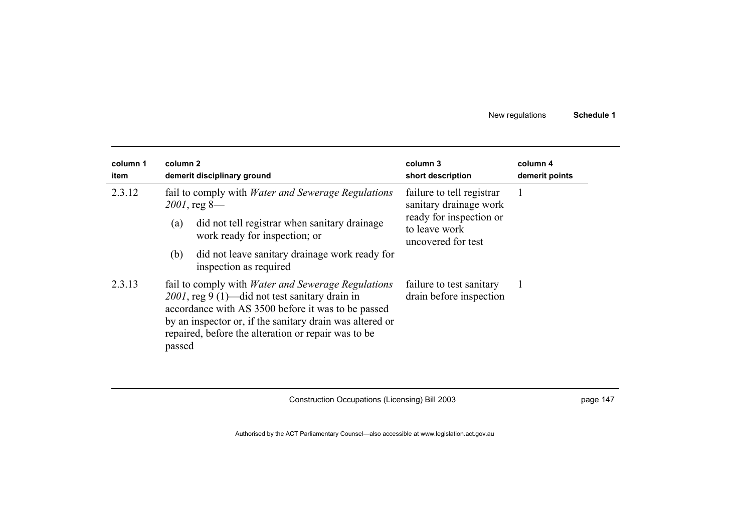| column 1<br>item | column 2<br>demerit disciplinary ground                                                                                                                                                                                                                                                           | column 3<br>short description                                                  | column 4<br>demerit points |
|------------------|---------------------------------------------------------------------------------------------------------------------------------------------------------------------------------------------------------------------------------------------------------------------------------------------------|--------------------------------------------------------------------------------|----------------------------|
| 2.3.12           | fail to comply with <i>Water and Sewerage Regulations</i><br>$2001$ , reg 8—                                                                                                                                                                                                                      | failure to tell registrar<br>sanitary drainage work<br>ready for inspection or |                            |
|                  | did not tell registrar when sanitary drainage<br>(a)<br>work ready for inspection; or                                                                                                                                                                                                             | to leave work<br>uncovered for test                                            |                            |
|                  | did not leave sanitary drainage work ready for<br>(b)<br>inspection as required                                                                                                                                                                                                                   |                                                                                |                            |
| 2.3.13           | fail to comply with <i>Water and Sewerage Regulations</i><br>$2001$ , reg 9 (1)—did not test sanitary drain in<br>accordance with AS 3500 before it was to be passed<br>by an inspector or, if the sanitary drain was altered or<br>repaired, before the alteration or repair was to be<br>passed | failure to test sanitary<br>drain before inspection                            |                            |

Construction Occupations (Licensing) Bill 2003 **page 147** page 147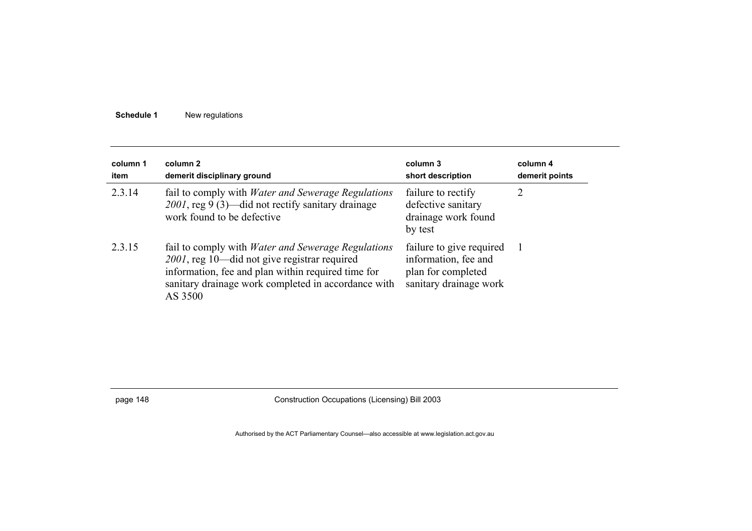| column 1<br>item | column 2<br>demerit disciplinary ground                                                                                                                                                                                           | column 3<br>short description                                                                    | column 4<br>demerit points |
|------------------|-----------------------------------------------------------------------------------------------------------------------------------------------------------------------------------------------------------------------------------|--------------------------------------------------------------------------------------------------|----------------------------|
| 2.3.14           | fail to comply with <i>Water and Sewerage Regulations</i><br>$2001$ , reg 9 (3)—did not rectify sanitary drainage<br>work found to be defective.                                                                                  | failure to rectify<br>defective sanitary<br>drainage work found<br>by test                       | 2                          |
| 2.3.15           | fail to comply with <i>Water and Sewerage Regulations</i><br>2001, reg 10—did not give registrar required<br>information, fee and plan within required time for<br>sanitary drainage work completed in accordance with<br>AS 3500 | failure to give required<br>information, fee and<br>plan for completed<br>sanitary drainage work |                            |

page 148 Construction Occupations (Licensing) Bill 2003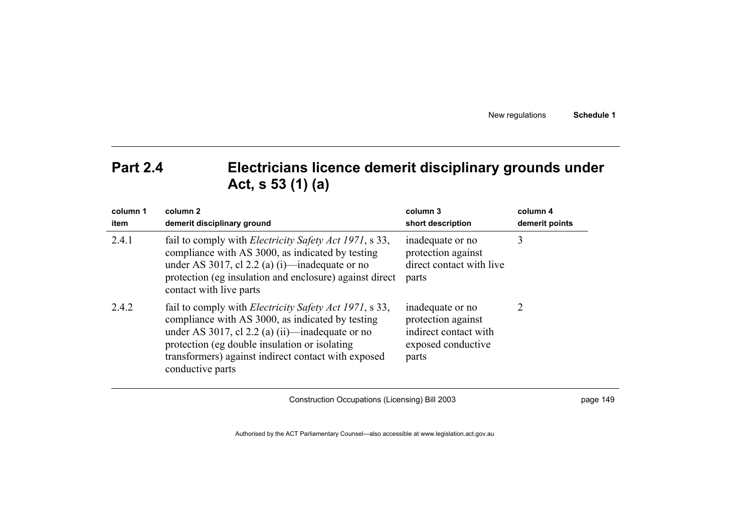| New regulations | Schedule 1 |
|-----------------|------------|
|-----------------|------------|

## **Part 2.4 Electricians licence demerit disciplinary grounds under Act, s 53 (1) (a)**

| column 1<br>item | column <sub>2</sub><br>demerit disciplinary ground                                                                                                                                                                                                                                                 | column 3<br>short description                                                                  | column 4<br>demerit points |
|------------------|----------------------------------------------------------------------------------------------------------------------------------------------------------------------------------------------------------------------------------------------------------------------------------------------------|------------------------------------------------------------------------------------------------|----------------------------|
| 2.4.1            | fail to comply with <i>Electricity Safety Act 1971</i> , s 33,<br>compliance with AS 3000, as indicated by testing<br>under AS 3017, cl 2.2 (a) (i)—inadequate or no<br>protection (eg insulation and enclosure) against direct<br>contact with live parts                                         | inadequate or no<br>protection against<br>direct contact with live<br>parts                    | 3                          |
| 2.4.2            | fail to comply with <i>Electricity Safety Act 1971</i> , s 33,<br>compliance with AS 3000, as indicated by testing<br>under AS 3017, cl 2.2 (a) (ii)—inadequate or no<br>protection (eg double insulation or isolating)<br>transformers) against indirect contact with exposed<br>conductive parts | inadequate or no<br>protection against<br>indirect contact with<br>exposed conductive<br>parts | 2                          |

Construction Occupations (Licensing) Bill 2003 page 149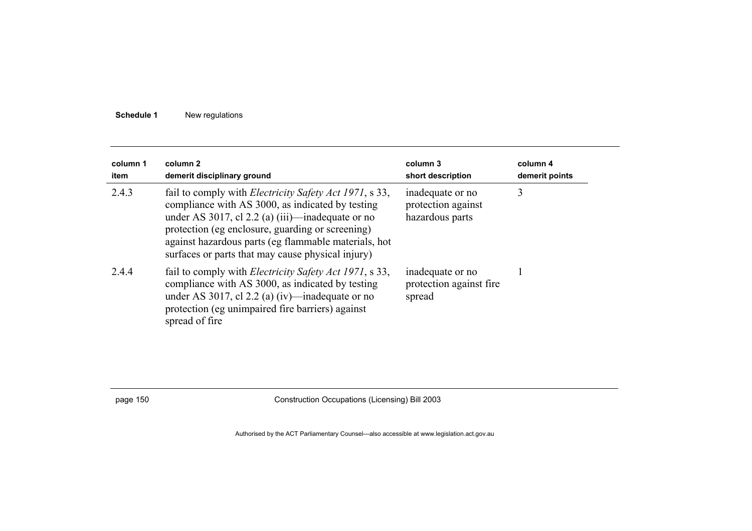| column 1<br>item | column 2<br>demerit disciplinary ground                                                                                                                                                                                                                                                                                                    | column 3<br>short description                             | column 4<br>demerit points |
|------------------|--------------------------------------------------------------------------------------------------------------------------------------------------------------------------------------------------------------------------------------------------------------------------------------------------------------------------------------------|-----------------------------------------------------------|----------------------------|
| 2.4.3            | fail to comply with <i>Electricity Safety Act 1971</i> , s 33,<br>compliance with AS 3000, as indicated by testing<br>under AS 3017, cl 2.2 (a) $(iii)$ —inadequate or no<br>protection (eg enclosure, guarding or screening)<br>against hazardous parts (eg flammable materials, hot<br>surfaces or parts that may cause physical injury) | inadequate or no<br>protection against<br>hazardous parts | 3                          |
| 2.4.4            | fail to comply with <i>Electricity Safety Act 1971</i> , s 33,<br>compliance with AS 3000, as indicated by testing<br>under AS 3017, cl 2.2 (a) (iv)—inadequate or no<br>protection (eg unimpaired fire barriers) against<br>spread of fire                                                                                                | inadequate or no<br>protection against fire.<br>spread    |                            |

page 150 Construction Occupations (Licensing) Bill 2003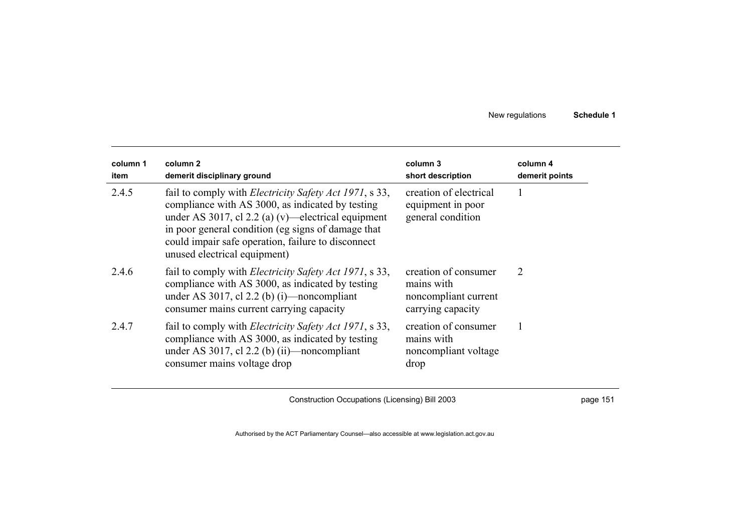| column 1<br>item | column 2<br>demerit disciplinary ground                                                                                                                                                                                                                                                                              | column 3<br>short description                                                   | column 4<br>demerit points |
|------------------|----------------------------------------------------------------------------------------------------------------------------------------------------------------------------------------------------------------------------------------------------------------------------------------------------------------------|---------------------------------------------------------------------------------|----------------------------|
| 2.4.5            | fail to comply with <i>Electricity Safety Act 1971</i> , s 33,<br>compliance with AS 3000, as indicated by testing<br>under AS 3017, cl 2.2 (a) (v)—electrical equipment<br>in poor general condition (eg signs of damage that<br>could impair safe operation, failure to disconnect<br>unused electrical equipment) | creation of electrical<br>equipment in poor<br>general condition                |                            |
| 2.4.6            | fail to comply with <i>Electricity Safety Act 1971</i> , s 33,<br>compliance with AS 3000, as indicated by testing<br>under AS 3017, cl 2.2 (b) (i)—noncompliant<br>consumer mains current carrying capacity                                                                                                         | creation of consumer<br>mains with<br>noncompliant current<br>carrying capacity | 2                          |
| 2.4.7            | fail to comply with <i>Electricity Safety Act 1971</i> , s 33,<br>compliance with AS 3000, as indicated by testing<br>under AS 3017, cl 2.2 (b) (ii)—noncompliant<br>consumer mains voltage drop                                                                                                                     | creation of consumer<br>mains with<br>noncompliant voltage<br>drop              |                            |

Construction Occupations (Licensing) Bill 2003 **page 151** page 151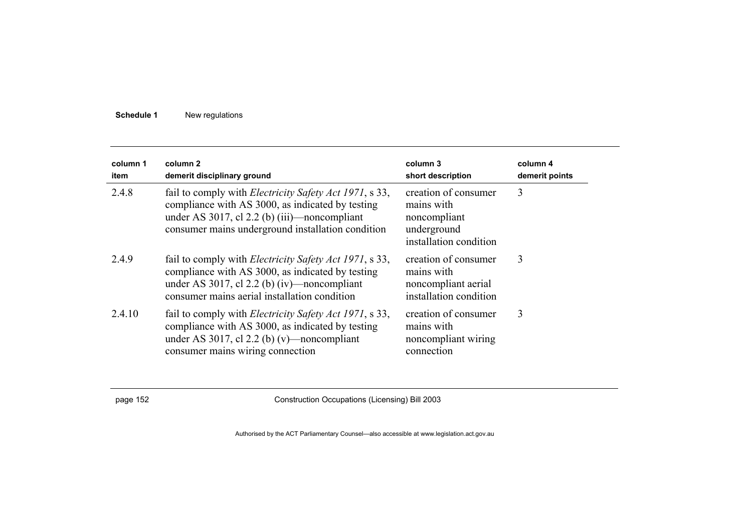| column 1<br>item | column <sub>2</sub><br>demerit disciplinary ground                                                                                                                                                                         | column 3<br>short description                                                               | column 4<br>demerit points |
|------------------|----------------------------------------------------------------------------------------------------------------------------------------------------------------------------------------------------------------------------|---------------------------------------------------------------------------------------------|----------------------------|
| 2.4.8            | fail to comply with <i>Electricity Safety Act 1971</i> , s 33,<br>compliance with AS 3000, as indicated by testing<br>under AS 3017, cl 2.2 (b) $(iii)$ —noncompliant<br>consumer mains underground installation condition | creation of consumer<br>mains with<br>noncompliant<br>underground<br>installation condition | 3                          |
| 2.4.9            | fail to comply with <i>Electricity Safety Act 1971</i> , s 33,<br>compliance with AS 3000, as indicated by testing<br>under AS 3017, cl 2.2 (b) (iv)—noncompliant<br>consumer mains aerial installation condition          | creation of consumer<br>mains with<br>noncompliant aerial<br>installation condition         | 3                          |
| 2.4.10           | fail to comply with <i>Electricity Safety Act 1971</i> , s 33,<br>compliance with AS 3000, as indicated by testing<br>under AS 3017, cl 2.2 (b) (v)—noncompliant<br>consumer mains wiring connection                       | creation of consumer<br>mains with<br>noncompliant wiring<br>connection                     | 3                          |

page 152 Construction Occupations (Licensing) Bill 2003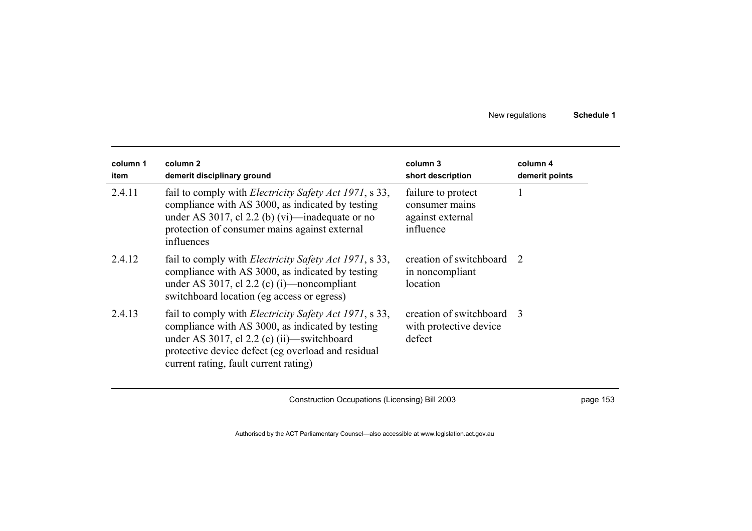| column 1<br>item | column <sub>2</sub><br>demerit disciplinary ground                                                                                                                                                                                                                | column 3<br>short description                                         | column 4<br>demerit points |
|------------------|-------------------------------------------------------------------------------------------------------------------------------------------------------------------------------------------------------------------------------------------------------------------|-----------------------------------------------------------------------|----------------------------|
| 2.4.11           | fail to comply with <i>Electricity Safety Act 1971</i> , s 33,<br>compliance with AS 3000, as indicated by testing<br>under AS 3017, cl 2.2 (b) (vi)—inadequate or no<br>protection of consumer mains against external<br>influences                              | failure to protect<br>consumer mains<br>against external<br>influence |                            |
| 2.4.12           | fail to comply with <i>Electricity Safety Act 1971</i> , s 33,<br>compliance with AS 3000, as indicated by testing<br>under AS 3017, cl 2.2 (c) (i)—noncompliant<br>switchboard location (eg access or egress)                                                    | creation of switchboard 2<br>in noncompliant<br>location              |                            |
| 2.4.13           | fail to comply with <i>Electricity Safety Act 1971</i> , s 33,<br>compliance with AS 3000, as indicated by testing<br>under AS 3017, cl $2.2$ (c) (ii)—switchboard<br>protective device defect (eg overload and residual<br>current rating, fault current rating) | creation of switchboard 3<br>with protective device<br>defect         |                            |

Construction Occupations (Licensing) Bill 2003 **page 153** page 153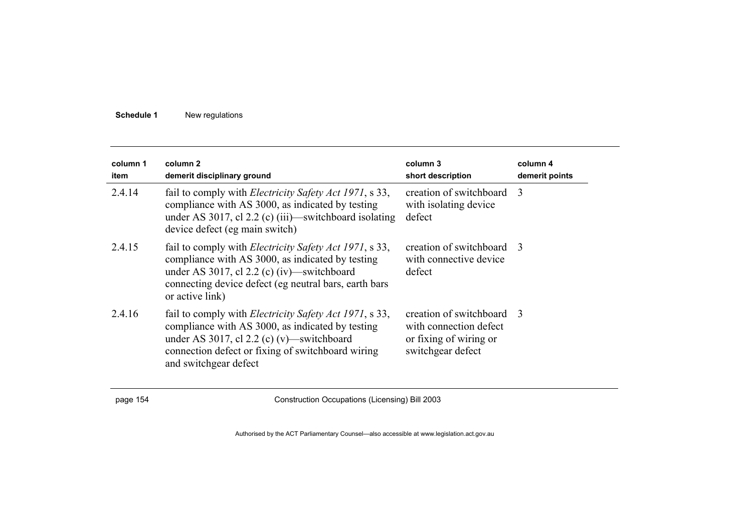| column 1<br>item | column <sub>2</sub><br>demerit disciplinary ground                                                                                                                                                                                             | column 3<br>short description                                                                      | column 4<br>demerit points |
|------------------|------------------------------------------------------------------------------------------------------------------------------------------------------------------------------------------------------------------------------------------------|----------------------------------------------------------------------------------------------------|----------------------------|
| 2.4.14           | fail to comply with <i>Electricity Safety Act 1971</i> , s 33,<br>compliance with AS 3000, as indicated by testing<br>under AS 3017, cl 2.2 (c) (iii)—switchboard isolating<br>device defect (eg main switch)                                  | creation of switchboard 3<br>with isolating device<br>defect                                       |                            |
| 2.4.15           | fail to comply with <i>Electricity Safety Act 1971</i> , s 33,<br>compliance with AS 3000, as indicated by testing<br>under AS 3017, cl $2.2$ (c) (iv)—switchboard<br>connecting device defect (eg neutral bars, earth bars<br>or active link) | creation of switchboard 3<br>with connective device<br>defect                                      |                            |
| 2.4.16           | fail to comply with <i>Electricity Safety Act 1971</i> , s 33,<br>compliance with AS 3000, as indicated by testing<br>under AS 3017, cl 2.2 (c) (v)—switchboard<br>connection defect or fixing of switchboard wiring<br>and switchgear defect  | creation of switchboard 3<br>with connection defect<br>or fixing of wiring or<br>switchgear defect |                            |

page 154 Construction Occupations (Licensing) Bill 2003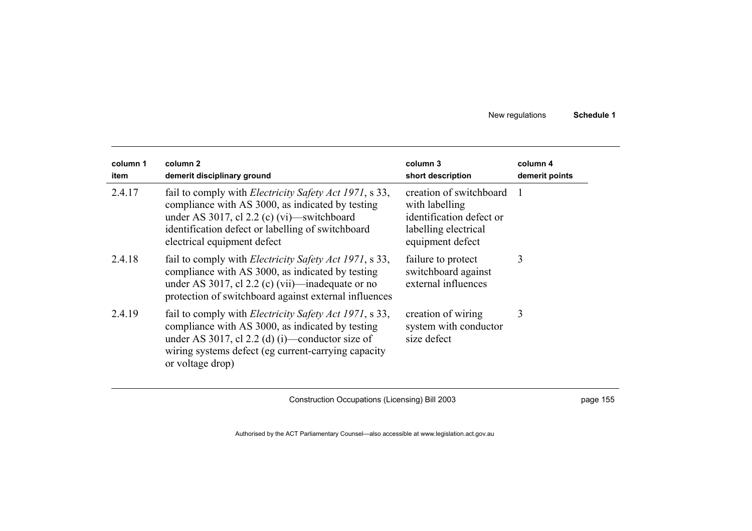| column 1<br>item | column 2<br>demerit disciplinary ground                                                                                                                                                                                                              | column 3<br>short description                                                                                     | column 4<br>demerit points |
|------------------|------------------------------------------------------------------------------------------------------------------------------------------------------------------------------------------------------------------------------------------------------|-------------------------------------------------------------------------------------------------------------------|----------------------------|
| 2.4.17           | fail to comply with <i>Electricity Safety Act 1971</i> , s 33,<br>compliance with AS 3000, as indicated by testing<br>under AS 3017, cl 2.2 (c) (vi)—switchboard<br>identification defect or labelling of switchboard<br>electrical equipment defect | creation of switchboard<br>with labelling<br>identification defect or<br>labelling electrical<br>equipment defect |                            |
| 2.4.18           | fail to comply with <i>Electricity Safety Act 1971</i> , s 33,<br>compliance with AS 3000, as indicated by testing<br>under AS 3017, cl 2.2 (c) (vii)—inadequate or no<br>protection of switchboard against external influences                      | failure to protect<br>switchboard against<br>external influences                                                  | 3                          |
| 2.4.19           | fail to comply with <i>Electricity Safety Act 1971</i> , s 33,<br>compliance with AS 3000, as indicated by testing<br>under AS 3017, cl 2.2 (d) (i)—conductor size of<br>wiring systems defect (eg current-carrying capacity<br>or voltage drop)     | creation of wiring<br>system with conductor<br>size defect                                                        | 3                          |

Construction Occupations (Licensing) Bill 2003 **page 155**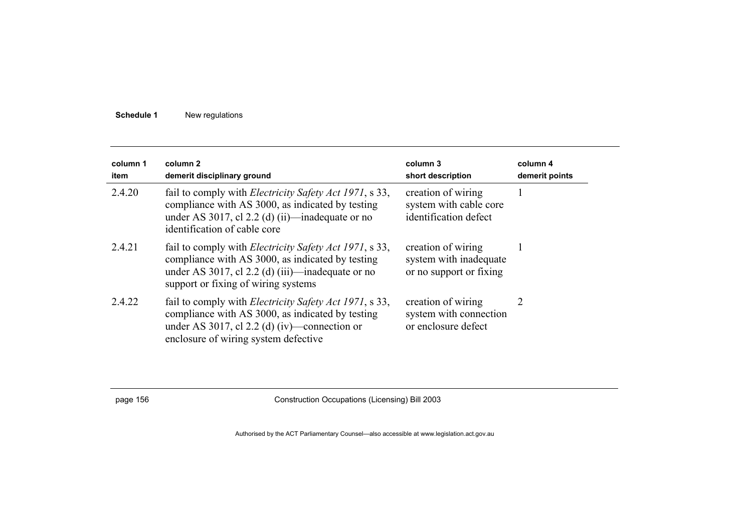| column 1<br>item | column 2<br>demerit disciplinary ground                                                                                                                                                                       | column 3<br>short description                                           | column 4<br>demerit points |
|------------------|---------------------------------------------------------------------------------------------------------------------------------------------------------------------------------------------------------------|-------------------------------------------------------------------------|----------------------------|
| 2.4.20           | fail to comply with <i>Electricity Safety Act 1971</i> , s 33,<br>compliance with AS 3000, as indicated by testing<br>under AS 3017, cl 2.2 (d) (ii)—inadequate or no<br>identification of cable core         | creation of wiring<br>system with cable core<br>identification defect   |                            |
| 2.4.21           | fail to comply with <i>Electricity Safety Act 1971</i> , s 33,<br>compliance with AS 3000, as indicated by testing<br>under AS 3017, cl 2.2 (d) (iii)—inadequate or no<br>support or fixing of wiring systems | creation of wiring<br>system with inadequate<br>or no support or fixing |                            |
| 2.4.22           | fail to comply with <i>Electricity Safety Act 1971</i> , s 33,<br>compliance with AS 3000, as indicated by testing<br>under AS 3017, cl 2.2 (d) (iv)—connection or<br>enclosure of wiring system defective    | creation of wiring<br>system with connection<br>or enclosure defect     | 2                          |

page 156 Construction Occupations (Licensing) Bill 2003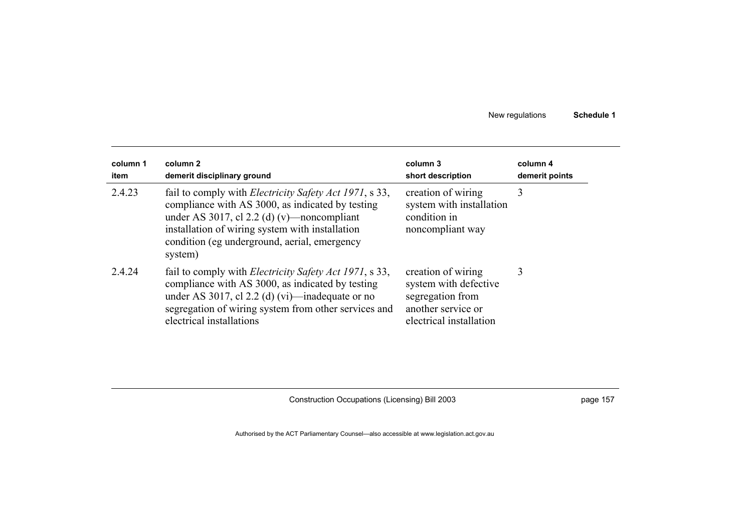| column 1<br>item | column 2<br>demerit disciplinary ground                                                                                                                                                                                                                                        | column 3<br>short description                                                                                    | column 4<br>demerit points |
|------------------|--------------------------------------------------------------------------------------------------------------------------------------------------------------------------------------------------------------------------------------------------------------------------------|------------------------------------------------------------------------------------------------------------------|----------------------------|
| 2.4.23           | fail to comply with <i>Electricity Safety Act 1971</i> , s 33,<br>compliance with AS 3000, as indicated by testing<br>under AS 3017, cl 2.2 (d) (v)—noncompliant<br>installation of wiring system with installation<br>condition (eg underground, aerial, emergency<br>system) | creation of wiring<br>system with installation<br>condition in<br>noncompliant way                               | 3                          |
| 2.4.24           | fail to comply with <i>Electricity Safety Act 1971</i> , s 33,<br>compliance with AS 3000, as indicated by testing<br>under AS 3017, cl 2.2 (d) (vi)—inadequate or no<br>segregation of wiring system from other services and<br>electrical installations                      | creation of wiring<br>system with defective<br>segregation from<br>another service or<br>electrical installation | 3                          |

Construction Occupations (Licensing) Bill 2003 **page 157** page 157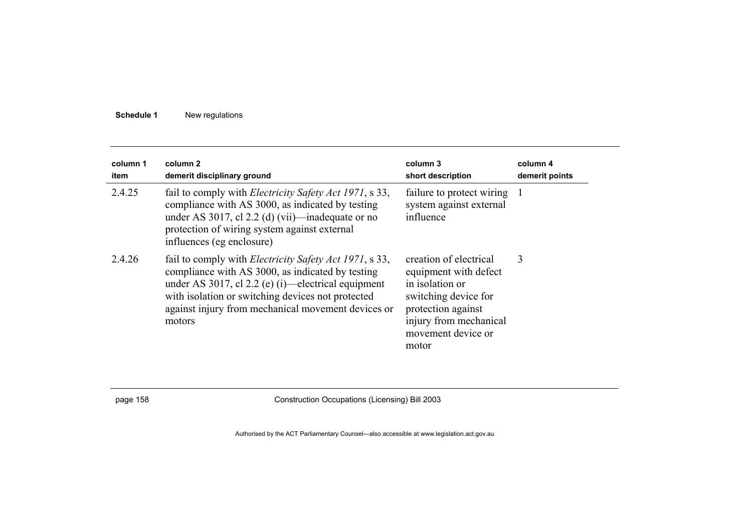| column 1<br>item | column 2<br>demerit disciplinary ground                                                                                                                                                                                                                                                       | column 3<br>short description                                                                                                                                             | column 4<br>demerit points |
|------------------|-----------------------------------------------------------------------------------------------------------------------------------------------------------------------------------------------------------------------------------------------------------------------------------------------|---------------------------------------------------------------------------------------------------------------------------------------------------------------------------|----------------------------|
| 2.4.25           | fail to comply with <i>Electricity Safety Act 1971</i> , s 33,<br>compliance with AS 3000, as indicated by testing<br>under AS 3017, cl 2.2 (d) (vii)—inadequate or no<br>protection of wiring system against external<br>influences (eg enclosure)                                           | failure to protect wiring 1<br>system against external<br>influence                                                                                                       |                            |
| 2.4.26           | fail to comply with <i>Electricity Safety Act 1971</i> , s 33,<br>compliance with AS 3000, as indicated by testing<br>under AS 3017, cl 2.2 (e) (i)—electrical equipment<br>with isolation or switching devices not protected<br>against injury from mechanical movement devices or<br>motors | creation of electrical<br>equipment with defect<br>in isolation or<br>switching device for<br>protection against<br>injury from mechanical<br>movement device or<br>motor | 3                          |

page 158 Construction Occupations (Licensing) Bill 2003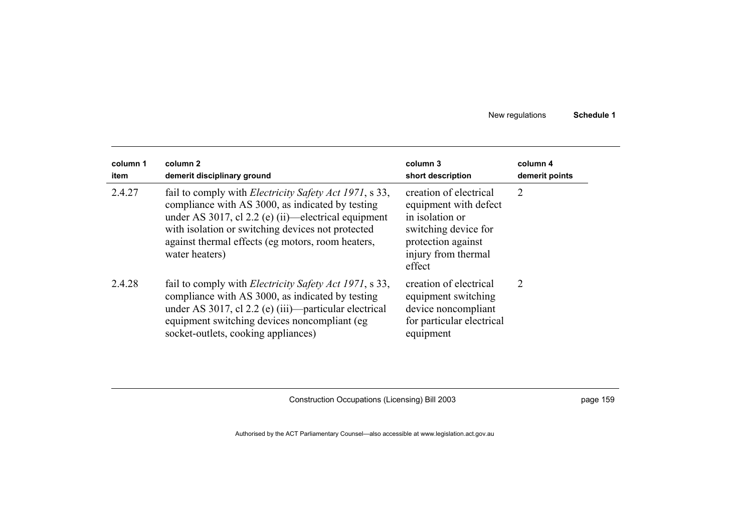| column 1<br>item | column 2<br>demerit disciplinary ground                                                                                                                                                                                                                                                                 | column 3<br>short description                                                                                                                     | column 4<br>demerit points  |
|------------------|---------------------------------------------------------------------------------------------------------------------------------------------------------------------------------------------------------------------------------------------------------------------------------------------------------|---------------------------------------------------------------------------------------------------------------------------------------------------|-----------------------------|
| 2.4.27           | fail to comply with <i>Electricity Safety Act 1971</i> , s 33,<br>compliance with AS 3000, as indicated by testing<br>under AS 3017, cl $2.2$ (e) (ii)—electrical equipment<br>with isolation or switching devices not protected<br>against thermal effects (eg motors, room heaters,<br>water heaters) | creation of electrical<br>equipment with defect<br>in isolation or<br>switching device for<br>protection against<br>injury from thermal<br>effect | 2                           |
| 2.4.28           | fail to comply with <i>Electricity Safety Act 1971</i> , s 33,<br>compliance with AS 3000, as indicated by testing<br>under AS 3017, cl 2.2 (e) (iii)—particular electrical<br>equipment switching devices noncompliant (eg<br>socket-outlets, cooking appliances)                                      | creation of electrical<br>equipment switching<br>device noncompliant<br>for particular electrical<br>equipment                                    | $\mathcal{D}_{\mathcal{L}}$ |

Construction Occupations (Licensing) Bill 2003 **page 159** page 159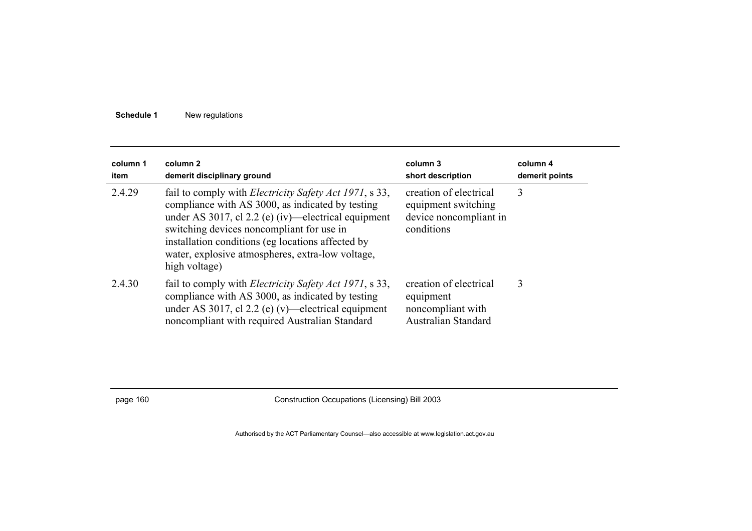| column 1<br>item | column 2<br>demerit disciplinary ground                                                                                                                                                                                                                                                                                                            | column 3<br>short description                                                         | column 4<br>demerit points |
|------------------|----------------------------------------------------------------------------------------------------------------------------------------------------------------------------------------------------------------------------------------------------------------------------------------------------------------------------------------------------|---------------------------------------------------------------------------------------|----------------------------|
| 2.4.29           | fail to comply with <i>Electricity Safety Act 1971</i> , s 33,<br>compliance with AS 3000, as indicated by testing<br>under AS 3017, cl $2.2$ (e) (iv)—electrical equipment<br>switching devices noncompliant for use in<br>installation conditions (eg locations affected by<br>water, explosive atmospheres, extra-low voltage,<br>high voltage) | creation of electrical<br>equipment switching<br>device noncompliant in<br>conditions | 3                          |
| 2.4.30           | fail to comply with <i>Electricity Safety Act 1971</i> , s 33,<br>compliance with AS 3000, as indicated by testing<br>under AS 3017, cl 2.2 (e) (v)—electrical equipment<br>noncompliant with required Australian Standard                                                                                                                         | creation of electrical<br>equipment<br>noncompliant with<br>Australian Standard       | 3                          |

page 160 Construction Occupations (Licensing) Bill 2003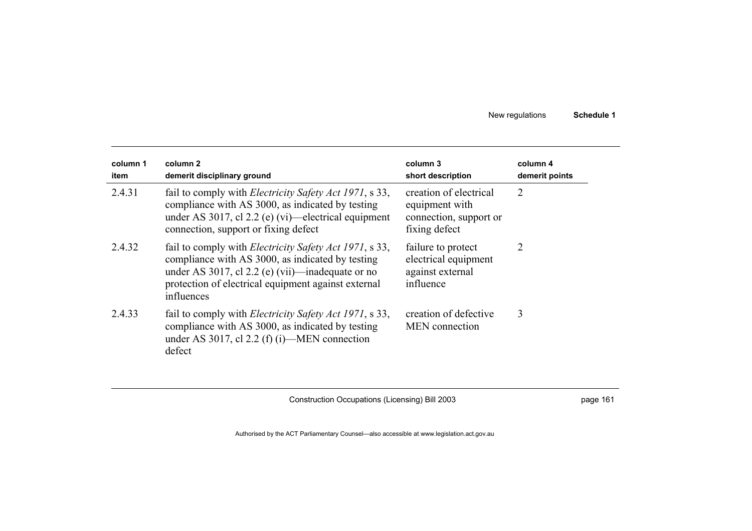| column 1<br>item | column 2<br>demerit disciplinary ground                                                                                                                                                                                                     | column 3<br>short description                                                       | column 4<br>demerit points |
|------------------|---------------------------------------------------------------------------------------------------------------------------------------------------------------------------------------------------------------------------------------------|-------------------------------------------------------------------------------------|----------------------------|
| 2.4.31           | fail to comply with <i>Electricity Safety Act 1971</i> , s 33,<br>compliance with AS 3000, as indicated by testing<br>under AS 3017, cl $2.2$ (e) (vi)—electrical equipment<br>connection, support or fixing defect                         | creation of electrical<br>equipment with<br>connection, support or<br>fixing defect | 2                          |
| 2.4.32           | fail to comply with <i>Electricity Safety Act 1971</i> , s 33,<br>compliance with AS 3000, as indicated by testing<br>under AS 3017, cl 2.2 (e) (vii)—inadequate or no<br>protection of electrical equipment against external<br>influences | failure to protect<br>electrical equipment<br>against external<br>influence         | $\overline{2}$             |
| 2.4.33           | fail to comply with <i>Electricity Safety Act 1971</i> , s 33,<br>compliance with AS 3000, as indicated by testing<br>under AS 3017, cl 2.2 (f) (i)—MEN connection<br>defect                                                                | creation of defective<br>MEN connection                                             | 3                          |

Construction Occupations (Licensing) Bill 2003 **page 161** page 161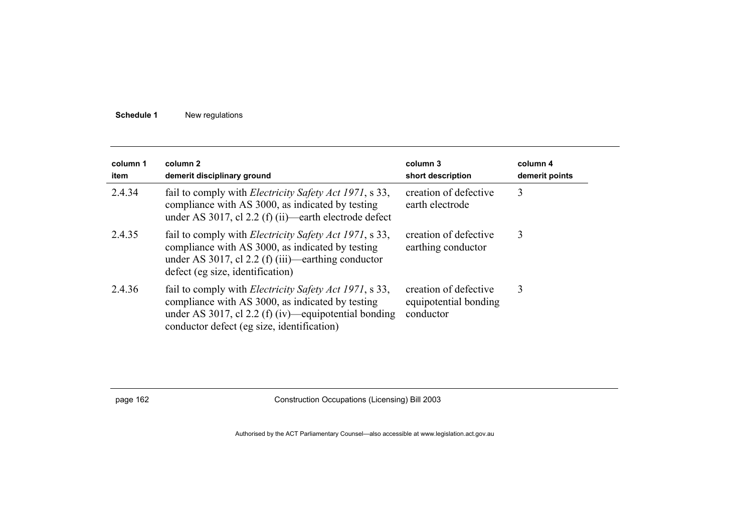| column 1<br>item | column 2<br>demerit disciplinary ground                                                                                                                                                                                  | column 3<br>short description                               | column 4<br>demerit points |
|------------------|--------------------------------------------------------------------------------------------------------------------------------------------------------------------------------------------------------------------------|-------------------------------------------------------------|----------------------------|
| 2.4.34           | fail to comply with <i>Electricity Safety Act 1971</i> , s 33,<br>compliance with AS 3000, as indicated by testing<br>under AS 3017, cl 2.2 (f) (ii)—earth electrode defect                                              | creation of defective<br>earth electrode                    | 3                          |
| 2.4.35           | fail to comply with <i>Electricity Safety Act 1971</i> , s 33,<br>compliance with AS 3000, as indicated by testing<br>under AS 3017, cl 2.2 (f) (iii)—earthing conductor<br>defect (eg size, identification)             | creation of defective<br>earthing conductor                 | 3                          |
| 2.4.36           | fail to comply with <i>Electricity Safety Act 1971</i> , s 33,<br>compliance with AS 3000, as indicated by testing<br>under AS 3017, cl 2.2 (f) (iv)—equipotential bonding<br>conductor defect (eg size, identification) | creation of defective<br>equipotential bonding<br>conductor | 3                          |

page 162 Construction Occupations (Licensing) Bill 2003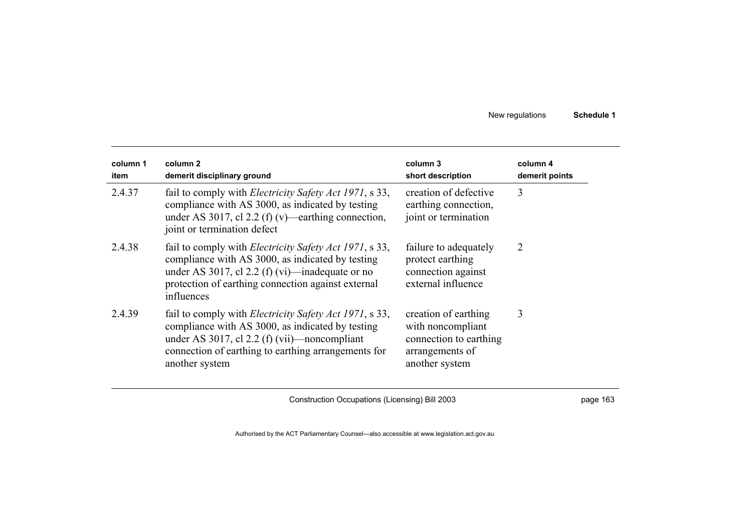| column 1<br>item | column 2<br>demerit disciplinary ground                                                                                                                                                                                                     | column 3<br>short description                                                                            | column 4<br>demerit points |
|------------------|---------------------------------------------------------------------------------------------------------------------------------------------------------------------------------------------------------------------------------------------|----------------------------------------------------------------------------------------------------------|----------------------------|
| 2.4.37           | fail to comply with <i>Electricity Safety Act 1971</i> , s 33,<br>compliance with AS 3000, as indicated by testing<br>under AS 3017, cl 2.2 (f) (v)—earthing connection,<br>joint or termination defect                                     | creation of defective<br>earthing connection,<br>joint or termination                                    | 3                          |
| 2.4.38           | fail to comply with <i>Electricity Safety Act 1971</i> , s 33,<br>compliance with AS 3000, as indicated by testing<br>under AS 3017, cl 2.2 (f) (vi)—inadequate or no<br>protection of earthing connection against external<br>influences   | failure to adequately<br>protect earthing<br>connection against<br>external influence                    | 2                          |
| 2.4.39           | fail to comply with <i>Electricity Safety Act 1971</i> , s 33,<br>compliance with AS 3000, as indicated by testing<br>under AS 3017, cl 2.2 (f) (vii)—noncompliant<br>connection of earthing to earthing arrangements for<br>another system | creation of earthing<br>with noncompliant<br>connection to earthing<br>arrangements of<br>another system | 3                          |

Construction Occupations (Licensing) Bill 2003 **page 163** page 163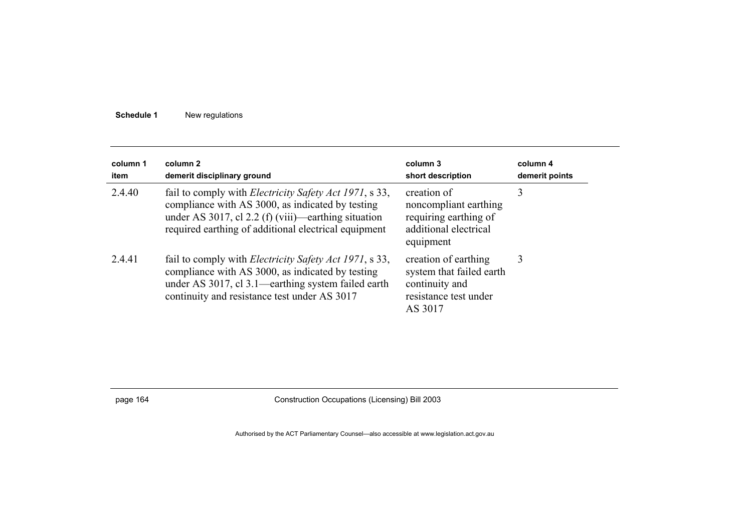| column 1<br>item | column 2<br>demerit disciplinary ground                                                                                                                                                                                           | column 3<br>short description                                                                          | column 4<br>demerit points |
|------------------|-----------------------------------------------------------------------------------------------------------------------------------------------------------------------------------------------------------------------------------|--------------------------------------------------------------------------------------------------------|----------------------------|
| 2.4.40           | fail to comply with <i>Electricity Safety Act 1971</i> , s 33,<br>compliance with AS 3000, as indicated by testing<br>under AS 3017, cl 2.2 (f) (viii)—earthing situation<br>required earthing of additional electrical equipment | creation of<br>noncompliant earthing<br>requiring earthing of<br>additional electrical<br>equipment    | 3                          |
| 2.4.41           | fail to comply with <i>Electricity Safety Act 1971</i> , s 33,<br>compliance with AS 3000, as indicated by testing<br>under AS 3017, cl 3.1—earthing system failed earth<br>continuity and resistance test under AS 3017          | creation of earthing<br>system that failed earth<br>continuity and<br>resistance test under<br>AS 3017 | 3                          |

page 164 Construction Occupations (Licensing) Bill 2003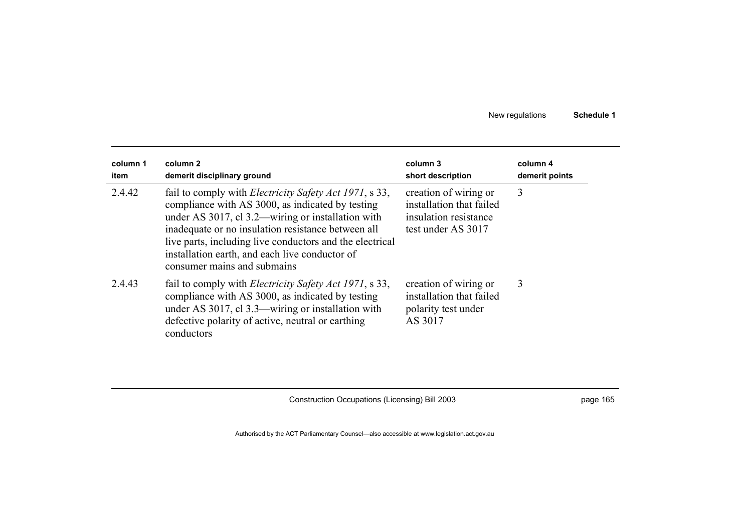| column 1<br>item | column 2<br>demerit disciplinary ground                                                                                                                                                                                                                                                                                                                                    | column 3<br>short description                                                                    | column 4<br>demerit points |
|------------------|----------------------------------------------------------------------------------------------------------------------------------------------------------------------------------------------------------------------------------------------------------------------------------------------------------------------------------------------------------------------------|--------------------------------------------------------------------------------------------------|----------------------------|
| 2.4.42           | fail to comply with <i>Electricity Safety Act 1971</i> , s 33,<br>compliance with AS 3000, as indicated by testing<br>under AS 3017, cl 3.2—wiring or installation with<br>inadequate or no insulation resistance between all<br>live parts, including live conductors and the electrical<br>installation earth, and each live conductor of<br>consumer mains and submains | creation of wiring or<br>installation that failed<br>insulation resistance<br>test under AS 3017 | 3                          |
| 2.4.43           | fail to comply with <i>Electricity Safety Act 1971</i> , s 33,<br>compliance with AS 3000, as indicated by testing<br>under AS 3017, cl 3.3—wiring or installation with<br>defective polarity of active, neutral or earthing<br>conductors                                                                                                                                 | creation of wiring or<br>installation that failed<br>polarity test under<br>AS 3017              | 3                          |

Construction Occupations (Licensing) Bill 2003 **page 165** page 165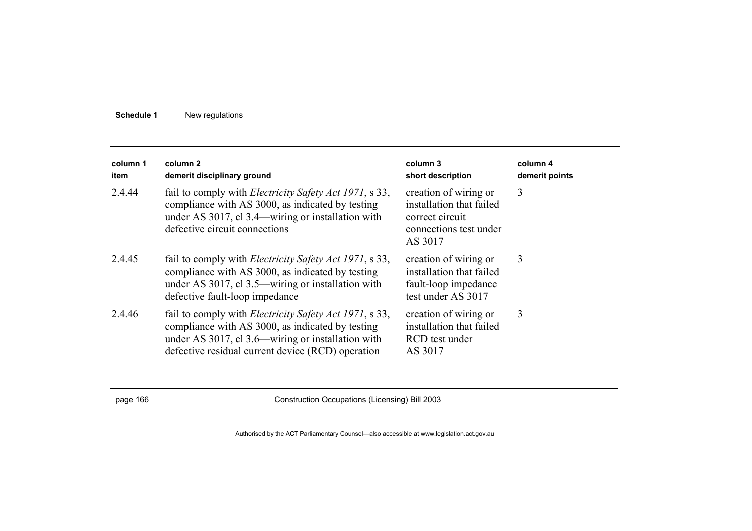| column 1<br>item | column <sub>2</sub><br>demerit disciplinary ground                                                                                                                                                                           | column 3<br>short description                                                                             | column 4<br>demerit points |
|------------------|------------------------------------------------------------------------------------------------------------------------------------------------------------------------------------------------------------------------------|-----------------------------------------------------------------------------------------------------------|----------------------------|
| 2.4.44           | fail to comply with <i>Electricity Safety Act 1971</i> , s 33,<br>compliance with AS 3000, as indicated by testing<br>under AS 3017, cl 3.4—wiring or installation with<br>defective circuit connections                     | creation of wiring or<br>installation that failed<br>correct circuit<br>connections test under<br>AS 3017 | 3                          |
| 2.4.45           | fail to comply with <i>Electricity Safety Act 1971</i> , s 33,<br>compliance with AS 3000, as indicated by testing<br>under AS 3017, cl 3.5—wiring or installation with<br>defective fault-loop impedance                    | creation of wiring or<br>installation that failed<br>fault-loop impedance<br>test under AS 3017           | 3                          |
| 2.4.46           | fail to comply with <i>Electricity Safety Act 1971</i> , s 33,<br>compliance with AS 3000, as indicated by testing<br>under AS 3017, cl 3.6—wiring or installation with<br>defective residual current device (RCD) operation | creation of wiring or<br>installation that failed<br>RCD test under<br>AS 3017                            | 3                          |

page 166 Construction Occupations (Licensing) Bill 2003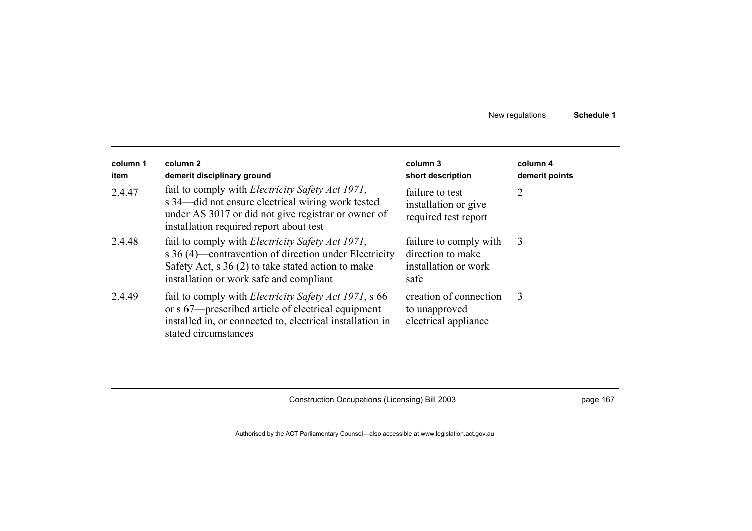| column 1<br>item | column 2<br>demerit disciplinary ground                                                                                                                                                                              | column 3<br>short description                                               | column 4<br>demerit points |
|------------------|----------------------------------------------------------------------------------------------------------------------------------------------------------------------------------------------------------------------|-----------------------------------------------------------------------------|----------------------------|
| 2.4.47           | fail to comply with <i>Electricity Safety Act 1971</i> ,<br>s 34—did not ensure electrical wiring work tested<br>under AS 3017 or did not give registrar or owner of<br>installation required report about test      | failure to test<br>installation or give<br>required test report             | 2                          |
| 2.4.48           | fail to comply with <i>Electricity Safety Act 1971</i> ,<br>s 36 (4)—contravention of direction under Electricity<br>Safety Act, $s$ 36 (2) to take stated action to make<br>installation or work safe and compliant | failure to comply with<br>direction to make<br>installation or work<br>safe | 3                          |
| 2.4.49           | fail to comply with <i>Electricity Safety Act 1971</i> , s 66<br>or s 67—prescribed article of electrical equipment<br>installed in, or connected to, electrical installation in<br>stated circumstances             | creation of connection<br>to unapproved<br>electrical appliance             | 3                          |

Construction Occupations (Licensing) Bill 2003 **page 167** page 167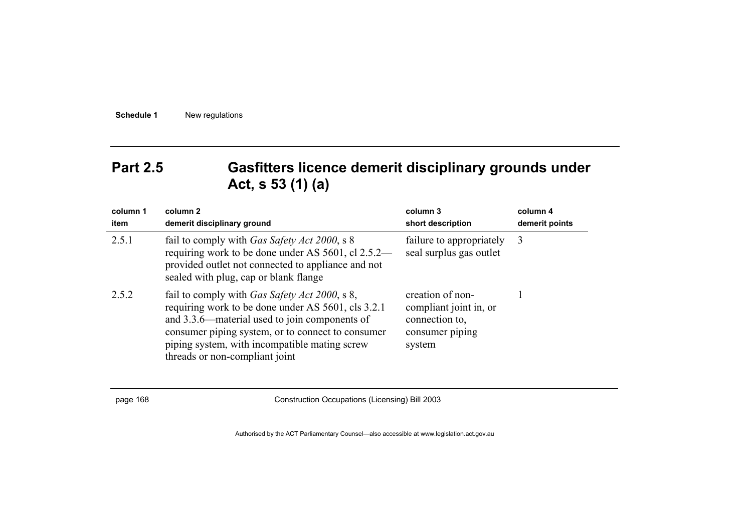## **Part 2.5 Gasfitters licence demerit disciplinary grounds under Act, s 53 (1) (a)**

| column 1<br>item | column 2<br>demerit disciplinary ground                                                                                                                                                                                                                                                              | column 3<br>short description                                                             | column 4<br>demerit points |
|------------------|------------------------------------------------------------------------------------------------------------------------------------------------------------------------------------------------------------------------------------------------------------------------------------------------------|-------------------------------------------------------------------------------------------|----------------------------|
| 2.5.1            | fail to comply with <i>Gas Safety Act 2000</i> , s 8<br>requiring work to be done under AS 5601, cl 2.5.2—<br>provided outlet not connected to appliance and not<br>sealed with plug, cap or blank flange                                                                                            | failure to appropriately<br>seal surplus gas outlet                                       | 3                          |
| 2.5.2            | fail to comply with <i>Gas Safety Act 2000</i> , s 8,<br>requiring work to be done under AS 5601, cls 3.2.1<br>and 3.3.6—material used to join components of<br>consumer piping system, or to connect to consumer<br>piping system, with incompatible mating screw<br>threads or non-compliant joint | creation of non-<br>compliant joint in, or<br>connection to,<br>consumer piping<br>system |                            |

page 168 Construction Occupations (Licensing) Bill 2003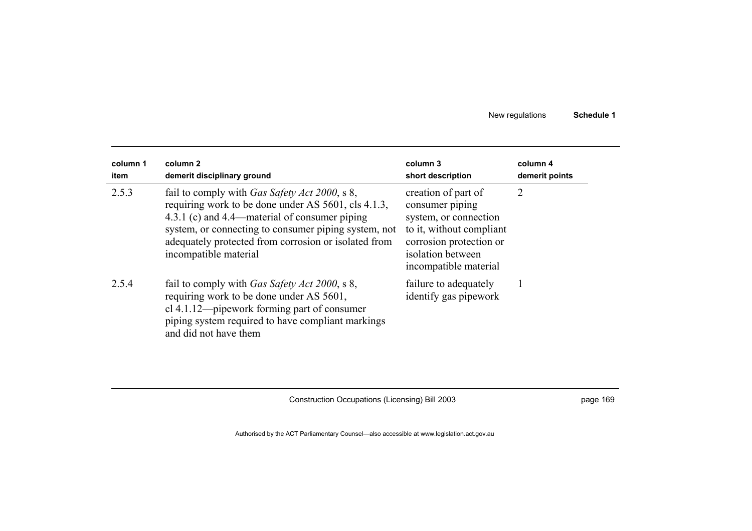| column 1<br>item | column 2<br>demerit disciplinary ground                                                                                                                                                                                                                                                                | column 3<br>short description                                                                                                                                        | column 4<br>demerit points |
|------------------|--------------------------------------------------------------------------------------------------------------------------------------------------------------------------------------------------------------------------------------------------------------------------------------------------------|----------------------------------------------------------------------------------------------------------------------------------------------------------------------|----------------------------|
| 2.5.3            | fail to comply with <i>Gas Safety Act 2000</i> , s 8,<br>requiring work to be done under AS 5601, cls 4.1.3,<br>4.3.1 (c) and 4.4—material of consumer piping<br>system, or connecting to consumer piping system, not<br>adequately protected from corrosion or isolated from<br>incompatible material | creation of part of<br>consumer piping<br>system, or connection<br>to it, without compliant<br>corrosion protection or<br>isolation between<br>incompatible material | 2                          |
| 2.5.4            | fail to comply with <i>Gas Safety Act 2000</i> , s 8,<br>requiring work to be done under AS 5601,<br>cl 4.1.12—pipework forming part of consumer<br>piping system required to have compliant markings<br>and did not have them                                                                         | failure to adequately<br>identify gas pipework                                                                                                                       |                            |

Construction Occupations (Licensing) Bill 2003 **page 169** page 169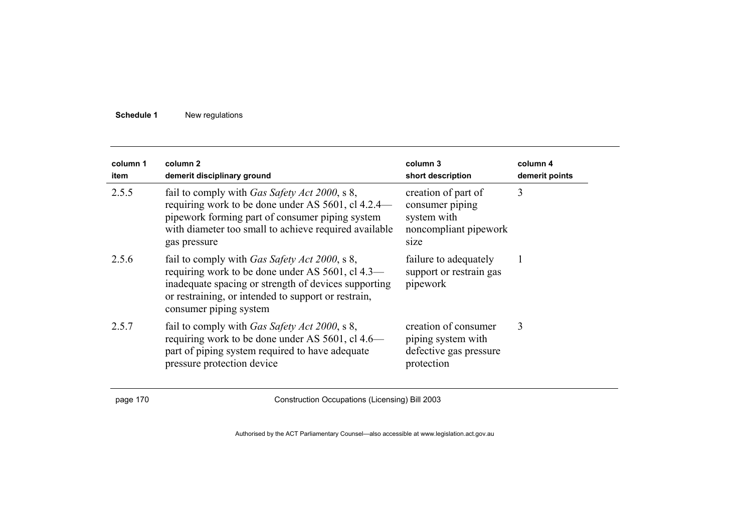| column 1<br>item | column 2<br>demerit disciplinary ground                                                                                                                                                                                                            | column 3<br>short description                                                          | column 4<br>demerit points |
|------------------|----------------------------------------------------------------------------------------------------------------------------------------------------------------------------------------------------------------------------------------------------|----------------------------------------------------------------------------------------|----------------------------|
| 2.5.5            | fail to comply with <i>Gas Safety Act 2000</i> , s 8,<br>requiring work to be done under AS 5601, cl 4.2.4—<br>pipework forming part of consumer piping system<br>with diameter too small to achieve required available<br>gas pressure            | creation of part of<br>consumer piping<br>system with<br>noncompliant pipework<br>size | 3                          |
| 2.5.6            | fail to comply with <i>Gas Safety Act 2000</i> , s 8,<br>requiring work to be done under AS 5601, cl 4.3—<br>inadequate spacing or strength of devices supporting<br>or restraining, or intended to support or restrain,<br>consumer piping system | failure to adequately<br>support or restrain gas<br>pipework                           |                            |
| 2.5.7            | fail to comply with <i>Gas Safety Act 2000</i> , s 8,<br>requiring work to be done under AS 5601, cl 4.6—<br>part of piping system required to have adequate<br>pressure protection device                                                         | creation of consumer<br>piping system with<br>defective gas pressure<br>protection     | 3                          |

page 170 Construction Occupations (Licensing) Bill 2003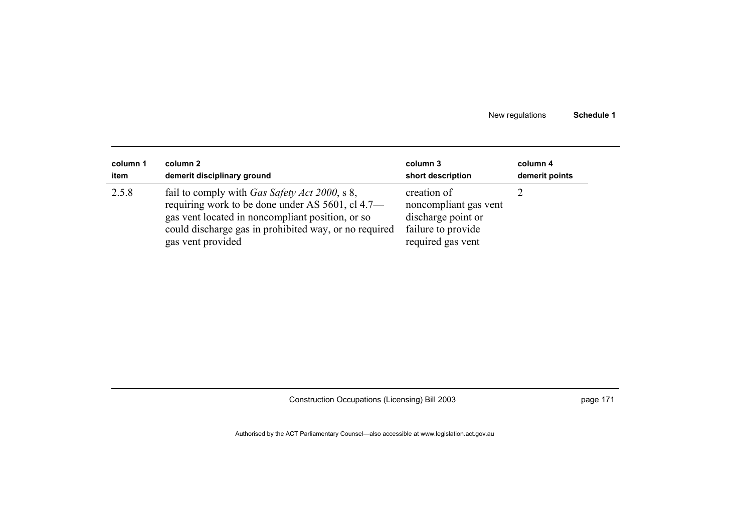| column 1 | column 2                                                                                                                                                                                                                                    | column 3                                                                                              | column 4       |
|----------|---------------------------------------------------------------------------------------------------------------------------------------------------------------------------------------------------------------------------------------------|-------------------------------------------------------------------------------------------------------|----------------|
| item     | demerit disciplinary ground                                                                                                                                                                                                                 | short description                                                                                     | demerit points |
| 2.5.8    | fail to comply with <i>Gas Safety Act 2000</i> , s 8,<br>requiring work to be done under AS 5601, cl 4.7—<br>gas vent located in noncompliant position, or so<br>could discharge gas in prohibited way, or no required<br>gas vent provided | creation of<br>noncompliant gas vent<br>discharge point or<br>failure to provide<br>required gas vent |                |

Construction Occupations (Licensing) Bill 2003 **page 171** page 171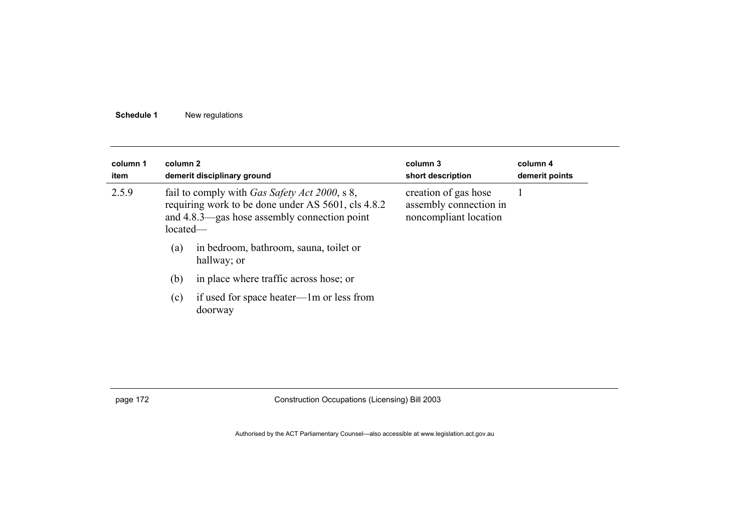| column 1<br>column 2<br>demerit disciplinary ground<br>item<br>2.5.9<br>fail to comply with <i>Gas Safety Act 2000</i> , s 8,<br>requiring work to be done under AS 5601, cls 4.8.2<br>and 4.8.3—gas hose assembly connection point<br>$located-$ |                                                     | column 3<br>short description<br>creation of gas hose<br>assembly connection in<br>noncompliant location | column 4<br>demerit points |
|---------------------------------------------------------------------------------------------------------------------------------------------------------------------------------------------------------------------------------------------------|-----------------------------------------------------|----------------------------------------------------------------------------------------------------------|----------------------------|
|                                                                                                                                                                                                                                                   |                                                     |                                                                                                          |                            |
| (b)                                                                                                                                                                                                                                               | in place where traffic across hose; or              |                                                                                                          |                            |
| (c)                                                                                                                                                                                                                                               | if used for space heater—1m or less from<br>doorway |                                                                                                          |                            |
|                                                                                                                                                                                                                                                   |                                                     |                                                                                                          |                            |

page 172 Construction Occupations (Licensing) Bill 2003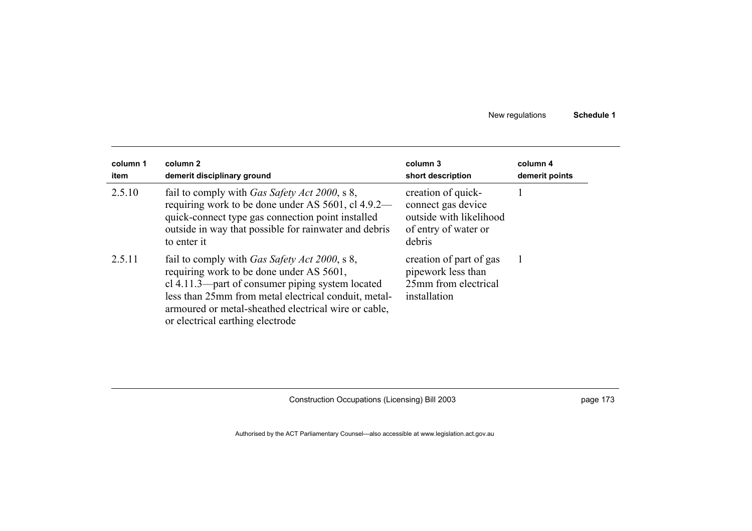| column 1<br>item | column 2<br>demerit disciplinary ground                                                                                                                                                                                                                                                                   | column 3<br>short description                                                                         | column 4<br>demerit points |  |
|------------------|-----------------------------------------------------------------------------------------------------------------------------------------------------------------------------------------------------------------------------------------------------------------------------------------------------------|-------------------------------------------------------------------------------------------------------|----------------------------|--|
| 2.5.10           | fail to comply with Gas Safety Act 2000, s 8,<br>requiring work to be done under AS 5601, cl 4.9.2—<br>quick-connect type gas connection point installed<br>outside in way that possible for rainwater and debris<br>to enter it                                                                          | creation of quick-<br>connect gas device<br>outside with likelihood<br>of entry of water or<br>debris |                            |  |
| 2.5.11           | fail to comply with <i>Gas Safety Act 2000</i> , s 8,<br>requiring work to be done under AS 5601,<br>cl 4.11.3—part of consumer piping system located<br>less than 25mm from metal electrical conduit, metal-<br>armoured or metal-sheathed electrical wire or cable,<br>or electrical earthing electrode | creation of part of gas<br>pipework less than<br>25mm from electrical<br>installation                 |                            |  |

Construction Occupations (Licensing) Bill 2003 **page 173** page 173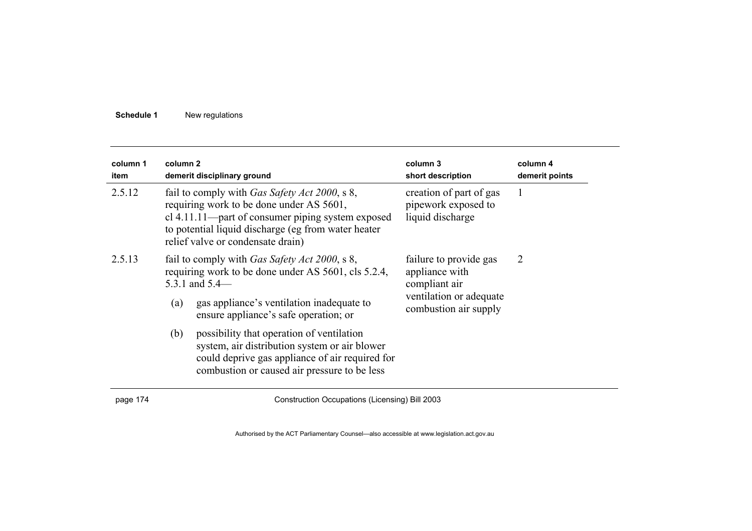| column 1<br>item | column 2                                                                                                                                                                                                                                           | demerit disciplinary ground                                                                                                                                                                   | column 3<br>short description                                      | column 4<br>demerit points |
|------------------|----------------------------------------------------------------------------------------------------------------------------------------------------------------------------------------------------------------------------------------------------|-----------------------------------------------------------------------------------------------------------------------------------------------------------------------------------------------|--------------------------------------------------------------------|----------------------------|
| 2.5.12           | fail to comply with <i>Gas Safety Act 2000</i> , s 8,<br>requiring work to be done under AS 5601,<br>cl 4.11.11—part of consumer piping system exposed<br>to potential liquid discharge (eg from water heater<br>relief valve or condensate drain) |                                                                                                                                                                                               | creation of part of gas<br>pipework exposed to<br>liquid discharge | 1                          |
| 2.5.13           | fail to comply with <i>Gas Safety Act 2000</i> , s 8,<br>requiring work to be done under AS 5601, cls 5.2.4,<br>5.3.1 and $5.4-$                                                                                                                   |                                                                                                                                                                                               | failure to provide gas<br>appliance with<br>compliant air          | $\overline{2}$             |
|                  | (a)                                                                                                                                                                                                                                                | gas appliance's ventilation inadequate to<br>ensure appliance's safe operation; or                                                                                                            | ventilation or adequate<br>combustion air supply                   |                            |
|                  | (b)                                                                                                                                                                                                                                                | possibility that operation of ventilation<br>system, air distribution system or air blower<br>could deprive gas appliance of air required for<br>combustion or caused air pressure to be less |                                                                    |                            |

page 174 Construction Occupations (Licensing) Bill 2003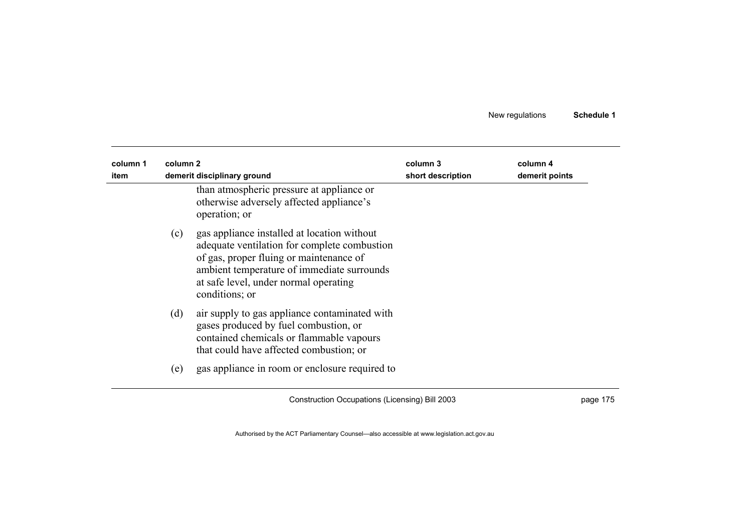| column 1<br>item | column 2 | demerit disciplinary ground                                                                                                                                                                                                                     | column 3<br>short description | column 4<br>demerit points |
|------------------|----------|-------------------------------------------------------------------------------------------------------------------------------------------------------------------------------------------------------------------------------------------------|-------------------------------|----------------------------|
|                  |          | than atmospheric pressure at appliance or<br>otherwise adversely affected appliance's<br>operation; or                                                                                                                                          |                               |                            |
|                  | (c)      | gas appliance installed at location without<br>adequate ventilation for complete combustion<br>of gas, proper fluing or maintenance of<br>ambient temperature of immediate surrounds<br>at safe level, under normal operating<br>conditions; or |                               |                            |
|                  | (d)      | air supply to gas appliance contaminated with<br>gases produced by fuel combustion, or<br>contained chemicals or flammable vapours<br>that could have affected combustion; or                                                                   |                               |                            |
|                  | (e)      | gas appliance in room or enclosure required to                                                                                                                                                                                                  |                               |                            |

Construction Occupations (Licensing) Bill 2003 **page 175**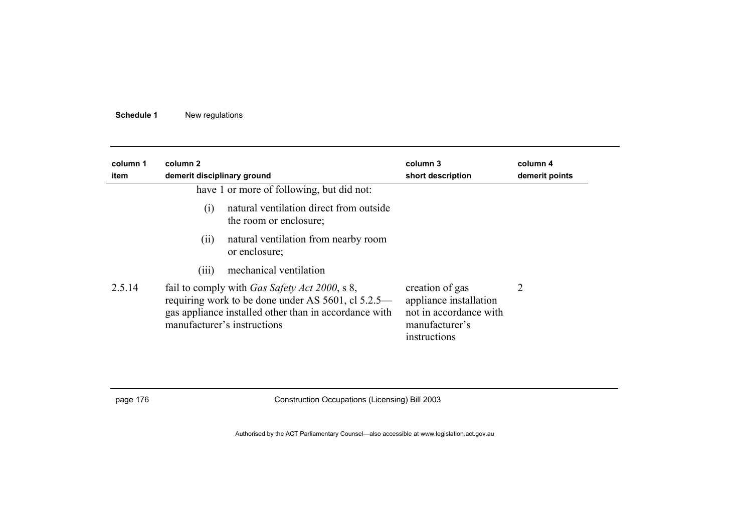| column 1<br>item | column 2<br>demerit disciplinary ground                                                                                                                                                             | column 3<br>short description                                                                         | column 4<br>demerit points |
|------------------|-----------------------------------------------------------------------------------------------------------------------------------------------------------------------------------------------------|-------------------------------------------------------------------------------------------------------|----------------------------|
|                  | have 1 or more of following, but did not:                                                                                                                                                           |                                                                                                       |                            |
|                  | natural ventilation direct from outside<br>(i)<br>the room or enclosure;                                                                                                                            |                                                                                                       |                            |
|                  | natural ventilation from nearby room<br>(i)<br>or enclosure;                                                                                                                                        |                                                                                                       |                            |
|                  | mechanical ventilation<br>(iii)                                                                                                                                                                     |                                                                                                       |                            |
| 2.5.14           | fail to comply with <i>Gas Safety Act 2000</i> , s 8,<br>requiring work to be done under AS 5601, cl 5.2.5—<br>gas appliance installed other than in accordance with<br>manufacturer's instructions | creation of gas<br>appliance installation<br>not in accordance with<br>manufacturer's<br>instructions | 2                          |

page 176 Construction Occupations (Licensing) Bill 2003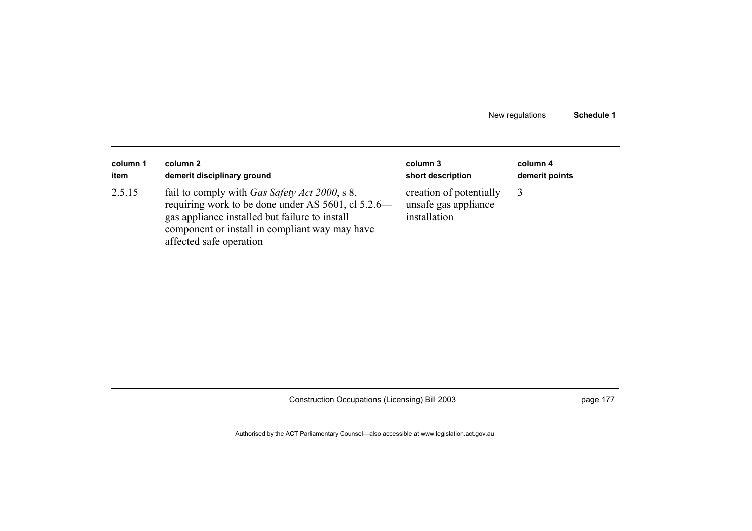| column 1 | column 2                                                                                                                                                                                                                                   | column 3                                                        | column 4       |
|----------|--------------------------------------------------------------------------------------------------------------------------------------------------------------------------------------------------------------------------------------------|-----------------------------------------------------------------|----------------|
| item     | demerit disciplinary ground                                                                                                                                                                                                                | short description                                               | demerit points |
| 2.5.15   | fail to comply with <i>Gas Safety Act 2000</i> , s 8,<br>requiring work to be done under AS 5601, cl 5.2.6—<br>gas appliance installed but failure to install<br>component or install in compliant way may have<br>affected safe operation | creation of potentially<br>unsafe gas appliance<br>installation |                |

Construction Occupations (Licensing) Bill 2003 **page 177** page 177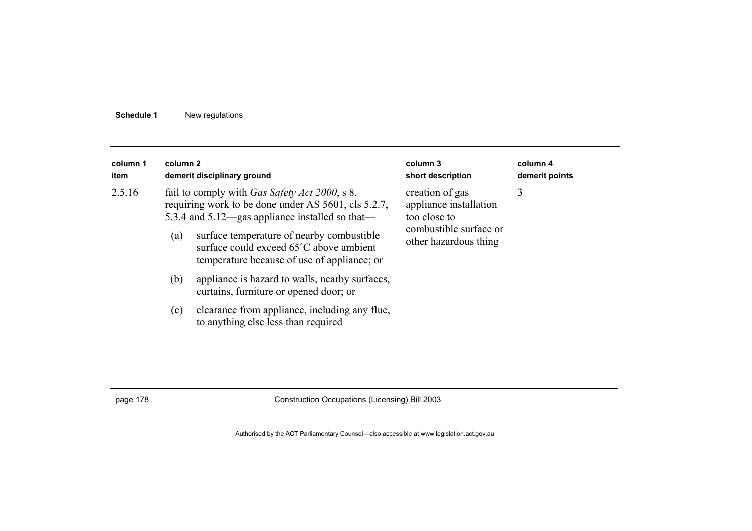| column 1<br>item | column 2 | demerit disciplinary ground                                                                                                                                     | column 3<br>short description                             | column 4<br>demerit points |
|------------------|----------|-----------------------------------------------------------------------------------------------------------------------------------------------------------------|-----------------------------------------------------------|----------------------------|
| 2.5.16           |          | fail to comply with <i>Gas Safety Act 2000</i> , s 8,<br>requiring work to be done under AS 5601, cls 5.2.7,<br>5.3.4 and 5.12—gas appliance installed so that— | creation of gas<br>appliance installation<br>too close to | 3                          |
|                  | (a)      | surface temperature of nearby combustible<br>surface could exceed 65°C above ambient<br>temperature because of use of appliance; or                             | combustible surface or<br>other hazardous thing           |                            |
|                  | (b)      | appliance is hazard to walls, nearby surfaces,<br>curtains, furniture or opened door; or                                                                        |                                                           |                            |
|                  | (c)      | clearance from appliance, including any flue,<br>to anything else less than required                                                                            |                                                           |                            |

page 178 Construction Occupations (Licensing) Bill 2003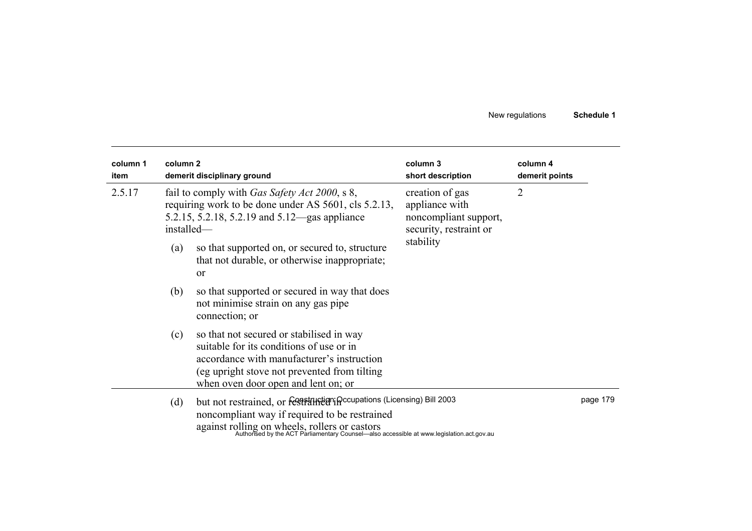| column 1<br>item | column <sub>2</sub> | demerit disciplinary ground                                                                                                                                                                                                                                                                      | column 3<br>short description                                                                     | column 4<br>demerit points |          |
|------------------|---------------------|--------------------------------------------------------------------------------------------------------------------------------------------------------------------------------------------------------------------------------------------------------------------------------------------------|---------------------------------------------------------------------------------------------------|----------------------------|----------|
| 2.5.17           | (a)                 | fail to comply with <i>Gas Safety Act 2000</i> , s 8,<br>requiring work to be done under AS 5601, cls 5.2.13,<br>5.2.15, 5.2.18, 5.2.19 and 5.12—gas appliance<br>installed—<br>so that supported on, or secured to, structure<br>that not durable, or otherwise inappropriate;<br><sub>or</sub> | creation of gas<br>appliance with<br>noncompliant support,<br>security, restraint or<br>stability | $\overline{2}$             |          |
|                  | (b)                 | so that supported or secured in way that does<br>not minimise strain on any gas pipe<br>connection; or                                                                                                                                                                                           |                                                                                                   |                            |          |
|                  | (c)                 | so that not secured or stabilised in way<br>suitable for its conditions of use or in<br>accordance with manufacturer's instruction<br>(eg upright stove not prevented from tilting)<br>when oven door open and lent on; or                                                                       |                                                                                                   |                            |          |
|                  | (d)                 | but not restrained, or festphystem in coupations (Licensing) Bill 2003<br>noncompliant way if required to be restrained<br>against rolling on wheels, rollers or castors<br>Authorised by the ACT Parliamentary Counsel—also accessible at www.legislation.act.gov.au                            |                                                                                                   |                            | page 179 |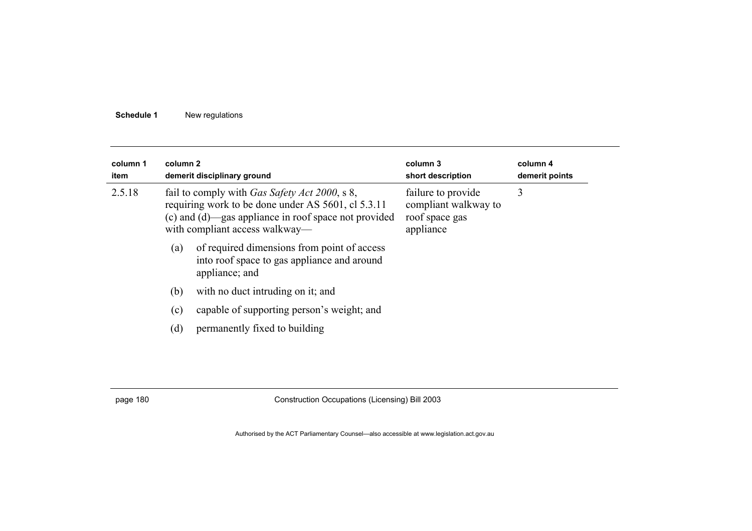| column 1<br>item | column 2 | demerit disciplinary ground                                                                                                                                                                                                                                                        | column 3<br>short description | column 4<br>demerit points |
|------------------|----------|------------------------------------------------------------------------------------------------------------------------------------------------------------------------------------------------------------------------------------------------------------------------------------|-------------------------------|----------------------------|
| 2.5.18           |          | fail to comply with <i>Gas Safety Act 2000</i> , s 8,<br>failure to provide<br>requiring work to be done under AS 5601, cl 5.3.11<br>compliant walkway to<br>(c) and (d)—gas appliance in roof space not provided<br>roof space gas<br>with compliant access walkway—<br>appliance |                               | 3                          |
|                  | (a)      | of required dimensions from point of access<br>into roof space to gas appliance and around<br>appliance; and                                                                                                                                                                       |                               |                            |
|                  | (b)      | with no duct intruding on it; and                                                                                                                                                                                                                                                  |                               |                            |
|                  | (c)      | capable of supporting person's weight; and                                                                                                                                                                                                                                         |                               |                            |
|                  | (d)      | permanently fixed to building                                                                                                                                                                                                                                                      |                               |                            |

page 180 Construction Occupations (Licensing) Bill 2003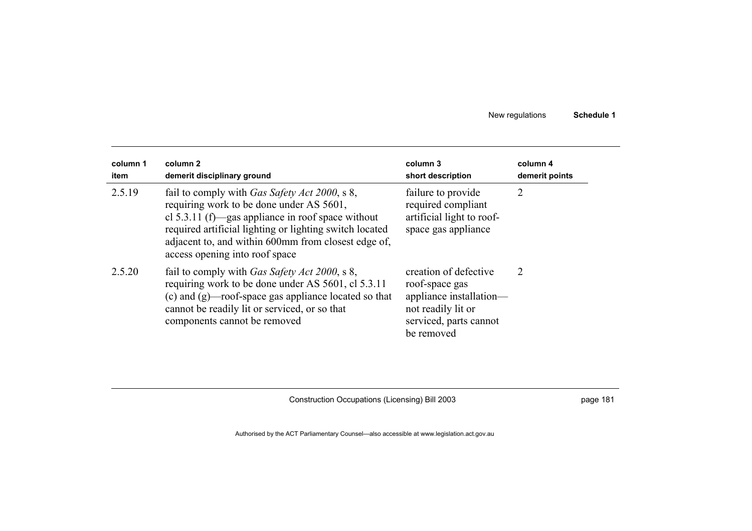| column 1<br>item | column 2<br>demerit disciplinary ground                                                                                                                                                                                                                                                                    | column 3<br>short description                                                                                                    | column 4<br>demerit points |  |
|------------------|------------------------------------------------------------------------------------------------------------------------------------------------------------------------------------------------------------------------------------------------------------------------------------------------------------|----------------------------------------------------------------------------------------------------------------------------------|----------------------------|--|
| 2.5.19           | fail to comply with <i>Gas Safety Act 2000</i> , s 8,<br>requiring work to be done under AS 5601,<br>cl 5.3.11 (f)—gas appliance in roof space without<br>required artificial lighting or lighting switch located<br>adjacent to, and within 600mm from closest edge of,<br>access opening into roof space | failure to provide<br>required compliant<br>artificial light to roof-<br>space gas appliance                                     | 2                          |  |
| 2.5.20           | fail to comply with <i>Gas Safety Act 2000</i> , s 8,<br>requiring work to be done under AS 5601, cl 5.3.11<br>(c) and $(g)$ —roof-space gas appliance located so that<br>cannot be readily lit or serviced, or so that<br>components cannot be removed                                                    | creation of defective<br>roof-space gas<br>appliance installation—<br>not readily lit or<br>serviced, parts cannot<br>be removed | 2                          |  |

Construction Occupations (Licensing) Bill 2003 **page 181** page 181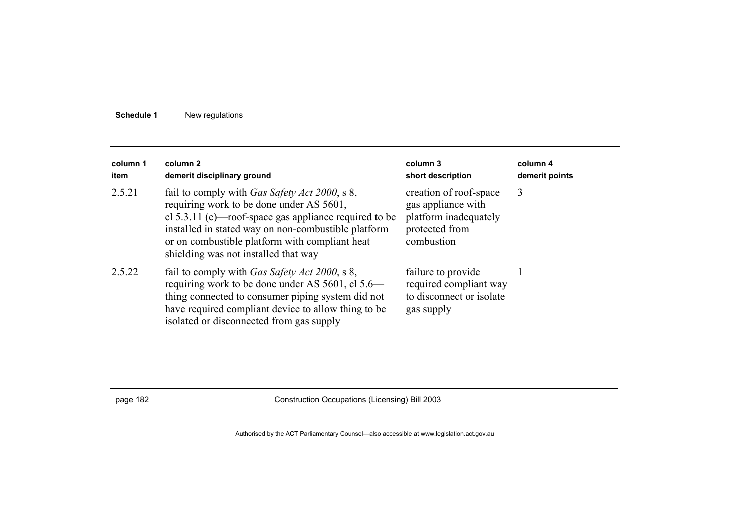| column 1<br>item | column 2<br>demerit disciplinary ground                                                                                                                                                                                                                                                                       | column 3<br>short description                                                                         | column 4<br>demerit points |
|------------------|---------------------------------------------------------------------------------------------------------------------------------------------------------------------------------------------------------------------------------------------------------------------------------------------------------------|-------------------------------------------------------------------------------------------------------|----------------------------|
| 2.5.21           | fail to comply with <i>Gas Safety Act 2000</i> , s 8,<br>requiring work to be done under AS 5601,<br>cl $5.3.11$ (e)—roof-space gas appliance required to be<br>installed in stated way on non-combustible platform<br>or on combustible platform with compliant heat<br>shielding was not installed that way | creation of roof-space<br>gas appliance with<br>platform inadequately<br>protected from<br>combustion | 3                          |
| 2.5.22           | fail to comply with <i>Gas Safety Act 2000</i> , s 8,<br>requiring work to be done under AS 5601, cl 5.6—<br>thing connected to consumer piping system did not<br>have required compliant device to allow thing to be<br>isolated or disconnected from gas supply                                             | failure to provide<br>required compliant way<br>to disconnect or isolate<br>gas supply                |                            |

page 182 Construction Occupations (Licensing) Bill 2003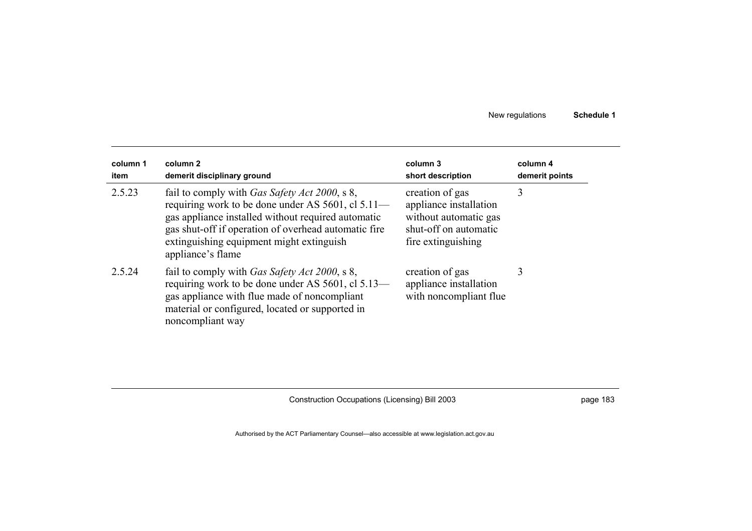| column 1<br>item | column 2<br>demerit disciplinary ground                                                                                                                                                                                                                                                   | column 3<br>short description                                                                                     | column 4<br>demerit points |
|------------------|-------------------------------------------------------------------------------------------------------------------------------------------------------------------------------------------------------------------------------------------------------------------------------------------|-------------------------------------------------------------------------------------------------------------------|----------------------------|
| 2.5.23           | fail to comply with <i>Gas Safety Act 2000</i> , s 8,<br>requiring work to be done under AS 5601, cl 5.11—<br>gas appliance installed without required automatic<br>gas shut-off if operation of overhead automatic fire<br>extinguishing equipment might extinguish<br>appliance's flame | creation of gas<br>appliance installation<br>without automatic gas<br>shut-off on automatic<br>fire extinguishing | 3                          |
| 2.5.24           | fail to comply with <i>Gas Safety Act 2000</i> , s 8,<br>requiring work to be done under AS 5601, cl 5.13—<br>gas appliance with flue made of noncompliant<br>material or configured, located or supported in<br>noncompliant way                                                         | creation of gas<br>appliance installation<br>with noncompliant flue                                               | 3                          |

Construction Occupations (Licensing) Bill 2003 **page 183** page 183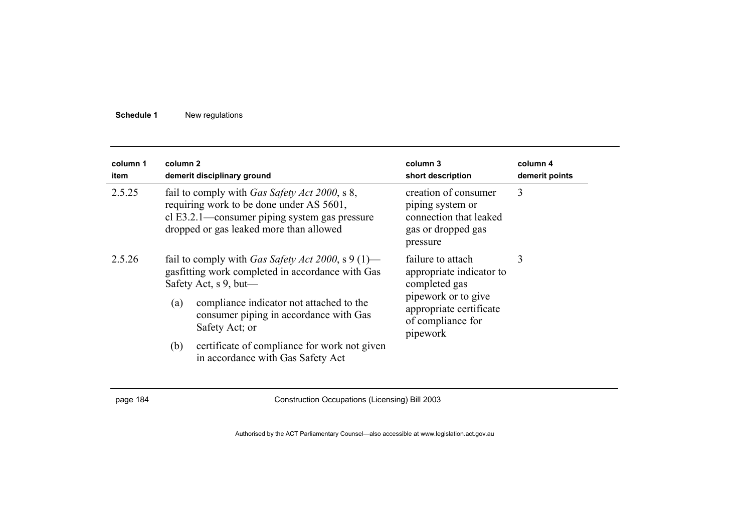| column 1<br>item | column 2                                                                                                                                                                                      | demerit disciplinary ground                                                                                                                                                                      | column 3<br>short description                                                                        | column 4<br>demerit points |
|------------------|-----------------------------------------------------------------------------------------------------------------------------------------------------------------------------------------------|--------------------------------------------------------------------------------------------------------------------------------------------------------------------------------------------------|------------------------------------------------------------------------------------------------------|----------------------------|
| 2.5.25           | fail to comply with <i>Gas Safety Act 2000</i> , s 8,<br>requiring work to be done under AS 5601,<br>cl E3.2.1—consumer piping system gas pressure<br>dropped or gas leaked more than allowed |                                                                                                                                                                                                  | creation of consumer<br>piping system or<br>connection that leaked<br>gas or dropped gas<br>pressure | 3                          |
| 2.5.26           |                                                                                                                                                                                               | fail to comply with Gas Safety Act 2000, s 9 (1)—<br>failure to attach<br>gasfitting work completed in accordance with Gas<br>appropriate indicator to<br>Safety Act, s 9, but—<br>completed gas |                                                                                                      | 3                          |
|                  | (a)                                                                                                                                                                                           | compliance indicator not attached to the<br>consumer piping in accordance with Gas<br>Safety Act; or                                                                                             | pipework or to give<br>appropriate certificate<br>of compliance for<br>pipework                      |                            |
|                  | (b)                                                                                                                                                                                           | certificate of compliance for work not given<br>in accordance with Gas Safety Act                                                                                                                |                                                                                                      |                            |

page 184 Construction Occupations (Licensing) Bill 2003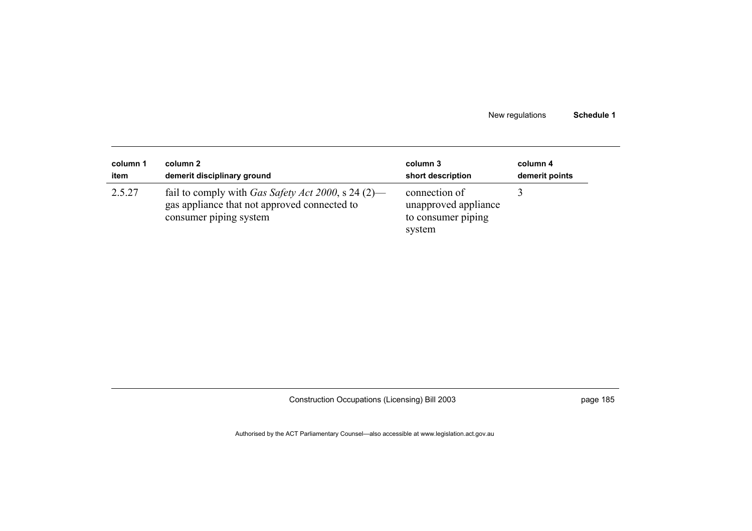| column 1 | column 2                                                                                                                     | column 3                                                              | column 4       |
|----------|------------------------------------------------------------------------------------------------------------------------------|-----------------------------------------------------------------------|----------------|
| item     | demerit disciplinary ground                                                                                                  | short description                                                     | demerit points |
| 2.5.27   | fail to comply with Gas Safety Act 2000, s 24 (2)—<br>gas appliance that not approved connected to<br>consumer piping system | connection of<br>unapproved appliance<br>to consumer piping<br>system |                |

Construction Occupations (Licensing) Bill 2003 **page 185**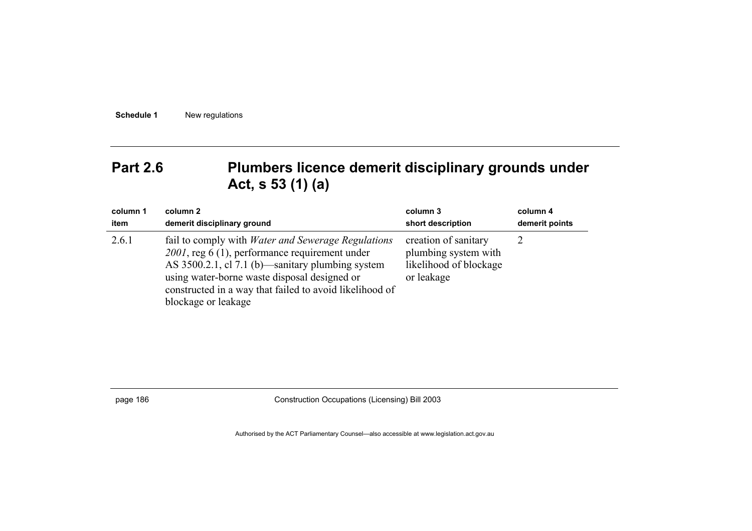# Part 2.6 Plumbers licence demerit disciplinary grounds under **Act, s 53 (1) (a)**

| column 1 | column 2                                                                                                                                                                                                                                                                                          | column 3                                                                             | column 4       |
|----------|---------------------------------------------------------------------------------------------------------------------------------------------------------------------------------------------------------------------------------------------------------------------------------------------------|--------------------------------------------------------------------------------------|----------------|
| item     | demerit disciplinary ground                                                                                                                                                                                                                                                                       | short description                                                                    | demerit points |
| 2.6.1    | fail to comply with <i>Water and Sewerage Regulations</i><br>2001, reg 6 (1), performance requirement under<br>AS 3500.2.1, cl 7.1 (b)—sanitary plumbing system<br>using water-borne waste disposal designed or<br>constructed in a way that failed to avoid likelihood of<br>blockage or leakage | creation of sanitary<br>plumbing system with<br>likelihood of blockage<br>or leakage |                |

page 186 Construction Occupations (Licensing) Bill 2003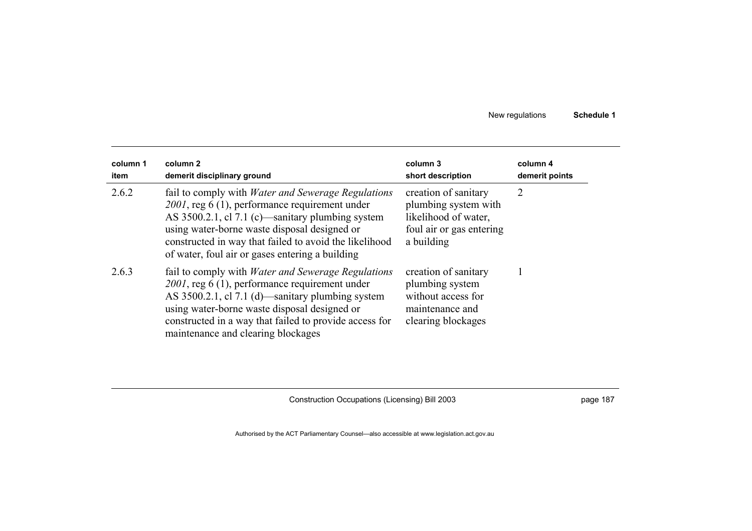| column 1<br>item | column 2<br>demerit disciplinary ground                                                                                                                                                                                                                                                                                      | column 3<br>short description                                                                                  | column 4<br>demerit points |
|------------------|------------------------------------------------------------------------------------------------------------------------------------------------------------------------------------------------------------------------------------------------------------------------------------------------------------------------------|----------------------------------------------------------------------------------------------------------------|----------------------------|
| 2.6.2            | fail to comply with <i>Water and Sewerage Regulations</i><br>2001, reg 6 (1), performance requirement under<br>AS 3500.2.1, cl 7.1 (c)—sanitary plumbing system<br>using water-borne waste disposal designed or<br>constructed in way that failed to avoid the likelihood<br>of water, foul air or gases entering a building | creation of sanitary<br>plumbing system with<br>likelihood of water,<br>foul air or gas entering<br>a building | 2                          |
| 2.6.3            | fail to comply with <i>Water and Sewerage Regulations</i><br>$2001$ , reg 6 (1), performance requirement under<br>AS 3500.2.1, cl 7.1 (d)—sanitary plumbing system<br>using water-borne waste disposal designed or<br>constructed in a way that failed to provide access for<br>maintenance and clearing blockages           | creation of sanitary<br>plumbing system<br>without access for<br>maintenance and<br>clearing blockages         |                            |

Construction Occupations (Licensing) Bill 2003 **page 187** page 187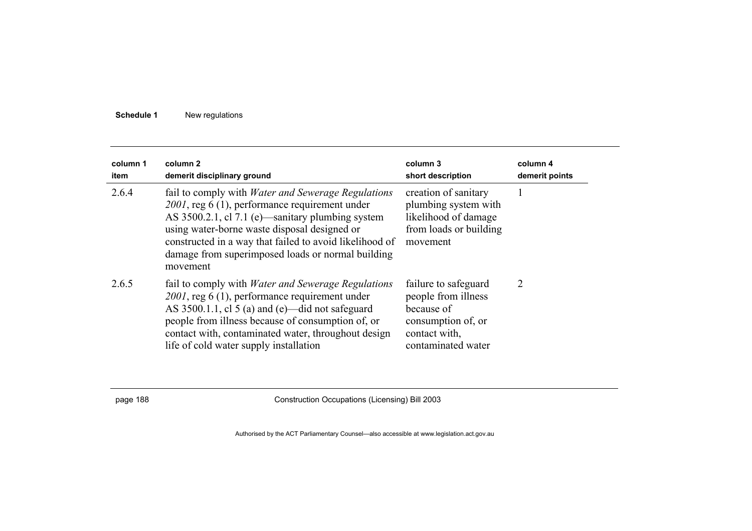| column 1<br>item | column 2<br>demerit disciplinary ground                                                                                                                                                                                                                                                                                                     | column 3<br>short description                                                                                          | column 4<br>demerit points |
|------------------|---------------------------------------------------------------------------------------------------------------------------------------------------------------------------------------------------------------------------------------------------------------------------------------------------------------------------------------------|------------------------------------------------------------------------------------------------------------------------|----------------------------|
| 2.6.4            | fail to comply with <i>Water and Sewerage Regulations</i><br>2001, reg 6 (1), performance requirement under<br>AS 3500.2.1, cl 7.1 (e)—sanitary plumbing system<br>using water-borne waste disposal designed or<br>constructed in a way that failed to avoid likelihood of<br>damage from superimposed loads or normal building<br>movement | creation of sanitary<br>plumbing system with<br>likelihood of damage<br>from loads or building<br>movement             |                            |
| 2.6.5            | fail to comply with <i>Water and Sewerage Regulations</i><br>2001, reg 6 (1), performance requirement under<br>AS $3500.1.1$ , cl 5 (a) and (e)—did not safeguard<br>people from illness because of consumption of, or<br>contact with, contaminated water, throughout design<br>life of cold water supply installation                     | failure to safeguard<br>people from illness<br>because of<br>consumption of, or<br>contact with,<br>contaminated water | $\overline{2}$             |

page 188 Construction Occupations (Licensing) Bill 2003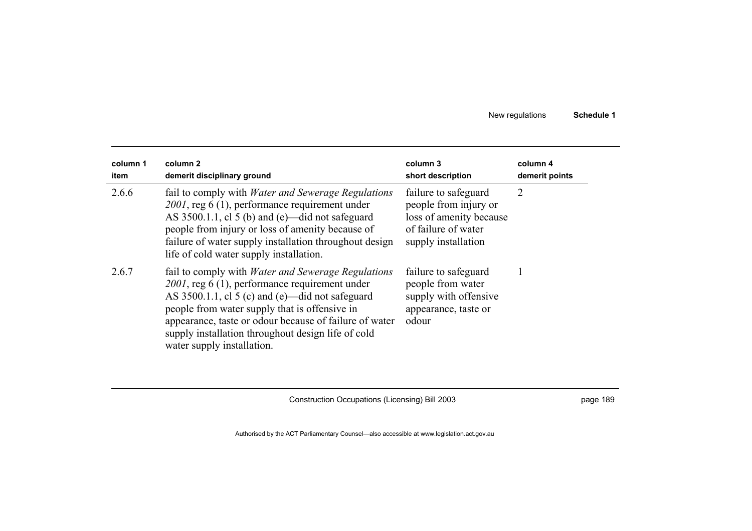| column 1<br>item | column 2<br>demerit disciplinary ground                                                                                                                                                                                                                                                                                                                          | column 3<br>short description                                                                                          | column 4<br>demerit points |
|------------------|------------------------------------------------------------------------------------------------------------------------------------------------------------------------------------------------------------------------------------------------------------------------------------------------------------------------------------------------------------------|------------------------------------------------------------------------------------------------------------------------|----------------------------|
| 2.6.6            | fail to comply with <i>Water and Sewerage Regulations</i><br>$2001$ , reg 6 (1), performance requirement under<br>AS $3500.1.1$ , cl 5 (b) and (e)—did not safeguard<br>people from injury or loss of amenity because of<br>failure of water supply installation throughout design<br>life of cold water supply installation.                                    | failure to safeguard<br>people from injury or<br>loss of amenity because<br>of failure of water<br>supply installation | 2                          |
| 2.6.7            | fail to comply with <i>Water and Sewerage Regulations</i><br>$2001$ , reg 6 (1), performance requirement under<br>AS 3500.1.1, cl 5 (c) and (e)—did not safeguard<br>people from water supply that is offensive in<br>appearance, taste or odour because of failure of water<br>supply installation throughout design life of cold<br>water supply installation. | failure to safeguard<br>people from water<br>supply with offensive<br>appearance, taste or<br>odour                    |                            |

Construction Occupations (Licensing) Bill 2003 **page 189** page 189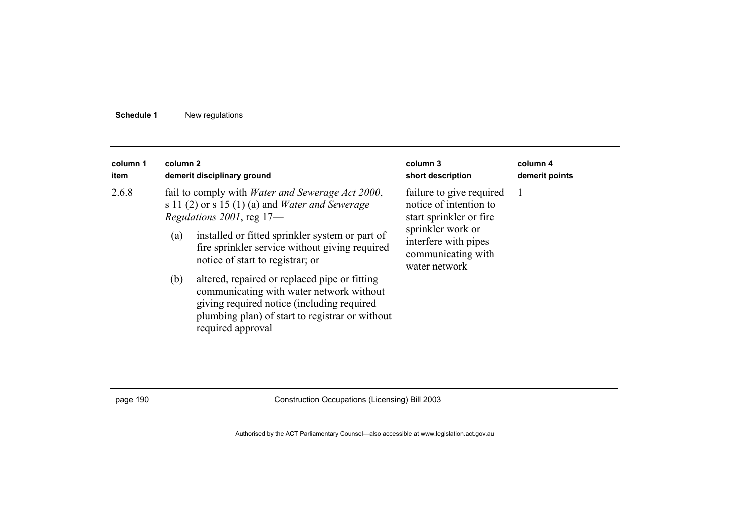| column 1<br>item | column 2   | demerit disciplinary ground                                                                                                                                                                                                                                                                                                                                                                                                                                                                                       | column 3<br>short description                                                                                                                                     | column 4<br>demerit points |
|------------------|------------|-------------------------------------------------------------------------------------------------------------------------------------------------------------------------------------------------------------------------------------------------------------------------------------------------------------------------------------------------------------------------------------------------------------------------------------------------------------------------------------------------------------------|-------------------------------------------------------------------------------------------------------------------------------------------------------------------|----------------------------|
| 2.6.8            | (a)<br>(b) | fail to comply with <i>Water and Sewerage Act 2000</i> ,<br>s 11 $(2)$ or s 15 $(1)$ $(a)$ and <i>Water and Sewerage</i><br>Regulations 2001, reg 17-<br>installed or fitted sprinkler system or part of<br>fire sprinkler service without giving required<br>notice of start to registrar; or<br>altered, repaired or replaced pipe or fitting<br>communicating with water network without<br>giving required notice (including required<br>plumbing plan) of start to registrar or without<br>required approval | failure to give required<br>notice of intention to<br>start sprinkler or fire<br>sprinkler work or<br>interfere with pipes<br>communicating with<br>water network |                            |

page 190 Construction Occupations (Licensing) Bill 2003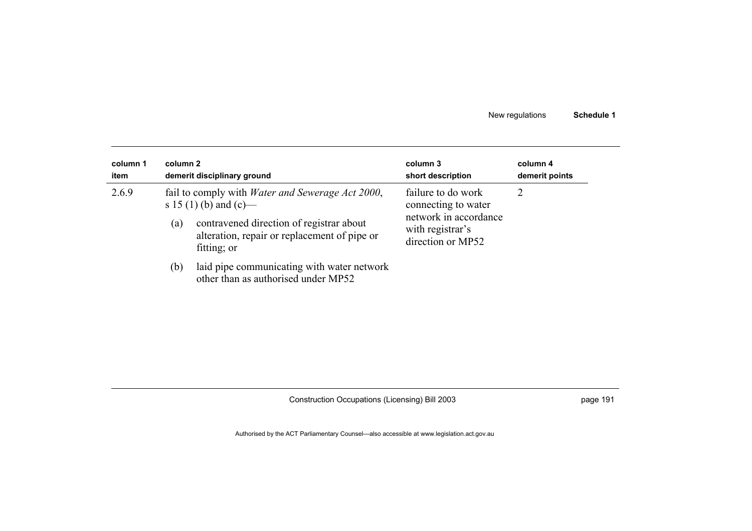| column 1<br>item | column 2 | demerit disciplinary ground                                                                                                                                                                  | column 3<br>short description                                                                               | column 4<br>demerit points |
|------------------|----------|----------------------------------------------------------------------------------------------------------------------------------------------------------------------------------------------|-------------------------------------------------------------------------------------------------------------|----------------------------|
| 2.6.9            | (a)      | fail to comply with <i>Water and Sewerage Act 2000</i> ,<br>s 15 (1) (b) and (c)—<br>contravened direction of registrar about<br>alteration, repair or replacement of pipe or<br>fitting; or | failure to do work<br>connecting to water<br>network in accordance<br>with registrar's<br>direction or MP52 | 2                          |
|                  | (b)      | laid pipe communicating with water network<br>other than as authorised under MP52                                                                                                            |                                                                                                             |                            |

Construction Occupations (Licensing) Bill 2003 **page 191** page 191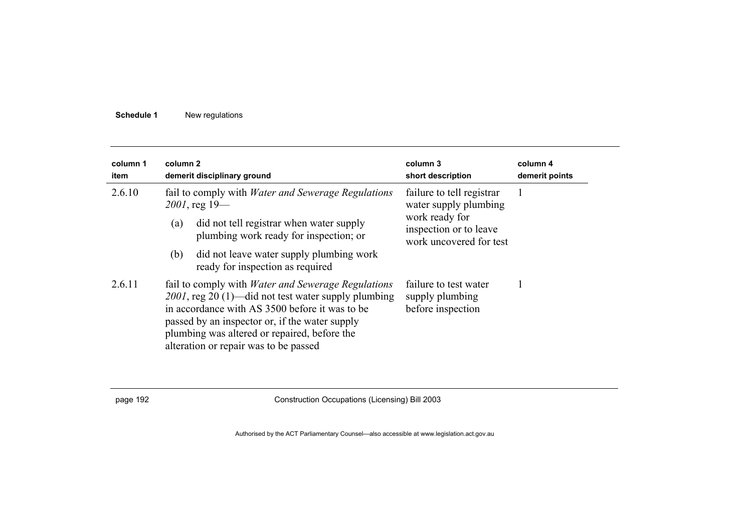| column 1<br>item | column 2<br>demerit disciplinary ground                                                                                                                                                                                                                                                                       | column 3<br>short description                                       | column 4<br>demerit points |
|------------------|---------------------------------------------------------------------------------------------------------------------------------------------------------------------------------------------------------------------------------------------------------------------------------------------------------------|---------------------------------------------------------------------|----------------------------|
| 2.6.10           | fail to comply with <i>Water and Sewerage Regulations</i><br>$2001$ , reg 19-                                                                                                                                                                                                                                 | failure to tell registrar<br>water supply plumbing                  |                            |
|                  | did not tell registrar when water supply<br>(a)<br>plumbing work ready for inspection; or                                                                                                                                                                                                                     | work ready for<br>inspection or to leave<br>work uncovered for test |                            |
|                  | (b)<br>did not leave water supply plumbing work<br>ready for inspection as required                                                                                                                                                                                                                           |                                                                     |                            |
| 2.6.11           | fail to comply with <i>Water and Sewerage Regulations</i><br>2001, reg 20 (1)—did not test water supply plumbing<br>in accordance with AS 3500 before it was to be<br>passed by an inspector or, if the water supply<br>plumbing was altered or repaired, before the<br>alteration or repair was to be passed | failure to test water<br>supply plumbing<br>before inspection       |                            |

page 192 Construction Occupations (Licensing) Bill 2003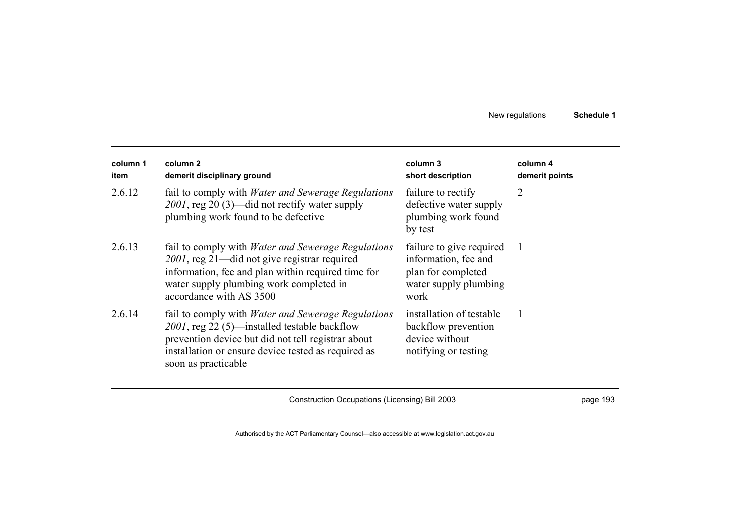| column 1<br>item | column 2<br>demerit disciplinary ground                                                                                                                                                                                                       | column 3<br>short description                                                                           | column 4<br>demerit points |
|------------------|-----------------------------------------------------------------------------------------------------------------------------------------------------------------------------------------------------------------------------------------------|---------------------------------------------------------------------------------------------------------|----------------------------|
| 2.6.12           | fail to comply with <i>Water and Sewerage Regulations</i><br>$2001$ , reg 20 (3)—did not rectify water supply<br>plumbing work found to be defective                                                                                          | failure to rectify<br>defective water supply<br>plumbing work found<br>by test                          | $\overline{2}$             |
| 2.6.13           | fail to comply with <i>Water and Sewerage Regulations</i><br>2001, reg 21—did not give registrar required<br>information, fee and plan within required time for<br>water supply plumbing work completed in<br>accordance with AS 3500         | failure to give required<br>information, fee and<br>plan for completed<br>water supply plumbing<br>work | -1                         |
| 2.6.14           | fail to comply with <i>Water and Sewerage Regulations</i><br>2001, reg 22 (5)—installed testable backflow<br>prevention device but did not tell registrar about<br>installation or ensure device tested as required as<br>soon as practicable | installation of testable<br>backflow prevention<br>device without<br>notifying or testing               |                            |

Construction Occupations (Licensing) Bill 2003 **page 193** page 193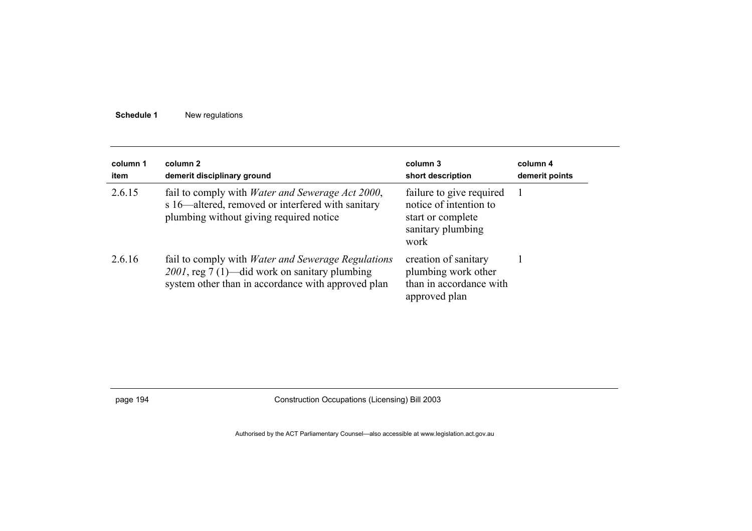| column 1<br>item | column 2<br>demerit disciplinary ground                                                                                                                          | column 3<br>short description                                                                        | column 4<br>demerit points |
|------------------|------------------------------------------------------------------------------------------------------------------------------------------------------------------|------------------------------------------------------------------------------------------------------|----------------------------|
| 2.6.15           | fail to comply with <i>Water and Sewerage Act 2000</i> ,<br>s 16—altered, removed or interfered with sanitary<br>plumbing without giving required notice         | failure to give required<br>notice of intention to<br>start or complete<br>sanitary plumbing<br>work |                            |
| 2.6.16           | fail to comply with <i>Water and Sewerage Regulations</i><br>2001, reg 7 (1)—did work on sanitary plumbing<br>system other than in accordance with approved plan | creation of sanitary<br>plumbing work other<br>than in accordance with<br>approved plan              |                            |

page 194 Construction Occupations (Licensing) Bill 2003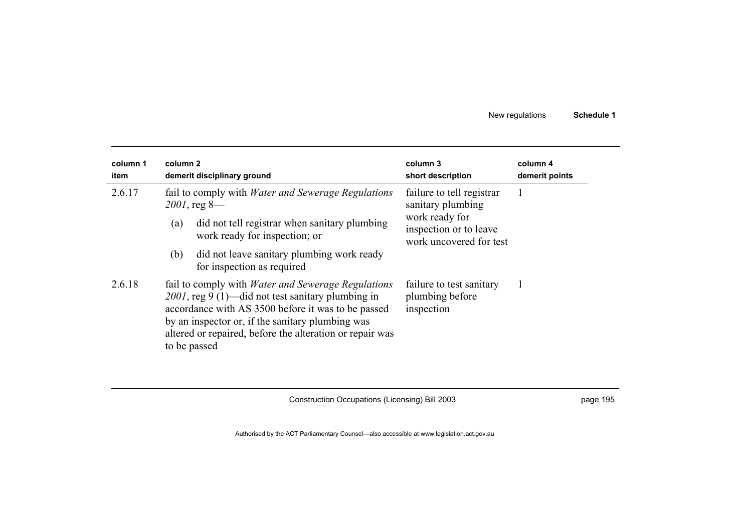| column 1<br>item | column 2<br>demerit disciplinary ground                                                                                                                                                                                                                                                              | column 3<br>short description                                                                                         | column 4<br>demerit points |
|------------------|------------------------------------------------------------------------------------------------------------------------------------------------------------------------------------------------------------------------------------------------------------------------------------------------------|-----------------------------------------------------------------------------------------------------------------------|----------------------------|
| 2.6.17           | fail to comply with <i>Water and Sewerage Regulations</i><br>$2001$ , reg 8—<br>did not tell registrar when sanitary plumbing<br>(a)<br>work ready for inspection; or                                                                                                                                | failure to tell registrar<br>sanitary plumbing<br>work ready for<br>inspection or to leave<br>work uncovered for test |                            |
|                  | did not leave sanitary plumbing work ready<br>(b)<br>for inspection as required                                                                                                                                                                                                                      |                                                                                                                       |                            |
| 2.6.18           | fail to comply with <i>Water and Sewerage Regulations</i><br>2001, reg 9 (1)—did not test sanitary plumbing in<br>accordance with AS 3500 before it was to be passed<br>by an inspector or, if the sanitary plumbing was<br>altered or repaired, before the alteration or repair was<br>to be passed | failure to test sanitary<br>plumbing before<br>inspection                                                             |                            |

Construction Occupations (Licensing) Bill 2003 **page 195** page 195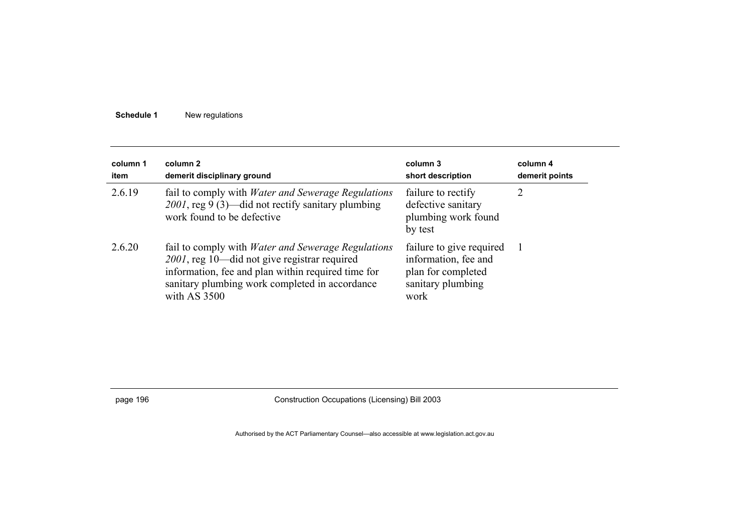| column 1<br>item | column 2<br>demerit disciplinary ground                                                                                                                                                                                           | column 3<br>short description                                                                       | column 4<br>demerit points |
|------------------|-----------------------------------------------------------------------------------------------------------------------------------------------------------------------------------------------------------------------------------|-----------------------------------------------------------------------------------------------------|----------------------------|
| 2.6.19           | fail to comply with <i>Water and Sewerage Regulations</i><br>2001, reg 9 (3)—did not rectify sanitary plumbing<br>work found to be defective                                                                                      | failure to rectify<br>defective sanitary<br>plumbing work found<br>by test                          | 2                          |
| 2.6.20           | fail to comply with <i>Water and Sewerage Regulations</i><br>2001, reg 10—did not give registrar required<br>information, fee and plan within required time for<br>sanitary plumbing work completed in accordance<br>with AS 3500 | failure to give required<br>information, fee and<br>plan for completed<br>sanitary plumbing<br>work |                            |

page 196 Construction Occupations (Licensing) Bill 2003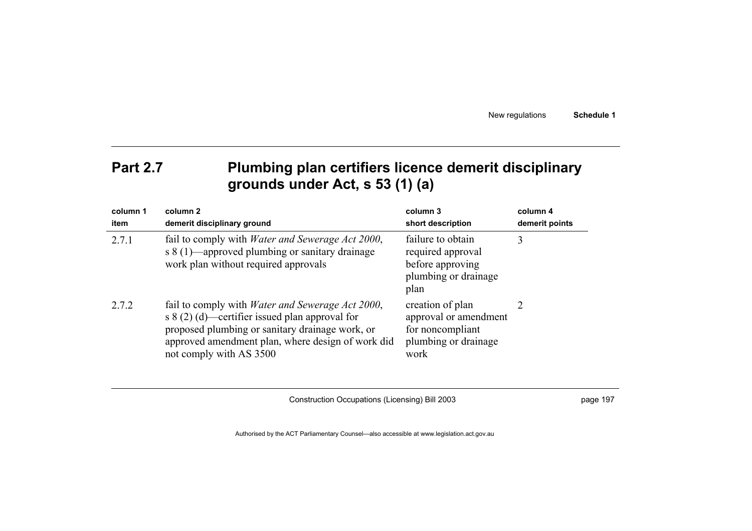## Part 2.7 **Plumbing plan certifiers licence demerit disciplinary grounds under Act, s 53 (1) (a)**

| column 1<br>item | column 2<br>demerit disciplinary ground                                                                                                                                                                                                        | column 3<br>short description                                                                 | column 4<br>demerit points |
|------------------|------------------------------------------------------------------------------------------------------------------------------------------------------------------------------------------------------------------------------------------------|-----------------------------------------------------------------------------------------------|----------------------------|
| 2.7.1            | fail to comply with <i>Water and Sewerage Act 2000</i> ,<br>s 8 (1)—approved plumbing or sanitary drainage<br>work plan without required approvals                                                                                             | failure to obtain<br>required approval<br>before approving<br>plumbing or drainage<br>plan    | 3                          |
| 2.7.2            | fail to comply with <i>Water and Sewerage Act 2000</i> ,<br>s $8(2)$ (d)—certifier issued plan approval for<br>proposed plumbing or sanitary drainage work, or<br>approved amendment plan, where design of work did<br>not comply with AS 3500 | creation of plan<br>approval or amendment<br>for noncompliant<br>plumbing or drainage<br>work | 2                          |

Construction Occupations (Licensing) Bill 2003 **page 197**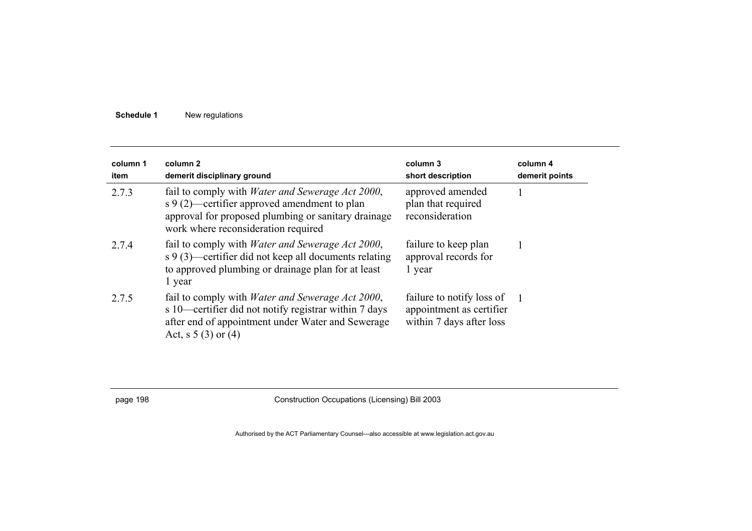| column 1<br>item | column 2<br>demerit disciplinary ground                                                                                                                                                                | column 3<br>short description                                                     | column 4<br>demerit points |
|------------------|--------------------------------------------------------------------------------------------------------------------------------------------------------------------------------------------------------|-----------------------------------------------------------------------------------|----------------------------|
| 2.7.3            | fail to comply with <i>Water and Sewerage Act 2000</i> ,<br>s 9 (2)—certifier approved amendment to plan<br>approval for proposed plumbing or sanitary drainage<br>work where reconsideration required | approved amended<br>plan that required<br>reconsideration                         |                            |
| 2.7.4            | fail to comply with <i>Water and Sewerage Act 2000</i> ,<br>s 9 (3)—certifier did not keep all documents relating<br>to approved plumbing or drainage plan for at least<br>1 year                      | failure to keep plan<br>approval records for<br>1 year                            |                            |
| 2.7.5            | fail to comply with <i>Water and Sewerage Act 2000</i> ,<br>s 10—certifier did not notify registrar within 7 days<br>after end of appointment under Water and Sewerage<br>Act, s $5(3)$ or $(4)$       | failure to notify loss of<br>appointment as certifier<br>within 7 days after loss |                            |

page 198 Construction Occupations (Licensing) Bill 2003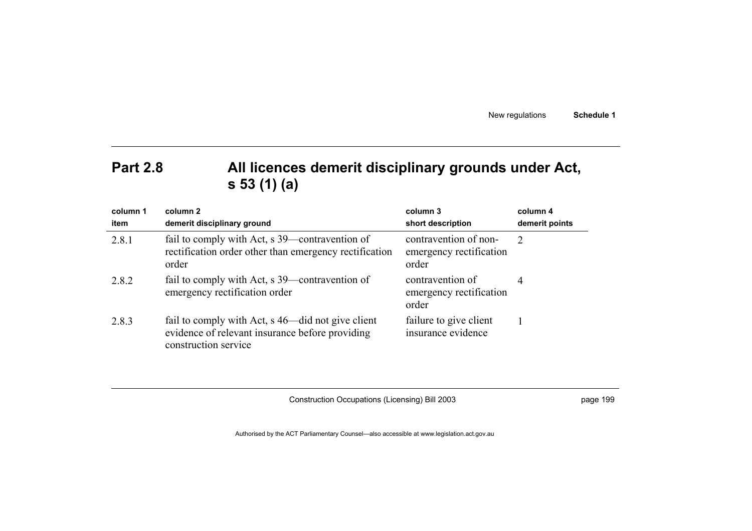# **Part 2.8 All licences demerit disciplinary grounds under Act, s 53 (1) (a)**

| column 1<br>item | column 2<br>demerit disciplinary ground                                                                                      | column 3<br>short description                             | column 4<br>demerit points |
|------------------|------------------------------------------------------------------------------------------------------------------------------|-----------------------------------------------------------|----------------------------|
| 2.8.1            | fail to comply with Act, s 39—contravention of<br>rectification order other than emergency rectification<br>order            | contravention of non-<br>emergency rectification<br>order | $\mathcal{L}$              |
| 2.8.2            | fail to comply with Act, s 39—contravention of<br>emergency rectification order                                              | contravention of<br>emergency rectification<br>order      | 4                          |
| 2.8.3            | fail to comply with Act, s 46—did not give client<br>evidence of relevant insurance before providing<br>construction service | failure to give client<br>insurance evidence              |                            |

Construction Occupations (Licensing) Bill 2003 **page 199** page 199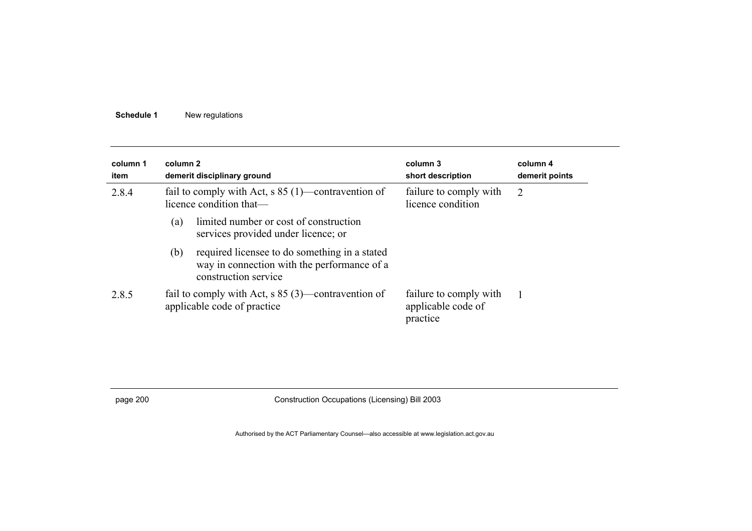| column 1<br>item | column 2 | demerit disciplinary ground                                                                                          | column 3<br>short description                            | column 4<br>demerit points |
|------------------|----------|----------------------------------------------------------------------------------------------------------------------|----------------------------------------------------------|----------------------------|
| 2.8.4            |          | fail to comply with Act, $s 85 (1)$ —contravention of<br>licence condition that—                                     | failure to comply with<br>licence condition              | 2                          |
|                  | (a)      | limited number or cost of construction<br>services provided under licence; or                                        |                                                          |                            |
|                  | (b)      | required licensee to do something in a stated<br>way in connection with the performance of a<br>construction service |                                                          |                            |
| 2.8.5            |          | fail to comply with Act, $s 85 (3)$ —contravention of<br>applicable code of practice                                 | failure to comply with<br>applicable code of<br>practice |                            |

page 200 Construction Occupations (Licensing) Bill 2003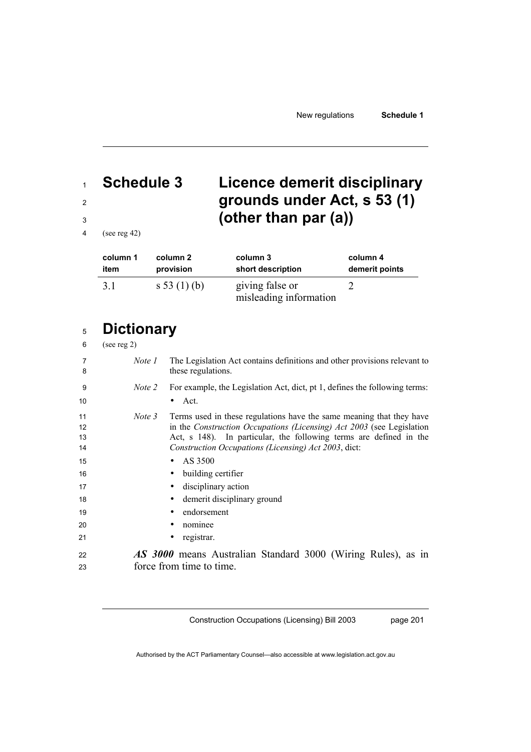# **Schedule 3 Licence demerit disciplinary grounds under Act, s 53 (1) (other than par (a))**

(see reg 42)

| column 1 | column 2       | column 3                                  | column 4       |
|----------|----------------|-------------------------------------------|----------------|
| item     | provision      | short description                         | demerit points |
| 3.1      | s 53 $(1)$ (b) | giving false or<br>misleading information |                |

# **Dictionary**

| 6 | (see reg 2) |  |
|---|-------------|--|
|   |             |  |

| 7<br>8               | Note 1 | The Legislation Act contains definitions and other provisions relevant to<br>these regulations.                                                                                                                                                                             |
|----------------------|--------|-----------------------------------------------------------------------------------------------------------------------------------------------------------------------------------------------------------------------------------------------------------------------------|
| 9                    | Note 2 | For example, the Legislation Act, dict, pt 1, defines the following terms:                                                                                                                                                                                                  |
| 10                   |        | Act.<br>$\bullet$                                                                                                                                                                                                                                                           |
| 11<br>12<br>13<br>14 | Note 3 | Terms used in these regulations have the same meaning that they have<br>in the Construction Occupations (Licensing) Act 2003 (see Legislation<br>Act, s 148). In particular, the following terms are defined in the<br>Construction Occupations (Licensing) Act 2003, dict: |
| 15                   |        | AS 3500<br>$\bullet$                                                                                                                                                                                                                                                        |
| 16                   |        | building certifier<br>٠                                                                                                                                                                                                                                                     |
| 17                   |        | disciplinary action<br>$\bullet$                                                                                                                                                                                                                                            |
| 18                   |        | demerit disciplinary ground<br>٠                                                                                                                                                                                                                                            |
| 19                   |        | endorsement<br>$\bullet$                                                                                                                                                                                                                                                    |
| 20                   |        | nominee                                                                                                                                                                                                                                                                     |
| 21                   |        | registrar.                                                                                                                                                                                                                                                                  |
| 22<br>23             |        | <b>AS 3000</b> means Australian Standard 3000 (Wiring Rules), as in<br>force from time to time.                                                                                                                                                                             |
|                      |        |                                                                                                                                                                                                                                                                             |

Construction Occupations (Licensing) Bill 2003

page 201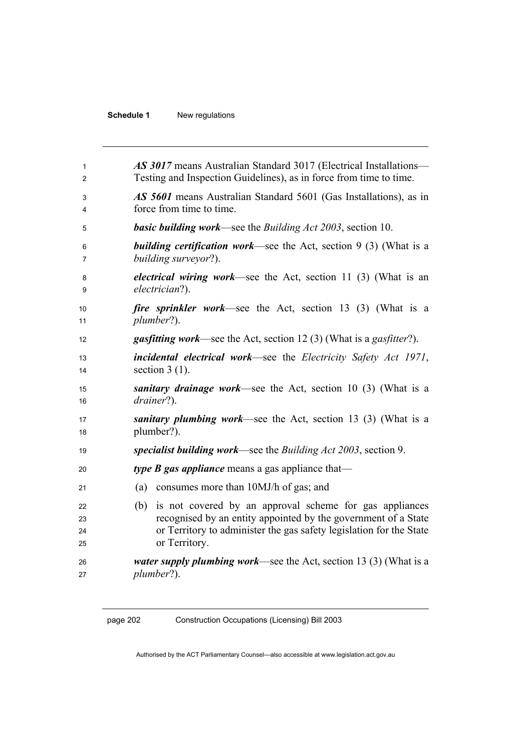| 1                    | <b>AS 3017</b> means Australian Standard 3017 (Electrical Installations—                                                                                                                                                 |
|----------------------|--------------------------------------------------------------------------------------------------------------------------------------------------------------------------------------------------------------------------|
| $\overline{2}$       | Testing and Inspection Guidelines), as in force from time to time.                                                                                                                                                       |
| 3                    | AS 5601 means Australian Standard 5601 (Gas Installations), as in                                                                                                                                                        |
| 4                    | force from time to time.                                                                                                                                                                                                 |
| 5                    | <b>basic building work—see the Building Act 2003, section 10.</b>                                                                                                                                                        |
| 6                    | <b>building certification work—see the Act, section 9 (3) (What is a</b>                                                                                                                                                 |
| 7                    | building surveyor?).                                                                                                                                                                                                     |
| 8                    | <i>electrical wiring work</i> —see the Act, section 11 (3) (What is an                                                                                                                                                   |
| 9                    | electrician?).                                                                                                                                                                                                           |
| 10                   | <i>fire sprinkler work</i> —see the Act, section 13 (3) (What is a                                                                                                                                                       |
| 11                   | plumber?).                                                                                                                                                                                                               |
| 12                   | <b>gasfitting work—see the Act, section 12 (3) (What is a gasfitter?).</b>                                                                                                                                               |
| 13                   | <b>incidental electrical work—see the Electricity Safety Act 1971,</b>                                                                                                                                                   |
| 14                   | section $3(1)$ .                                                                                                                                                                                                         |
| 15                   | <i>sanitary drainage work—see the Act, section 10 (3)</i> (What is a                                                                                                                                                     |
| 16                   | drainer?).                                                                                                                                                                                                               |
| 17                   | sanitary plumbing work—see the Act, section 13 (3) (What is a                                                                                                                                                            |
| 18                   | plumber?).                                                                                                                                                                                                               |
| 19                   | specialist building work—see the Building Act 2003, section 9.                                                                                                                                                           |
| 20                   | <i>type B gas appliance</i> means a gas appliance that—                                                                                                                                                                  |
| 21                   | (a) consumes more than 10MJ/h of gas; and                                                                                                                                                                                |
| 22<br>23<br>24<br>25 | is not covered by an approval scheme for gas appliances<br>(b)<br>recognised by an entity appointed by the government of a State<br>or Territory to administer the gas safety legislation for the State<br>or Territory. |
| 26                   | <i>water supply plumbing work</i> —see the Act, section 13 (3) (What is a                                                                                                                                                |
| 27                   | plumber?).                                                                                                                                                                                                               |
|                      |                                                                                                                                                                                                                          |

page 202 Construction Occupations (Licensing) Bill 2003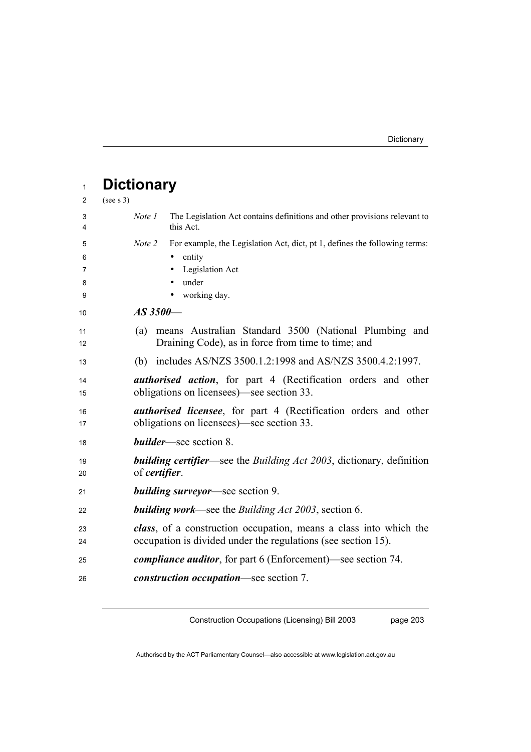| $\mathbf{1}$ | <b>Dictionary</b>                                                                                |
|--------------|--------------------------------------------------------------------------------------------------|
| 2            | (see s 3)                                                                                        |
| 3<br>4       | Note 1<br>The Legislation Act contains definitions and other provisions relevant to<br>this Act. |
| 5            | For example, the Legislation Act, dict, pt 1, defines the following terms:<br>Note 2             |
| 6            | entity                                                                                           |
| 7            | Legislation Act                                                                                  |
| 8            | under                                                                                            |
| 9            | working day.                                                                                     |
| 10           | $AS\,3500-$                                                                                      |
| 11           | means Australian Standard 3500 (National Plumbing and<br>(a)                                     |
| 12           | Draining Code), as in force from time to time; and                                               |
| 13           | (b) includes AS/NZS 3500.1.2:1998 and AS/NZS 3500.4.2:1997.                                      |
| 14           | <b><i>authorised action</i></b> , for part 4 (Rectification orders and other                     |
| 15           | obligations on licensees)—see section 33.                                                        |
| 16           | <i>authorised licensee</i> , for part 4 (Rectification orders and other                          |
| 17           | obligations on licensees)—see section 33.                                                        |
| 18           | <b>builder</b> —see section 8.                                                                   |
| 19           | <b>building certifier</b> —see the Building Act 2003, dictionary, definition                     |
| 20           | of <i>certifier</i> .                                                                            |
| 21           | <b>building surveyor</b> —see section 9.                                                         |
| 22           | <b>building work—see the Building Act 2003, section 6.</b>                                       |
| 23           | class, of a construction occupation, means a class into which the                                |
| 24           | occupation is divided under the regulations (see section 15).                                    |
| 25           | <i>compliance auditor</i> , for part 6 (Enforcement)—see section 74.                             |
| 26           | <i>construction occupation</i> —see section 7.                                                   |

Construction Occupations (Licensing) Bill 2003

page 203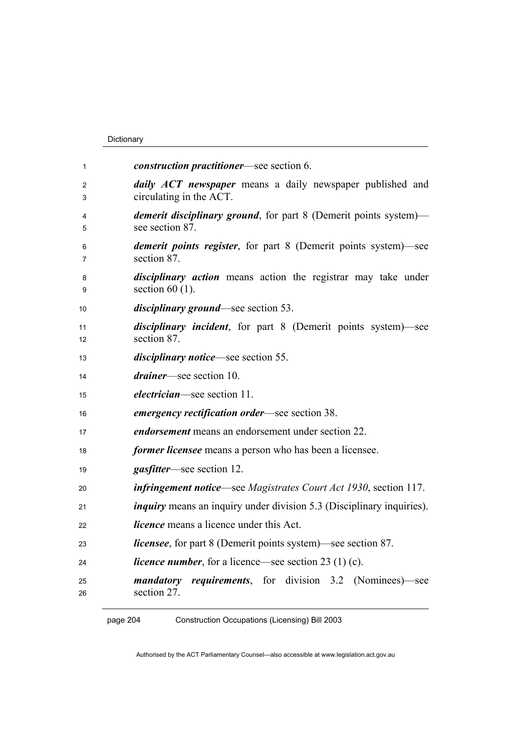### Dictionary

| 1                  | <i>construction practitioner</i> —see section 6.                                            |
|--------------------|---------------------------------------------------------------------------------------------|
| $\mathcal{P}$<br>3 | <i>daily ACT newspaper</i> means a daily newspaper published and<br>circulating in the ACT. |
| 4<br>5             | <i>demerit disciplinary ground</i> , for part 8 (Demerit points system)—<br>see section 87. |
| 6<br>7             | <i>demerit points register</i> , for part 8 (Demerit points system)—see<br>section 87.      |
| 8<br>9             | disciplinary action means action the registrar may take under<br>section $60(1)$ .          |
| 10                 | <i>disciplinary ground</i> —see section 53.                                                 |
| 11<br>12           | <i>disciplinary incident</i> , for part 8 (Demerit points system)—see<br>section 87.        |
| 13                 | <i>disciplinary notice</i> —see section 55.                                                 |
| 14                 | <i>drainer</i> —see section 10.                                                             |
| 15                 | <i>electrician</i> —see section 11.                                                         |
| 16                 | <i>emergency rectification order</i> —see section 38.                                       |
| 17                 | <i>endorsement</i> means an endorsement under section 22.                                   |
| 18                 | <i>former licensee</i> means a person who has been a licensee.                              |
| 19                 | <i>gasfitter</i> —see section 12.                                                           |
| 20                 | <b>infringement notice—see</b> Magistrates Court Act 1930, section 117.                     |
| 21                 | <i>inquiry</i> means an inquiry under division 5.3 (Disciplinary inquiries).                |
| 22                 | <i>licence</i> means a licence under this Act.                                              |
| 23                 | <i>licensee</i> , for part 8 (Demerit points system)—see section 87.                        |
| 24                 | <i>licence number</i> , for a licence—see section 23 (1) (c).                               |
| 25<br>26           | <i>requirements</i> , for division 3.2 (Nominees) see<br>mandatory<br>section 27.           |

page 204 Construction Occupations (Licensing) Bill 2003